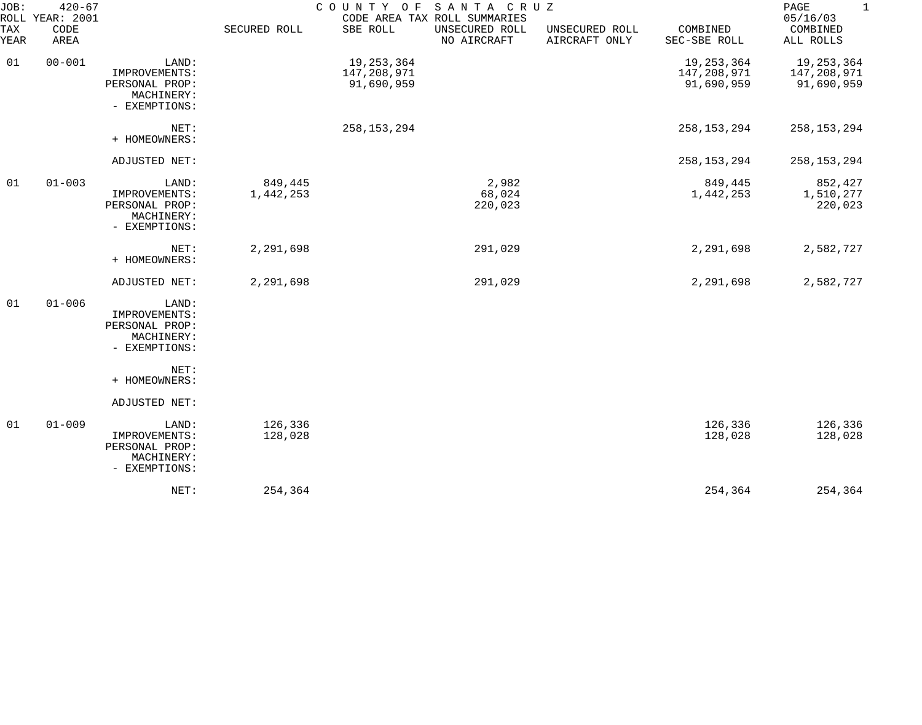| JOB:             | $420 - 67$<br>ROLL YEAR: 2001 |                                                                         |                      |                                         | COUNTY OF SANTA CRUZ<br>CODE AREA TAX ROLL SUMMARIES |                                 |                                         | PAGE<br>1<br>05/16/03                     |
|------------------|-------------------------------|-------------------------------------------------------------------------|----------------------|-----------------------------------------|------------------------------------------------------|---------------------------------|-----------------------------------------|-------------------------------------------|
| TAX<br>YEAR      | CODE<br>AREA                  |                                                                         | SECURED ROLL         | SBE ROLL                                | UNSECURED ROLL<br>NO AIRCRAFT                        | UNSECURED ROLL<br>AIRCRAFT ONLY | COMBINED<br>SEC-SBE ROLL                | COMBINED<br>ALL ROLLS                     |
| $00 - 001$<br>01 |                               | LAND:<br>IMPROVEMENTS:<br>PERSONAL PROP:<br>MACHINERY:<br>- EXEMPTIONS: |                      | 19,253,364<br>147,208,971<br>91,690,959 |                                                      |                                 | 19,253,364<br>147,208,971<br>91,690,959 | 19, 253, 364<br>147,208,971<br>91,690,959 |
|                  |                               | NET:<br>+ HOMEOWNERS:                                                   |                      | 258, 153, 294                           |                                                      |                                 | 258, 153, 294                           | 258, 153, 294                             |
|                  |                               | ADJUSTED NET:                                                           |                      |                                         |                                                      |                                 | 258, 153, 294                           | 258, 153, 294                             |
| 01               | $01 - 003$                    | LAND:<br>IMPROVEMENTS:<br>PERSONAL PROP:<br>MACHINERY:<br>- EXEMPTIONS: | 849,445<br>1,442,253 |                                         | 2,982<br>68,024<br>220,023                           |                                 | 849,445<br>1,442,253                    | 852,427<br>1,510,277<br>220,023           |
|                  |                               | NET:<br>+ HOMEOWNERS:                                                   | 2,291,698            |                                         | 291,029                                              |                                 | 2,291,698                               | 2,582,727                                 |
|                  |                               | ADJUSTED NET:                                                           | 2,291,698            |                                         | 291,029                                              |                                 | 2,291,698                               | 2,582,727                                 |
| 01               | $01 - 006$                    | LAND:<br>IMPROVEMENTS:<br>PERSONAL PROP:<br>MACHINERY:<br>- EXEMPTIONS: |                      |                                         |                                                      |                                 |                                         |                                           |
|                  |                               | NET:<br>+ HOMEOWNERS:                                                   |                      |                                         |                                                      |                                 |                                         |                                           |
|                  |                               | ADJUSTED NET:                                                           |                      |                                         |                                                      |                                 |                                         |                                           |
| 01               | $01 - 009$                    | LAND:<br>IMPROVEMENTS:<br>PERSONAL PROP:<br>MACHINERY:<br>- EXEMPTIONS: | 126,336<br>128,028   |                                         |                                                      |                                 | 126,336<br>128,028                      | 126,336<br>128,028                        |
|                  |                               | NET:                                                                    | 254,364              |                                         |                                                      |                                 | 254,364                                 | 254,364                                   |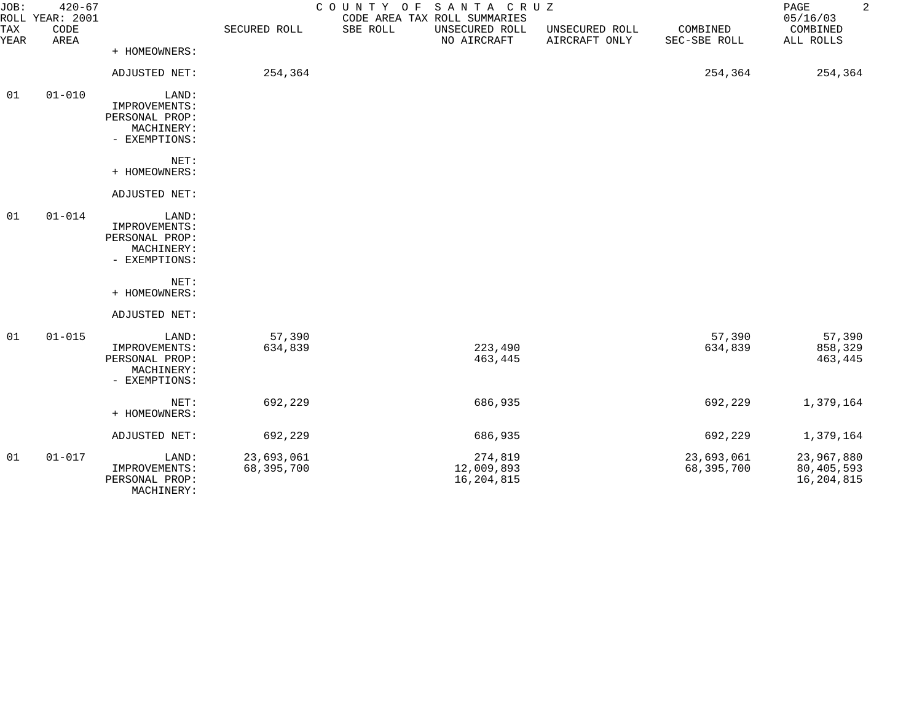| JOB:<br><b>TAX</b> | $420 - 67$<br>ROLL YEAR: 2001<br>CODE |                                                                         | SECURED ROLL             | COUNTY OF SANTA CRUZ<br>SBE ROLL | CODE AREA TAX ROLL SUMMARIES<br>UNSECURED ROLL | UNSECURED ROLL | COMBINED                 | $\overline{a}$<br>PAGE<br>05/16/03<br>COMBINED |
|--------------------|---------------------------------------|-------------------------------------------------------------------------|--------------------------|----------------------------------|------------------------------------------------|----------------|--------------------------|------------------------------------------------|
| YEAR               | AREA                                  | + HOMEOWNERS:                                                           |                          |                                  | NO AIRCRAFT                                    | AIRCRAFT ONLY  | SEC-SBE ROLL             | ALL ROLLS                                      |
|                    |                                       | ADJUSTED NET:                                                           | 254,364                  |                                  |                                                |                | 254,364                  | 254,364                                        |
| 01                 | $01 - 010$                            | LAND:<br>IMPROVEMENTS:<br>PERSONAL PROP:<br>MACHINERY:<br>- EXEMPTIONS: |                          |                                  |                                                |                |                          |                                                |
|                    |                                       | NET:<br>+ HOMEOWNERS:                                                   |                          |                                  |                                                |                |                          |                                                |
|                    |                                       | ADJUSTED NET:                                                           |                          |                                  |                                                |                |                          |                                                |
| 01                 | $01 - 014$                            | LAND:<br>IMPROVEMENTS:<br>PERSONAL PROP:<br>MACHINERY:<br>- EXEMPTIONS: |                          |                                  |                                                |                |                          |                                                |
|                    |                                       | NET:<br>+ HOMEOWNERS:                                                   |                          |                                  |                                                |                |                          |                                                |
|                    |                                       | ADJUSTED NET:                                                           |                          |                                  |                                                |                |                          |                                                |
| 01                 | $01 - 015$                            | LAND:<br>IMPROVEMENTS:<br>PERSONAL PROP:<br>MACHINERY:<br>- EXEMPTIONS: | 57,390<br>634,839        |                                  | 223,490<br>463,445                             |                | 57,390<br>634,839        | 57,390<br>858,329<br>463,445                   |
|                    |                                       | NET:<br>+ HOMEOWNERS:                                                   | 692,229                  |                                  | 686,935                                        |                | 692,229                  | 1,379,164                                      |
|                    |                                       | ADJUSTED NET:                                                           | 692,229                  |                                  | 686,935                                        |                | 692,229                  | 1,379,164                                      |
| 01                 | $01 - 017$                            | LAND:<br>IMPROVEMENTS:<br>PERSONAL PROP:                                | 23,693,061<br>68,395,700 |                                  | 274,819<br>12,009,893<br>16,204,815            |                | 23,693,061<br>68,395,700 | 23,967,880<br>80, 405, 593<br>16, 204, 815     |

MACHINERY: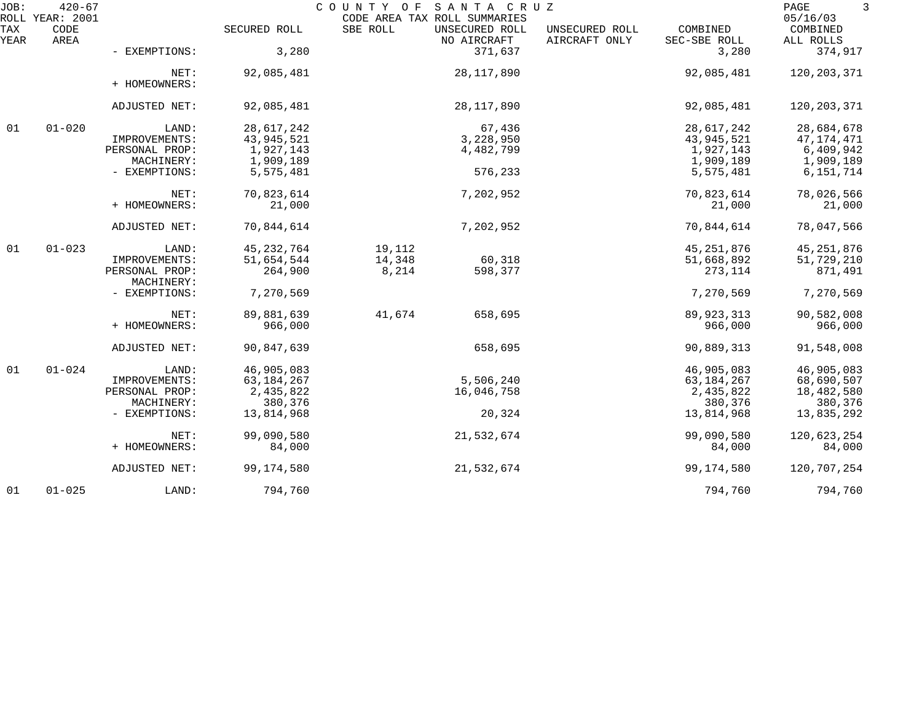| JOB:        | $420 - 67$<br>ROLL YEAR: 2001 |                              |              | COUNTY OF | SANTA CRUZ<br>CODE AREA TAX ROLL SUMMARIES |                                 |                          | PAGE<br>3<br>05/16/03 |
|-------------|-------------------------------|------------------------------|--------------|-----------|--------------------------------------------|---------------------------------|--------------------------|-----------------------|
| TAX<br>YEAR | CODE<br>AREA                  |                              | SECURED ROLL | SBE ROLL  | UNSECURED ROLL<br>NO AIRCRAFT              | UNSECURED ROLL<br>AIRCRAFT ONLY | COMBINED<br>SEC-SBE ROLL | COMBINED<br>ALL ROLLS |
|             |                               | - EXEMPTIONS:                | 3,280        |           | 371,637                                    |                                 | 3,280                    | 374,917               |
|             |                               | NET:<br>+ HOMEOWNERS:        | 92,085,481   |           | 28,117,890                                 |                                 | 92,085,481               | 120, 203, 371         |
|             |                               | ADJUSTED NET:                | 92,085,481   |           | 28, 117, 890                               |                                 | 92,085,481               | 120, 203, 371         |
| 01          | $01 - 020$                    | LAND:                        | 28,617,242   |           | 67,436                                     |                                 | 28,617,242               | 28,684,678            |
|             |                               | IMPROVEMENTS:                | 43,945,521   |           | 3,228,950                                  |                                 | 43,945,521               | 47,174,471            |
|             |                               | PERSONAL PROP:               | 1,927,143    |           | 4,482,799                                  |                                 | 1,927,143                | 6,409,942             |
|             |                               | MACHINERY:                   | 1,909,189    |           |                                            |                                 | 1,909,189                | 1,909,189             |
|             |                               | - EXEMPTIONS:                | 5,575,481    |           | 576,233                                    |                                 | 5,575,481                | 6,151,714             |
|             |                               | NET:                         | 70,823,614   |           | 7,202,952                                  |                                 | 70,823,614               | 78,026,566            |
|             |                               | + HOMEOWNERS:                | 21,000       |           |                                            |                                 | 21,000                   | 21,000                |
|             |                               | ADJUSTED NET:                | 70,844,614   |           | 7,202,952                                  |                                 | 70,844,614               | 78,047,566            |
| 01          | $01 - 023$                    | LAND:                        | 45, 232, 764 | 19,112    |                                            |                                 | 45, 251, 876             | 45, 251, 876          |
|             |                               | IMPROVEMENTS:                | 51,654,544   | 14,348    | 60,318                                     |                                 | 51,668,892               | 51,729,210            |
|             |                               | PERSONAL PROP:<br>MACHINERY: | 264,900      | 8,214     | 598,377                                    |                                 | 273,114                  | 871,491               |
|             |                               | - EXEMPTIONS:                | 7,270,569    |           |                                            |                                 | 7,270,569                | 7,270,569             |
|             |                               | NET:                         | 89,881,639   | 41,674    | 658,695                                    |                                 | 89, 923, 313             | 90,582,008            |
|             |                               | + HOMEOWNERS:                | 966,000      |           |                                            |                                 | 966,000                  | 966,000               |
|             |                               | ADJUSTED NET:                | 90,847,639   |           | 658,695                                    |                                 | 90,889,313               | 91,548,008            |
| 01          | $01 - 024$                    | LAND:                        | 46,905,083   |           |                                            |                                 | 46,905,083               | 46,905,083            |
|             |                               | IMPROVEMENTS:                | 63, 184, 267 |           | 5,506,240                                  |                                 | 63,184,267               | 68,690,507            |
|             |                               | PERSONAL PROP:               | 2,435,822    |           | 16,046,758                                 |                                 | 2,435,822                | 18,482,580            |
|             |                               | MACHINERY:                   | 380,376      |           |                                            |                                 | 380,376                  | 380,376               |
|             |                               | - EXEMPTIONS:                | 13,814,968   |           | 20,324                                     |                                 | 13,814,968               | 13,835,292            |
|             |                               | NET:                         | 99,090,580   |           | 21,532,674                                 |                                 | 99,090,580               | 120,623,254           |
|             |                               | + HOMEOWNERS:                | 84,000       |           |                                            |                                 | 84,000                   | 84,000                |
|             |                               | ADJUSTED NET:                | 99, 174, 580 |           | 21,532,674                                 |                                 | 99,174,580               | 120,707,254           |
| 01          | $01 - 025$                    | LAND:                        | 794,760      |           |                                            |                                 | 794,760                  | 794,760               |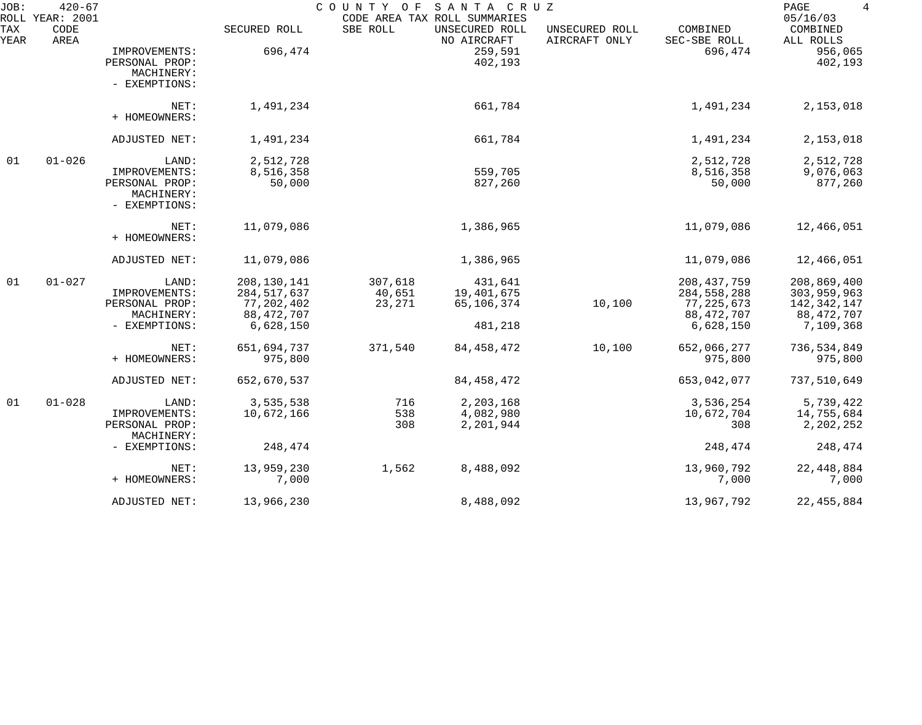| JOB:        | $420 - 67$<br>ROLL YEAR: 2001 |                                                                |                                              | COUNTY OF                   | SANTA CRUZ<br>CODE AREA TAX ROLL SUMMARIES |                                 |                                                | PAGE<br>$\overline{4}$<br>05/16/03        |
|-------------|-------------------------------|----------------------------------------------------------------|----------------------------------------------|-----------------------------|--------------------------------------------|---------------------------------|------------------------------------------------|-------------------------------------------|
| TAX<br>YEAR | CODE<br>AREA                  |                                                                | SECURED ROLL                                 | SBE ROLL                    | UNSECURED ROLL<br>NO AIRCRAFT              | UNSECURED ROLL<br>AIRCRAFT ONLY | COMBINED<br>SEC-SBE ROLL                       | COMBINED<br>ALL ROLLS                     |
|             |                               | IMPROVEMENTS:<br>PERSONAL PROP:<br>MACHINERY:<br>- EXEMPTIONS: | 696,474                                      |                             | 259,591<br>402,193                         |                                 | 696,474                                        | 956,065<br>402,193                        |
|             |                               | NET:<br>+ HOMEOWNERS:                                          | 1,491,234                                    |                             | 661,784                                    |                                 | 1,491,234                                      | 2,153,018                                 |
|             |                               | ADJUSTED NET:                                                  | 1,491,234                                    |                             | 661,784                                    |                                 | 1,491,234                                      | 2,153,018                                 |
| 01          | $01 - 026$                    | LAND:                                                          | 2,512,728                                    |                             |                                            |                                 | 2,512,728                                      | 2,512,728                                 |
|             |                               | IMPROVEMENTS:<br>PERSONAL PROP:<br>MACHINERY:<br>- EXEMPTIONS: | 8,516,358<br>50,000                          |                             | 559,705<br>827,260                         |                                 | 8,516,358<br>50,000                            | 9,076,063<br>877,260                      |
|             |                               | NET:<br>+ HOMEOWNERS:                                          | 11,079,086                                   |                             | 1,386,965                                  |                                 | 11,079,086                                     | 12,466,051                                |
|             |                               | ADJUSTED NET:                                                  | 11,079,086                                   |                             | 1,386,965                                  |                                 | 11,079,086                                     | 12,466,051                                |
| 01          | $01 - 027$                    | LAND:<br>IMPROVEMENTS:<br>PERSONAL PROP:                       | 208, 130, 141<br>284, 517, 637<br>77,202,402 | 307,618<br>40,651<br>23,271 | 431,641<br>19,401,675<br>65,106,374        | 10,100                          | 208, 437, 759<br>284, 558, 288<br>77, 225, 673 | 208,869,400<br>303,959,963<br>142,342,147 |
|             |                               | MACHINERY:<br>- EXEMPTIONS:                                    | 88, 472, 707<br>6,628,150                    |                             | 481,218                                    |                                 | 88,472,707<br>6,628,150                        | 88,472,707<br>7,109,368                   |
|             |                               | NET:<br>+ HOMEOWNERS:                                          | 651,694,737<br>975,800                       | 371,540                     | 84, 458, 472                               | 10,100                          | 652,066,277<br>975,800                         | 736,534,849<br>975,800                    |
|             |                               | ADJUSTED NET:                                                  | 652,670,537                                  |                             | 84, 458, 472                               |                                 | 653,042,077                                    | 737,510,649                               |
| 01          | $01 - 028$                    | LAND:<br>IMPROVEMENTS:<br>PERSONAL PROP:<br>MACHINERY:         | 3,535,538<br>10,672,166                      | 716<br>538<br>308           | 2,203,168<br>4,082,980<br>2,201,944        |                                 | 3,536,254<br>10,672,704<br>308                 | 5,739,422<br>14,755,684<br>2,202,252      |
|             |                               | - EXEMPTIONS:                                                  | 248,474                                      |                             |                                            |                                 | 248,474                                        | 248,474                                   |
|             |                               | NET:<br>+ HOMEOWNERS:                                          | 13,959,230<br>7,000                          | 1,562                       | 8,488,092                                  |                                 | 13,960,792<br>7,000                            | 22, 448, 884<br>7,000                     |
|             |                               | ADJUSTED NET:                                                  | 13,966,230                                   |                             | 8,488,092                                  |                                 | 13,967,792                                     | 22, 455, 884                              |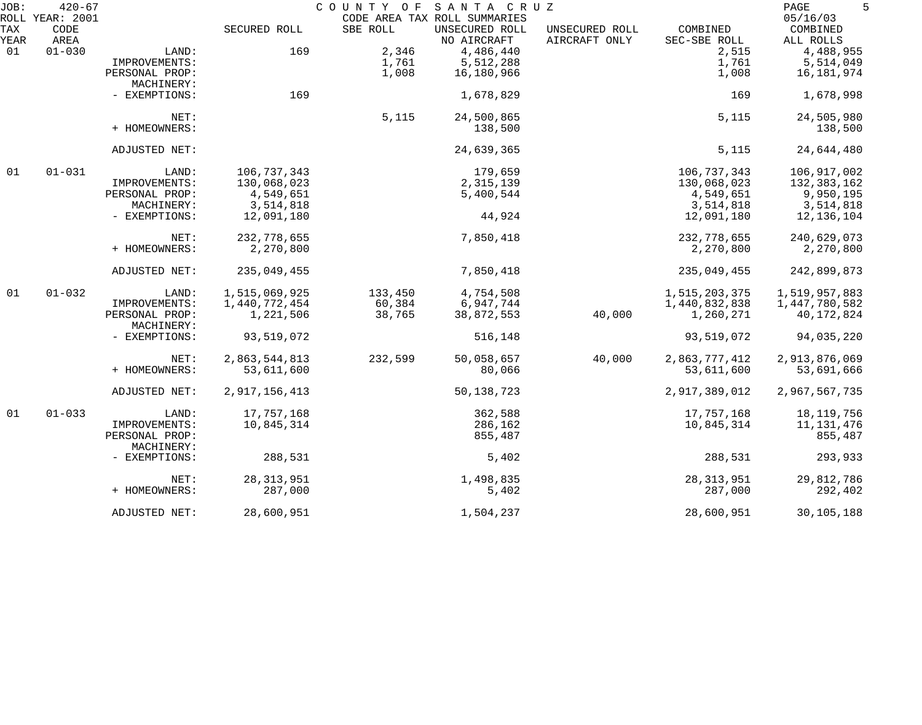| JOB:        | $420 - 67$<br>ROLL YEAR: 2001 |                |               | COUNTY OF | SANTA CRUZ<br>CODE AREA TAX ROLL SUMMARIES |                                 |                          | PAGE<br>5<br>05/16/03 |
|-------------|-------------------------------|----------------|---------------|-----------|--------------------------------------------|---------------------------------|--------------------------|-----------------------|
| TAX<br>YEAR | CODE<br>AREA                  |                | SECURED ROLL  | SBE ROLL  | UNSECURED ROLL<br>NO AIRCRAFT              | UNSECURED ROLL<br>AIRCRAFT ONLY | COMBINED<br>SEC-SBE ROLL | COMBINED<br>ALL ROLLS |
| 01          | $01 - 030$                    | LAND:          | 169           | 2,346     | 4,486,440                                  |                                 | 2,515                    | 4,488,955             |
|             |                               | IMPROVEMENTS:  |               | 1,761     | 5,512,288                                  |                                 | 1,761                    | 5,514,049             |
|             |                               | PERSONAL PROP: |               | 1,008     | 16,180,966                                 |                                 | 1,008                    | 16,181,974            |
|             |                               | MACHINERY:     |               |           |                                            |                                 |                          |                       |
|             |                               | - EXEMPTIONS:  | 169           |           | 1,678,829                                  |                                 | 169                      | 1,678,998             |
|             |                               | NET:           |               | 5,115     | 24,500,865                                 |                                 | 5,115                    | 24,505,980            |
|             |                               | + HOMEOWNERS:  |               |           | 138,500                                    |                                 |                          | 138,500               |
|             |                               | ADJUSTED NET:  |               |           | 24,639,365                                 |                                 | 5,115                    | 24,644,480            |
| 01          | $01 - 031$                    | LAND:          | 106,737,343   |           | 179,659                                    |                                 | 106,737,343              | 106,917,002           |
|             |                               | IMPROVEMENTS:  | 130,068,023   |           | 2,315,139                                  |                                 | 130,068,023              | 132,383,162           |
|             |                               | PERSONAL PROP: | 4,549,651     |           | 5,400,544                                  |                                 | 4,549,651                | 9,950,195             |
|             |                               | MACHINERY:     | 3,514,818     |           |                                            |                                 | 3,514,818                | 3,514,818             |
|             |                               | - EXEMPTIONS:  | 12,091,180    |           | 44,924                                     |                                 | 12,091,180               | 12,136,104            |
|             |                               |                |               |           |                                            |                                 |                          |                       |
|             |                               | NET:           | 232,778,655   |           | 7,850,418                                  |                                 | 232,778,655              | 240,629,073           |
|             |                               | + HOMEOWNERS:  | 2,270,800     |           |                                            |                                 | 2,270,800                | 2,270,800             |
|             |                               | ADJUSTED NET:  | 235,049,455   |           | 7,850,418                                  |                                 | 235,049,455              | 242,899,873           |
| 01          | $01 - 032$                    | LAND:          | 1,515,069,925 | 133,450   | 4,754,508                                  |                                 | 1,515,203,375            | 1,519,957,883         |
|             |                               | IMPROVEMENTS:  | 1,440,772,454 | 60,384    | 6,947,744                                  |                                 | 1,440,832,838            | 1,447,780,582         |
|             |                               | PERSONAL PROP: | 1,221,506     | 38,765    | 38,872,553                                 | 40,000                          | 1,260,271                | 40,172,824            |
|             |                               | MACHINERY:     |               |           |                                            |                                 |                          |                       |
|             |                               | - EXEMPTIONS:  | 93,519,072    |           | 516,148                                    |                                 | 93,519,072               | 94,035,220            |
|             |                               | NET:           | 2,863,544,813 | 232,599   | 50,058,657                                 | 40,000                          | 2,863,777,412            | 2,913,876,069         |
|             |                               | + HOMEOWNERS:  | 53,611,600    |           | 80,066                                     |                                 | 53,611,600               | 53,691,666            |
|             |                               | ADJUSTED NET:  | 2,917,156,413 |           | 50, 138, 723                               |                                 | 2,917,389,012            | 2,967,567,735         |
| 01          | $01 - 033$                    | LAND:          | 17,757,168    |           | 362,588                                    |                                 | 17,757,168               | 18, 119, 756          |
|             |                               | IMPROVEMENTS:  | 10,845,314    |           | 286,162                                    |                                 | 10,845,314               | 11,131,476            |
|             |                               | PERSONAL PROP: |               |           | 855,487                                    |                                 |                          | 855,487               |
|             |                               | MACHINERY:     |               |           |                                            |                                 |                          |                       |
|             |                               | - EXEMPTIONS:  | 288,531       |           | 5,402                                      |                                 | 288,531                  | 293,933               |
|             |                               | NET:           | 28, 313, 951  |           | 1,498,835                                  |                                 | 28, 313, 951             | 29,812,786            |
|             |                               | + HOMEOWNERS:  | 287,000       |           | 5,402                                      |                                 | 287,000                  | 292,402               |
|             |                               | ADJUSTED NET:  | 28,600,951    |           | 1,504,237                                  |                                 | 28,600,951               | 30,105,188            |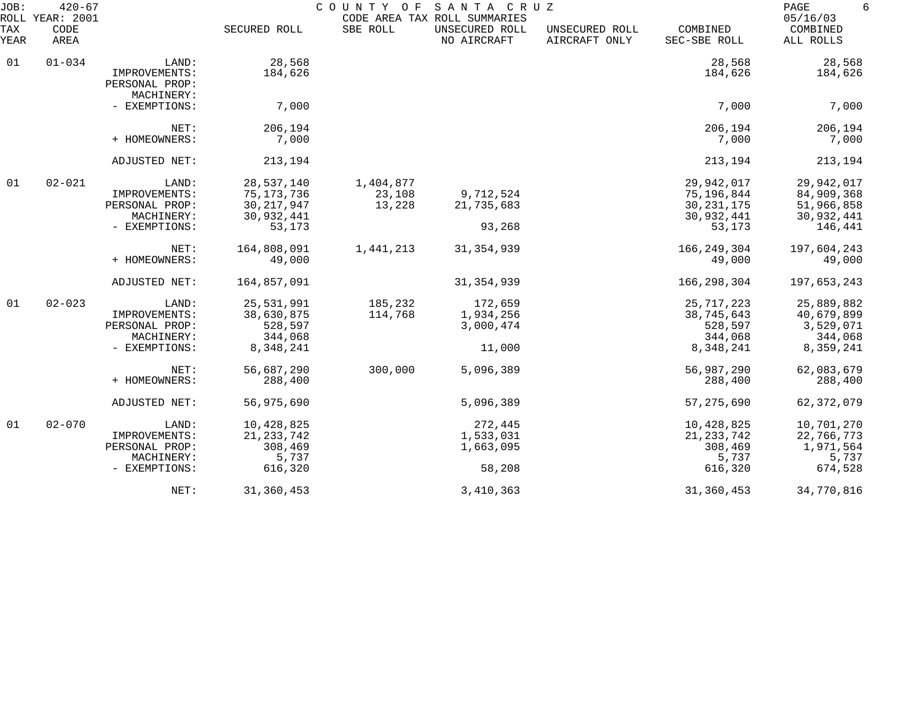| JOB:        | $420 - 67$<br>ROLL YEAR: 2001 |                                               |              | COUNTY<br>O F | SANTA CRUZ<br>CODE AREA TAX ROLL SUMMARIES |                                 |                          | PAGE<br>6<br>05/16/03 |
|-------------|-------------------------------|-----------------------------------------------|--------------|---------------|--------------------------------------------|---------------------------------|--------------------------|-----------------------|
| TAX<br>YEAR | CODE<br>AREA                  |                                               | SECURED ROLL | SBE ROLL      | UNSECURED ROLL<br>NO AIRCRAFT              | UNSECURED ROLL<br>AIRCRAFT ONLY | COMBINED<br>SEC-SBE ROLL | COMBINED<br>ALL ROLLS |
| 01          | $01 - 034$                    | LAND:                                         | 28,568       |               |                                            |                                 | 28,568                   | 28,568                |
|             |                               | IMPROVEMENTS:<br>PERSONAL PROP:<br>MACHINERY: | 184,626      |               |                                            |                                 | 184,626                  | 184,626               |
|             |                               | - EXEMPTIONS:                                 | 7,000        |               |                                            |                                 | 7,000                    | 7,000                 |
|             |                               | NET:                                          | 206,194      |               |                                            |                                 | 206,194                  | 206,194               |
|             |                               | + HOMEOWNERS:                                 | 7,000        |               |                                            |                                 | 7,000                    | 7,000                 |
|             |                               | ADJUSTED NET:                                 | 213,194      |               |                                            |                                 | 213,194                  | 213,194               |
| 01          | $02 - 021$                    | LAND:                                         | 28,537,140   | 1,404,877     |                                            |                                 | 29,942,017               | 29,942,017            |
|             |                               | IMPROVEMENTS:                                 | 75, 173, 736 | 23,108        | 9,712,524                                  |                                 | 75,196,844               | 84,909,368            |
|             |                               | PERSONAL PROP:                                | 30, 217, 947 | 13,228        | 21,735,683                                 |                                 | 30, 231, 175             | 51,966,858            |
|             |                               | MACHINERY:                                    | 30,932,441   |               |                                            |                                 | 30,932,441               | 30,932,441            |
|             |                               | - EXEMPTIONS:                                 | 53,173       |               | 93,268                                     |                                 | 53,173                   | 146,441               |
|             |                               | NET:                                          | 164,808,091  | 1,441,213     | 31, 354, 939                               |                                 | 166, 249, 304            | 197,604,243           |
|             |                               | + HOMEOWNERS:                                 | 49,000       |               |                                            |                                 | 49,000                   | 49,000                |
|             |                               | ADJUSTED NET:                                 | 164,857,091  |               | 31, 354, 939                               |                                 | 166, 298, 304            | 197,653,243           |
| 01          | $02 - 023$                    | LAND:                                         | 25,531,991   | 185,232       | 172,659                                    |                                 | 25, 717, 223             | 25,889,882            |
|             |                               | IMPROVEMENTS:                                 | 38,630,875   | 114,768       | 1,934,256                                  |                                 | 38,745,643               | 40,679,899            |
|             |                               | PERSONAL PROP:                                | 528,597      |               | 3,000,474                                  |                                 | 528,597                  | 3,529,071             |
|             |                               | MACHINERY:                                    | 344,068      |               |                                            |                                 | 344,068                  | 344,068               |
|             |                               | - EXEMPTIONS:                                 | 8,348,241    |               | 11,000                                     |                                 | 8,348,241                | 8,359,241             |
|             |                               | NET:                                          | 56,687,290   | 300,000       | 5,096,389                                  |                                 | 56,987,290               | 62,083,679            |
|             |                               | + HOMEOWNERS:                                 | 288,400      |               |                                            |                                 | 288,400                  | 288,400               |
|             |                               | ADJUSTED NET:                                 | 56,975,690   |               | 5,096,389                                  |                                 | 57, 275, 690             | 62, 372, 079          |
| 01          | $02 - 070$                    | LAND:                                         | 10,428,825   |               | 272,445                                    |                                 | 10,428,825               | 10,701,270            |
|             |                               | IMPROVEMENTS:                                 | 21, 233, 742 |               | 1,533,031                                  |                                 | 21, 233, 742             | 22,766,773            |
|             |                               | PERSONAL PROP:                                | 308,469      |               | 1,663,095                                  |                                 | 308,469                  | 1,971,564             |
|             |                               | MACHINERY:                                    | 5,737        |               |                                            |                                 | 5,737                    | 5,737                 |
|             |                               | - EXEMPTIONS:                                 | 616,320      |               | 58,208                                     |                                 | 616,320                  | 674,528               |
|             |                               | NET:                                          | 31,360,453   |               | 3, 410, 363                                |                                 | 31, 360, 453             | 34,770,816            |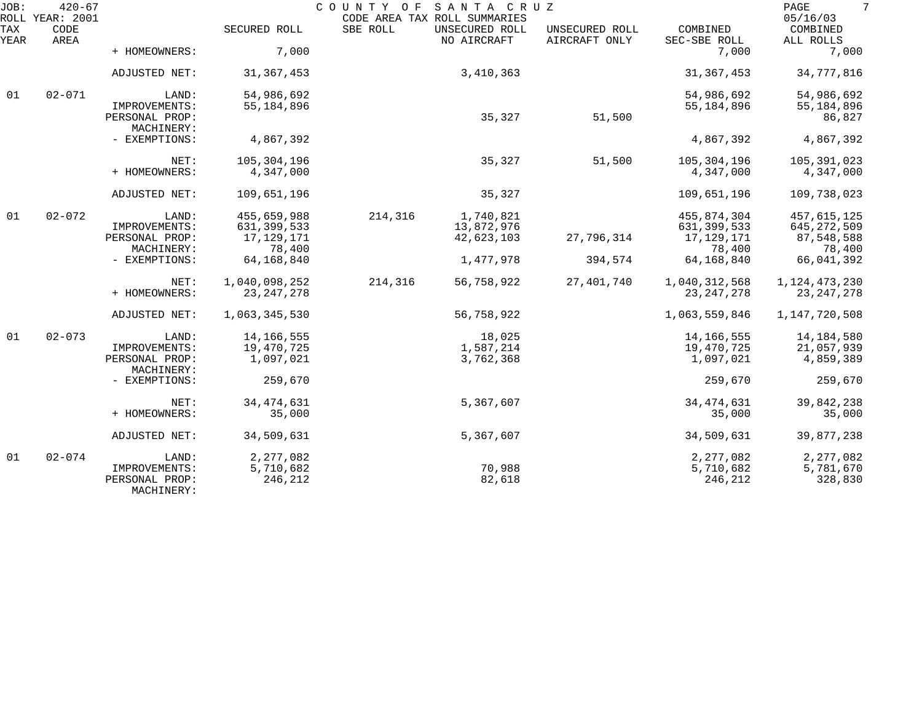| JOB:        | $420 - 67$<br>ROLL YEAR: 2001 |                                               |                      | COUNTY OF | SANTA CRUZ<br>CODE AREA TAX ROLL SUMMARIES |                                 |                          | 7<br>PAGE<br>05/16/03 |
|-------------|-------------------------------|-----------------------------------------------|----------------------|-----------|--------------------------------------------|---------------------------------|--------------------------|-----------------------|
| TAX<br>YEAR | CODE<br>AREA                  |                                               | SECURED ROLL         | SBE ROLL  | UNSECURED ROLL<br>NO AIRCRAFT              | UNSECURED ROLL<br>AIRCRAFT ONLY | COMBINED<br>SEC-SBE ROLL | COMBINED<br>ALL ROLLS |
|             |                               | + HOMEOWNERS:                                 | 7,000                |           |                                            |                                 | 7,000                    | 7,000                 |
|             |                               | ADJUSTED NET:                                 | 31, 367, 453         |           | 3,410,363                                  |                                 | 31, 367, 453             | 34,777,816            |
| 01          | $02 - 071$                    | LAND:                                         | 54,986,692           |           |                                            |                                 | 54,986,692               | 54,986,692            |
|             |                               | IMPROVEMENTS:<br>PERSONAL PROP:<br>MACHINERY: | 55,184,896           |           | 35,327                                     | 51,500                          | 55, 184, 896             | 55,184,896<br>86,827  |
|             |                               | - EXEMPTIONS:                                 | 4,867,392            |           |                                            |                                 | 4,867,392                | 4,867,392             |
|             |                               | NET:                                          | 105,304,196          |           | 35,327                                     | 51,500                          | 105,304,196              | 105,391,023           |
|             |                               | + HOMEOWNERS:                                 | 4,347,000            |           |                                            |                                 | 4,347,000                | 4,347,000             |
|             |                               | ADJUSTED NET:                                 | 109,651,196          |           | 35,327                                     |                                 | 109,651,196              | 109,738,023           |
| 01          | $02 - 072$                    | LAND:                                         | 455,659,988          | 214,316   | 1,740,821                                  |                                 | 455,874,304              | 457,615,125           |
|             |                               | IMPROVEMENTS:                                 | 631, 399, 533        |           | 13,872,976                                 |                                 | 631, 399, 533            | 645, 272, 509         |
|             |                               | PERSONAL PROP:<br>MACHINERY:                  | 17,129,171<br>78,400 |           | 42,623,103                                 | 27,796,314                      | 17, 129, 171<br>78,400   | 87,548,588<br>78,400  |
|             |                               | - EXEMPTIONS:                                 | 64, 168, 840         |           | 1,477,978                                  | 394,574                         | 64, 168, 840             | 66,041,392            |
|             |                               | NET:                                          | 1,040,098,252        | 214,316   | 56,758,922                                 | 27,401,740                      | 1,040,312,568            | 1,124,473,230         |
|             |                               | + HOMEOWNERS:                                 | 23, 247, 278         |           |                                            |                                 | 23, 247, 278             | 23, 247, 278          |
|             |                               | ADJUSTED NET:                                 | 1,063,345,530        |           | 56,758,922                                 |                                 | 1,063,559,846            | 1,147,720,508         |
| 01          | $02 - 073$                    | LAND:                                         | 14,166,555           |           | 18,025                                     |                                 | 14, 166, 555             | 14,184,580            |
|             |                               | IMPROVEMENTS:                                 | 19,470,725           |           | 1,587,214                                  |                                 | 19,470,725               | 21,057,939            |
|             |                               | PERSONAL PROP:<br>MACHINERY:                  | 1,097,021            |           | 3,762,368                                  |                                 | 1,097,021                | 4,859,389             |
|             |                               | - EXEMPTIONS:                                 | 259,670              |           |                                            |                                 | 259,670                  | 259,670               |
|             |                               | NET:                                          | 34, 474, 631         |           | 5,367,607                                  |                                 | 34, 474, 631             | 39,842,238            |
|             |                               | + HOMEOWNERS:                                 | 35,000               |           |                                            |                                 | 35,000                   | 35,000                |
|             |                               | ADJUSTED NET:                                 | 34,509,631           |           | 5,367,607                                  |                                 | 34,509,631               | 39,877,238            |
| 01          | $02 - 074$                    | LAND:                                         | 2,277,082            |           |                                            |                                 | 2,277,082                | 2, 277, 082           |
|             |                               | IMPROVEMENTS:<br>PERSONAL PROP:               | 5,710,682<br>246,212 |           | 70,988<br>82,618                           |                                 | 5,710,682<br>246,212     | 5,781,670<br>328,830  |
|             |                               | MACHINERY:                                    |                      |           |                                            |                                 |                          |                       |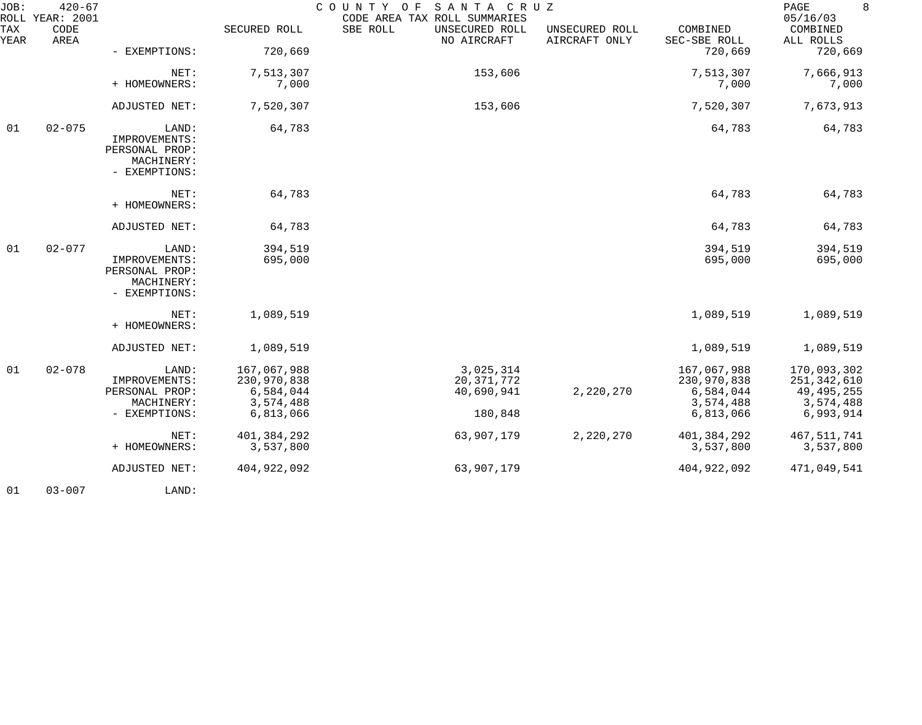| JOB:        | $420 - 67$<br>ROLL YEAR: 2001 |                                                                                 |                                                                                  | COUNTY OF<br>SANTA CRUZ<br>CODE AREA TAX ROLL SUMMARIES          |                                 |                                                                                  | 8<br>PAGE<br>05/16/03                                                                 |
|-------------|-------------------------------|---------------------------------------------------------------------------------|----------------------------------------------------------------------------------|------------------------------------------------------------------|---------------------------------|----------------------------------------------------------------------------------|---------------------------------------------------------------------------------------|
| TAX<br>YEAR | CODE<br>AREA                  |                                                                                 | SECURED ROLL                                                                     | SBE ROLL<br>UNSECURED ROLL<br>NO AIRCRAFT                        | UNSECURED ROLL<br>AIRCRAFT ONLY | COMBINED<br>SEC-SBE ROLL                                                         | COMBINED<br>ALL ROLLS                                                                 |
|             |                               | - EXEMPTIONS:                                                                   | 720,669                                                                          |                                                                  |                                 | 720,669                                                                          | 720,669                                                                               |
|             |                               | NET:<br>+ HOMEOWNERS:                                                           | 7,513,307<br>7,000                                                               | 153,606                                                          |                                 | 7,513,307<br>7,000                                                               | 7,666,913<br>7,000                                                                    |
|             |                               | ADJUSTED NET:                                                                   | 7,520,307                                                                        | 153,606                                                          |                                 | 7,520,307                                                                        | 7,673,913                                                                             |
| 01          | $02 - 075$                    | LAND:<br>IMPROVEMENTS:<br>PERSONAL PROP:<br>MACHINERY:<br>- EXEMPTIONS:         | 64,783                                                                           |                                                                  |                                 | 64,783                                                                           | 64,783                                                                                |
|             |                               | NET:<br>+ HOMEOWNERS:                                                           | 64,783                                                                           |                                                                  |                                 | 64,783                                                                           | 64,783                                                                                |
|             |                               | ADJUSTED NET:                                                                   | 64,783                                                                           |                                                                  |                                 | 64,783                                                                           | 64,783                                                                                |
| 01          | $02 - 077$                    | LAND:<br>IMPROVEMENTS:<br>PERSONAL PROP:<br>MACHINERY:<br>- EXEMPTIONS:         | 394,519<br>695,000                                                               |                                                                  |                                 | 394,519<br>695,000                                                               | 394,519<br>695,000                                                                    |
|             |                               | NET:<br>+ HOMEOWNERS:                                                           | 1,089,519                                                                        |                                                                  |                                 | 1,089,519                                                                        | 1,089,519                                                                             |
|             |                               | ADJUSTED NET:                                                                   | 1,089,519                                                                        |                                                                  |                                 | 1,089,519                                                                        | 1,089,519                                                                             |
| 01          | $02 - 078$                    | LAND:<br>IMPROVEMENTS:<br>PERSONAL PROP:<br>MACHINERY:<br>- EXEMPTIONS:<br>NET: | 167,067,988<br>230,970,838<br>6,584,044<br>3,574,488<br>6,813,066<br>401,384,292 | 3,025,314<br>20, 371, 772<br>40,690,941<br>180,848<br>63,907,179 | 2,220,270<br>2,220,270          | 167,067,988<br>230,970,838<br>6,584,044<br>3,574,488<br>6,813,066<br>401,384,292 | 170,093,302<br>251,342,610<br>49, 495, 255<br>3,574,488<br>6,993,914<br>467, 511, 741 |
|             |                               | + HOMEOWNERS:<br>ADJUSTED NET:                                                  | 3,537,800<br>404,922,092                                                         | 63,907,179                                                       |                                 | 3,537,800<br>404, 922, 092                                                       | 3,537,800<br>471,049,541                                                              |
|             |                               |                                                                                 |                                                                                  |                                                                  |                                 |                                                                                  |                                                                                       |

01 03-007 LAND: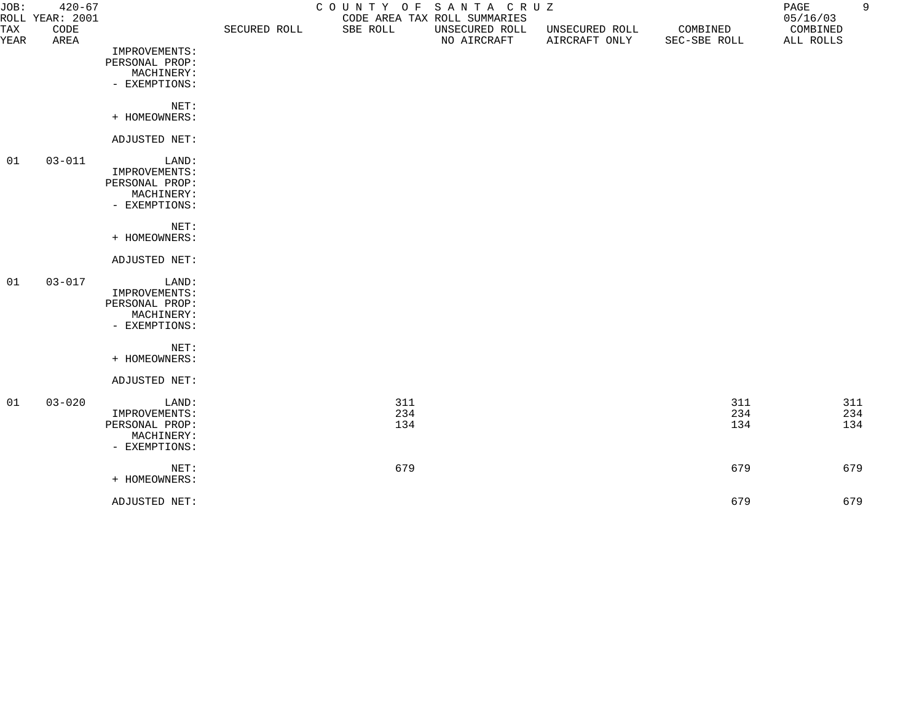| JOB:        | $420 - 67$<br>ROLL YEAR: 2001 |                             |              | COUNTY OF SANTA CRUZ | CODE AREA TAX ROLL SUMMARIES  |                                 |                          | PAGE<br>05/16/03      | 9   |
|-------------|-------------------------------|-----------------------------|--------------|----------------------|-------------------------------|---------------------------------|--------------------------|-----------------------|-----|
| TAX<br>YEAR | CODE<br>AREA                  |                             | SECURED ROLL | SBE ROLL             | UNSECURED ROLL<br>NO AIRCRAFT | UNSECURED ROLL<br>AIRCRAFT ONLY | COMBINED<br>SEC-SBE ROLL | COMBINED<br>ALL ROLLS |     |
|             |                               | IMPROVEMENTS:               |              |                      |                               |                                 |                          |                       |     |
|             |                               | PERSONAL PROP:              |              |                      |                               |                                 |                          |                       |     |
|             |                               | MACHINERY:                  |              |                      |                               |                                 |                          |                       |     |
|             |                               | - EXEMPTIONS:               |              |                      |                               |                                 |                          |                       |     |
|             |                               | NET:                        |              |                      |                               |                                 |                          |                       |     |
|             |                               | + HOMEOWNERS:               |              |                      |                               |                                 |                          |                       |     |
|             |                               | ADJUSTED NET:               |              |                      |                               |                                 |                          |                       |     |
| 01          | $03 - 011$                    | LAND:                       |              |                      |                               |                                 |                          |                       |     |
|             |                               | IMPROVEMENTS:               |              |                      |                               |                                 |                          |                       |     |
|             |                               | PERSONAL PROP:              |              |                      |                               |                                 |                          |                       |     |
|             |                               | MACHINERY:<br>- EXEMPTIONS: |              |                      |                               |                                 |                          |                       |     |
|             |                               |                             |              |                      |                               |                                 |                          |                       |     |
|             |                               | NET:                        |              |                      |                               |                                 |                          |                       |     |
|             |                               | + HOMEOWNERS:               |              |                      |                               |                                 |                          |                       |     |
|             |                               | ADJUSTED NET:               |              |                      |                               |                                 |                          |                       |     |
| 01          | $03 - 017$                    | LAND:                       |              |                      |                               |                                 |                          |                       |     |
|             |                               | IMPROVEMENTS:               |              |                      |                               |                                 |                          |                       |     |
|             |                               | PERSONAL PROP:              |              |                      |                               |                                 |                          |                       |     |
|             |                               | MACHINERY:                  |              |                      |                               |                                 |                          |                       |     |
|             |                               | - EXEMPTIONS:               |              |                      |                               |                                 |                          |                       |     |
|             |                               | NET:                        |              |                      |                               |                                 |                          |                       |     |
|             |                               | + HOMEOWNERS:               |              |                      |                               |                                 |                          |                       |     |
|             |                               | ADJUSTED NET:               |              |                      |                               |                                 |                          |                       |     |
| 01          | $03 - 020$                    | LAND:                       |              | 311                  |                               |                                 | 311                      |                       | 311 |
|             |                               | IMPROVEMENTS:               |              | 234                  |                               |                                 | 234                      |                       | 234 |
|             |                               | PERSONAL PROP:              |              | 134                  |                               |                                 | 134                      |                       | 134 |
|             |                               | MACHINERY:                  |              |                      |                               |                                 |                          |                       |     |
|             |                               | - EXEMPTIONS:               |              |                      |                               |                                 |                          |                       |     |
|             |                               | NET:                        |              | 679                  |                               |                                 | 679                      |                       | 679 |
|             |                               | + HOMEOWNERS:               |              |                      |                               |                                 |                          |                       |     |
|             |                               | ADJUSTED NET:               |              |                      |                               |                                 | 679                      |                       | 679 |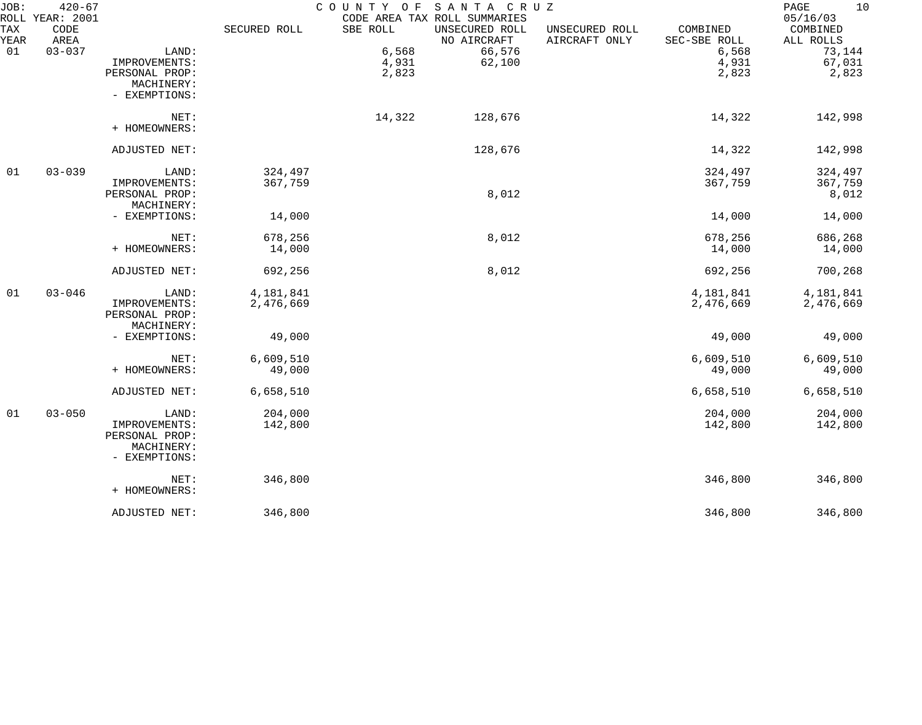| JOB:        | $420 - 67$<br>ROLL YEAR: 2001 |                             |              | COUNTY OF | SANTA CRUZ<br>CODE AREA TAX ROLL SUMMARIES |                                 |                          | 10<br>$\mathop{\mathrm{PAGE}}$<br>05/16/03 |
|-------------|-------------------------------|-----------------------------|--------------|-----------|--------------------------------------------|---------------------------------|--------------------------|--------------------------------------------|
| TAX<br>YEAR | CODE<br>AREA                  |                             | SECURED ROLL | SBE ROLL  | UNSECURED ROLL<br>NO AIRCRAFT              | UNSECURED ROLL<br>AIRCRAFT ONLY | COMBINED<br>SEC-SBE ROLL | COMBINED<br>ALL ROLLS                      |
| 01          | $03 - 037$                    | LAND:                       |              | 6,568     | 66,576                                     |                                 | 6,568                    | 73,144                                     |
|             |                               | IMPROVEMENTS:               |              | 4,931     | 62,100                                     |                                 | 4,931                    | 67,031                                     |
|             |                               | PERSONAL PROP:              |              | 2,823     |                                            |                                 | 2,823                    | 2,823                                      |
|             |                               | MACHINERY:                  |              |           |                                            |                                 |                          |                                            |
|             |                               | - EXEMPTIONS:               |              |           |                                            |                                 |                          |                                            |
|             |                               | NET:                        |              | 14,322    | 128,676                                    |                                 | 14,322                   | 142,998                                    |
|             |                               | + HOMEOWNERS:               |              |           |                                            |                                 |                          |                                            |
|             |                               | ADJUSTED NET:               |              |           | 128,676                                    |                                 | 14,322                   | 142,998                                    |
| 01          | $03 - 039$                    | LAND:                       | 324,497      |           |                                            |                                 | 324,497                  | 324,497                                    |
|             |                               | IMPROVEMENTS:               | 367,759      |           |                                            |                                 | 367,759                  | 367,759                                    |
|             |                               | PERSONAL PROP:              |              |           | 8,012                                      |                                 |                          | 8,012                                      |
|             |                               | MACHINERY:                  |              |           |                                            |                                 |                          |                                            |
|             |                               | - EXEMPTIONS:               | 14,000       |           |                                            |                                 | 14,000                   | 14,000                                     |
|             |                               | NET:                        | 678,256      |           | 8,012                                      |                                 | 678,256                  | 686,268                                    |
|             |                               | + HOMEOWNERS:               | 14,000       |           |                                            |                                 | 14,000                   | 14,000                                     |
|             |                               | ADJUSTED NET:               | 692,256      |           | 8,012                                      |                                 | 692,256                  | 700,268                                    |
| 01          | $03 - 046$                    | LAND:                       | 4,181,841    |           |                                            |                                 | 4,181,841                | 4,181,841                                  |
|             |                               | IMPROVEMENTS:               | 2,476,669    |           |                                            |                                 | 2,476,669                | 2,476,669                                  |
|             |                               | PERSONAL PROP:              |              |           |                                            |                                 |                          |                                            |
|             |                               | MACHINERY:                  |              |           |                                            |                                 |                          |                                            |
|             |                               | - EXEMPTIONS:               | 49,000       |           |                                            |                                 | 49,000                   | 49,000                                     |
|             |                               | NET:                        | 6,609,510    |           |                                            |                                 | 6,609,510                | 6,609,510                                  |
|             |                               | + HOMEOWNERS:               | 49,000       |           |                                            |                                 | 49,000                   | 49,000                                     |
|             |                               | ADJUSTED NET:               | 6,658,510    |           |                                            |                                 | 6,658,510                | 6,658,510                                  |
| 01          | $03 - 050$                    | LAND:                       | 204,000      |           |                                            |                                 | 204,000                  | 204,000                                    |
|             |                               | IMPROVEMENTS:               | 142,800      |           |                                            |                                 | 142,800                  | 142,800                                    |
|             |                               | PERSONAL PROP:              |              |           |                                            |                                 |                          |                                            |
|             |                               | MACHINERY:<br>- EXEMPTIONS: |              |           |                                            |                                 |                          |                                            |
|             |                               | NET:                        | 346,800      |           |                                            |                                 | 346,800                  | 346,800                                    |
|             |                               | + HOMEOWNERS:               |              |           |                                            |                                 |                          |                                            |
|             |                               | ADJUSTED NET:               | 346,800      |           |                                            |                                 | 346,800                  | 346,800                                    |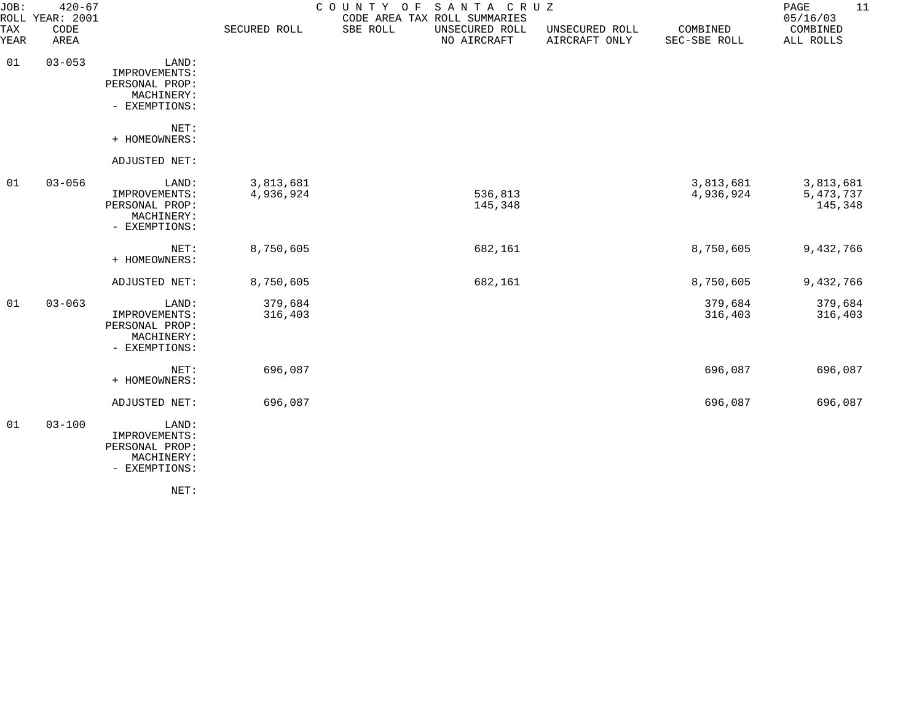| JOB:        | $420 - 67$<br>ROLL YEAR: 2001 |                                                                         |                        | COUNTY OF<br>SANTA CRUZ<br>CODE AREA TAX ROLL SUMMARIES |                                 |                          | 11<br>PAGE<br>05/16/03              |
|-------------|-------------------------------|-------------------------------------------------------------------------|------------------------|---------------------------------------------------------|---------------------------------|--------------------------|-------------------------------------|
| TAX<br>YEAR | CODE<br>AREA                  |                                                                         | SECURED ROLL           | SBE ROLL<br>UNSECURED ROLL<br>NO AIRCRAFT               | UNSECURED ROLL<br>AIRCRAFT ONLY | COMBINED<br>SEC-SBE ROLL | COMBINED<br>ALL ROLLS               |
| 01          | $03 - 053$                    | LAND:<br>IMPROVEMENTS:<br>PERSONAL PROP:<br>MACHINERY:<br>- EXEMPTIONS: |                        |                                                         |                                 |                          |                                     |
|             |                               | NET:<br>+ HOMEOWNERS:                                                   |                        |                                                         |                                 |                          |                                     |
|             |                               | ADJUSTED NET:                                                           |                        |                                                         |                                 |                          |                                     |
| 01          | $03 - 056$                    | LAND:<br>IMPROVEMENTS:<br>PERSONAL PROP:<br>MACHINERY:<br>- EXEMPTIONS: | 3,813,681<br>4,936,924 | 536,813<br>145,348                                      |                                 | 3,813,681<br>4,936,924   | 3,813,681<br>5, 473, 737<br>145,348 |
|             |                               | NET:<br>+ HOMEOWNERS:                                                   | 8,750,605              | 682,161                                                 |                                 | 8,750,605                | 9,432,766                           |
|             |                               | ADJUSTED NET:                                                           | 8,750,605              | 682,161                                                 |                                 | 8,750,605                | 9,432,766                           |
| 01          | $03 - 063$                    | LAND:<br>IMPROVEMENTS:<br>PERSONAL PROP:<br>MACHINERY:<br>- EXEMPTIONS: | 379,684<br>316,403     |                                                         |                                 | 379,684<br>316,403       | 379,684<br>316,403                  |
|             |                               | NET:<br>+ HOMEOWNERS:                                                   | 696,087                |                                                         |                                 | 696,087                  | 696,087                             |
|             |                               | ADJUSTED NET:                                                           | 696,087                |                                                         |                                 | 696,087                  | 696,087                             |
| 01          | $03 - 100$                    | LAND:<br>IMPROVEMENTS:<br>PERSONAL PROP:<br>MACHINERY:<br>- EXEMPTIONS: |                        |                                                         |                                 |                          |                                     |
|             |                               | NET:                                                                    |                        |                                                         |                                 |                          |                                     |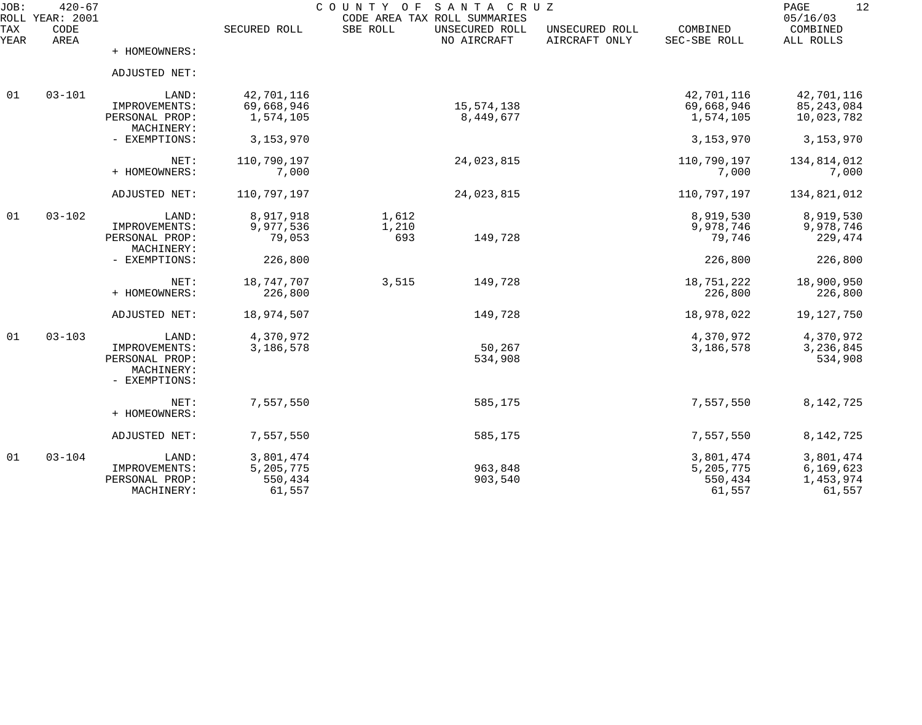| JOB:<br><b>ROLL</b> | $420 - 67$<br><b>YEAR: 2001</b> | COUNTY<br>SANTA CRUZ<br>O F<br>CODE AREA TAX ROLL SUMMARIES |              |          |                               |                                 |                          |                                   |  |
|---------------------|---------------------------------|-------------------------------------------------------------|--------------|----------|-------------------------------|---------------------------------|--------------------------|-----------------------------------|--|
| TAX<br>YEAR         | CODE<br>AREA                    |                                                             | SECURED ROLL | SBE ROLL | UNSECURED ROLL<br>NO AIRCRAFT | UNSECURED ROLL<br>AIRCRAFT ONLY | COMBINED<br>SEC-SBE ROLL | 05/16/03<br>COMBINED<br>ALL ROLLS |  |
|                     |                                 | + HOMEOWNERS:                                               |              |          |                               |                                 |                          |                                   |  |
|                     |                                 | ADJUSTED NET:                                               |              |          |                               |                                 |                          |                                   |  |
| 01                  | $03 - 101$                      | LAND:                                                       | 42,701,116   |          |                               |                                 | 42,701,116               | 42,701,116                        |  |
|                     |                                 | IMPROVEMENTS:                                               | 69,668,946   |          | 15,574,138                    |                                 | 69,668,946               | 85, 243, 084                      |  |
|                     |                                 | PERSONAL PROP:<br>MACHINERY:                                | 1,574,105    |          | 8,449,677                     |                                 | 1,574,105                | 10,023,782                        |  |
|                     |                                 | - EXEMPTIONS:                                               | 3,153,970    |          |                               |                                 | 3,153,970                | 3,153,970                         |  |
|                     |                                 | NET:                                                        | 110,790,197  |          | 24,023,815                    |                                 | 110,790,197              | 134,814,012                       |  |
|                     |                                 | + HOMEOWNERS:                                               | 7,000        |          |                               |                                 | 7,000                    | 7,000                             |  |
|                     |                                 | ADJUSTED NET:                                               | 110,797,197  |          | 24,023,815                    |                                 | 110,797,197              | 134,821,012                       |  |
| 01                  | $03 - 102$                      | LAND:                                                       | 8,917,918    | 1,612    |                               |                                 | 8,919,530                | 8,919,530                         |  |
|                     |                                 | IMPROVEMENTS:                                               | 9,977,536    | 1,210    |                               |                                 | 9,978,746                | 9,978,746                         |  |
|                     |                                 | PERSONAL PROP:                                              | 79,053       | 693      | 149,728                       |                                 | 79,746                   | 229,474                           |  |
|                     |                                 | MACHINERY:                                                  |              |          |                               |                                 |                          |                                   |  |
|                     |                                 | - EXEMPTIONS:                                               | 226,800      |          |                               |                                 | 226,800                  | 226,800                           |  |
|                     |                                 | NET:                                                        | 18,747,707   | 3,515    | 149,728                       |                                 | 18,751,222               | 18,900,950                        |  |
|                     |                                 | + HOMEOWNERS:                                               | 226,800      |          |                               |                                 | 226,800                  | 226,800                           |  |
|                     |                                 | ADJUSTED NET:                                               | 18,974,507   |          | 149,728                       |                                 | 18,978,022               | 19, 127, 750                      |  |
| 01                  | $03 - 103$                      | LAND:                                                       | 4,370,972    |          |                               |                                 | 4,370,972                | 4,370,972                         |  |
|                     |                                 | IMPROVEMENTS:                                               | 3,186,578    |          | 50,267                        |                                 | 3,186,578                | 3,236,845                         |  |
|                     |                                 | PERSONAL PROP:<br>MACHINERY:                                |              |          | 534,908                       |                                 |                          | 534,908                           |  |
|                     |                                 | - EXEMPTIONS:                                               |              |          |                               |                                 |                          |                                   |  |
|                     |                                 | NET:                                                        | 7,557,550    |          | 585,175                       |                                 | 7,557,550                | 8, 142, 725                       |  |
|                     |                                 | + HOMEOWNERS:                                               |              |          |                               |                                 |                          |                                   |  |
|                     |                                 | ADJUSTED NET:                                               | 7,557,550    |          | 585,175                       |                                 | 7,557,550                | 8, 142, 725                       |  |
| 01                  | $03 - 104$                      | LAND:                                                       | 3,801,474    |          |                               |                                 | 3,801,474                | 3,801,474                         |  |
|                     |                                 | IMPROVEMENTS:                                               | 5,205,775    |          | 963,848                       |                                 | 5,205,775                | 6,169,623                         |  |
|                     |                                 | PERSONAL PROP:                                              | 550,434      |          | 903,540                       |                                 | 550,434                  | 1,453,974                         |  |
|                     |                                 | MACHINERY:                                                  | 61,557       |          |                               |                                 | 61,557                   | 61,557                            |  |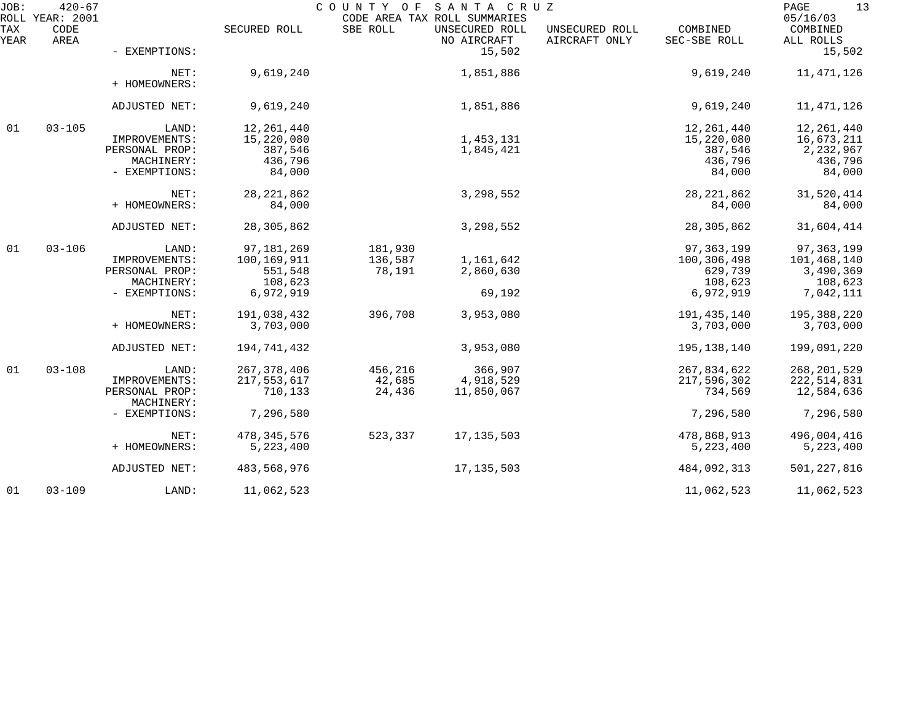| JOB:        | $420 - 67$<br>ROLL YEAR: 2001 |                              |               | COUNTY OF | SANTA CRUZ<br>CODE AREA TAX ROLL SUMMARIES |                                 |                          | 13<br>PAGE<br>05/16/03 |
|-------------|-------------------------------|------------------------------|---------------|-----------|--------------------------------------------|---------------------------------|--------------------------|------------------------|
| TAX<br>YEAR | CODE<br>AREA                  |                              | SECURED ROLL  | SBE ROLL  | UNSECURED ROLL<br>NO AIRCRAFT              | UNSECURED ROLL<br>AIRCRAFT ONLY | COMBINED<br>SEC-SBE ROLL | COMBINED<br>ALL ROLLS  |
|             |                               | - EXEMPTIONS:                |               |           | 15,502                                     |                                 |                          | 15,502                 |
|             |                               | NET:<br>+ HOMEOWNERS:        | 9,619,240     |           | 1,851,886                                  |                                 | 9,619,240                | 11,471,126             |
|             |                               | ADJUSTED NET:                | 9,619,240     |           | 1,851,886                                  |                                 | 9,619,240                | 11,471,126             |
| 01          | $03 - 105$                    | LAND:                        | 12, 261, 440  |           |                                            |                                 | 12, 261, 440             | 12,261,440             |
|             |                               | IMPROVEMENTS:                | 15,220,080    |           | 1,453,131                                  |                                 | 15,220,080               | 16,673,211             |
|             |                               | PERSONAL PROP:               | 387,546       |           | 1,845,421                                  |                                 | 387,546                  | 2,232,967              |
|             |                               | MACHINERY:                   | 436,796       |           |                                            |                                 | 436,796                  | 436,796                |
|             |                               | - EXEMPTIONS:                | 84,000        |           |                                            |                                 | 84,000                   | 84,000                 |
|             |                               | NET:                         | 28, 221, 862  |           | 3,298,552                                  |                                 | 28, 221, 862             | 31,520,414             |
|             |                               | + HOMEOWNERS:                | 84,000        |           |                                            |                                 | 84,000                   | 84,000                 |
|             |                               | ADJUSTED NET:                | 28,305,862    |           | 3,298,552                                  |                                 | 28, 305, 862             | 31,604,414             |
| 01          | $03 - 106$                    | LAND:                        | 97, 181, 269  | 181,930   |                                            |                                 | 97, 363, 199             | 97, 363, 199           |
|             |                               | IMPROVEMENTS:                | 100,169,911   | 136,587   | 1,161,642                                  |                                 | 100,306,498              | 101,468,140            |
|             |                               | PERSONAL PROP:               | 551,548       | 78,191    | 2,860,630                                  |                                 | 629,739                  | 3,490,369              |
|             |                               | MACHINERY:                   | 108,623       |           |                                            |                                 | 108,623                  | 108,623                |
|             |                               | - EXEMPTIONS:                | 6,972,919     |           | 69,192                                     |                                 | 6,972,919                | 7,042,111              |
|             |                               | NET:                         | 191,038,432   | 396,708   | 3,953,080                                  |                                 | 191,435,140              | 195,388,220            |
|             |                               | + HOMEOWNERS:                | 3,703,000     |           |                                            |                                 | 3,703,000                | 3,703,000              |
|             |                               | ADJUSTED NET:                | 194,741,432   |           | 3,953,080                                  |                                 | 195,138,140              | 199,091,220            |
| 01          | $03 - 108$                    | LAND:                        | 267, 378, 406 | 456,216   | 366,907                                    |                                 | 267,834,622              | 268, 201, 529          |
|             |                               | IMPROVEMENTS:                | 217,553,617   | 42,685    | 4,918,529                                  |                                 | 217,596,302              | 222,514,831            |
|             |                               | PERSONAL PROP:<br>MACHINERY: | 710,133       | 24,436    | 11,850,067                                 |                                 | 734,569                  | 12,584,636             |
|             |                               | - EXEMPTIONS:                | 7,296,580     |           |                                            |                                 | 7,296,580                | 7,296,580              |
|             |                               | NET:                         | 478, 345, 576 | 523,337   | 17, 135, 503                               |                                 | 478,868,913              | 496,004,416            |
|             |                               | + HOMEOWNERS:                | 5,223,400     |           |                                            |                                 | 5, 223, 400              | 5, 223, 400            |
|             |                               | ADJUSTED NET:                | 483,568,976   |           | 17, 135, 503                               |                                 | 484,092,313              | 501, 227, 816          |
| 01          | $03 - 109$                    | LAND:                        | 11,062,523    |           |                                            |                                 | 11,062,523               | 11,062,523             |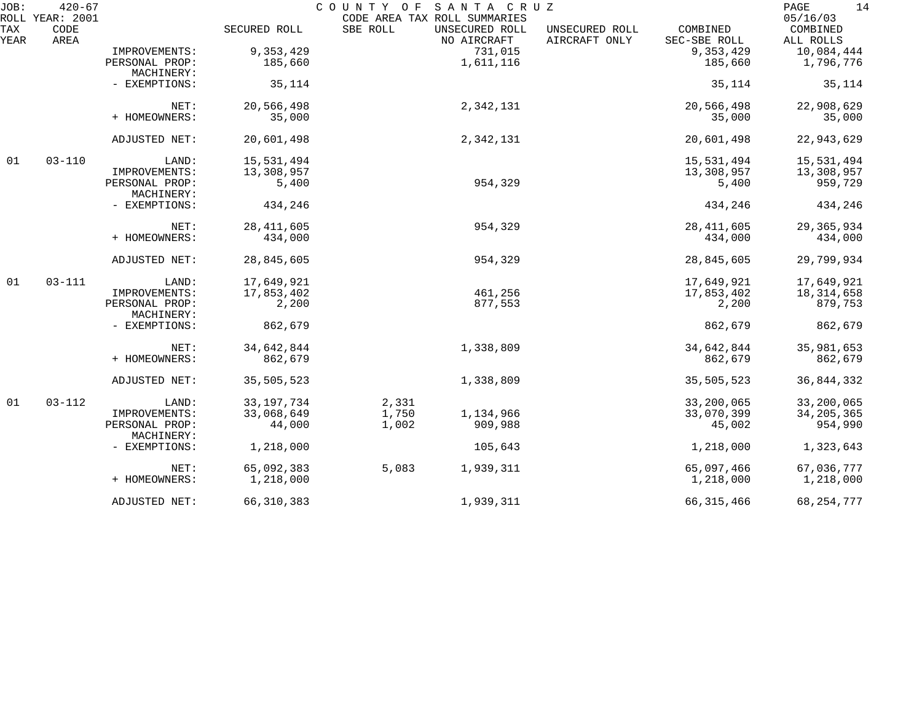| JOB:        | $420 - 67$                      |                              |              | COUNTY OF                                | SANTA CRUZ                    |                                 |                          | 14<br>PAGE<br>05/16/03 |
|-------------|---------------------------------|------------------------------|--------------|------------------------------------------|-------------------------------|---------------------------------|--------------------------|------------------------|
| TAX<br>YEAR | ROLL YEAR: 2001<br>CODE<br>AREA |                              | SECURED ROLL | CODE AREA TAX ROLL SUMMARIES<br>SBE ROLL | UNSECURED ROLL<br>NO AIRCRAFT | UNSECURED ROLL<br>AIRCRAFT ONLY | COMBINED<br>SEC-SBE ROLL | COMBINED<br>ALL ROLLS  |
|             |                                 | IMPROVEMENTS:                | 9,353,429    |                                          | 731,015                       |                                 | 9,353,429                | 10,084,444             |
|             |                                 | PERSONAL PROP:               | 185,660      |                                          | 1,611,116                     |                                 | 185,660                  | 1,796,776              |
|             |                                 | MACHINERY:                   |              |                                          |                               |                                 |                          |                        |
|             |                                 | - EXEMPTIONS:                | 35,114       |                                          |                               |                                 | 35,114                   | 35,114                 |
|             |                                 | NET:                         | 20,566,498   |                                          | 2,342,131                     |                                 | 20,566,498               | 22,908,629             |
|             |                                 | + HOMEOWNERS:                | 35,000       |                                          |                               |                                 | 35,000                   | 35,000                 |
|             |                                 | ADJUSTED NET:                | 20,601,498   |                                          | 2,342,131                     |                                 | 20,601,498               | 22,943,629             |
| 01          | $03 - 110$                      | LAND:                        | 15,531,494   |                                          |                               |                                 | 15,531,494               | 15,531,494             |
|             |                                 | IMPROVEMENTS:                | 13,308,957   |                                          |                               |                                 | 13,308,957               | 13,308,957             |
|             |                                 | PERSONAL PROP:<br>MACHINERY: | 5,400        |                                          | 954,329                       |                                 | 5,400                    | 959,729                |
|             |                                 | - EXEMPTIONS:                | 434,246      |                                          |                               |                                 | 434,246                  | 434,246                |
|             |                                 | NET:                         | 28, 411, 605 |                                          | 954,329                       |                                 | 28, 411, 605             | 29, 365, 934           |
|             |                                 | + HOMEOWNERS:                | 434,000      |                                          |                               |                                 | 434,000                  | 434,000                |
|             |                                 | ADJUSTED NET:                | 28,845,605   |                                          | 954,329                       |                                 | 28,845,605               | 29,799,934             |
| 01          | $03 - 111$                      | LAND:                        | 17,649,921   |                                          |                               |                                 | 17,649,921               | 17,649,921             |
|             |                                 | IMPROVEMENTS:                | 17,853,402   |                                          | 461,256                       |                                 | 17,853,402               | 18,314,658             |
|             |                                 | PERSONAL PROP:<br>MACHINERY: | 2,200        |                                          | 877,553                       |                                 | 2,200                    | 879,753                |
|             |                                 | - EXEMPTIONS:                | 862,679      |                                          |                               |                                 | 862,679                  | 862,679                |
|             |                                 | NET:                         | 34,642,844   |                                          | 1,338,809                     |                                 | 34,642,844               | 35,981,653             |
|             |                                 | + HOMEOWNERS:                | 862,679      |                                          |                               |                                 | 862,679                  | 862,679                |
|             |                                 | ADJUSTED NET:                | 35,505,523   |                                          | 1,338,809                     |                                 | 35,505,523               | 36,844,332             |
| 01          | $03 - 112$                      | LAND:                        | 33, 197, 734 | 2,331                                    |                               |                                 | 33,200,065               | 33,200,065             |
|             |                                 | IMPROVEMENTS:                | 33,068,649   | 1,750                                    | 1,134,966                     |                                 | 33,070,399               | 34, 205, 365           |
|             |                                 | PERSONAL PROP:<br>MACHINERY: | 44,000       | 1,002                                    | 909,988                       |                                 | 45,002                   | 954,990                |
|             |                                 | - EXEMPTIONS:                | 1,218,000    |                                          | 105,643                       |                                 | 1,218,000                | 1,323,643              |
|             |                                 | NET:                         | 65,092,383   | 5,083                                    | 1,939,311                     |                                 | 65,097,466               | 67,036,777             |
|             |                                 | + HOMEOWNERS:                | 1,218,000    |                                          |                               |                                 | 1,218,000                | 1,218,000              |
|             |                                 | ADJUSTED NET:                | 66, 310, 383 |                                          | 1,939,311                     |                                 | 66, 315, 466             | 68, 254, 777           |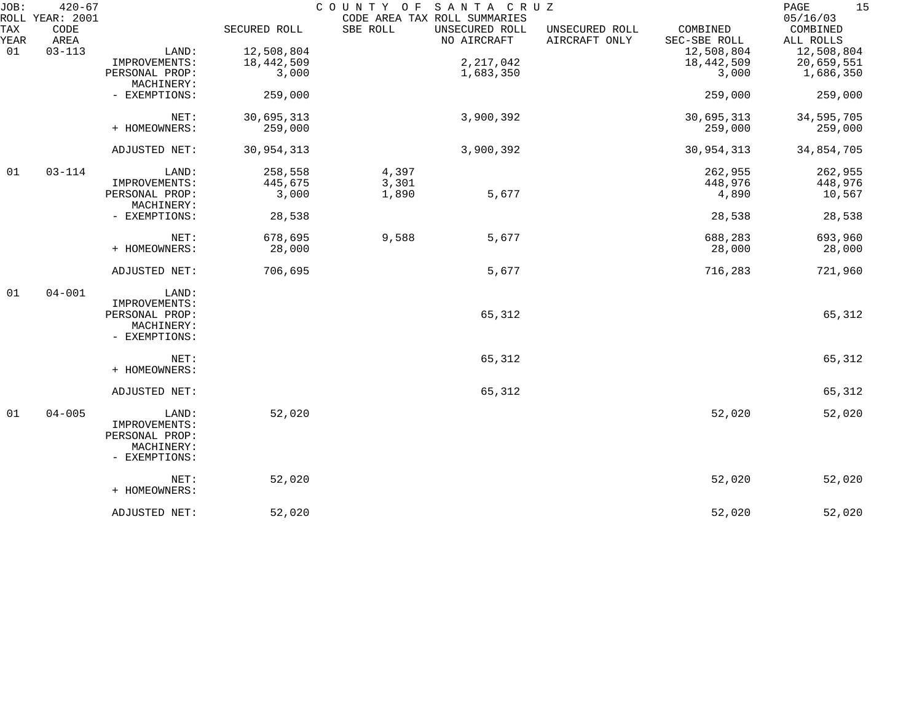| JOB:        | $420 - 67$<br>ROLL YEAR: 2001 |                                 |              |          | COUNTY OF SANTA CRUZ<br>CODE AREA TAX ROLL SUMMARIES |                                 |                          | 15<br>PAGE<br>05/16/03 |
|-------------|-------------------------------|---------------------------------|--------------|----------|------------------------------------------------------|---------------------------------|--------------------------|------------------------|
| TAX<br>YEAR | CODE<br>AREA                  |                                 | SECURED ROLL | SBE ROLL | UNSECURED ROLL<br>NO AIRCRAFT                        | UNSECURED ROLL<br>AIRCRAFT ONLY | COMBINED<br>SEC-SBE ROLL | COMBINED<br>ALL ROLLS  |
| 01          | $03 - 113$                    | LAND:                           | 12,508,804   |          |                                                      |                                 | 12,508,804               | 12,508,804             |
|             |                               | IMPROVEMENTS:                   | 18,442,509   |          | 2, 217, 042                                          |                                 | 18,442,509               | 20,659,551             |
|             |                               | PERSONAL PROP:                  | 3,000        |          | 1,683,350                                            |                                 | 3,000                    | 1,686,350              |
|             |                               | MACHINERY:                      |              |          |                                                      |                                 |                          |                        |
|             |                               | - EXEMPTIONS:                   | 259,000      |          |                                                      |                                 | 259,000                  | 259,000                |
|             |                               | NET:                            | 30,695,313   |          | 3,900,392                                            |                                 | 30,695,313               | 34,595,705             |
|             |                               | + HOMEOWNERS:                   | 259,000      |          |                                                      |                                 | 259,000                  | 259,000                |
|             |                               | ADJUSTED NET:                   | 30,954,313   |          | 3,900,392                                            |                                 | 30,954,313               | 34,854,705             |
| 01          | $03 - 114$                    | LAND:                           | 258,558      | 4,397    |                                                      |                                 | 262,955                  | 262,955                |
|             |                               | IMPROVEMENTS:                   | 445,675      | 3,301    |                                                      |                                 | 448,976                  | 448,976                |
|             |                               | PERSONAL PROP:<br>MACHINERY:    | 3,000        | 1,890    | 5,677                                                |                                 | 4,890                    | 10,567                 |
|             |                               | - EXEMPTIONS:                   | 28,538       |          |                                                      |                                 | 28,538                   | 28,538                 |
|             |                               | NET:                            | 678,695      | 9,588    | 5,677                                                |                                 | 688,283                  | 693,960                |
|             |                               | + HOMEOWNERS:                   | 28,000       |          |                                                      |                                 | 28,000                   | 28,000                 |
|             |                               | ADJUSTED NET:                   | 706,695      |          | 5,677                                                |                                 | 716,283                  | 721,960                |
| 01          | $04 - 001$                    | LAND:                           |              |          |                                                      |                                 |                          |                        |
|             |                               | IMPROVEMENTS:                   |              |          |                                                      |                                 |                          |                        |
|             |                               | PERSONAL PROP:                  |              |          | 65,312                                               |                                 |                          | 65,312                 |
|             |                               | MACHINERY:<br>- EXEMPTIONS:     |              |          |                                                      |                                 |                          |                        |
|             |                               | NET:                            |              |          | 65,312                                               |                                 |                          | 65,312                 |
|             |                               | + HOMEOWNERS:                   |              |          |                                                      |                                 |                          |                        |
|             |                               | ADJUSTED NET:                   |              |          | 65,312                                               |                                 |                          | 65,312                 |
| 01          | $04 - 005$                    | LAND:                           | 52,020       |          |                                                      |                                 | 52,020                   | 52,020                 |
|             |                               | IMPROVEMENTS:<br>PERSONAL PROP: |              |          |                                                      |                                 |                          |                        |
|             |                               | MACHINERY:<br>- EXEMPTIONS:     |              |          |                                                      |                                 |                          |                        |
|             |                               | NET:<br>+ HOMEOWNERS:           | 52,020       |          |                                                      |                                 | 52,020                   | 52,020                 |
|             |                               | ADJUSTED NET:                   | 52,020       |          |                                                      |                                 | 52,020                   | 52,020                 |
|             |                               |                                 |              |          |                                                      |                                 |                          |                        |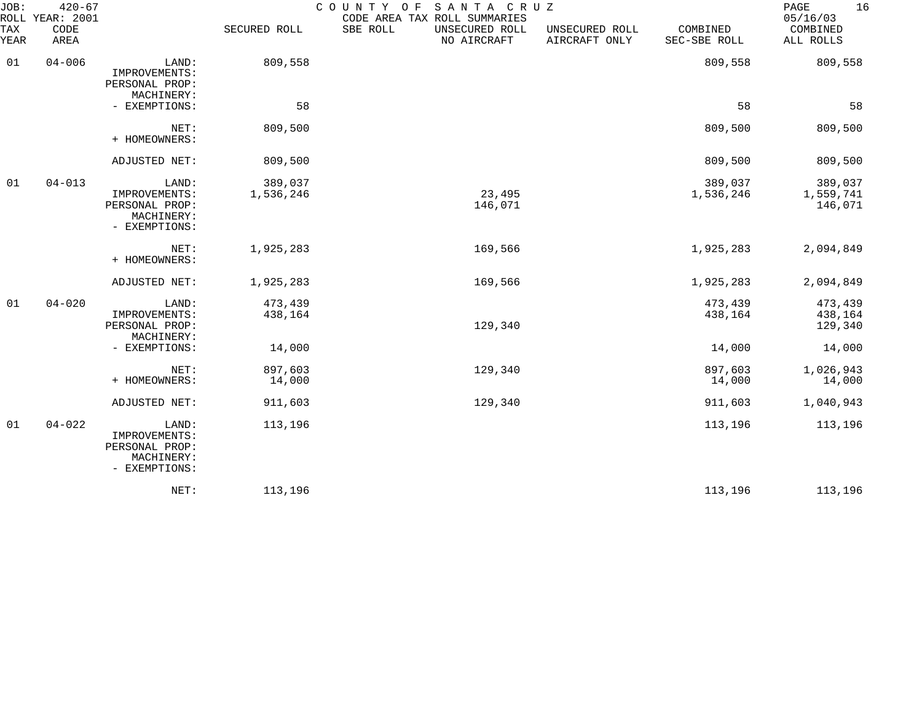| JOB:<br>ROLL     | $420 - 67$<br>YEAR: 2001 |                                                                         |                      | COUNTY<br>SANTA CRUZ<br>O F<br>CODE AREA TAX ROLL SUMMARIES |                                 |                          | 16<br>PAGE<br>05/16/03          |
|------------------|--------------------------|-------------------------------------------------------------------------|----------------------|-------------------------------------------------------------|---------------------------------|--------------------------|---------------------------------|
| TAX<br>YEAR      | CODE<br>AREA             |                                                                         | SECURED ROLL         | SBE ROLL<br>UNSECURED ROLL<br>NO AIRCRAFT                   | UNSECURED ROLL<br>AIRCRAFT ONLY | COMBINED<br>SEC-SBE ROLL | COMBINED<br>ALL ROLLS           |
| 01               | $04 - 006$               | LAND:<br>IMPROVEMENTS:<br>PERSONAL PROP:                                | 809,558              |                                                             |                                 | 809,558                  | 809,558                         |
|                  |                          | MACHINERY:<br>- EXEMPTIONS:                                             | 58                   |                                                             |                                 | 58                       | 58                              |
|                  |                          | NET:<br>+ HOMEOWNERS:                                                   | 809,500              |                                                             |                                 | 809,500                  | 809,500                         |
|                  |                          | ADJUSTED NET:                                                           | 809,500              |                                                             |                                 | 809,500                  | 809,500                         |
| 01<br>$04 - 013$ |                          | LAND:<br>IMPROVEMENTS:<br>PERSONAL PROP:<br>MACHINERY:<br>- EXEMPTIONS: | 389,037<br>1,536,246 | 23,495<br>146,071                                           |                                 | 389,037<br>1,536,246     | 389,037<br>1,559,741<br>146,071 |
|                  |                          | NET:<br>+ HOMEOWNERS:                                                   | 1,925,283            | 169,566                                                     |                                 | 1,925,283                | 2,094,849                       |
|                  |                          | ADJUSTED NET:                                                           | 1,925,283            | 169,566                                                     |                                 | 1,925,283                | 2,094,849                       |
| 01               | $04 - 020$               | LAND:<br>IMPROVEMENTS:<br>PERSONAL PROP:<br>MACHINERY:                  | 473,439<br>438,164   | 129,340                                                     |                                 | 473,439<br>438,164       | 473,439<br>438,164<br>129,340   |
|                  |                          | - EXEMPTIONS:                                                           | 14,000               |                                                             |                                 | 14,000                   | 14,000                          |
|                  |                          | NET:<br>+ HOMEOWNERS:                                                   | 897,603<br>14,000    | 129,340                                                     |                                 | 897,603<br>14,000        | 1,026,943<br>14,000             |
|                  |                          | ADJUSTED NET:                                                           | 911,603              | 129,340                                                     |                                 | 911,603                  | 1,040,943                       |
| 01               | $04 - 022$               | LAND:<br>IMPROVEMENTS:<br>PERSONAL PROP:<br>MACHINERY:<br>- EXEMPTIONS: | 113,196              |                                                             |                                 | 113,196                  | 113,196                         |
|                  |                          | NET:                                                                    | 113,196              |                                                             |                                 | 113,196                  | 113,196                         |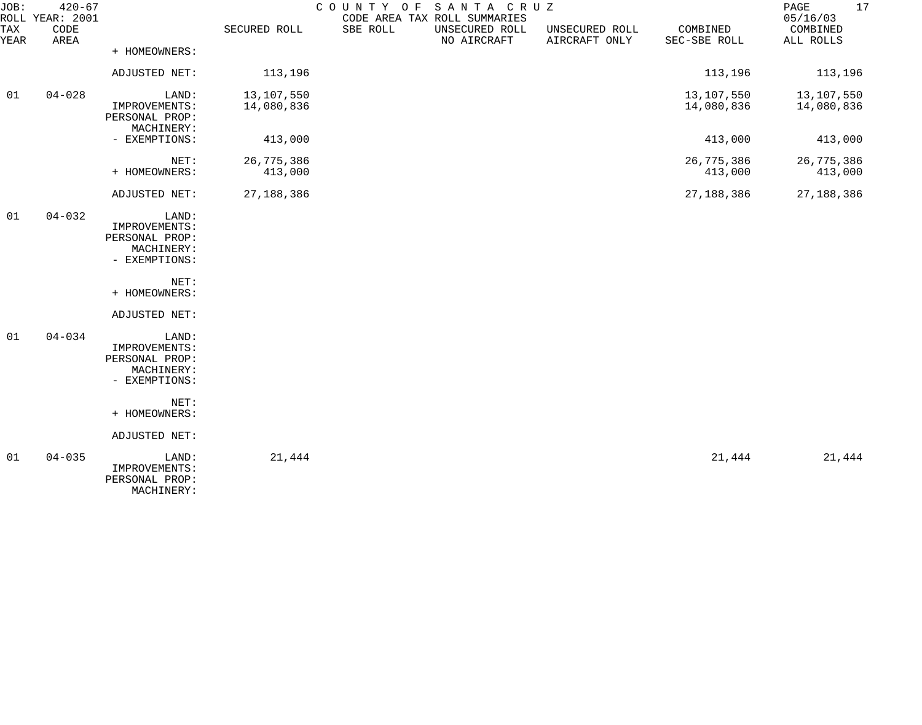| JOB:        | $420 - 67$<br>ROLL YEAR: 2001 |                                                                         |                          |          | COUNTY OF SANTA CRUZ<br>CODE AREA TAX ROLL SUMMARIES |                                 |                          | 17<br>PAGE<br>05/16/03   |
|-------------|-------------------------------|-------------------------------------------------------------------------|--------------------------|----------|------------------------------------------------------|---------------------------------|--------------------------|--------------------------|
| TAX<br>YEAR | CODE<br>AREA                  |                                                                         | SECURED ROLL             | SBE ROLL | UNSECURED ROLL<br>NO AIRCRAFT                        | UNSECURED ROLL<br>AIRCRAFT ONLY | COMBINED<br>SEC-SBE ROLL | COMBINED<br>ALL ROLLS    |
|             |                               | + HOMEOWNERS:                                                           |                          |          |                                                      |                                 |                          |                          |
|             |                               | ADJUSTED NET:                                                           | 113,196                  |          |                                                      |                                 | 113,196                  | 113,196                  |
| 01          | $04 - 028$                    | LAND:<br>IMPROVEMENTS:<br>PERSONAL PROP:<br>MACHINERY:                  | 13,107,550<br>14,080,836 |          |                                                      |                                 | 13,107,550<br>14,080,836 | 13,107,550<br>14,080,836 |
|             |                               | - EXEMPTIONS:                                                           | 413,000                  |          |                                                      |                                 | 413,000                  | 413,000                  |
|             |                               | NET:<br>+ HOMEOWNERS:                                                   | 26,775,386<br>413,000    |          |                                                      |                                 | 26,775,386<br>413,000    | 26,775,386<br>413,000    |
|             |                               | ADJUSTED NET:                                                           | 27, 188, 386             |          |                                                      |                                 | 27, 188, 386             | 27, 188, 386             |
| 01          | $04 - 032$                    | LAND:<br>IMPROVEMENTS:<br>PERSONAL PROP:<br>MACHINERY:<br>- EXEMPTIONS: |                          |          |                                                      |                                 |                          |                          |
|             |                               | NET:<br>+ HOMEOWNERS:                                                   |                          |          |                                                      |                                 |                          |                          |
|             |                               | ADJUSTED NET:                                                           |                          |          |                                                      |                                 |                          |                          |
| 01          | $04 - 034$                    | LAND:<br>IMPROVEMENTS:<br>PERSONAL PROP:<br>MACHINERY:<br>- EXEMPTIONS: |                          |          |                                                      |                                 |                          |                          |
|             |                               | NET:<br>+ HOMEOWNERS:                                                   |                          |          |                                                      |                                 |                          |                          |
|             |                               | ADJUSTED NET:                                                           |                          |          |                                                      |                                 |                          |                          |
| 01          | $04 - 035$                    | LAND:<br>IMPROVEMENTS:<br>PERSONAL PROP:<br>MACHINERY:                  | 21,444                   |          |                                                      |                                 | 21,444                   | 21,444                   |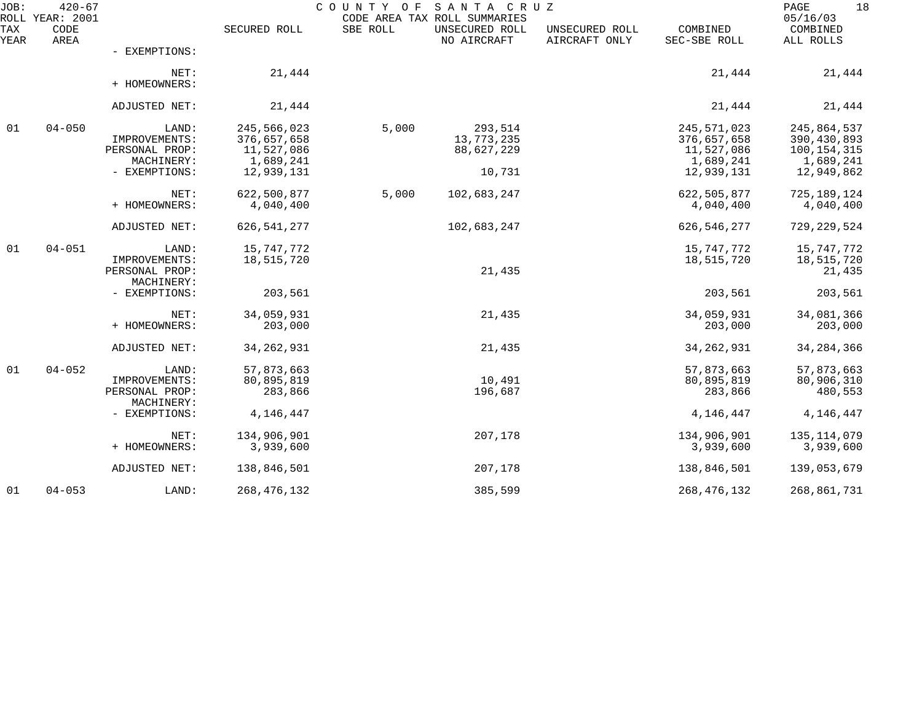| JOB:        | $420 - 67$<br>ROLL YEAR: 2001 |                                                        |                                                       | COUNTY<br>ΟF | SANTA CRUZ<br>CODE AREA TAX ROLL SUMMARIES |                                 |                                                       | 18<br>PAGE<br>05/16/03                                 |
|-------------|-------------------------------|--------------------------------------------------------|-------------------------------------------------------|--------------|--------------------------------------------|---------------------------------|-------------------------------------------------------|--------------------------------------------------------|
| TAX<br>YEAR | CODE<br>AREA                  |                                                        | SECURED ROLL                                          | SBE ROLL     | UNSECURED ROLL<br>NO AIRCRAFT              | UNSECURED ROLL<br>AIRCRAFT ONLY | COMBINED<br>SEC-SBE ROLL                              | COMBINED<br>ALL ROLLS                                  |
|             |                               | - EXEMPTIONS:                                          |                                                       |              |                                            |                                 |                                                       |                                                        |
|             |                               | NET:<br>+ HOMEOWNERS:                                  | 21,444                                                |              |                                            |                                 | 21,444                                                | 21,444                                                 |
|             |                               | ADJUSTED NET:                                          | 21,444                                                |              |                                            |                                 | 21,444                                                | 21,444                                                 |
| 01          | $04 - 050$                    | LAND:<br>IMPROVEMENTS:<br>PERSONAL PROP:<br>MACHINERY: | 245,566,023<br>376,657,658<br>11,527,086<br>1,689,241 | 5,000        | 293,514<br>13,773,235<br>88,627,229        |                                 | 245,571,023<br>376,657,658<br>11,527,086<br>1,689,241 | 245,864,537<br>390,430,893<br>100,154,315<br>1,689,241 |
|             |                               | - EXEMPTIONS:                                          | 12,939,131                                            |              | 10,731                                     |                                 | 12,939,131                                            | 12,949,862                                             |
|             |                               | NET:<br>+ HOMEOWNERS:                                  | 622,500,877<br>4,040,400                              | 5,000        | 102,683,247                                |                                 | 622,505,877<br>4,040,400                              | 725, 189, 124<br>4,040,400                             |
|             |                               | ADJUSTED NET:                                          | 626, 541, 277                                         |              | 102,683,247                                |                                 | 626, 546, 277                                         | 729, 229, 524                                          |
| 01          | $04 - 051$                    | LAND:<br>IMPROVEMENTS:<br>PERSONAL PROP:               | 15,747,772<br>18,515,720                              |              | 21,435                                     |                                 | 15,747,772<br>18,515,720                              | 15,747,772<br>18,515,720<br>21,435                     |
|             |                               | MACHINERY:<br>- EXEMPTIONS:                            | 203,561                                               |              |                                            |                                 | 203,561                                               | 203,561                                                |
|             |                               | NET:<br>+ HOMEOWNERS:                                  | 34,059,931<br>203,000                                 |              | 21,435                                     |                                 | 34,059,931<br>203,000                                 | 34,081,366<br>203,000                                  |
|             |                               | ADJUSTED NET:                                          | 34, 262, 931                                          |              | 21,435                                     |                                 | 34, 262, 931                                          | 34, 284, 366                                           |
| 01          | $04 - 052$                    | LAND:<br>IMPROVEMENTS:<br>PERSONAL PROP:<br>MACHINERY: | 57,873,663<br>80,895,819<br>283,866                   |              | 10,491<br>196,687                          |                                 | 57,873,663<br>80,895,819<br>283,866                   | 57,873,663<br>80,906,310<br>480,553                    |
|             |                               | - EXEMPTIONS:                                          | 4,146,447                                             |              |                                            |                                 | 4,146,447                                             | 4, 146, 447                                            |
|             |                               | NET:<br>+ HOMEOWNERS:                                  | 134,906,901<br>3,939,600                              |              | 207,178                                    |                                 | 134,906,901<br>3,939,600                              | 135,114,079<br>3,939,600                               |
|             |                               | ADJUSTED NET:                                          | 138,846,501                                           |              | 207,178                                    |                                 | 138,846,501                                           | 139,053,679                                            |
| 01          | $04 - 053$                    | LAND:                                                  | 268, 476, 132                                         |              | 385,599                                    |                                 | 268, 476, 132                                         | 268,861,731                                            |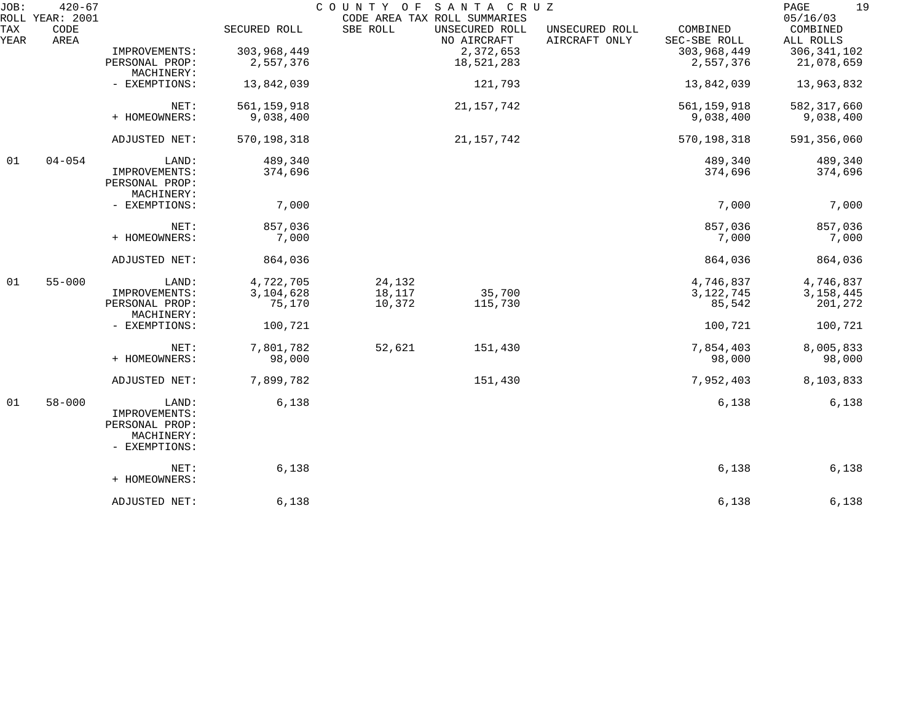| JOB:               | $420 - 67$                      |                                                                         |               | COUNTY OF | SANTA CRUZ                                                    |                                 |                          | 19<br>PAGE                        |
|--------------------|---------------------------------|-------------------------------------------------------------------------|---------------|-----------|---------------------------------------------------------------|---------------------------------|--------------------------|-----------------------------------|
| <b>TAX</b><br>YEAR | ROLL YEAR: 2001<br>CODE<br>AREA |                                                                         | SECURED ROLL  | SBE ROLL  | CODE AREA TAX ROLL SUMMARIES<br>UNSECURED ROLL<br>NO AIRCRAFT | UNSECURED ROLL<br>AIRCRAFT ONLY | COMBINED<br>SEC-SBE ROLL | 05/16/03<br>COMBINED<br>ALL ROLLS |
|                    |                                 | IMPROVEMENTS:                                                           | 303,968,449   |           | 2,372,653                                                     |                                 | 303,968,449              | 306, 341, 102                     |
|                    |                                 | PERSONAL PROP:                                                          | 2,557,376     |           | 18,521,283                                                    |                                 | 2,557,376                | 21,078,659                        |
|                    |                                 | MACHINERY:                                                              |               |           |                                                               |                                 |                          |                                   |
|                    |                                 | - EXEMPTIONS:                                                           | 13,842,039    |           | 121,793                                                       |                                 | 13,842,039               | 13,963,832                        |
|                    |                                 | NET:                                                                    | 561, 159, 918 |           | 21, 157, 742                                                  |                                 | 561, 159, 918            | 582, 317, 660                     |
|                    |                                 | + HOMEOWNERS:                                                           | 9,038,400     |           |                                                               |                                 | 9,038,400                | 9,038,400                         |
|                    |                                 | ADJUSTED NET:                                                           | 570, 198, 318 |           | 21, 157, 742                                                  |                                 | 570,198,318              | 591,356,060                       |
| 01                 | $04 - 054$                      | LAND:                                                                   | 489,340       |           |                                                               |                                 | 489,340                  | 489,340                           |
|                    |                                 | IMPROVEMENTS:                                                           | 374,696       |           |                                                               |                                 | 374,696                  | 374,696                           |
|                    |                                 | PERSONAL PROP:                                                          |               |           |                                                               |                                 |                          |                                   |
|                    |                                 | MACHINERY:                                                              |               |           |                                                               |                                 |                          |                                   |
|                    |                                 | - EXEMPTIONS:                                                           | 7,000         |           |                                                               |                                 | 7,000                    | 7,000                             |
|                    |                                 | NET:                                                                    | 857,036       |           |                                                               |                                 | 857,036                  | 857,036                           |
|                    |                                 | + HOMEOWNERS:                                                           | 7,000         |           |                                                               |                                 | 7,000                    | 7,000                             |
|                    |                                 | ADJUSTED NET:                                                           | 864,036       |           |                                                               |                                 | 864,036                  | 864,036                           |
| 01                 | $55 - 000$                      | LAND:                                                                   | 4,722,705     | 24,132    |                                                               |                                 | 4,746,837                | 4,746,837                         |
|                    |                                 | IMPROVEMENTS:                                                           | 3,104,628     | 18,117    | 35,700                                                        |                                 | 3, 122, 745              | 3, 158, 445                       |
|                    |                                 | PERSONAL PROP:<br>MACHINERY:                                            | 75,170        | 10,372    | 115,730                                                       |                                 | 85,542                   | 201,272                           |
|                    |                                 | - EXEMPTIONS:                                                           | 100,721       |           |                                                               |                                 | 100,721                  | 100,721                           |
|                    |                                 | NET:                                                                    | 7,801,782     | 52,621    | 151,430                                                       |                                 | 7,854,403                | 8,005,833                         |
|                    |                                 | + HOMEOWNERS:                                                           | 98,000        |           |                                                               |                                 | 98,000                   | 98,000                            |
|                    |                                 | ADJUSTED NET:                                                           | 7,899,782     |           | 151,430                                                       |                                 | 7,952,403                | 8,103,833                         |
| 01                 | $58 - 000$                      | LAND:<br>IMPROVEMENTS:<br>PERSONAL PROP:<br>MACHINERY:<br>- EXEMPTIONS: | 6,138         |           |                                                               |                                 | 6,138                    | 6,138                             |
|                    |                                 | NET:<br>+ HOMEOWNERS:                                                   | 6,138         |           |                                                               |                                 | 6,138                    | 6,138                             |
|                    |                                 | ADJUSTED NET:                                                           | 6,138         |           |                                                               |                                 | 6,138                    | 6,138                             |
|                    |                                 |                                                                         |               |           |                                                               |                                 |                          |                                   |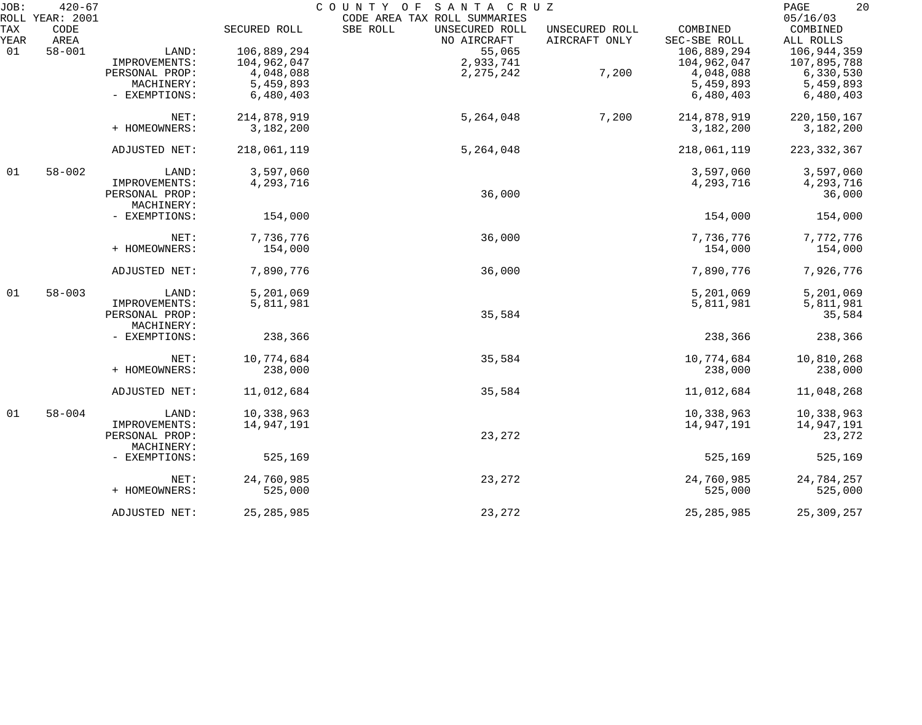| JOB: | $420 - 67$<br>ROLL YEAR: 2001 |                |              | COUNTY OF<br>SANTA CRUZ<br>CODE AREA TAX ROLL SUMMARIES |                |                          | 20<br>PAGE<br>05/16/03 |
|------|-------------------------------|----------------|--------------|---------------------------------------------------------|----------------|--------------------------|------------------------|
| TAX  | CODE<br>AREA                  |                | SECURED ROLL | SBE ROLL<br>UNSECURED ROLL<br>NO AIRCRAFT               | UNSECURED ROLL | COMBINED<br>SEC-SBE ROLL | COMBINED               |
| YEAR | $58 - 001$                    |                |              |                                                         | AIRCRAFT ONLY  | 106,889,294              | ALL ROLLS              |
| 01   |                               | LAND:          | 106,889,294  | 55,065                                                  |                |                          | 106,944,359            |
|      |                               | IMPROVEMENTS:  | 104,962,047  | 2,933,741                                               |                | 104,962,047              | 107,895,788            |
|      |                               | PERSONAL PROP: | 4,048,088    | 2, 275, 242                                             | 7,200          | 4,048,088                | 6,330,530              |
|      |                               | MACHINERY:     | 5,459,893    |                                                         |                | 5,459,893                | 5,459,893              |
|      |                               | - EXEMPTIONS:  | 6,480,403    |                                                         |                | 6,480,403                | 6,480,403              |
|      |                               | NET:           | 214,878,919  | 5,264,048                                               | 7,200          | 214,878,919              | 220, 150, 167          |
|      |                               | + HOMEOWNERS:  | 3,182,200    |                                                         |                | 3,182,200                | 3,182,200              |
|      |                               |                |              |                                                         |                |                          |                        |
|      |                               | ADJUSTED NET:  | 218,061,119  | 5,264,048                                               |                | 218,061,119              | 223, 332, 367          |
| 01   | $58 - 002$                    | LAND:          | 3,597,060    |                                                         |                | 3,597,060                | 3,597,060              |
|      |                               | IMPROVEMENTS:  | 4,293,716    |                                                         |                | 4,293,716                | 4,293,716              |
|      |                               | PERSONAL PROP: |              | 36,000                                                  |                |                          | 36,000                 |
|      |                               | MACHINERY:     |              |                                                         |                |                          |                        |
|      |                               | - EXEMPTIONS:  | 154,000      |                                                         |                | 154,000                  | 154,000                |
|      |                               | NET:           | 7,736,776    | 36,000                                                  |                | 7,736,776                | 7,772,776              |
|      |                               | + HOMEOWNERS:  | 154,000      |                                                         |                | 154,000                  | 154,000                |
|      |                               | ADJUSTED NET:  | 7,890,776    | 36,000                                                  |                | 7,890,776                | 7,926,776              |
| 01   | $58 - 003$                    | LAND:          | 5,201,069    |                                                         |                | 5,201,069                | 5,201,069              |
|      |                               | IMPROVEMENTS:  | 5,811,981    |                                                         |                | 5,811,981                | 5,811,981              |
|      |                               | PERSONAL PROP: |              | 35,584                                                  |                |                          | 35,584                 |
|      |                               | MACHINERY:     |              |                                                         |                |                          |                        |
|      |                               | - EXEMPTIONS:  | 238,366      |                                                         |                | 238,366                  | 238,366                |
|      |                               | NET:           | 10,774,684   | 35,584                                                  |                | 10,774,684               | 10,810,268             |
|      |                               | + HOMEOWNERS:  | 238,000      |                                                         |                | 238,000                  | 238,000                |
|      |                               |                |              |                                                         |                |                          |                        |
|      |                               | ADJUSTED NET:  | 11,012,684   | 35,584                                                  |                | 11,012,684               | 11,048,268             |
| 01   | $58 - 004$                    | LAND:          | 10,338,963   |                                                         |                | 10,338,963               | 10,338,963             |
|      |                               | IMPROVEMENTS:  | 14,947,191   |                                                         |                | 14,947,191               | 14,947,191             |
|      |                               | PERSONAL PROP: |              | 23,272                                                  |                |                          | 23,272                 |
|      |                               | MACHINERY:     |              |                                                         |                |                          |                        |
|      |                               | - EXEMPTIONS:  | 525,169      |                                                         |                | 525,169                  | 525,169                |
|      |                               | NET:           | 24,760,985   | 23,272                                                  |                | 24,760,985               | 24,784,257             |
|      |                               | + HOMEOWNERS:  | 525,000      |                                                         |                | 525,000                  | 525,000                |
|      |                               | ADJUSTED NET:  | 25, 285, 985 | 23,272                                                  |                | 25, 285, 985             | 25, 309, 257           |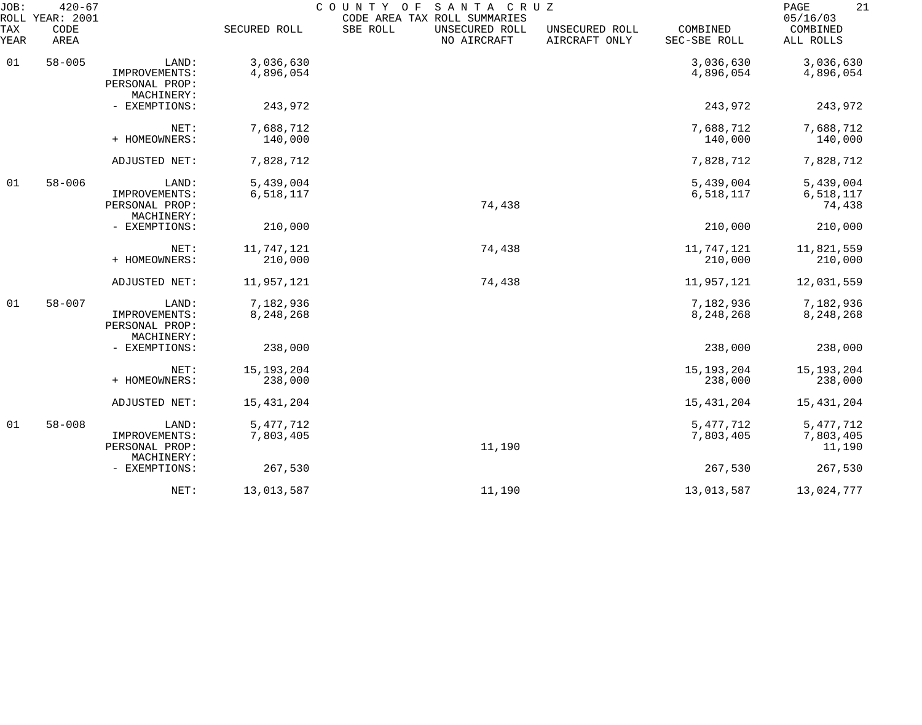| JOB:<br>ROLL     | $420 - 67$<br>YEAR: 2001                               |                                                        |                          | SANTA CRUZ<br>COUNTY OF<br>CODE AREA TAX ROLL SUMMARIES |                                 |                                  | 21<br>PAGE<br>05/16/03             |
|------------------|--------------------------------------------------------|--------------------------------------------------------|--------------------------|---------------------------------------------------------|---------------------------------|----------------------------------|------------------------------------|
| TAX<br>YEAR      | CODE<br>AREA                                           |                                                        | SECURED ROLL             | SBE ROLL<br>UNSECURED ROLL<br>NO AIRCRAFT               | UNSECURED ROLL<br>AIRCRAFT ONLY | COMBINED<br>SEC-SBE ROLL         | COMBINED<br>ALL ROLLS              |
| 01               | $58 - 005$                                             | LAND:<br>IMPROVEMENTS:<br>PERSONAL PROP:               | 3,036,630<br>4,896,054   |                                                         |                                 | 3,036,630<br>4,896,054           | 3,036,630<br>4,896,054             |
|                  |                                                        | MACHINERY:<br>- EXEMPTIONS:                            | 243,972                  |                                                         |                                 | 243,972                          | 243,972                            |
|                  |                                                        | NET:                                                   | 7,688,712                |                                                         |                                 | 7,688,712                        | 7,688,712                          |
|                  |                                                        | + HOMEOWNERS:                                          | 140,000                  |                                                         |                                 | 140,000                          | 140,000                            |
|                  |                                                        | ADJUSTED NET:                                          | 7,828,712                |                                                         |                                 | 7,828,712                        | 7,828,712                          |
| 01<br>$58 - 006$ | LAND:<br>IMPROVEMENTS:<br>PERSONAL PROP:<br>MACHINERY: | 5,439,004<br>6,518,117                                 | 74,438                   |                                                         | 5,439,004<br>6,518,117          | 5,439,004<br>6,518,117<br>74,438 |                                    |
|                  |                                                        | - EXEMPTIONS:                                          | 210,000                  |                                                         |                                 | 210,000                          | 210,000                            |
|                  |                                                        | NET:<br>+ HOMEOWNERS:                                  | 11,747,121<br>210,000    | 74,438                                                  |                                 | 11,747,121<br>210,000            | 11,821,559<br>210,000              |
|                  |                                                        | ADJUSTED NET:                                          | 11,957,121               | 74,438                                                  |                                 | 11,957,121                       | 12,031,559                         |
| 01               | $58 - 007$                                             | LAND:<br>IMPROVEMENTS:<br>PERSONAL PROP:<br>MACHINERY: | 7,182,936<br>8,248,268   |                                                         |                                 | 7,182,936<br>8,248,268           | 7,182,936<br>8,248,268             |
|                  |                                                        | - EXEMPTIONS:                                          | 238,000                  |                                                         |                                 | 238,000                          | 238,000                            |
|                  |                                                        | NET:<br>+ HOMEOWNERS:                                  | 15, 193, 204<br>238,000  |                                                         |                                 | 15, 193, 204<br>238,000          | 15, 193, 204<br>238,000            |
|                  |                                                        | ADJUSTED NET:                                          | 15, 431, 204             |                                                         |                                 | 15,431,204                       | 15,431,204                         |
| 01               | $58 - 008$                                             | LAND:<br>IMPROVEMENTS:<br>PERSONAL PROP:<br>MACHINERY: | 5, 477, 712<br>7,803,405 | 11,190                                                  |                                 | 5, 477, 712<br>7,803,405         | 5, 477, 712<br>7,803,405<br>11,190 |
|                  |                                                        | - EXEMPTIONS:                                          | 267,530                  |                                                         |                                 | 267,530                          | 267,530                            |
|                  |                                                        | NET:                                                   | 13,013,587               | 11,190                                                  |                                 | 13,013,587                       | 13,024,777                         |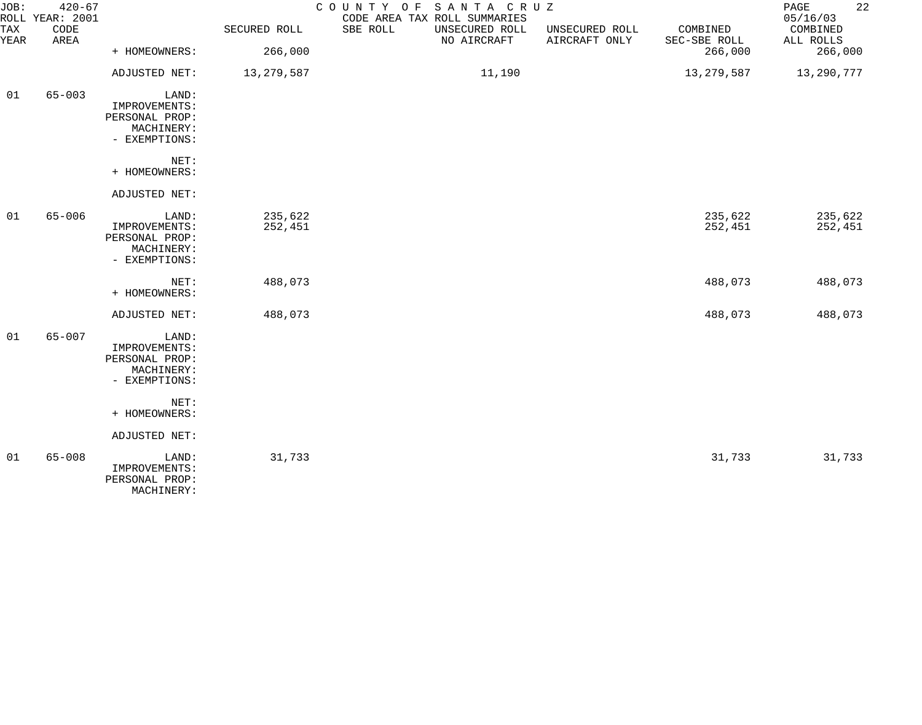| JOB:        | $420 - 67$<br>ROLL YEAR: 2001 |                                                                         |                    | COUNTY OF SANTA CRUZ<br>CODE AREA TAX ROLL SUMMARIES |                                 |                          | 22<br>PAGE<br>05/16/03 |
|-------------|-------------------------------|-------------------------------------------------------------------------|--------------------|------------------------------------------------------|---------------------------------|--------------------------|------------------------|
| TAX<br>YEAR | CODE<br>AREA                  |                                                                         | SECURED ROLL       | SBE ROLL<br>UNSECURED ROLL<br>NO AIRCRAFT            | UNSECURED ROLL<br>AIRCRAFT ONLY | COMBINED<br>SEC-SBE ROLL | COMBINED<br>ALL ROLLS  |
|             |                               | + HOMEOWNERS:                                                           | 266,000            |                                                      |                                 | 266,000                  | 266,000                |
|             |                               | ADJUSTED NET:                                                           | 13, 279, 587       | 11,190                                               |                                 | 13,279,587               | 13,290,777             |
| 01          | $65 - 003$                    | LAND:<br>IMPROVEMENTS:<br>PERSONAL PROP:<br>MACHINERY:<br>- EXEMPTIONS: |                    |                                                      |                                 |                          |                        |
|             |                               | NET:<br>+ HOMEOWNERS:                                                   |                    |                                                      |                                 |                          |                        |
|             |                               | ADJUSTED NET:                                                           |                    |                                                      |                                 |                          |                        |
| 01          | $65 - 006$                    | LAND:<br>IMPROVEMENTS:<br>PERSONAL PROP:<br>MACHINERY:<br>- EXEMPTIONS: | 235,622<br>252,451 |                                                      |                                 | 235,622<br>252,451       | 235,622<br>252,451     |
|             |                               | NET:<br>+ HOMEOWNERS:                                                   | 488,073            |                                                      |                                 | 488,073                  | 488,073                |
|             |                               | ADJUSTED NET:                                                           | 488,073            |                                                      |                                 | 488,073                  | 488,073                |
| 01          | $65 - 007$                    | LAND:<br>IMPROVEMENTS:<br>PERSONAL PROP:<br>MACHINERY:<br>- EXEMPTIONS: |                    |                                                      |                                 |                          |                        |
|             |                               | NET:<br>+ HOMEOWNERS:                                                   |                    |                                                      |                                 |                          |                        |
|             |                               | ADJUSTED NET:                                                           |                    |                                                      |                                 |                          |                        |
| 01          | $65 - 008$                    | LAND:<br>IMPROVEMENTS:<br>PERSONAL PROP:<br>MACHINERY:                  | 31,733             |                                                      |                                 | 31,733                   | 31,733                 |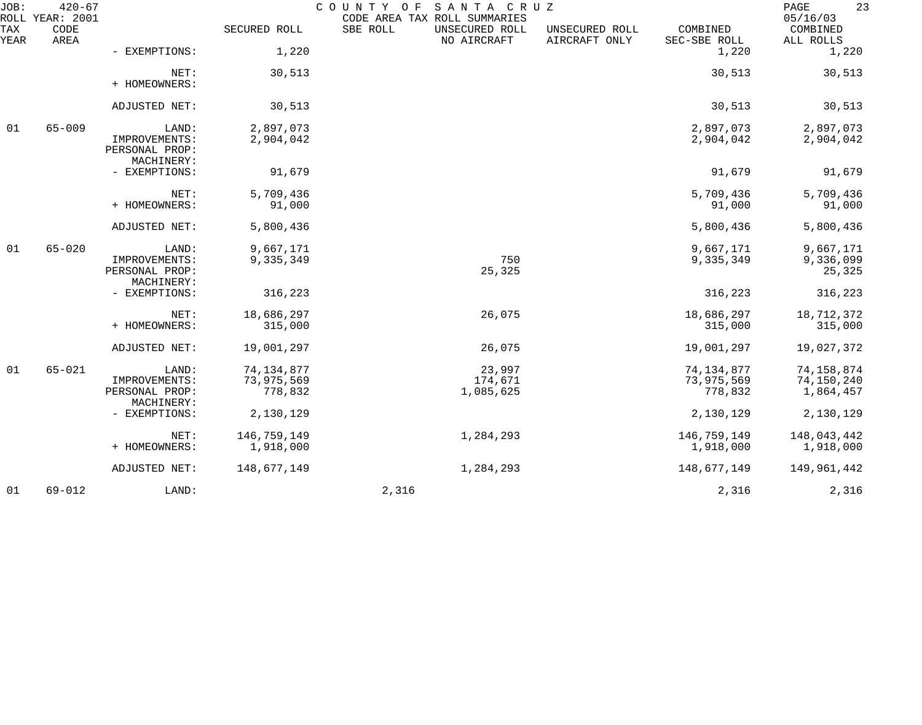| JOB:        | $420 - 67$<br>ROLL YEAR: 2001 |                                                        |                                       | COUNTY OF SANTA CRUZ<br>CODE AREA TAX ROLL SUMMARIES |                                 |                                       | 23<br>PAGE<br>05/16/03                |
|-------------|-------------------------------|--------------------------------------------------------|---------------------------------------|------------------------------------------------------|---------------------------------|---------------------------------------|---------------------------------------|
| TAX<br>YEAR | CODE<br>AREA                  |                                                        | SECURED ROLL                          | SBE ROLL<br>UNSECURED ROLL<br>NO AIRCRAFT            | UNSECURED ROLL<br>AIRCRAFT ONLY | COMBINED<br>SEC-SBE ROLL              | COMBINED<br>ALL ROLLS                 |
|             |                               | - EXEMPTIONS:                                          | 1,220                                 |                                                      |                                 | 1,220                                 | 1,220                                 |
|             |                               | NET:<br>+ HOMEOWNERS:                                  | 30,513                                |                                                      |                                 | 30,513                                | 30,513                                |
|             |                               | ADJUSTED NET:                                          | 30,513                                |                                                      |                                 | 30,513                                | 30,513                                |
| 01          | $65 - 009$                    | LAND:<br>IMPROVEMENTS:<br>PERSONAL PROP:<br>MACHINERY: | 2,897,073<br>2,904,042                |                                                      |                                 | 2,897,073<br>2,904,042                | 2,897,073<br>2,904,042                |
|             |                               | - EXEMPTIONS:                                          | 91,679                                |                                                      |                                 | 91,679                                | 91,679                                |
|             |                               | NET:<br>+ HOMEOWNERS:                                  | 5,709,436<br>91,000                   |                                                      |                                 | 5,709,436<br>91,000                   | 5,709,436<br>91,000                   |
|             |                               | ADJUSTED NET:                                          | 5,800,436                             |                                                      |                                 | 5,800,436                             | 5,800,436                             |
| 01          | $65 - 020$                    | LAND:<br>IMPROVEMENTS:<br>PERSONAL PROP:<br>MACHINERY: | 9,667,171<br>9,335,349                | 750<br>25,325                                        |                                 | 9,667,171<br>9,335,349                | 9,667,171<br>9,336,099<br>25,325      |
|             |                               | - EXEMPTIONS:                                          | 316,223                               |                                                      |                                 | 316,223                               | 316,223                               |
|             |                               | NET:<br>+ HOMEOWNERS:                                  | 18,686,297<br>315,000                 | 26,075                                               |                                 | 18,686,297<br>315,000                 | 18,712,372<br>315,000                 |
|             |                               | ADJUSTED NET:                                          | 19,001,297                            | 26,075                                               |                                 | 19,001,297                            | 19,027,372                            |
| 01          | $65 - 021$                    | LAND:<br>IMPROVEMENTS:<br>PERSONAL PROP:<br>MACHINERY: | 74, 134, 877<br>73,975,569<br>778,832 | 23,997<br>174,671<br>1,085,625                       |                                 | 74, 134, 877<br>73,975,569<br>778,832 | 74,158,874<br>74,150,240<br>1,864,457 |
|             |                               | - EXEMPTIONS:                                          | 2,130,129                             |                                                      |                                 | 2,130,129                             | 2,130,129                             |
|             |                               | NET:<br>+ HOMEOWNERS:                                  | 146,759,149<br>1,918,000              | 1,284,293                                            |                                 | 146,759,149<br>1,918,000              | 148,043,442<br>1,918,000              |
|             |                               | <b>ADJUSTED NET:</b>                                   | 148,677,149                           | 1,284,293                                            |                                 | 148,677,149                           | 149,961,442                           |
| 01          | $69 - 012$                    | LAND:                                                  |                                       | 2,316                                                |                                 | 2,316                                 | 2,316                                 |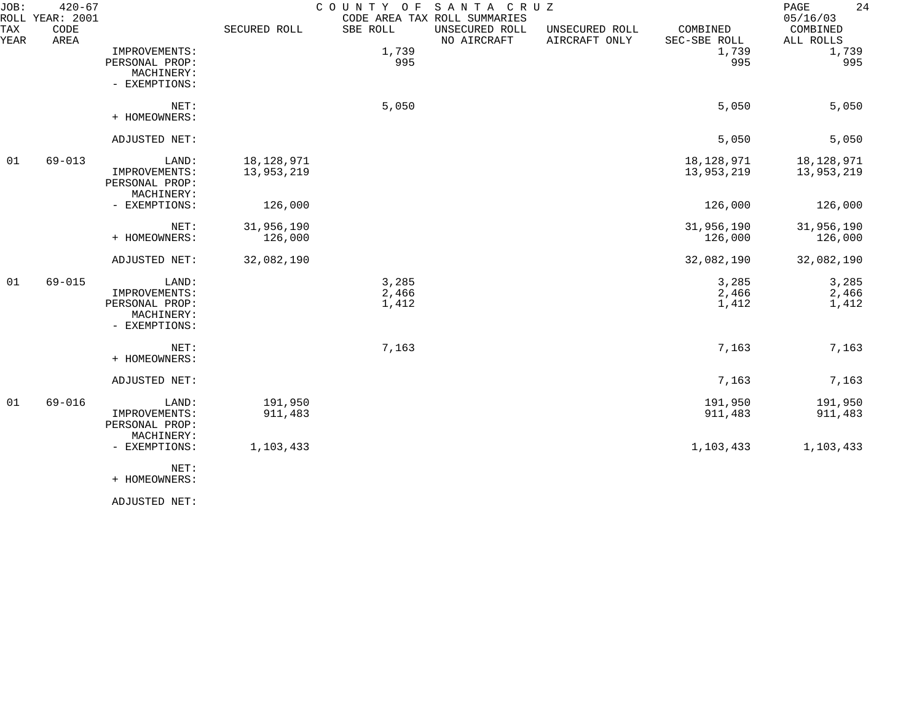| JOB:        | $420 - 67$<br>ROLL YEAR: 2001 |                                                                         |                          | COUNTY<br>O F           | SANTA CRUZ<br>CODE AREA TAX ROLL SUMMARIES |                                 |                          | 24<br>PAGE<br>05/16/03   |
|-------------|-------------------------------|-------------------------------------------------------------------------|--------------------------|-------------------------|--------------------------------------------|---------------------------------|--------------------------|--------------------------|
| TAX<br>YEAR | CODE<br>AREA                  |                                                                         | SECURED ROLL             | SBE ROLL                | UNSECURED ROLL<br>NO AIRCRAFT              | UNSECURED ROLL<br>AIRCRAFT ONLY | COMBINED<br>SEC-SBE ROLL | COMBINED<br>ALL ROLLS    |
|             |                               | IMPROVEMENTS:<br>PERSONAL PROP:<br>MACHINERY:                           |                          | 1,739<br>995            |                                            |                                 | 1,739<br>995             | 1,739<br>995             |
|             |                               | - EXEMPTIONS:                                                           |                          |                         |                                            |                                 |                          |                          |
|             |                               | NET:<br>+ HOMEOWNERS:                                                   |                          | 5,050                   |                                            |                                 | 5,050                    | 5,050                    |
|             |                               | ADJUSTED NET:                                                           |                          |                         |                                            |                                 | 5,050                    | 5,050                    |
| 01          | $69 - 013$                    | LAND:<br>IMPROVEMENTS:<br>PERSONAL PROP:                                | 18,128,971<br>13,953,219 |                         |                                            |                                 | 18,128,971<br>13,953,219 | 18,128,971<br>13,953,219 |
|             |                               | MACHINERY:<br>- EXEMPTIONS:                                             | 126,000                  |                         |                                            |                                 | 126,000                  | 126,000                  |
|             |                               | NET:<br>+ HOMEOWNERS:                                                   | 31,956,190<br>126,000    |                         |                                            |                                 | 31,956,190<br>126,000    | 31,956,190<br>126,000    |
|             |                               | ADJUSTED NET:                                                           | 32,082,190               |                         |                                            |                                 | 32,082,190               | 32,082,190               |
| 01          | $69 - 015$                    | LAND:<br>IMPROVEMENTS:<br>PERSONAL PROP:<br>MACHINERY:<br>- EXEMPTIONS: |                          | 3,285<br>2,466<br>1,412 |                                            |                                 | 3,285<br>2,466<br>1,412  | 3,285<br>2,466<br>1,412  |
|             |                               | NET:<br>+ HOMEOWNERS:                                                   |                          | 7,163                   |                                            |                                 | 7,163                    | 7,163                    |
|             |                               | ADJUSTED NET:                                                           |                          |                         |                                            |                                 | 7,163                    | 7,163                    |
| 01          | $69 - 016$                    | LAND:<br>IMPROVEMENTS:<br>PERSONAL PROP:<br>MACHINERY:                  | 191,950<br>911,483       |                         |                                            |                                 | 191,950<br>911,483       | 191,950<br>911,483       |
|             |                               | - EXEMPTIONS:<br>NET:<br>+ HOMEOWNERS:                                  | 1,103,433                |                         |                                            |                                 | 1,103,433                | 1,103,433                |
|             |                               |                                                                         |                          |                         |                                            |                                 |                          |                          |

ADJUSTED NET: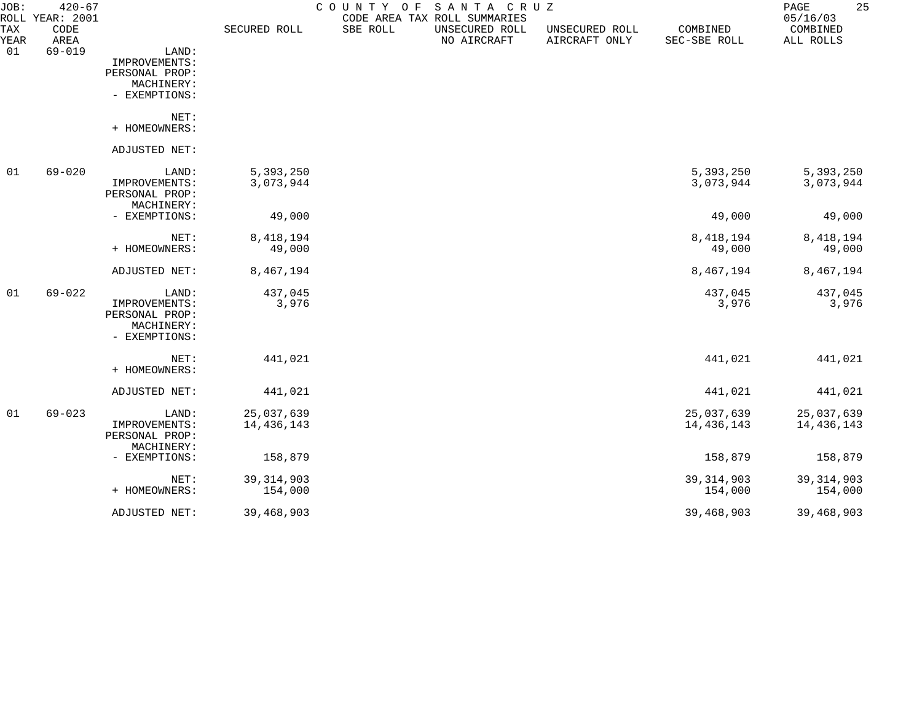| JOB:               | $420 - 67$<br>ROLL YEAR: 2001 |                |              | COUNTY OF | SANTA CRUZ<br>CODE AREA TAX ROLL SUMMARIES |                                 |                          | 25<br>PAGE<br>05/16/03 |
|--------------------|-------------------------------|----------------|--------------|-----------|--------------------------------------------|---------------------------------|--------------------------|------------------------|
| <b>TAX</b><br>YEAR | CODE<br>AREA                  |                | SECURED ROLL | SBE ROLL  | UNSECURED ROLL<br>NO AIRCRAFT              | UNSECURED ROLL<br>AIRCRAFT ONLY | COMBINED<br>SEC-SBE ROLL | COMBINED<br>ALL ROLLS  |
| 01                 | $69 - 019$                    | LAND:          |              |           |                                            |                                 |                          |                        |
|                    |                               | IMPROVEMENTS:  |              |           |                                            |                                 |                          |                        |
|                    |                               | PERSONAL PROP: |              |           |                                            |                                 |                          |                        |
|                    |                               | MACHINERY:     |              |           |                                            |                                 |                          |                        |
|                    |                               | - EXEMPTIONS:  |              |           |                                            |                                 |                          |                        |
|                    |                               | NET:           |              |           |                                            |                                 |                          |                        |
|                    |                               | + HOMEOWNERS:  |              |           |                                            |                                 |                          |                        |
|                    |                               | ADJUSTED NET:  |              |           |                                            |                                 |                          |                        |
| 01                 | $69 - 020$                    | LAND:          | 5,393,250    |           |                                            |                                 | 5,393,250                | 5,393,250              |
|                    |                               | IMPROVEMENTS:  | 3,073,944    |           |                                            |                                 | 3,073,944                | 3,073,944              |
|                    |                               | PERSONAL PROP: |              |           |                                            |                                 |                          |                        |
|                    |                               | MACHINERY:     |              |           |                                            |                                 |                          |                        |
|                    |                               | - EXEMPTIONS:  | 49,000       |           |                                            |                                 | 49,000                   | 49,000                 |
|                    |                               | NET:           | 8, 418, 194  |           |                                            |                                 | 8, 418, 194              | 8,418,194              |
|                    |                               | + HOMEOWNERS:  | 49,000       |           |                                            |                                 | 49,000                   | 49,000                 |
|                    |                               | ADJUSTED NET:  | 8,467,194    |           |                                            |                                 | 8,467,194                | 8,467,194              |
| 01                 | $69 - 022$                    | LAND:          | 437,045      |           |                                            |                                 | 437,045                  | 437,045                |
|                    |                               | IMPROVEMENTS:  | 3,976        |           |                                            |                                 | 3,976                    | 3,976                  |
|                    |                               | PERSONAL PROP: |              |           |                                            |                                 |                          |                        |
|                    |                               | MACHINERY:     |              |           |                                            |                                 |                          |                        |
|                    |                               | - EXEMPTIONS:  |              |           |                                            |                                 |                          |                        |
|                    |                               | NET:           | 441,021      |           |                                            |                                 | 441,021                  | 441,021                |
|                    |                               | + HOMEOWNERS:  |              |           |                                            |                                 |                          |                        |
|                    |                               | ADJUSTED NET:  | 441,021      |           |                                            |                                 | 441,021                  | 441,021                |
| 01                 | $69 - 023$                    | LAND:          | 25,037,639   |           |                                            |                                 | 25,037,639               | 25,037,639             |
|                    |                               | IMPROVEMENTS:  | 14,436,143   |           |                                            |                                 | 14,436,143               | 14,436,143             |
|                    |                               | PERSONAL PROP: |              |           |                                            |                                 |                          |                        |
|                    |                               | MACHINERY:     |              |           |                                            |                                 |                          |                        |
|                    |                               | - EXEMPTIONS:  | 158,879      |           |                                            |                                 | 158,879                  | 158,879                |
|                    |                               | NET:           | 39, 314, 903 |           |                                            |                                 | 39, 314, 903             | 39, 314, 903           |
|                    |                               | + HOMEOWNERS:  | 154,000      |           |                                            |                                 | 154,000                  | 154,000                |
|                    |                               | ADJUSTED NET:  | 39,468,903   |           |                                            |                                 | 39,468,903               | 39,468,903             |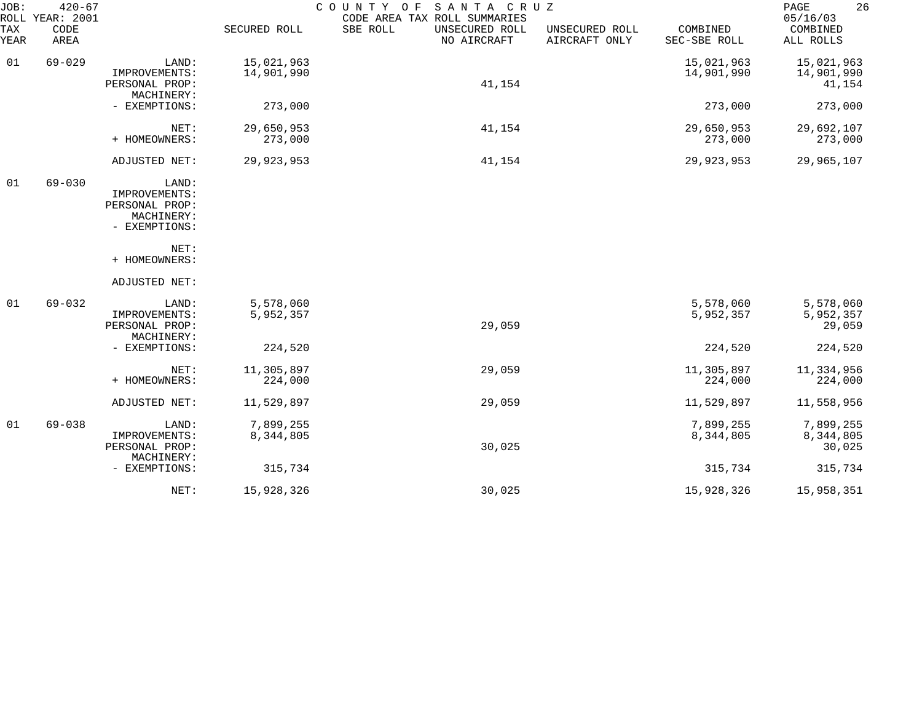| JOB:<br>TAX<br>YEAR | $420 - 67$<br>ROLL YEAR: 2001<br>CODE<br>AREA |                                                                                 | SECURED ROLL             | COUNTY<br>SANTA CRUZ<br>O F<br>CODE AREA TAX ROLL SUMMARIES<br>SBE ROLL<br>UNSECURED ROLL<br>NO AIRCRAFT | UNSECURED ROLL<br>AIRCRAFT ONLY | COMBINED<br>SEC-SBE ROLL | 26<br>PAGE<br>05/16/03<br>COMBINED<br>ALL ROLLS |
|---------------------|-----------------------------------------------|---------------------------------------------------------------------------------|--------------------------|----------------------------------------------------------------------------------------------------------|---------------------------------|--------------------------|-------------------------------------------------|
| 01                  | $69 - 029$                                    | LAND:<br>IMPROVEMENTS:<br>PERSONAL PROP:<br>MACHINERY:                          | 15,021,963<br>14,901,990 | 41,154                                                                                                   |                                 | 15,021,963<br>14,901,990 | 15,021,963<br>14,901,990<br>41,154              |
|                     |                                               | - EXEMPTIONS:                                                                   | 273,000                  |                                                                                                          |                                 | 273,000                  | 273,000                                         |
|                     |                                               | NET:<br>+ HOMEOWNERS:                                                           | 29,650,953<br>273,000    | 41,154                                                                                                   |                                 | 29,650,953<br>273,000    | 29,692,107<br>273,000                           |
|                     |                                               | ADJUSTED NET:                                                                   | 29,923,953               | 41,154                                                                                                   |                                 | 29,923,953               | 29,965,107                                      |
| 01                  | $69 - 030$                                    | LAND:<br>IMPROVEMENTS:<br>PERSONAL PROP:<br>MACHINERY:<br>- EXEMPTIONS:<br>NET: |                          |                                                                                                          |                                 |                          |                                                 |
|                     |                                               | + HOMEOWNERS:                                                                   |                          |                                                                                                          |                                 |                          |                                                 |
| 01                  | $69 - 032$                                    | ADJUSTED NET:<br>LAND:<br>IMPROVEMENTS:<br>PERSONAL PROP:<br>MACHINERY:         | 5,578,060<br>5,952,357   | 29,059                                                                                                   |                                 | 5,578,060<br>5,952,357   | 5,578,060<br>5,952,357<br>29,059                |
|                     |                                               | - EXEMPTIONS:                                                                   | 224,520                  |                                                                                                          |                                 | 224,520                  | 224,520                                         |
|                     |                                               | NET:<br>+ HOMEOWNERS:                                                           | 11,305,897<br>224,000    | 29,059                                                                                                   |                                 | 11,305,897<br>224,000    | 11,334,956<br>224,000                           |
|                     |                                               | ADJUSTED NET:                                                                   | 11,529,897               | 29,059                                                                                                   |                                 | 11,529,897               | 11,558,956                                      |
| 01                  | $69 - 038$                                    | LAND:<br>IMPROVEMENTS:<br>PERSONAL PROP:<br>MACHINERY:                          | 7,899,255<br>8,344,805   | 30,025                                                                                                   |                                 | 7,899,255<br>8,344,805   | 7,899,255<br>8,344,805<br>30,025                |
|                     |                                               | - EXEMPTIONS:                                                                   | 315,734                  |                                                                                                          |                                 | 315,734                  | 315,734                                         |
|                     |                                               | NET:                                                                            | 15,928,326               | 30,025                                                                                                   |                                 | 15,928,326               | 15,958,351                                      |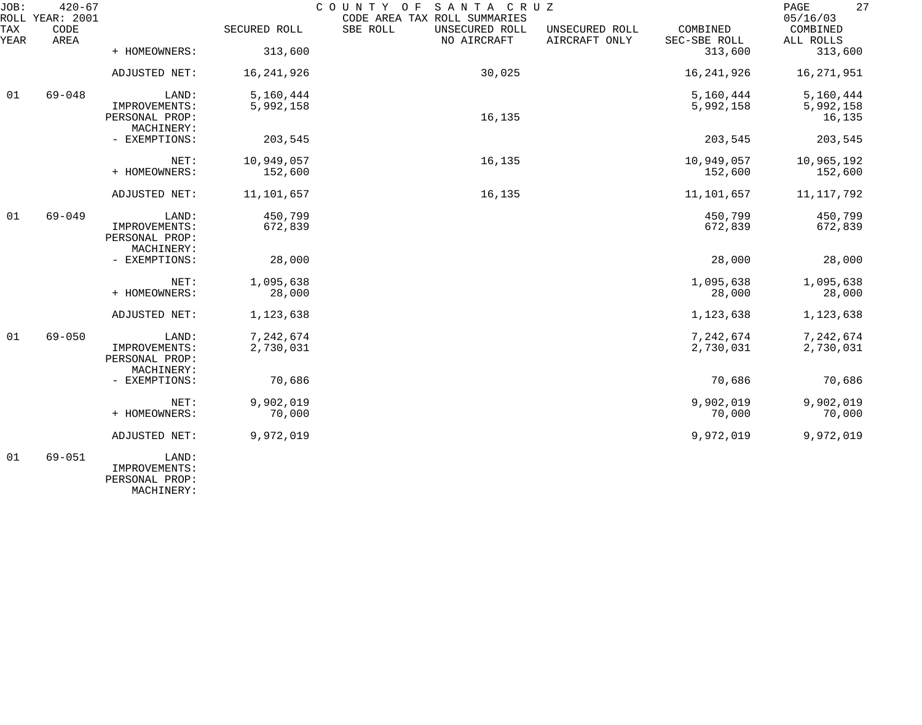| JOB:        | $420 - 67$<br>ROLL YEAR: 2001 |                                               |              | COUNTY OF<br>SANTA CRUZ<br>CODE AREA TAX ROLL SUMMARIES |                                 |                          | 27<br>PAGE<br>05/16/03 |
|-------------|-------------------------------|-----------------------------------------------|--------------|---------------------------------------------------------|---------------------------------|--------------------------|------------------------|
| TAX<br>YEAR | CODE<br>AREA                  |                                               | SECURED ROLL | SBE ROLL<br>UNSECURED ROLL<br>NO AIRCRAFT               | UNSECURED ROLL<br>AIRCRAFT ONLY | COMBINED<br>SEC-SBE ROLL | COMBINED<br>ALL ROLLS  |
|             |                               | + HOMEOWNERS:                                 | 313,600      |                                                         |                                 | 313,600                  | 313,600                |
|             |                               | ADJUSTED NET:                                 | 16, 241, 926 | 30,025                                                  |                                 | 16, 241, 926             | 16, 271, 951           |
| 01          | $69 - 048$                    | LAND:                                         | 5,160,444    |                                                         |                                 | 5,160,444                | 5,160,444              |
|             |                               | IMPROVEMENTS:<br>PERSONAL PROP:<br>MACHINERY: | 5,992,158    | 16,135                                                  |                                 | 5,992,158                | 5,992,158<br>16,135    |
|             |                               | - EXEMPTIONS:                                 | 203,545      |                                                         |                                 | 203,545                  | 203,545                |
|             |                               | NET:                                          | 10,949,057   | 16,135                                                  |                                 | 10,949,057               | 10,965,192             |
|             |                               | + HOMEOWNERS:                                 | 152,600      |                                                         |                                 | 152,600                  | 152,600                |
|             |                               | ADJUSTED NET:                                 | 11,101,657   | 16,135                                                  |                                 | 11,101,657               | 11, 117, 792           |
| 01          | $69 - 049$                    | LAND:                                         | 450,799      |                                                         |                                 | 450,799                  | 450,799                |
|             |                               | IMPROVEMENTS:<br>PERSONAL PROP:<br>MACHINERY: | 672,839      |                                                         |                                 | 672,839                  | 672,839                |
|             |                               | - EXEMPTIONS:                                 | 28,000       |                                                         |                                 | 28,000                   | 28,000                 |
|             |                               | NET:                                          | 1,095,638    |                                                         |                                 | 1,095,638                | 1,095,638              |
|             |                               | + HOMEOWNERS:                                 | 28,000       |                                                         |                                 | 28,000                   | 28,000                 |
|             |                               | ADJUSTED NET:                                 | 1,123,638    |                                                         |                                 | 1,123,638                | 1,123,638              |
| 01          | $69 - 050$                    | LAND:                                         | 7,242,674    |                                                         |                                 | 7,242,674                | 7,242,674              |
|             |                               | IMPROVEMENTS:<br>PERSONAL PROP:<br>MACHINERY: | 2,730,031    |                                                         |                                 | 2,730,031                | 2,730,031              |
|             |                               | - EXEMPTIONS:                                 | 70,686       |                                                         |                                 | 70,686                   | 70,686                 |
|             |                               | NET:                                          | 9,902,019    |                                                         |                                 | 9,902,019                | 9,902,019              |
|             |                               | + HOMEOWNERS:                                 | 70,000       |                                                         |                                 | 70,000                   | 70,000                 |
|             |                               | ADJUSTED NET:                                 | 9,972,019    |                                                         |                                 | 9,972,019                | 9,972,019              |
| 01          | $69 - 051$                    | LAND:<br>IMPROVEMENTS:                        |              |                                                         |                                 |                          |                        |

PERSONAL PROP:

MACHINERY: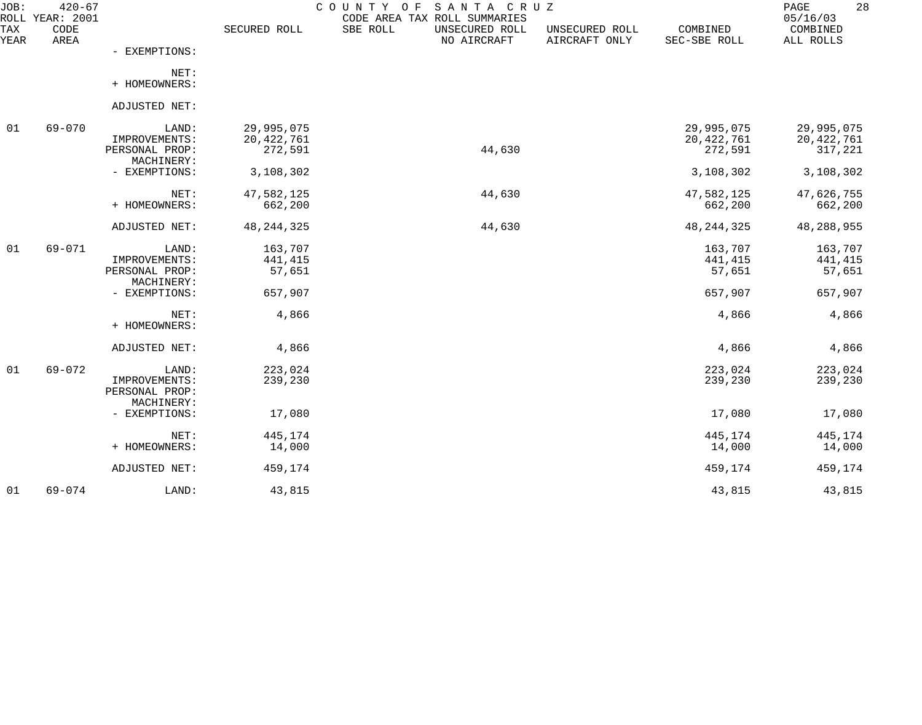| JOB:        | $420 - 67$<br>ROLL YEAR: 2001 |                              |              | COUNTY OF<br>SANTA CRUZ<br>CODE AREA TAX ROLL SUMMARIES |                                 |                          | 28<br>PAGE<br>05/16/03 |
|-------------|-------------------------------|------------------------------|--------------|---------------------------------------------------------|---------------------------------|--------------------------|------------------------|
| TAX<br>YEAR | CODE<br>AREA                  |                              | SECURED ROLL | SBE ROLL<br>UNSECURED ROLL<br>NO AIRCRAFT               | UNSECURED ROLL<br>AIRCRAFT ONLY | COMBINED<br>SEC-SBE ROLL | COMBINED<br>ALL ROLLS  |
|             |                               | - EXEMPTIONS:                |              |                                                         |                                 |                          |                        |
|             |                               | NET:<br>+ HOMEOWNERS:        |              |                                                         |                                 |                          |                        |
|             |                               | ADJUSTED NET:                |              |                                                         |                                 |                          |                        |
|             |                               |                              |              |                                                         |                                 |                          |                        |
| 01          | 69-070                        | LAND:                        | 29,995,075   |                                                         |                                 | 29,995,075               | 29,995,075             |
|             |                               | IMPROVEMENTS:                | 20, 422, 761 |                                                         |                                 | 20,422,761               | 20,422,761             |
|             |                               | PERSONAL PROP:<br>MACHINERY: | 272,591      | 44,630                                                  |                                 | 272,591                  | 317,221                |
|             |                               | - EXEMPTIONS:                | 3,108,302    |                                                         |                                 | 3,108,302                | 3,108,302              |
|             |                               | NET:                         | 47,582,125   | 44,630                                                  |                                 | 47,582,125               | 47,626,755             |
|             |                               | + HOMEOWNERS:                | 662,200      |                                                         |                                 | 662,200                  | 662,200                |
|             |                               | ADJUSTED NET:                | 48, 244, 325 | 44,630                                                  |                                 | 48, 244, 325             | 48,288,955             |
| 01          | 69-071                        | LAND:                        | 163,707      |                                                         |                                 | 163,707                  | 163,707                |
|             |                               | IMPROVEMENTS:                | 441,415      |                                                         |                                 | 441,415                  | 441,415                |
|             |                               | PERSONAL PROP:<br>MACHINERY: | 57,651       |                                                         |                                 | 57,651                   | 57,651                 |
|             |                               | - EXEMPTIONS:                | 657,907      |                                                         |                                 | 657,907                  | 657,907                |
|             |                               | NET:                         | 4,866        |                                                         |                                 | 4,866                    | 4,866                  |
|             |                               | + HOMEOWNERS:                |              |                                                         |                                 |                          |                        |
|             |                               | ADJUSTED NET:                | 4,866        |                                                         |                                 | 4,866                    | 4,866                  |
| 01          | $69 - 072$                    | LAND:                        | 223,024      |                                                         |                                 | 223,024                  | 223,024                |
|             |                               | IMPROVEMENTS:                | 239,230      |                                                         |                                 | 239,230                  | 239,230                |
|             |                               | PERSONAL PROP:               |              |                                                         |                                 |                          |                        |
|             |                               | MACHINERY:                   |              |                                                         |                                 |                          |                        |
|             |                               | - EXEMPTIONS:                | 17,080       |                                                         |                                 | 17,080                   | 17,080                 |
|             |                               | NET:                         | 445,174      |                                                         |                                 | 445,174                  | 445,174                |
|             |                               | + HOMEOWNERS:                | 14,000       |                                                         |                                 | 14,000                   | 14,000                 |
|             |                               | ADJUSTED NET:                | 459,174      |                                                         |                                 | 459,174                  | 459,174                |
| 01          | $69 - 074$                    | LAND:                        | 43,815       |                                                         |                                 | 43,815                   | 43,815                 |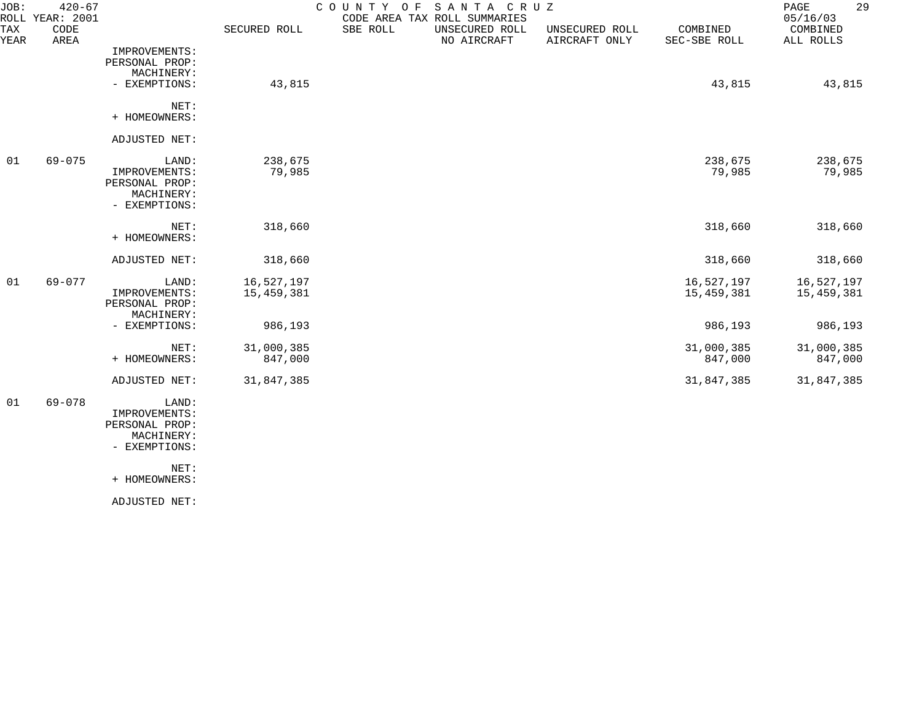| JOB:        | $420 - 67$<br>ROLL YEAR: 2001 |                                                                                 |                          | COUNTY<br>O F | SANTA CRUZ<br>CODE AREA TAX ROLL SUMMARIES |                                 |                          | 29<br>PAGE<br>05/16/03   |
|-------------|-------------------------------|---------------------------------------------------------------------------------|--------------------------|---------------|--------------------------------------------|---------------------------------|--------------------------|--------------------------|
| TAX<br>YEAR | CODE<br>AREA                  |                                                                                 | SECURED ROLL             | SBE ROLL      | UNSECURED ROLL<br>NO AIRCRAFT              | UNSECURED ROLL<br>AIRCRAFT ONLY | COMBINED<br>SEC-SBE ROLL | COMBINED<br>ALL ROLLS    |
|             |                               | IMPROVEMENTS:<br>PERSONAL PROP:<br>MACHINERY:                                   |                          |               |                                            |                                 |                          |                          |
|             |                               | - EXEMPTIONS:                                                                   | 43,815                   |               |                                            |                                 | 43,815                   | 43,815                   |
|             |                               | NET:<br>+ HOMEOWNERS:                                                           |                          |               |                                            |                                 |                          |                          |
|             |                               | ADJUSTED NET:                                                                   |                          |               |                                            |                                 |                          |                          |
| 01          | $69 - 075$                    | LAND:<br>IMPROVEMENTS:<br>PERSONAL PROP:<br>MACHINERY:<br>- EXEMPTIONS:         | 238,675<br>79,985        |               |                                            |                                 | 238,675<br>79,985        | 238,675<br>79,985        |
|             |                               | NET:<br>+ HOMEOWNERS:                                                           | 318,660                  |               |                                            |                                 | 318,660                  | 318,660                  |
|             |                               | ADJUSTED NET:                                                                   | 318,660                  |               |                                            |                                 | 318,660                  | 318,660                  |
| 01          | $69 - 077$                    | LAND:<br>IMPROVEMENTS:<br>PERSONAL PROP:<br>MACHINERY:                          | 16,527,197<br>15,459,381 |               |                                            |                                 | 16,527,197<br>15,459,381 | 16,527,197<br>15,459,381 |
|             |                               | - EXEMPTIONS:                                                                   | 986,193                  |               |                                            |                                 | 986,193                  | 986,193                  |
|             |                               | NET:<br>+ HOMEOWNERS:                                                           | 31,000,385<br>847,000    |               |                                            |                                 | 31,000,385<br>847,000    | 31,000,385<br>847,000    |
|             |                               | ADJUSTED NET:                                                                   | 31,847,385               |               |                                            |                                 | 31,847,385               | 31,847,385               |
| 01          | $69 - 078$                    | LAND:<br>IMPROVEMENTS:<br>PERSONAL PROP:<br>MACHINERY:<br>- EXEMPTIONS:<br>NET: |                          |               |                                            |                                 |                          |                          |
|             |                               | + HOMEOWNERS:                                                                   |                          |               |                                            |                                 |                          |                          |

ADJUSTED NET: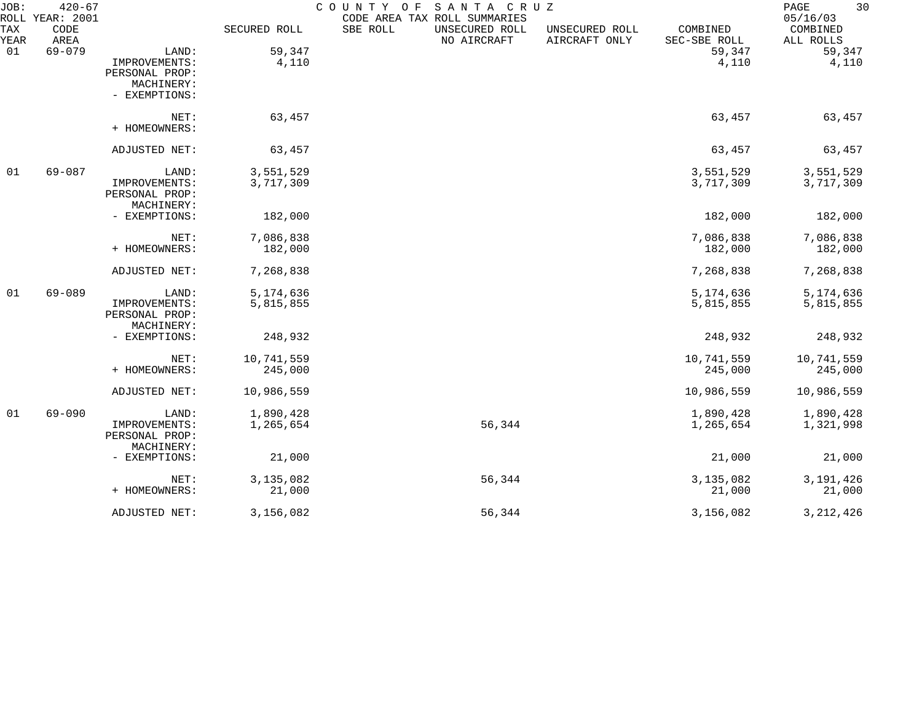| JOB:<br>ROLL | $420 - 67$<br>YEAR: 2001 |                             |              | COUNTY OF<br>SANTA CRUZ<br>CODE AREA TAX ROLL SUMMARIES |                                 |                          | 30<br>PAGE<br>05/16/03 |
|--------------|--------------------------|-----------------------------|--------------|---------------------------------------------------------|---------------------------------|--------------------------|------------------------|
| TAX<br>YEAR  | CODE<br>AREA             |                             | SECURED ROLL | SBE ROLL<br>UNSECURED ROLL<br>NO AIRCRAFT               | UNSECURED ROLL<br>AIRCRAFT ONLY | COMBINED<br>SEC-SBE ROLL | COMBINED<br>ALL ROLLS  |
| 01           | $69 - 079$               | LAND:                       | 59,347       |                                                         |                                 | 59,347                   | 59,347                 |
|              |                          | IMPROVEMENTS:               | 4,110        |                                                         |                                 | 4,110                    | 4,110                  |
|              |                          | PERSONAL PROP:              |              |                                                         |                                 |                          |                        |
|              |                          | MACHINERY:                  |              |                                                         |                                 |                          |                        |
|              |                          | - EXEMPTIONS:               |              |                                                         |                                 |                          |                        |
|              |                          | NET:                        | 63,457       |                                                         |                                 | 63,457                   | 63,457                 |
|              |                          | + HOMEOWNERS:               |              |                                                         |                                 |                          |                        |
|              |                          | ADJUSTED NET:               | 63,457       |                                                         |                                 | 63,457                   | 63,457                 |
| 01           | $69 - 087$               | LAND:                       | 3,551,529    |                                                         |                                 | 3,551,529                | 3,551,529              |
|              |                          | IMPROVEMENTS:               | 3,717,309    |                                                         |                                 | 3,717,309                | 3,717,309              |
|              |                          | PERSONAL PROP:              |              |                                                         |                                 |                          |                        |
|              |                          | MACHINERY:                  |              |                                                         |                                 |                          |                        |
|              |                          | - EXEMPTIONS:               | 182,000      |                                                         |                                 | 182,000                  | 182,000                |
|              |                          | NET:                        | 7,086,838    |                                                         |                                 | 7,086,838                | 7,086,838              |
|              |                          | + HOMEOWNERS:               | 182,000      |                                                         |                                 | 182,000                  | 182,000                |
|              |                          | ADJUSTED NET:               | 7,268,838    |                                                         |                                 | 7,268,838                | 7,268,838              |
| 01           | $69 - 089$               | LAND:                       | 5, 174, 636  |                                                         |                                 | 5, 174, 636              | 5, 174, 636            |
|              |                          | IMPROVEMENTS:               | 5,815,855    |                                                         |                                 | 5,815,855                | 5,815,855              |
|              |                          | PERSONAL PROP:              |              |                                                         |                                 |                          |                        |
|              |                          | MACHINERY:                  |              |                                                         |                                 |                          |                        |
|              |                          | - EXEMPTIONS:               | 248,932      |                                                         |                                 | 248,932                  | 248,932                |
|              |                          | NET:                        | 10,741,559   |                                                         |                                 | 10,741,559               | 10,741,559             |
|              |                          | + HOMEOWNERS:               | 245,000      |                                                         |                                 | 245,000                  | 245,000                |
|              |                          | ADJUSTED NET:               | 10,986,559   |                                                         |                                 | 10,986,559               | 10,986,559             |
| 01           | $69 - 090$               | LAND:                       | 1,890,428    |                                                         |                                 | 1,890,428                | 1,890,428              |
|              |                          | IMPROVEMENTS:               | 1,265,654    | 56,344                                                  |                                 | 1,265,654                | 1,321,998              |
|              |                          | PERSONAL PROP:              |              |                                                         |                                 |                          |                        |
|              |                          | MACHINERY:<br>- EXEMPTIONS: | 21,000       |                                                         |                                 | 21,000                   | 21,000                 |
|              |                          |                             |              |                                                         |                                 |                          |                        |
|              |                          | NET:                        | 3,135,082    | 56,344                                                  |                                 | 3, 135, 082              | 3, 191, 426            |
|              |                          | + HOMEOWNERS:               | 21,000       |                                                         |                                 | 21,000                   | 21,000                 |
|              |                          | ADJUSTED NET:               | 3,156,082    | 56,344                                                  |                                 | 3,156,082                | 3, 212, 426            |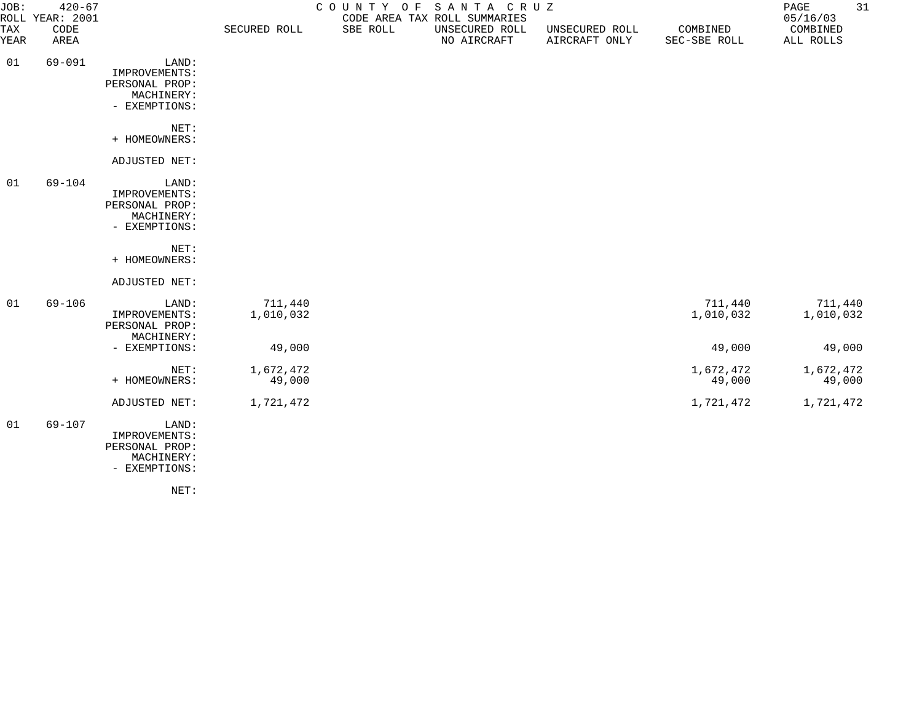| JOB:        | $420 - 67$<br>ROLL YEAR: 2001 |                                                                         |                      | COUNTY OF SANTA CRUZ<br>CODE AREA TAX ROLL SUMMARIES |                               |                                 |                          |                       |
|-------------|-------------------------------|-------------------------------------------------------------------------|----------------------|------------------------------------------------------|-------------------------------|---------------------------------|--------------------------|-----------------------|
| TAX<br>YEAR | CODE<br>AREA                  |                                                                         | SECURED ROLL         | SBE ROLL                                             | UNSECURED ROLL<br>NO AIRCRAFT | UNSECURED ROLL<br>AIRCRAFT ONLY | COMBINED<br>SEC-SBE ROLL | COMBINED<br>ALL ROLLS |
| 01          | $69 - 091$                    | LAND:<br>IMPROVEMENTS:<br>PERSONAL PROP:<br>MACHINERY:<br>- EXEMPTIONS: |                      |                                                      |                               |                                 |                          |                       |
|             |                               | NET:<br>+ HOMEOWNERS:                                                   |                      |                                                      |                               |                                 |                          |                       |
|             |                               | ADJUSTED NET:                                                           |                      |                                                      |                               |                                 |                          |                       |
| 01          | $69 - 104$                    | LAND:<br>IMPROVEMENTS:<br>PERSONAL PROP:<br>MACHINERY:<br>- EXEMPTIONS: |                      |                                                      |                               |                                 |                          |                       |
|             |                               | NET:<br>+ HOMEOWNERS:                                                   |                      |                                                      |                               |                                 |                          |                       |
|             |                               | ADJUSTED NET:                                                           |                      |                                                      |                               |                                 |                          |                       |
| 01          | $69 - 106$                    | LAND:<br>IMPROVEMENTS:<br>PERSONAL PROP:<br>MACHINERY:                  | 711,440<br>1,010,032 |                                                      |                               |                                 | 711,440<br>1,010,032     | 711,440<br>1,010,032  |
|             |                               | - EXEMPTIONS:                                                           | 49,000               |                                                      |                               |                                 | 49,000                   | 49,000                |
|             |                               | NET:<br>+ HOMEOWNERS:                                                   | 1,672,472<br>49,000  |                                                      |                               |                                 | 1,672,472<br>49,000      | 1,672,472<br>49,000   |
|             |                               | ADJUSTED NET:                                                           | 1,721,472            |                                                      |                               |                                 | 1,721,472                | 1,721,472             |
| 01          | 69-107                        | LAND:<br>IMPROVEMENTS:<br>PERSONAL PROP:<br>MACHINERY:<br>- EXEMPTIONS: |                      |                                                      |                               |                                 |                          |                       |

NET: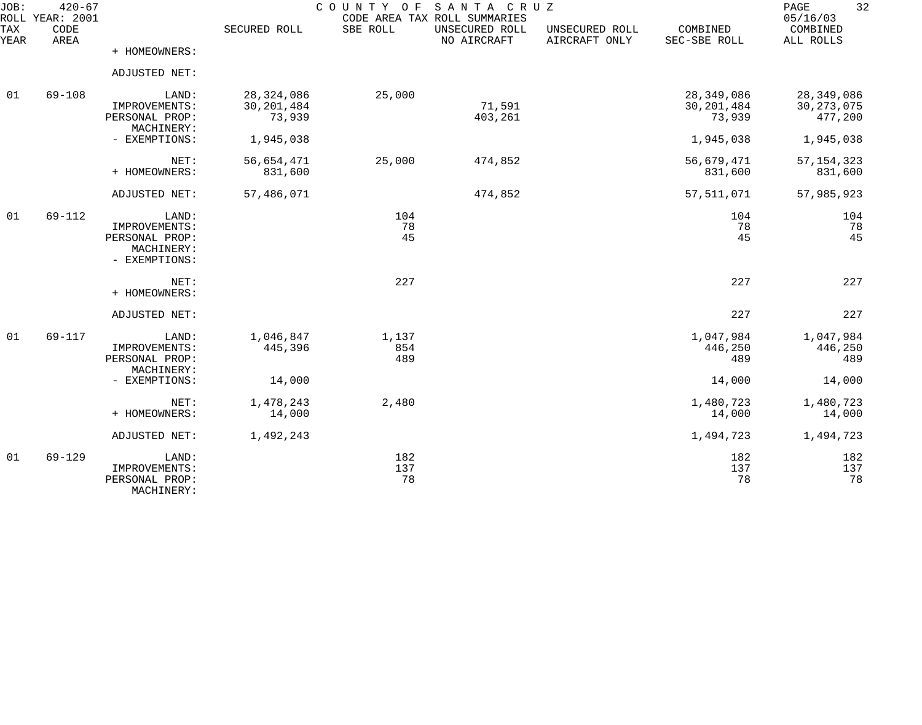| JOB:        | $420 - 67$<br>ROLL YEAR: 2001 |                                                                         |                                        | COUNTY OF           | SANTA CRUZ<br>CODE AREA TAX ROLL SUMMARIES |                                 |                                      | 32<br>PAGE<br>05/16/03                |
|-------------|-------------------------------|-------------------------------------------------------------------------|----------------------------------------|---------------------|--------------------------------------------|---------------------------------|--------------------------------------|---------------------------------------|
| TAX<br>YEAR | CODE<br>AREA                  |                                                                         | SECURED ROLL                           | SBE ROLL            | UNSECURED ROLL<br>NO AIRCRAFT              | UNSECURED ROLL<br>AIRCRAFT ONLY | COMBINED<br>SEC-SBE ROLL             | COMBINED<br>ALL ROLLS                 |
|             |                               | + HOMEOWNERS:                                                           |                                        |                     |                                            |                                 |                                      |                                       |
|             |                               | ADJUSTED NET:                                                           |                                        |                     |                                            |                                 |                                      |                                       |
| 01          | $69 - 108$                    | LAND:<br>IMPROVEMENTS:<br>PERSONAL PROP:                                | 28, 324, 086<br>30, 201, 484<br>73,939 | 25,000              | 71,591<br>403,261                          |                                 | 28,349,086<br>30, 201, 484<br>73,939 | 28,349,086<br>30, 273, 075<br>477,200 |
|             |                               | MACHINERY:<br>- EXEMPTIONS:                                             | 1,945,038                              |                     |                                            |                                 | 1,945,038                            | 1,945,038                             |
|             |                               | NET:<br>+ HOMEOWNERS:                                                   | 56,654,471<br>831,600                  | 25,000              | 474,852                                    |                                 | 56,679,471<br>831,600                | 57, 154, 323<br>831,600               |
|             |                               | ADJUSTED NET:                                                           | 57,486,071                             |                     | 474,852                                    |                                 | 57, 511, 071                         | 57,985,923                            |
| 01          | 69-112                        | LAND:<br>IMPROVEMENTS:<br>PERSONAL PROP:<br>MACHINERY:<br>- EXEMPTIONS: |                                        | 104<br>78<br>45     |                                            |                                 | 104<br>78<br>45                      | 104<br>78<br>45                       |
|             |                               | NET:<br>+ HOMEOWNERS:                                                   |                                        | 227                 |                                            |                                 | 227                                  | 227                                   |
|             |                               | ADJUSTED NET:                                                           |                                        |                     |                                            |                                 | 227                                  | 227                                   |
| 01          | 69-117                        | LAND:<br>IMPROVEMENTS:<br>PERSONAL PROP:<br>MACHINERY:                  | 1,046,847<br>445,396                   | 1,137<br>854<br>489 |                                            |                                 | 1,047,984<br>446,250<br>489          | 1,047,984<br>446,250<br>489           |
|             |                               | - EXEMPTIONS:                                                           | 14,000                                 |                     |                                            |                                 | 14,000                               | 14,000                                |
|             |                               | NET:<br>+ HOMEOWNERS:                                                   | 1,478,243<br>14,000                    | 2,480               |                                            |                                 | 1,480,723<br>14,000                  | 1,480,723<br>14,000                   |
|             |                               | ADJUSTED NET:                                                           | 1,492,243                              |                     |                                            |                                 | 1,494,723                            | 1,494,723                             |
| 01          | $69 - 129$                    | LAND:<br>IMPROVEMENTS:<br>PERSONAL PROP:<br>MACHINERY:                  |                                        | 182<br>137<br>78    |                                            |                                 | 182<br>137<br>78                     | 182<br>137<br>78                      |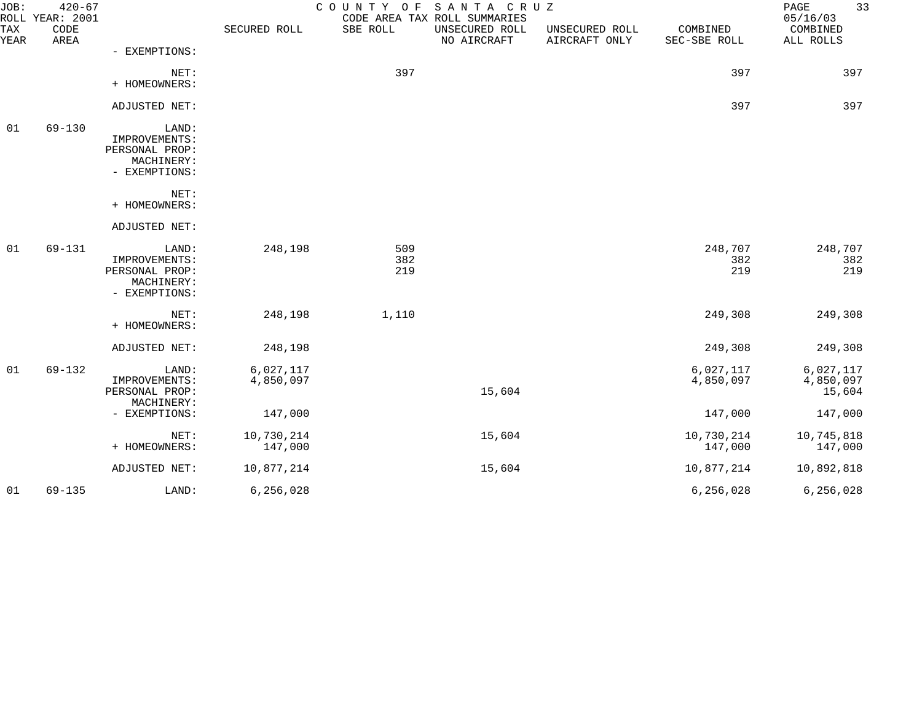| JOB:        | $420 - 67$<br>ROLL YEAR: 2001 |                                                                         |                        | COUNTY<br>O F     | SANTA CRUZ<br>CODE AREA TAX ROLL SUMMARIES |                                 |                          | 33<br>PAGE<br>05/16/03           |
|-------------|-------------------------------|-------------------------------------------------------------------------|------------------------|-------------------|--------------------------------------------|---------------------------------|--------------------------|----------------------------------|
| TAX<br>YEAR | CODE<br>AREA                  |                                                                         | SECURED ROLL           | SBE ROLL          | UNSECURED ROLL<br>NO AIRCRAFT              | UNSECURED ROLL<br>AIRCRAFT ONLY | COMBINED<br>SEC-SBE ROLL | COMBINED<br>ALL ROLLS            |
|             |                               | - EXEMPTIONS:                                                           |                        |                   |                                            |                                 |                          |                                  |
|             |                               | NET:<br>+ HOMEOWNERS:                                                   |                        | 397               |                                            |                                 | 397                      | 397                              |
|             |                               | ADJUSTED NET:                                                           |                        |                   |                                            |                                 | 397                      | 397                              |
| 01          | $69 - 130$                    | LAND:<br>IMPROVEMENTS:<br>PERSONAL PROP:<br>MACHINERY:<br>- EXEMPTIONS: |                        |                   |                                            |                                 |                          |                                  |
|             |                               | NET:<br>+ HOMEOWNERS:                                                   |                        |                   |                                            |                                 |                          |                                  |
|             |                               | ADJUSTED NET:                                                           |                        |                   |                                            |                                 |                          |                                  |
| 01          | 69-131                        | LAND:<br>IMPROVEMENTS:<br>PERSONAL PROP:<br>MACHINERY:<br>- EXEMPTIONS: | 248,198                | 509<br>382<br>219 |                                            |                                 | 248,707<br>382<br>219    | 248,707<br>382<br>219            |
|             |                               | NET:<br>+ HOMEOWNERS:                                                   | 248,198                | 1,110             |                                            |                                 | 249,308                  | 249,308                          |
|             |                               | ADJUSTED NET:                                                           | 248,198                |                   |                                            |                                 | 249,308                  | 249,308                          |
| 01          | $69 - 132$                    | LAND:<br>IMPROVEMENTS:<br>PERSONAL PROP:                                | 6,027,117<br>4,850,097 |                   | 15,604                                     |                                 | 6,027,117<br>4,850,097   | 6,027,117<br>4,850,097<br>15,604 |
|             |                               | MACHINERY:<br>- EXEMPTIONS:                                             | 147,000                |                   |                                            |                                 | 147,000                  | 147,000                          |
|             |                               | NET:<br>+ HOMEOWNERS:                                                   | 10,730,214<br>147,000  |                   | 15,604                                     |                                 | 10,730,214<br>147,000    | 10,745,818<br>147,000            |
|             |                               | ADJUSTED NET:                                                           | 10,877,214             |                   | 15,604                                     |                                 | 10,877,214               | 10,892,818                       |
| 01          | $69 - 135$                    | LAND:                                                                   | 6, 256, 028            |                   |                                            |                                 | 6, 256, 028              | 6, 256, 028                      |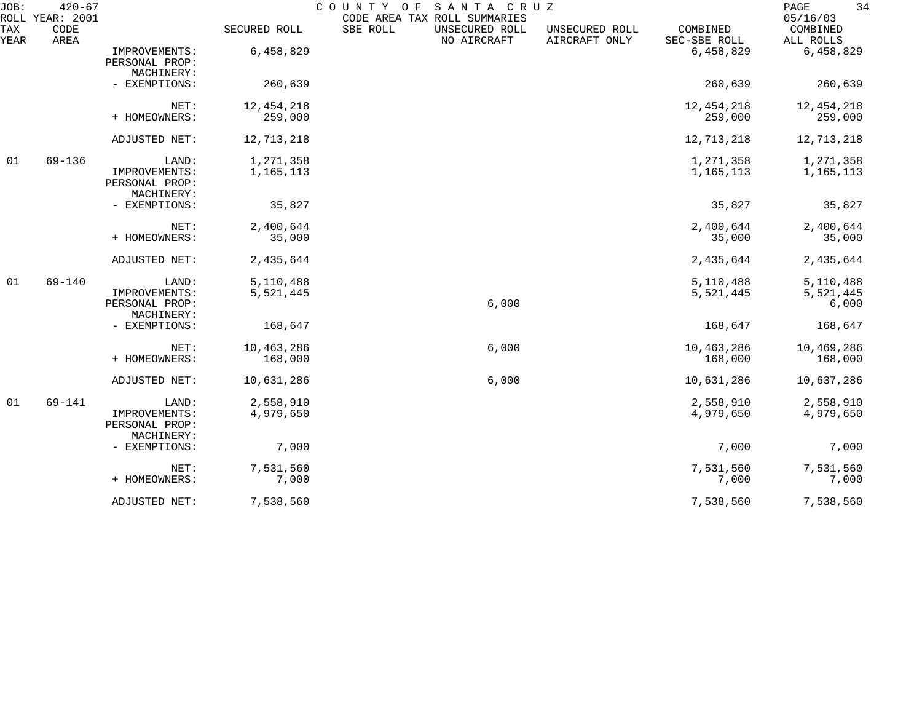| JOB:        | $420 - 67$<br>ROLL YEAR: 2001 |                                               |              | COUNTY OF<br>CODE AREA TAX ROLL SUMMARIES | SANTA CRUZ                    |                                 |                          | 34<br>$\mathop{\mathrm{PAGE}}$<br>05/16/03 |
|-------------|-------------------------------|-----------------------------------------------|--------------|-------------------------------------------|-------------------------------|---------------------------------|--------------------------|--------------------------------------------|
| TAX<br>YEAR | CODE<br>AREA                  |                                               | SECURED ROLL | SBE ROLL                                  | UNSECURED ROLL<br>NO AIRCRAFT | UNSECURED ROLL<br>AIRCRAFT ONLY | COMBINED<br>SEC-SBE ROLL | COMBINED<br>ALL ROLLS                      |
|             |                               | IMPROVEMENTS:<br>PERSONAL PROP:<br>MACHINERY: | 6,458,829    |                                           |                               |                                 | 6,458,829                | 6,458,829                                  |
|             |                               | - EXEMPTIONS:                                 | 260,639      |                                           |                               |                                 | 260,639                  | 260,639                                    |
|             |                               | NET:                                          | 12, 454, 218 |                                           |                               |                                 | 12, 454, 218             | 12, 454, 218                               |
|             |                               | + HOMEOWNERS:                                 | 259,000      |                                           |                               |                                 | 259,000                  | 259,000                                    |
|             |                               | ADJUSTED NET:                                 | 12,713,218   |                                           |                               |                                 | 12,713,218               | 12,713,218                                 |
| 01          | 69-136                        | LAND:                                         | 1,271,358    |                                           |                               |                                 | 1,271,358                | 1,271,358                                  |
|             |                               | IMPROVEMENTS:<br>PERSONAL PROP:<br>MACHINERY: | 1,165,113    |                                           |                               |                                 | 1,165,113                | 1,165,113                                  |
|             |                               | - EXEMPTIONS:                                 | 35,827       |                                           |                               |                                 | 35,827                   | 35,827                                     |
|             |                               | NET:                                          | 2,400,644    |                                           |                               |                                 | 2,400,644                | 2,400,644                                  |
|             |                               | + HOMEOWNERS:                                 | 35,000       |                                           |                               |                                 | 35,000                   | 35,000                                     |
|             |                               | ADJUSTED NET:                                 | 2,435,644    |                                           |                               |                                 | 2,435,644                | 2,435,644                                  |
| 01          | $69 - 140$                    | LAND:                                         | 5,110,488    |                                           |                               |                                 | 5,110,488                | 5,110,488                                  |
|             |                               | IMPROVEMENTS:<br>PERSONAL PROP:               | 5,521,445    |                                           | 6,000                         |                                 | 5,521,445                | 5,521,445<br>6,000                         |
|             |                               | MACHINERY:<br>- EXEMPTIONS:                   | 168,647      |                                           |                               |                                 | 168,647                  | 168,647                                    |
|             |                               |                                               |              |                                           |                               |                                 |                          |                                            |
|             |                               | NET:                                          | 10,463,286   |                                           | 6,000                         |                                 | 10,463,286               | 10,469,286                                 |
|             |                               | + HOMEOWNERS:                                 | 168,000      |                                           |                               |                                 | 168,000                  | 168,000                                    |
|             |                               | ADJUSTED NET:                                 | 10,631,286   |                                           | 6,000                         |                                 | 10,631,286               | 10,637,286                                 |
| 01          | 69-141                        | LAND:                                         | 2,558,910    |                                           |                               |                                 | 2,558,910                | 2,558,910                                  |
|             |                               | IMPROVEMENTS:<br>PERSONAL PROP:<br>MACHINERY: | 4,979,650    |                                           |                               |                                 | 4,979,650                | 4,979,650                                  |
|             |                               | - EXEMPTIONS:                                 | 7,000        |                                           |                               |                                 | 7,000                    | 7,000                                      |
|             |                               | NET:                                          | 7,531,560    |                                           |                               |                                 | 7,531,560                | 7,531,560                                  |
|             |                               | + HOMEOWNERS:                                 | 7,000        |                                           |                               |                                 | 7,000                    | 7,000                                      |
|             |                               | ADJUSTED NET:                                 | 7,538,560    |                                           |                               |                                 | 7,538,560                | 7,538,560                                  |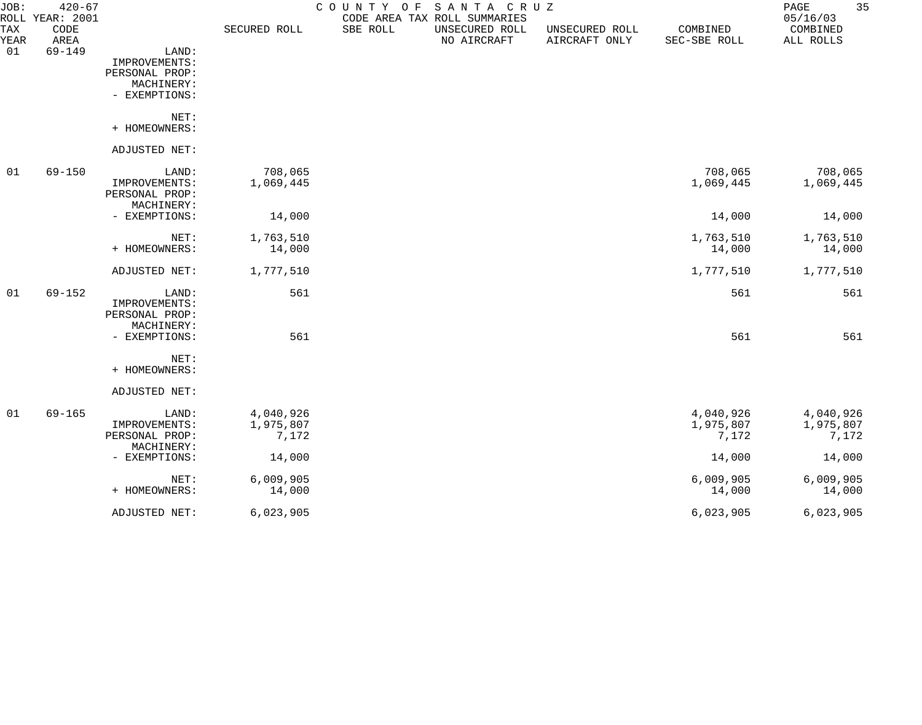| JOB:<br><b>TAX</b> | $420 - 67$<br>ROLL YEAR: 2001<br>CODE |                                                        | SECURED ROLL                    | COUNTY<br>O F<br>SBE ROLL | SANTA CRUZ<br>CODE AREA TAX ROLL SUMMARIES<br>UNSECURED ROLL | UNSECURED ROLL | COMBINED                        | 35<br>PAGE<br>05/16/03<br>COMBINED |
|--------------------|---------------------------------------|--------------------------------------------------------|---------------------------------|---------------------------|--------------------------------------------------------------|----------------|---------------------------------|------------------------------------|
| YEAR               | AREA                                  |                                                        |                                 |                           | NO AIRCRAFT                                                  | AIRCRAFT ONLY  | SEC-SBE ROLL                    | ALL ROLLS                          |
| 01                 | $69 - 149$                            | LAND:<br>IMPROVEMENTS:<br>PERSONAL PROP:<br>MACHINERY: |                                 |                           |                                                              |                |                                 |                                    |
|                    |                                       | - EXEMPTIONS:                                          |                                 |                           |                                                              |                |                                 |                                    |
|                    |                                       | NET:<br>+ HOMEOWNERS:                                  |                                 |                           |                                                              |                |                                 |                                    |
|                    |                                       | ADJUSTED NET:                                          |                                 |                           |                                                              |                |                                 |                                    |
| 01                 | $69 - 150$                            | LAND:<br>IMPROVEMENTS:<br>PERSONAL PROP:               | 708,065<br>1,069,445            |                           |                                                              |                | 708,065<br>1,069,445            | 708,065<br>1,069,445               |
|                    |                                       | MACHINERY:<br>- EXEMPTIONS:                            | 14,000                          |                           |                                                              |                | 14,000                          | 14,000                             |
|                    |                                       | NET:<br>+ HOMEOWNERS:                                  | 1,763,510<br>14,000             |                           |                                                              |                | 1,763,510<br>14,000             | 1,763,510<br>14,000                |
|                    |                                       | ADJUSTED NET:                                          | 1,777,510                       |                           |                                                              |                | 1,777,510                       | 1,777,510                          |
| 01                 | $69 - 152$                            | LAND:<br>IMPROVEMENTS:<br>PERSONAL PROP:<br>MACHINERY: | 561                             |                           |                                                              |                | 561                             | 561                                |
|                    |                                       | - EXEMPTIONS:                                          | 561                             |                           |                                                              |                | 561                             | 561                                |
|                    |                                       | NET:<br>+ HOMEOWNERS:                                  |                                 |                           |                                                              |                |                                 |                                    |
|                    |                                       | ADJUSTED NET:                                          |                                 |                           |                                                              |                |                                 |                                    |
| 01                 | $69 - 165$                            | LAND:<br>IMPROVEMENTS:<br>PERSONAL PROP:               | 4,040,926<br>1,975,807<br>7,172 |                           |                                                              |                | 4,040,926<br>1,975,807<br>7,172 | 4,040,926<br>1,975,807<br>7,172    |
|                    |                                       | MACHINERY:<br>- EXEMPTIONS:                            | 14,000                          |                           |                                                              |                | 14,000                          | 14,000                             |
|                    |                                       | NET:<br>+ HOMEOWNERS:                                  | 6,009,905<br>14,000             |                           |                                                              |                | 6,009,905<br>14,000             | 6,009,905<br>14,000                |
|                    |                                       | ADJUSTED NET:                                          | 6,023,905                       |                           |                                                              |                | 6,023,905                       | 6,023,905                          |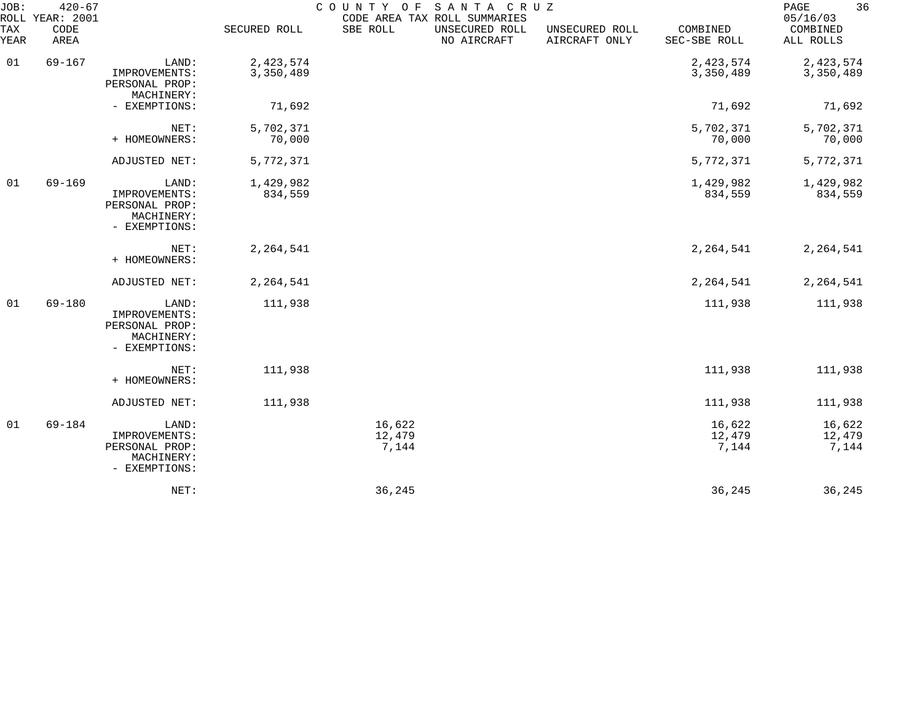| JOB:        | $420 - 67$<br>ROLL YEAR: 2001 |                                                                         |                        | COUNTY OF                 | SANTA CRUZ<br>CODE AREA TAX ROLL SUMMARIES |                                 |                           | 36<br>PAGE<br>05/16/03    |
|-------------|-------------------------------|-------------------------------------------------------------------------|------------------------|---------------------------|--------------------------------------------|---------------------------------|---------------------------|---------------------------|
| TAX<br>YEAR | CODE<br>AREA                  |                                                                         | SECURED ROLL           | SBE ROLL                  | UNSECURED ROLL<br>NO AIRCRAFT              | UNSECURED ROLL<br>AIRCRAFT ONLY | COMBINED<br>SEC-SBE ROLL  | COMBINED<br>ALL ROLLS     |
| 01          | $69 - 167$                    | LAND:<br>IMPROVEMENTS:<br>PERSONAL PROP:<br>MACHINERY:                  | 2,423,574<br>3,350,489 |                           |                                            |                                 | 2,423,574<br>3,350,489    | 2,423,574<br>3,350,489    |
|             |                               | - EXEMPTIONS:                                                           | 71,692                 |                           |                                            |                                 | 71,692                    | 71,692                    |
|             |                               | NET:<br>+ HOMEOWNERS:                                                   | 5,702,371<br>70,000    |                           |                                            |                                 | 5,702,371<br>70,000       | 5,702,371<br>70,000       |
|             |                               | ADJUSTED NET:                                                           | 5,772,371              |                           |                                            |                                 | 5,772,371                 | 5,772,371                 |
| 01          | $69 - 169$                    | LAND:<br>IMPROVEMENTS:<br>PERSONAL PROP:<br>MACHINERY:<br>- EXEMPTIONS: | 1,429,982<br>834,559   |                           |                                            |                                 | 1,429,982<br>834,559      | 1,429,982<br>834,559      |
|             |                               | NET:<br>+ HOMEOWNERS:                                                   | 2,264,541              |                           |                                            |                                 | 2,264,541                 | 2,264,541                 |
|             |                               | ADJUSTED NET:                                                           | 2, 264, 541            |                           |                                            |                                 | 2,264,541                 | 2, 264, 541               |
| 01          | 69-180                        | LAND:<br>IMPROVEMENTS:<br>PERSONAL PROP:<br>MACHINERY:<br>- EXEMPTIONS: | 111,938                |                           |                                            |                                 | 111,938                   | 111,938                   |
|             |                               | NET:<br>+ HOMEOWNERS:                                                   | 111,938                |                           |                                            |                                 | 111,938                   | 111,938                   |
|             |                               | ADJUSTED NET:                                                           | 111,938                |                           |                                            |                                 | 111,938                   | 111,938                   |
| 01          | 69-184                        | LAND:<br>IMPROVEMENTS:<br>PERSONAL PROP:<br>MACHINERY:<br>- EXEMPTIONS: |                        | 16,622<br>12,479<br>7,144 |                                            |                                 | 16,622<br>12,479<br>7,144 | 16,622<br>12,479<br>7,144 |
|             |                               | NET:                                                                    |                        | 36,245                    |                                            |                                 | 36,245                    | 36,245                    |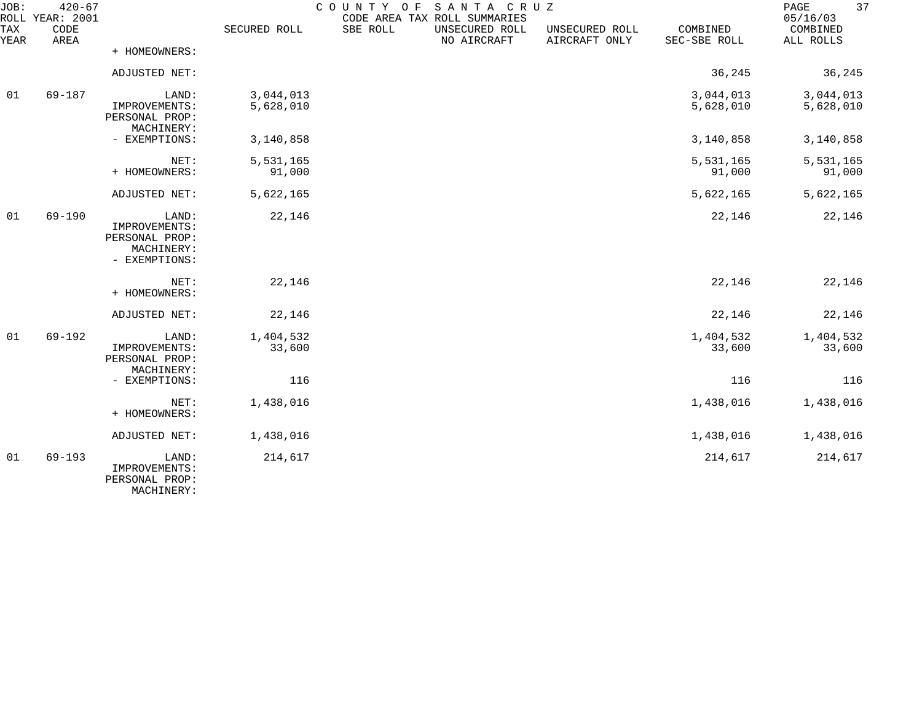| JOB:        | $420 - 67$<br>ROLL YEAR: 2001 |                                                                         |                        | COUNTY OF | SANTA CRUZ<br>CODE AREA TAX ROLL SUMMARIES |                                 |                          | 37<br>PAGE<br>05/16/03 |
|-------------|-------------------------------|-------------------------------------------------------------------------|------------------------|-----------|--------------------------------------------|---------------------------------|--------------------------|------------------------|
| TAX<br>YEAR | CODE<br>AREA                  |                                                                         | SECURED ROLL           | SBE ROLL  | UNSECURED ROLL<br>NO AIRCRAFT              | UNSECURED ROLL<br>AIRCRAFT ONLY | COMBINED<br>SEC-SBE ROLL | COMBINED<br>ALL ROLLS  |
|             |                               | + HOMEOWNERS:                                                           |                        |           |                                            |                                 |                          |                        |
|             |                               | ADJUSTED NET:                                                           |                        |           |                                            |                                 | 36,245                   | 36,245                 |
| 01          | 69-187                        | LAND:<br>IMPROVEMENTS:<br>PERSONAL PROP:<br>MACHINERY:                  | 3,044,013<br>5,628,010 |           |                                            |                                 | 3,044,013<br>5,628,010   | 3,044,013<br>5,628,010 |
|             |                               | - EXEMPTIONS:                                                           | 3,140,858              |           |                                            |                                 | 3,140,858                | 3,140,858              |
|             |                               | NET:<br>+ HOMEOWNERS:                                                   | 5,531,165<br>91,000    |           |                                            |                                 | 5,531,165<br>91,000      | 5,531,165<br>91,000    |
|             |                               | ADJUSTED NET:                                                           | 5,622,165              |           |                                            |                                 | 5,622,165                | 5,622,165              |
| 01          | $69 - 190$                    | LAND:<br>IMPROVEMENTS:<br>PERSONAL PROP:<br>MACHINERY:<br>- EXEMPTIONS: | 22,146                 |           |                                            |                                 | 22,146                   | 22,146                 |
|             |                               | NET:<br>+ HOMEOWNERS:                                                   | 22,146                 |           |                                            |                                 | 22,146                   | 22,146                 |
|             |                               | ADJUSTED NET:                                                           | 22,146                 |           |                                            |                                 | 22,146                   | 22,146                 |
| 01          | $69 - 192$                    | LAND:<br>IMPROVEMENTS:<br>PERSONAL PROP:<br>MACHINERY:                  | 1,404,532<br>33,600    |           |                                            |                                 | 1,404,532<br>33,600      | 1,404,532<br>33,600    |
|             |                               | - EXEMPTIONS:                                                           | 116                    |           |                                            |                                 | 116                      | 116                    |
|             |                               | NET:<br>+ HOMEOWNERS:                                                   | 1,438,016              |           |                                            |                                 | 1,438,016                | 1,438,016              |
|             |                               | ADJUSTED NET:                                                           | 1,438,016              |           |                                            |                                 | 1,438,016                | 1,438,016              |
| 01          | $69 - 193$                    | LAND:<br>IMPROVEMENTS:<br>PERSONAL PROP:<br>MACHINERY:                  | 214,617                |           |                                            |                                 | 214,617                  | 214,617                |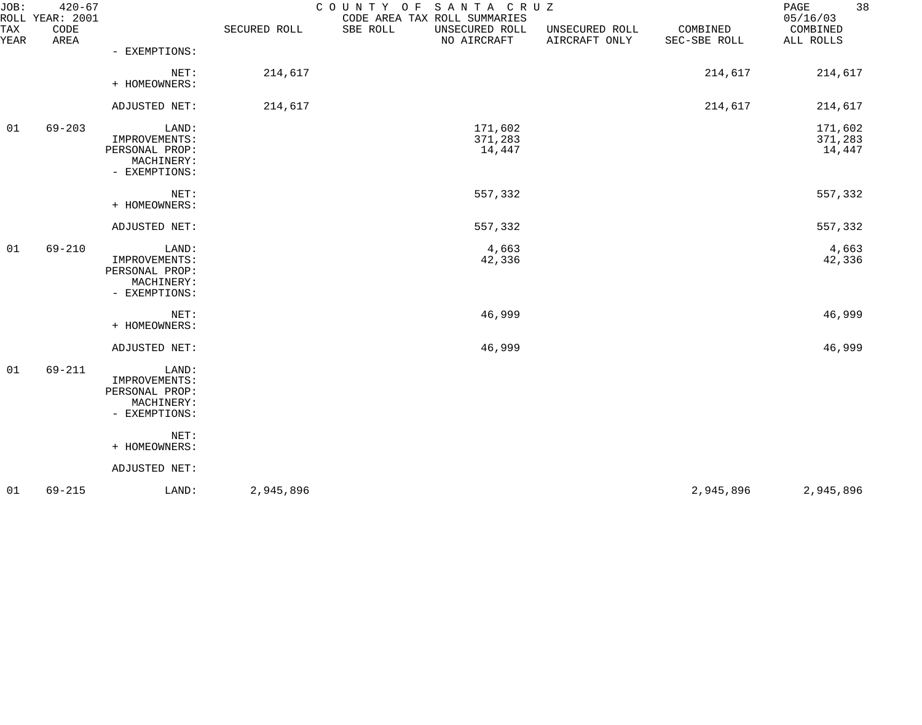| JOB:        | $420 - 67$<br>ROLL YEAR: 2001 |                                                                                 |              | SANTA CRUZ<br>COUNTY OF<br>CODE AREA TAX ROLL SUMMARIES |                                 |                          | 38<br>PAGE<br>05/16/03       |
|-------------|-------------------------------|---------------------------------------------------------------------------------|--------------|---------------------------------------------------------|---------------------------------|--------------------------|------------------------------|
| TAX<br>YEAR | CODE<br>AREA                  |                                                                                 | SECURED ROLL | SBE ROLL<br>UNSECURED ROLL<br>NO AIRCRAFT               | UNSECURED ROLL<br>AIRCRAFT ONLY | COMBINED<br>SEC-SBE ROLL | COMBINED<br>ALL ROLLS        |
|             |                               | - EXEMPTIONS:                                                                   |              |                                                         |                                 |                          |                              |
|             |                               | NET:<br>+ HOMEOWNERS:                                                           | 214,617      |                                                         |                                 | 214,617                  | 214,617                      |
|             |                               | ADJUSTED NET:                                                                   | 214,617      |                                                         |                                 | 214,617                  | 214,617                      |
| 01          | $69 - 203$                    | LAND:<br>IMPROVEMENTS:<br>PERSONAL PROP:<br>MACHINERY:<br>- EXEMPTIONS:         |              | 171,602<br>371,283<br>14,447                            |                                 |                          | 171,602<br>371,283<br>14,447 |
|             |                               | NET:<br>+ HOMEOWNERS:                                                           |              | 557,332                                                 |                                 |                          | 557,332                      |
|             |                               | ADJUSTED NET:                                                                   |              | 557,332                                                 |                                 |                          | 557,332                      |
| 01          | $69 - 210$                    | LAND:<br>IMPROVEMENTS:<br>PERSONAL PROP:<br>MACHINERY:<br>- EXEMPTIONS:         |              | 4,663<br>42,336                                         |                                 |                          | 4,663<br>42,336              |
|             |                               | NET:<br>+ HOMEOWNERS:                                                           |              | 46,999                                                  |                                 |                          | 46,999                       |
|             |                               | ADJUSTED NET:                                                                   |              | 46,999                                                  |                                 |                          | 46,999                       |
| 01          | 69-211                        | LAND:<br>IMPROVEMENTS:<br>PERSONAL PROP:<br>MACHINERY:<br>- EXEMPTIONS:<br>NET: |              |                                                         |                                 |                          |                              |
|             |                               | + HOMEOWNERS:                                                                   |              |                                                         |                                 |                          |                              |
|             |                               | ADJUSTED NET:                                                                   |              |                                                         |                                 |                          |                              |
| 01          | $69 - 215$                    | LAND:                                                                           | 2,945,896    |                                                         |                                 | 2,945,896                | 2,945,896                    |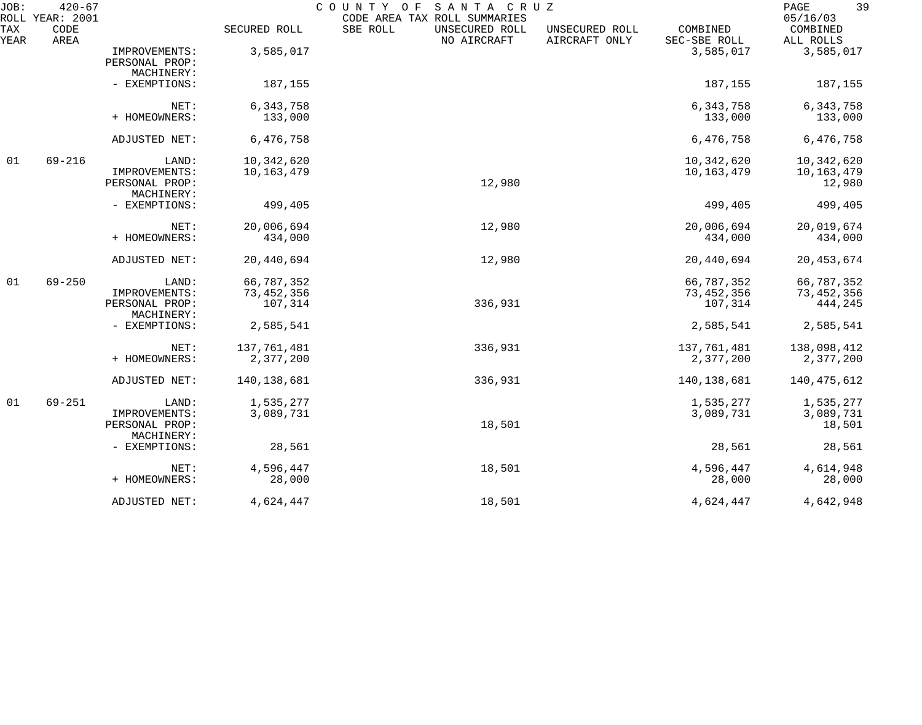| JOB:        | $420 - 67$<br>ROLL YEAR: 2001 |                                               |                          | COUNTY OF SANTA CRUZ<br>CODE AREA TAX ROLL SUMMARIES |                                 |                          | 39<br>PAGE<br>05/16/03           |
|-------------|-------------------------------|-----------------------------------------------|--------------------------|------------------------------------------------------|---------------------------------|--------------------------|----------------------------------|
| TAX<br>YEAR | CODE<br>AREA                  |                                               | SECURED ROLL             | SBE ROLL<br>UNSECURED ROLL<br>NO AIRCRAFT            | UNSECURED ROLL<br>AIRCRAFT ONLY | COMBINED<br>SEC-SBE ROLL | COMBINED<br>ALL ROLLS            |
|             |                               | IMPROVEMENTS:<br>PERSONAL PROP:<br>MACHINERY: | 3,585,017                |                                                      |                                 | 3,585,017                | 3,585,017                        |
|             |                               | - EXEMPTIONS:                                 | 187,155                  |                                                      |                                 | 187,155                  | 187,155                          |
|             |                               | NET:                                          | 6,343,758                |                                                      |                                 | 6,343,758                | 6, 343, 758                      |
|             |                               | + HOMEOWNERS:                                 | 133,000                  |                                                      |                                 | 133,000                  | 133,000                          |
|             |                               | ADJUSTED NET:                                 | 6,476,758                |                                                      |                                 | 6,476,758                | 6,476,758                        |
| 01          | $69 - 216$                    | LAND:                                         | 10,342,620               |                                                      |                                 | 10,342,620               | 10,342,620                       |
|             |                               | IMPROVEMENTS:<br>PERSONAL PROP:<br>MACHINERY: | 10,163,479               | 12,980                                               |                                 | 10,163,479               | 10,163,479<br>12,980             |
|             |                               | - EXEMPTIONS:                                 | 499,405                  |                                                      |                                 | 499,405                  | 499,405                          |
|             |                               | NET:<br>+ HOMEOWNERS:                         | 20,006,694<br>434,000    | 12,980                                               |                                 | 20,006,694<br>434,000    | 20,019,674<br>434,000            |
|             |                               | ADJUSTED NET:                                 | 20,440,694               | 12,980                                               |                                 | 20,440,694               | 20, 453, 674                     |
| 01          | $69 - 250$                    | LAND:                                         | 66,787,352               |                                                      |                                 | 66,787,352               | 66,787,352                       |
|             |                               | IMPROVEMENTS:<br>PERSONAL PROP:<br>MACHINERY: | 73, 452, 356<br>107,314  | 336,931                                              |                                 | 73, 452, 356<br>107,314  | 73, 452, 356<br>444,245          |
|             |                               | - EXEMPTIONS:                                 | 2,585,541                |                                                      |                                 | 2,585,541                | 2,585,541                        |
|             |                               | NET:<br>+ HOMEOWNERS:                         | 137,761,481<br>2,377,200 | 336,931                                              |                                 | 137,761,481<br>2,377,200 | 138,098,412<br>2,377,200         |
|             |                               | ADJUSTED NET:                                 | 140,138,681              | 336,931                                              |                                 | 140,138,681              | 140,475,612                      |
| 01          | $69 - 251$                    | LAND:<br>IMPROVEMENTS:<br>PERSONAL PROP:      | 1,535,277<br>3,089,731   | 18,501                                               |                                 | 1,535,277<br>3,089,731   | 1,535,277<br>3,089,731<br>18,501 |
|             |                               | MACHINERY:<br>- EXEMPTIONS:                   | 28,561                   |                                                      |                                 | 28,561                   | 28,561                           |
|             |                               | NET:<br>+ HOMEOWNERS:                         | 4,596,447<br>28,000      | 18,501                                               |                                 | 4,596,447<br>28,000      | 4,614,948<br>28,000              |
|             |                               | ADJUSTED NET:                                 | 4,624,447                | 18,501                                               |                                 | 4,624,447                | 4,642,948                        |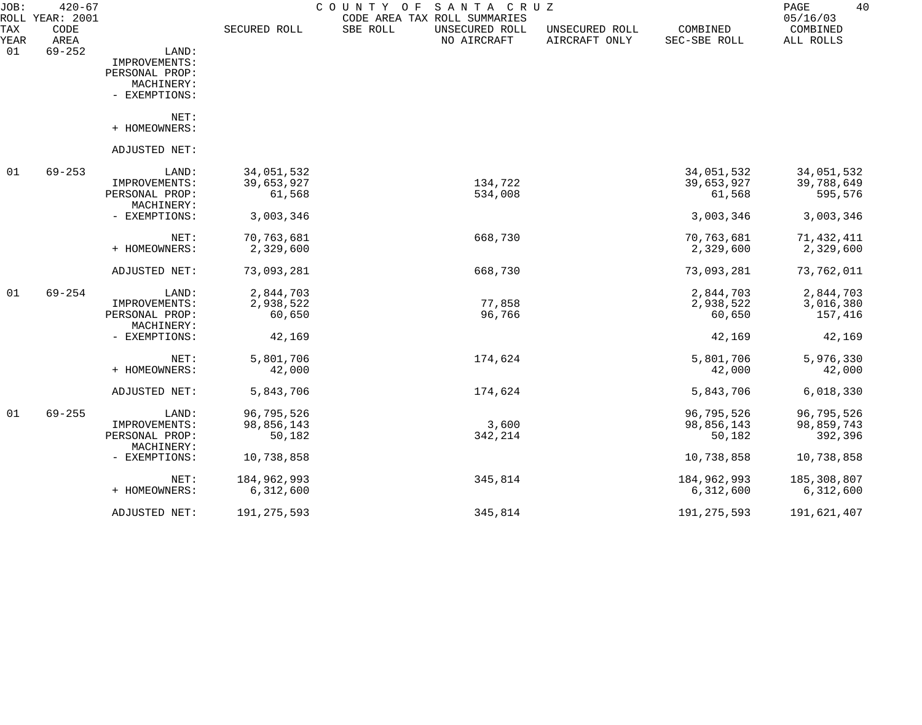| JOB:        | $420 - 67$<br>ROLL YEAR: 2001 |                       |               | COUNTY<br>SANTA CRUZ<br>O F<br>CODE AREA TAX ROLL SUMMARIES |                                 |                          | PAGE<br>40<br>05/16/03 |
|-------------|-------------------------------|-----------------------|---------------|-------------------------------------------------------------|---------------------------------|--------------------------|------------------------|
| TAX<br>YEAR | CODE<br>AREA                  |                       | SECURED ROLL  | SBE ROLL<br>UNSECURED ROLL<br>NO AIRCRAFT                   | UNSECURED ROLL<br>AIRCRAFT ONLY | COMBINED<br>SEC-SBE ROLL | COMBINED<br>ALL ROLLS  |
| 01          | $69 - 252$                    | LAND:                 |               |                                                             |                                 |                          |                        |
|             |                               | IMPROVEMENTS:         |               |                                                             |                                 |                          |                        |
|             |                               | PERSONAL PROP:        |               |                                                             |                                 |                          |                        |
|             |                               | MACHINERY:            |               |                                                             |                                 |                          |                        |
|             |                               | - EXEMPTIONS:         |               |                                                             |                                 |                          |                        |
|             |                               | NET:<br>+ HOMEOWNERS: |               |                                                             |                                 |                          |                        |
|             |                               |                       |               |                                                             |                                 |                          |                        |
|             |                               | ADJUSTED NET:         |               |                                                             |                                 |                          |                        |
| 01          | $69 - 253$                    | LAND:                 | 34,051,532    |                                                             |                                 | 34,051,532               | 34,051,532             |
|             |                               | IMPROVEMENTS:         | 39,653,927    | 134,722                                                     |                                 | 39,653,927               | 39,788,649             |
|             |                               | PERSONAL PROP:        | 61,568        | 534,008                                                     |                                 | 61,568                   | 595,576                |
|             |                               | MACHINERY:            |               |                                                             |                                 |                          |                        |
|             |                               | - EXEMPTIONS:         | 3,003,346     |                                                             |                                 | 3,003,346                | 3,003,346              |
|             |                               | NET:                  | 70,763,681    | 668,730                                                     |                                 | 70,763,681               | 71,432,411             |
|             |                               | + HOMEOWNERS:         | 2,329,600     |                                                             |                                 | 2,329,600                | 2,329,600              |
|             |                               | ADJUSTED NET:         | 73,093,281    | 668,730                                                     |                                 | 73,093,281               | 73,762,011             |
| 01          | $69 - 254$                    | LAND:                 | 2,844,703     |                                                             |                                 | 2,844,703                | 2,844,703              |
|             |                               | IMPROVEMENTS:         | 2,938,522     | 77,858                                                      |                                 | 2,938,522                | 3,016,380              |
|             |                               | PERSONAL PROP:        | 60,650        | 96,766                                                      |                                 | 60,650                   | 157,416                |
|             |                               | MACHINERY:            |               |                                                             |                                 |                          |                        |
|             |                               | - EXEMPTIONS:         | 42,169        |                                                             |                                 | 42,169                   | 42,169                 |
|             |                               | NET:                  | 5,801,706     | 174,624                                                     |                                 | 5,801,706                | 5,976,330              |
|             |                               | + HOMEOWNERS:         | 42,000        |                                                             |                                 | 42,000                   | 42,000                 |
|             |                               | ADJUSTED NET:         | 5,843,706     | 174,624                                                     |                                 | 5,843,706                | 6,018,330              |
| 01          | $69 - 255$                    | LAND:                 | 96,795,526    |                                                             |                                 | 96,795,526               | 96,795,526             |
|             |                               | IMPROVEMENTS:         | 98,856,143    | 3,600                                                       |                                 | 98,856,143               | 98,859,743             |
|             |                               | PERSONAL PROP:        | 50,182        | 342,214                                                     |                                 | 50,182                   | 392,396                |
|             |                               | MACHINERY:            |               |                                                             |                                 |                          |                        |
|             |                               | - EXEMPTIONS:         | 10,738,858    |                                                             |                                 | 10,738,858               | 10,738,858             |
|             |                               | NET:                  | 184,962,993   | 345,814                                                     |                                 | 184,962,993              | 185,308,807            |
|             |                               | + HOMEOWNERS:         | 6,312,600     |                                                             |                                 | 6,312,600                | 6,312,600              |
|             |                               | ADJUSTED NET:         | 191, 275, 593 | 345,814                                                     |                                 | 191, 275, 593            | 191,621,407            |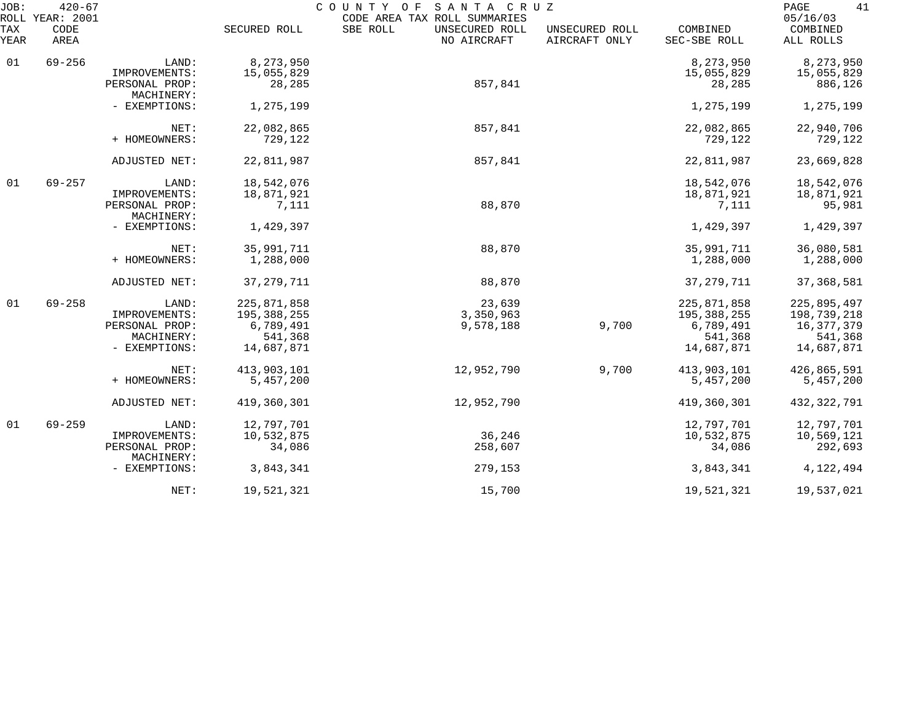| JOB:<br>ROLL | $420 - 67$<br>YEAR: 2001 |                              |               | COUNTY OF SANTA CRUZ<br>CODE AREA TAX ROLL SUMMARIES |                                 |                          | 41<br>PAGE<br>05/16/03 |
|--------------|--------------------------|------------------------------|---------------|------------------------------------------------------|---------------------------------|--------------------------|------------------------|
| TAX<br>YEAR  | CODE<br>AREA             |                              | SECURED ROLL  | SBE ROLL<br>UNSECURED ROLL<br>NO AIRCRAFT            | UNSECURED ROLL<br>AIRCRAFT ONLY | COMBINED<br>SEC-SBE ROLL | COMBINED<br>ALL ROLLS  |
| 01           | $69 - 256$               | LAND:                        | 8,273,950     |                                                      |                                 | 8,273,950                | 8,273,950              |
|              |                          | IMPROVEMENTS:                | 15,055,829    |                                                      |                                 | 15,055,829               | 15,055,829             |
|              |                          | PERSONAL PROP:<br>MACHINERY: | 28,285        | 857,841                                              |                                 | 28,285                   | 886,126                |
|              |                          | - EXEMPTIONS:                | 1,275,199     |                                                      |                                 | 1,275,199                | 1,275,199              |
|              |                          | NET:                         | 22,082,865    | 857,841                                              |                                 | 22,082,865               | 22,940,706             |
|              |                          | + HOMEOWNERS:                | 729,122       |                                                      |                                 | 729,122                  | 729,122                |
|              |                          | ADJUSTED NET:                | 22,811,987    | 857,841                                              |                                 | 22,811,987               | 23,669,828             |
| 01           | $69 - 257$               | LAND:                        | 18,542,076    |                                                      |                                 | 18,542,076               | 18,542,076             |
|              |                          | IMPROVEMENTS:                | 18,871,921    |                                                      |                                 | 18,871,921               | 18,871,921             |
|              |                          | PERSONAL PROP:<br>MACHINERY: | 7,111         | 88,870                                               |                                 | 7,111                    | 95,981                 |
|              |                          | - EXEMPTIONS:                | 1,429,397     |                                                      |                                 | 1,429,397                | 1,429,397              |
|              |                          | NET:                         | 35,991,711    | 88,870                                               |                                 | 35,991,711               | 36,080,581             |
|              |                          | + HOMEOWNERS:                | 1,288,000     |                                                      |                                 | 1,288,000                | 1,288,000              |
|              |                          | ADJUSTED NET:                | 37, 279, 711  | 88,870                                               |                                 | 37, 279, 711             | 37, 368, 581           |
| 01           | $69 - 258$               | LAND:                        | 225,871,858   | 23,639                                               |                                 | 225,871,858              | 225,895,497            |
|              |                          | IMPROVEMENTS:                | 195, 388, 255 | 3,350,963                                            |                                 | 195,388,255              | 198,739,218            |
|              |                          | PERSONAL PROP:               | 6,789,491     | 9,578,188                                            | 9,700                           | 6,789,491                | 16,377,379             |
|              |                          | MACHINERY:                   | 541,368       |                                                      |                                 | 541,368                  | 541,368                |
|              |                          | - EXEMPTIONS:                | 14,687,871    |                                                      |                                 | 14,687,871               | 14,687,871             |
|              |                          | NET:                         | 413,903,101   | 12,952,790                                           | 9,700                           | 413,903,101              | 426,865,591            |
|              |                          | + HOMEOWNERS:                | 5,457,200     |                                                      |                                 | 5,457,200                | 5,457,200              |
|              |                          | ADJUSTED NET:                | 419,360,301   | 12,952,790                                           |                                 | 419,360,301              | 432, 322, 791          |
| 01           | $69 - 259$               | LAND:                        | 12,797,701    |                                                      |                                 | 12,797,701               | 12,797,701             |
|              |                          | IMPROVEMENTS:                | 10,532,875    | 36,246                                               |                                 | 10,532,875               | 10,569,121             |
|              |                          | PERSONAL PROP:<br>MACHINERY: | 34,086        | 258,607                                              |                                 | 34,086                   | 292,693                |
|              |                          | - EXEMPTIONS:                | 3,843,341     | 279,153                                              |                                 | 3,843,341                | 4,122,494              |
|              |                          | NET:                         | 19,521,321    | 15,700                                               |                                 | 19,521,321               | 19,537,021             |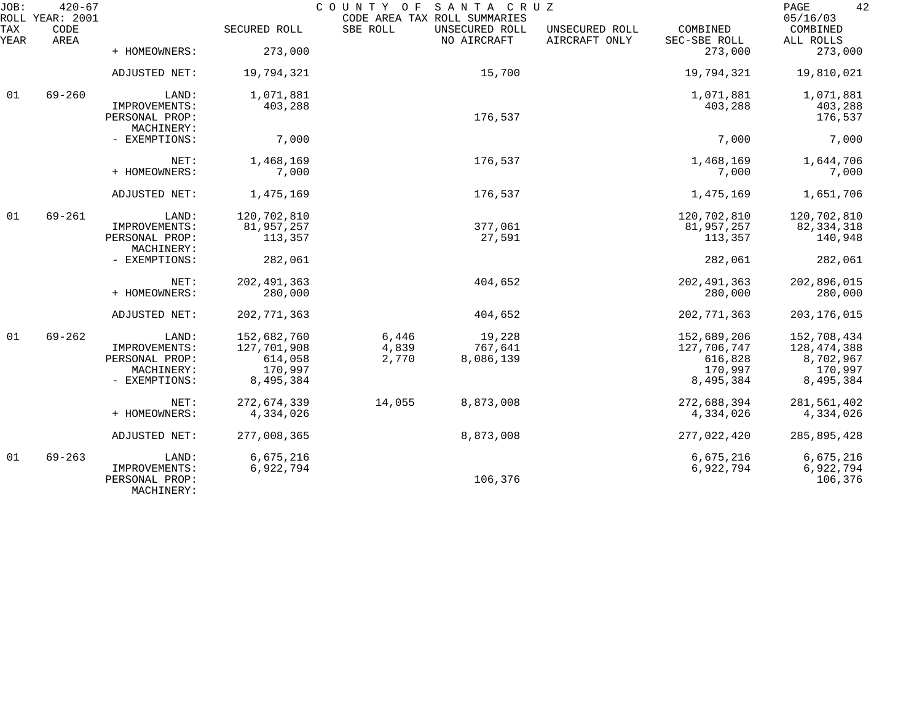| JOB:        | $420 - 67$<br>ROLL YEAR: 2001 |                                               |                      | COUNTY OF<br>CODE AREA TAX ROLL SUMMARIES | SANTA CRUZ                    |                                 |                          | 42<br>PAGE<br>05/16/03 |
|-------------|-------------------------------|-----------------------------------------------|----------------------|-------------------------------------------|-------------------------------|---------------------------------|--------------------------|------------------------|
| TAX<br>YEAR | CODE<br>AREA                  |                                               | SECURED ROLL         | SBE ROLL                                  | UNSECURED ROLL<br>NO AIRCRAFT | UNSECURED ROLL<br>AIRCRAFT ONLY | COMBINED<br>SEC-SBE ROLL | COMBINED<br>ALL ROLLS  |
|             |                               | + HOMEOWNERS:                                 | 273,000              |                                           |                               |                                 | 273,000                  | 273,000                |
|             |                               | ADJUSTED NET:                                 | 19,794,321           |                                           | 15,700                        |                                 | 19,794,321               | 19,810,021             |
| 01          | $69 - 260$                    | LAND:                                         | 1,071,881            |                                           |                               |                                 | 1,071,881                | 1,071,881              |
|             |                               | IMPROVEMENTS:<br>PERSONAL PROP:<br>MACHINERY: | 403,288              |                                           | 176,537                       |                                 | 403,288                  | 403,288<br>176,537     |
|             |                               | - EXEMPTIONS:                                 | 7,000                |                                           |                               |                                 | 7,000                    | 7,000                  |
|             |                               | NET:                                          | 1,468,169            |                                           | 176,537                       |                                 | 1,468,169                | 1,644,706              |
|             |                               | + HOMEOWNERS:                                 | 7,000                |                                           |                               |                                 | 7,000                    | 7,000                  |
|             |                               | ADJUSTED NET:                                 | 1,475,169            |                                           | 176,537                       |                                 | 1,475,169                | 1,651,706              |
| 01          | $69 - 261$                    | LAND:                                         | 120,702,810          |                                           |                               |                                 | 120,702,810              | 120,702,810            |
|             |                               | IMPROVEMENTS:                                 | 81,957,257           |                                           | 377,061                       |                                 | 81,957,257<br>113,357    | 82, 334, 318           |
|             |                               | PERSONAL PROP:<br>MACHINERY:                  | 113,357              |                                           | 27,591                        |                                 |                          | 140,948                |
|             |                               | - EXEMPTIONS:                                 | 282,061              |                                           |                               |                                 | 282,061                  | 282,061                |
|             |                               | NET:                                          | 202, 491, 363        |                                           | 404,652                       |                                 | 202, 491, 363            | 202,896,015            |
|             |                               | + HOMEOWNERS:                                 | 280,000              |                                           |                               |                                 | 280,000                  | 280,000                |
|             |                               | ADJUSTED NET:                                 | 202, 771, 363        |                                           | 404,652                       |                                 | 202, 771, 363            | 203, 176, 015          |
| 01          | $69 - 262$                    | LAND:                                         | 152,682,760          | 6,446                                     | 19,228                        |                                 | 152,689,206              | 152,708,434            |
|             |                               | IMPROVEMENTS:                                 | 127,701,908          | 4,839                                     | 767,641                       |                                 | 127,706,747              | 128, 474, 388          |
|             |                               | PERSONAL PROP:                                | 614,058              | 2,770                                     | 8,086,139                     |                                 | 616,828                  | 8,702,967              |
|             |                               | MACHINERY:<br>- EXEMPTIONS:                   | 170,997<br>8,495,384 |                                           |                               |                                 | 170,997<br>8,495,384     | 170,997<br>8,495,384   |
|             |                               |                                               |                      |                                           |                               |                                 |                          |                        |
|             |                               | NET:                                          | 272,674,339          | 14,055                                    | 8,873,008                     |                                 | 272,688,394              | 281,561,402            |
|             |                               | + HOMEOWNERS:                                 | 4,334,026            |                                           |                               |                                 | 4,334,026                | 4,334,026              |
|             |                               | ADJUSTED NET:                                 | 277,008,365          |                                           | 8,873,008                     |                                 | 277,022,420              | 285,895,428            |
| 01          | $69 - 263$                    | LAND:                                         | 6,675,216            |                                           |                               |                                 | 6,675,216                | 6,675,216              |
|             |                               | IMPROVEMENTS:<br>PERSONAL PROP:<br>MACHINERY: | 6,922,794            |                                           | 106,376                       |                                 | 6,922,794                | 6,922,794<br>106,376   |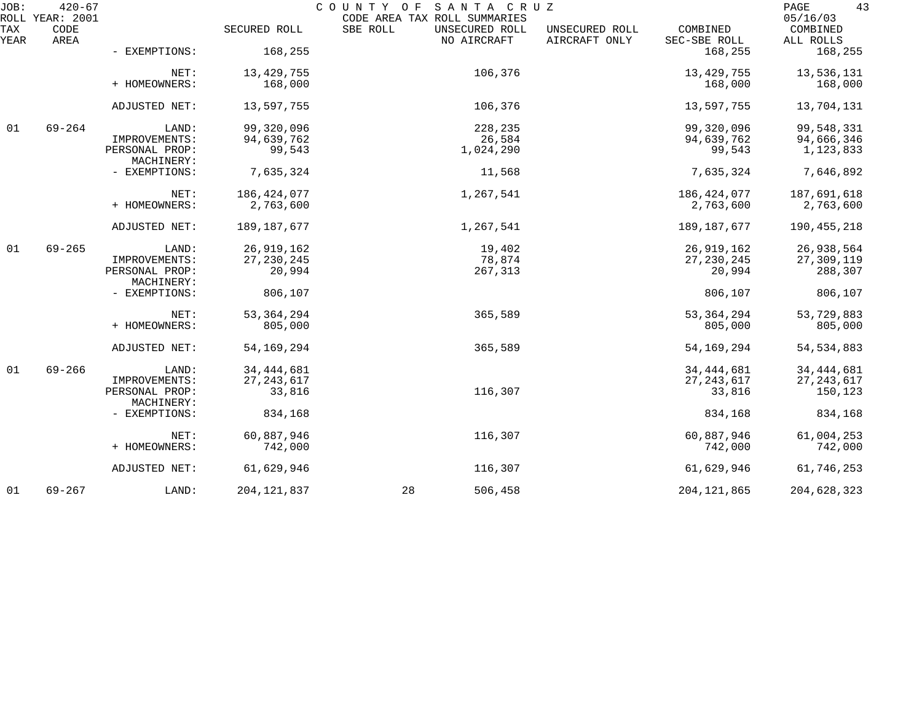| JOB:        | $420 - 67$<br>ROLL YEAR: 2001 |                              |               | COUNTY OF SANTA CRUZ<br>CODE AREA TAX ROLL SUMMARIES |                                                             | 43<br>PAGE<br>05/16/03 |
|-------------|-------------------------------|------------------------------|---------------|------------------------------------------------------|-------------------------------------------------------------|------------------------|
| TAX<br>YEAR | CODE<br>AREA                  |                              | SECURED ROLL  | SBE ROLL<br>UNSECURED ROLL<br>NO AIRCRAFT            | UNSECURED ROLL<br>COMBINED<br>AIRCRAFT ONLY<br>SEC-SBE ROLL | COMBINED<br>ALL ROLLS  |
|             |                               | - EXEMPTIONS:                | 168,255       |                                                      | 168,255                                                     | 168,255                |
|             |                               | NET:                         | 13, 429, 755  | 106,376                                              | 13, 429, 755                                                | 13,536,131             |
|             |                               | + HOMEOWNERS:                | 168,000       |                                                      | 168,000                                                     | 168,000                |
|             |                               | ADJUSTED NET:                | 13,597,755    | 106,376                                              | 13,597,755                                                  | 13,704,131             |
| 01          | $69 - 264$                    | LAND:                        | 99,320,096    | 228,235                                              | 99,320,096                                                  | 99,548,331             |
|             |                               | IMPROVEMENTS:                | 94,639,762    | 26,584                                               | 94,639,762                                                  | 94,666,346             |
|             |                               | PERSONAL PROP:<br>MACHINERY: | 99,543        | 1,024,290                                            | 99,543                                                      | 1,123,833              |
|             |                               | - EXEMPTIONS:                | 7,635,324     | 11,568                                               | 7,635,324                                                   | 7,646,892              |
|             |                               | NET:                         | 186, 424, 077 | 1,267,541                                            | 186, 424, 077                                               | 187,691,618            |
|             |                               | + HOMEOWNERS:                | 2,763,600     |                                                      | 2,763,600                                                   | 2,763,600              |
|             |                               | ADJUSTED NET:                | 189, 187, 677 | 1,267,541                                            | 189, 187, 677                                               | 190, 455, 218          |
| 01          | $69 - 265$                    | LAND:                        | 26,919,162    | 19,402                                               | 26,919,162                                                  | 26,938,564             |
|             |                               | IMPROVEMENTS:                | 27, 230, 245  | 78,874                                               | 27, 230, 245                                                | 27,309,119             |
|             |                               | PERSONAL PROP:<br>MACHINERY: | 20,994        | 267,313                                              | 20,994                                                      | 288,307                |
|             |                               | - EXEMPTIONS:                | 806,107       |                                                      | 806,107                                                     | 806,107                |
|             |                               | NET:                         | 53, 364, 294  | 365,589                                              | 53, 364, 294                                                | 53,729,883             |
|             |                               | + HOMEOWNERS:                | 805,000       |                                                      | 805,000                                                     | 805,000                |
|             |                               | ADJUSTED NET:                | 54, 169, 294  | 365,589                                              | 54, 169, 294                                                | 54, 534, 883           |
| 01          | $69 - 266$                    | LAND:                        | 34, 444, 681  |                                                      | 34, 444, 681                                                | 34, 444, 681           |
|             |                               | IMPROVEMENTS:                | 27, 243, 617  |                                                      | 27, 243, 617                                                | 27, 243, 617           |
|             |                               | PERSONAL PROP:<br>MACHINERY: | 33,816        | 116,307                                              | 33,816                                                      | 150,123                |
|             |                               | - EXEMPTIONS:                | 834,168       |                                                      | 834,168                                                     | 834,168                |
|             |                               | NET:                         | 60,887,946    | 116,307                                              | 60,887,946                                                  | 61,004,253             |
|             |                               | + HOMEOWNERS:                | 742,000       |                                                      | 742,000                                                     | 742,000                |
|             |                               | ADJUSTED NET:                | 61,629,946    | 116,307                                              | 61,629,946                                                  | 61,746,253             |
| 01          | $69 - 267$                    | LAND:                        | 204, 121, 837 | 28<br>506,458                                        | 204, 121, 865                                               | 204,628,323            |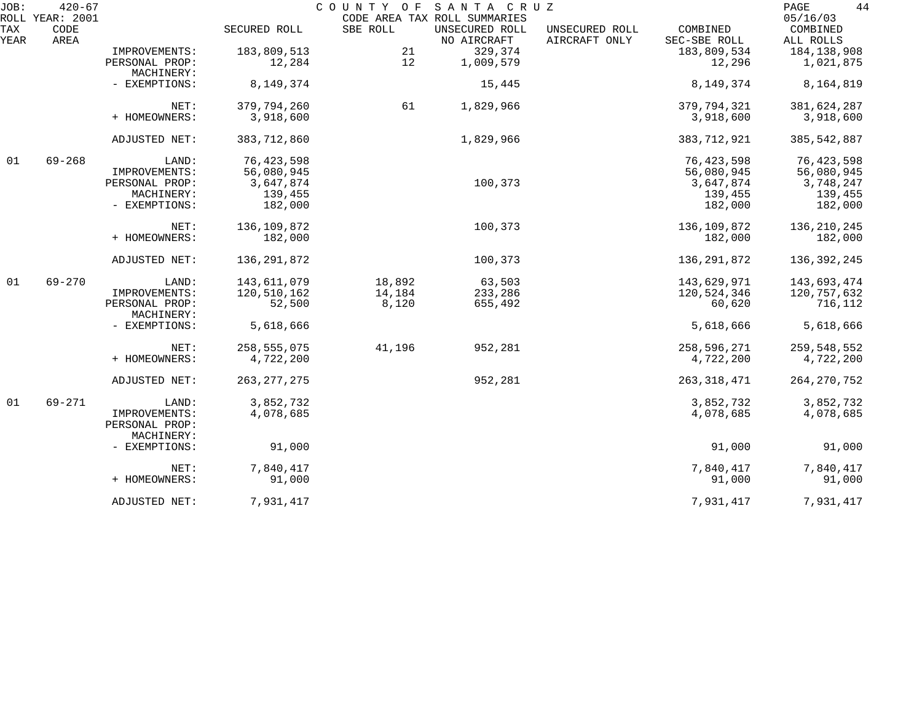| JOB:        | $420 - 67$<br>ROLL YEAR: 2001 |                                               |               | COUNTY OF | SANTA CRUZ<br>CODE AREA TAX ROLL SUMMARIES |                                 |                          | 44<br>PAGE<br>05/16/03 |
|-------------|-------------------------------|-----------------------------------------------|---------------|-----------|--------------------------------------------|---------------------------------|--------------------------|------------------------|
| TAX<br>YEAR | CODE<br>AREA                  |                                               | SECURED ROLL  | SBE ROLL  | UNSECURED ROLL<br>NO AIRCRAFT              | UNSECURED ROLL<br>AIRCRAFT ONLY | COMBINED<br>SEC-SBE ROLL | COMBINED<br>ALL ROLLS  |
|             |                               | IMPROVEMENTS:                                 | 183,809,513   | 21        | 329,374                                    |                                 | 183,809,534              | 184, 138, 908          |
|             |                               | PERSONAL PROP:                                | 12,284        | 12        | 1,009,579                                  |                                 | 12,296                   | 1,021,875              |
|             |                               | MACHINERY:                                    |               |           |                                            |                                 |                          |                        |
|             |                               | - EXEMPTIONS:                                 | 8,149,374     |           | 15,445                                     |                                 | 8,149,374                | 8,164,819              |
|             |                               | NET:                                          | 379,794,260   | 61        | 1,829,966                                  |                                 | 379,794,321              | 381,624,287            |
|             |                               | + HOMEOWNERS:                                 | 3,918,600     |           |                                            |                                 | 3,918,600                | 3,918,600              |
|             |                               | ADJUSTED NET:                                 | 383,712,860   |           | 1,829,966                                  |                                 | 383,712,921              | 385, 542, 887          |
| 01          | $69 - 268$                    | LAND:                                         | 76, 423, 598  |           |                                            |                                 | 76, 423, 598             | 76, 423, 598           |
|             |                               | IMPROVEMENTS:                                 | 56,080,945    |           |                                            |                                 | 56,080,945               | 56,080,945             |
|             |                               | PERSONAL PROP:                                | 3,647,874     |           | 100,373                                    |                                 | 3,647,874                | 3,748,247              |
|             |                               | MACHINERY:                                    | 139,455       |           |                                            |                                 | 139,455                  | 139,455                |
|             |                               | - EXEMPTIONS:                                 | 182,000       |           |                                            |                                 | 182,000                  | 182,000                |
|             |                               | NET:                                          | 136,109,872   |           | 100,373                                    |                                 | 136,109,872              | 136, 210, 245          |
|             |                               | + HOMEOWNERS:                                 | 182,000       |           |                                            |                                 | 182,000                  | 182,000                |
|             |                               | ADJUSTED NET:                                 | 136,291,872   |           | 100,373                                    |                                 | 136, 291, 872            | 136, 392, 245          |
| 01          | $69 - 270$                    | LAND:                                         | 143,611,079   | 18,892    | 63,503                                     |                                 | 143,629,971              | 143,693,474            |
|             |                               | IMPROVEMENTS:                                 | 120,510,162   | 14,184    | 233,286                                    |                                 | 120,524,346              | 120,757,632            |
|             |                               | PERSONAL PROP:<br>MACHINERY:                  | 52,500        | 8,120     | 655,492                                    |                                 | 60,620                   | 716,112                |
|             |                               | - EXEMPTIONS:                                 | 5,618,666     |           |                                            |                                 | 5,618,666                | 5,618,666              |
|             |                               | NET:                                          | 258, 555, 075 | 41,196    | 952,281                                    |                                 | 258,596,271              | 259,548,552            |
|             |                               | + HOMEOWNERS:                                 | 4,722,200     |           |                                            |                                 | 4,722,200                | 4,722,200              |
|             |                               | ADJUSTED NET:                                 | 263, 277, 275 |           | 952,281                                    |                                 | 263,318,471              | 264, 270, 752          |
| 01          | 69-271                        | LAND:                                         | 3,852,732     |           |                                            |                                 | 3,852,732                | 3,852,732              |
|             |                               | IMPROVEMENTS:<br>PERSONAL PROP:<br>MACHINERY: | 4,078,685     |           |                                            |                                 | 4,078,685                | 4,078,685              |
|             |                               | - EXEMPTIONS:                                 | 91,000        |           |                                            |                                 | 91,000                   | 91,000                 |
|             |                               | NET:                                          | 7,840,417     |           |                                            |                                 | 7,840,417                | 7,840,417              |
|             |                               | + HOMEOWNERS:                                 | 91,000        |           |                                            |                                 | 91,000                   | 91,000                 |
|             |                               | ADJUSTED NET:                                 | 7,931,417     |           |                                            |                                 | 7,931,417                | 7,931,417              |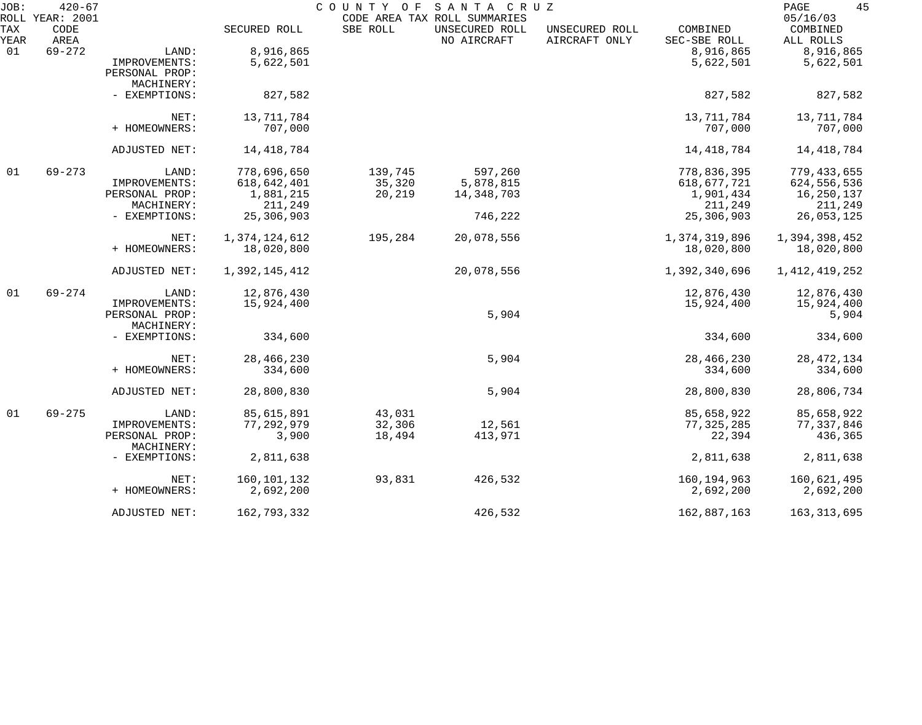| JOB:        | $420 - 67$<br>ROLL YEAR: 2001 |                              |               | COUNTY OF | SANTA CRUZ<br>CODE AREA TAX ROLL SUMMARIES |                                 |                          | 45<br>PAGE<br>05/16/03 |
|-------------|-------------------------------|------------------------------|---------------|-----------|--------------------------------------------|---------------------------------|--------------------------|------------------------|
| TAX<br>YEAR | CODE<br>AREA                  |                              | SECURED ROLL  | SBE ROLL  | UNSECURED ROLL<br>NO AIRCRAFT              | UNSECURED ROLL<br>AIRCRAFT ONLY | COMBINED<br>SEC-SBE ROLL | COMBINED<br>ALL ROLLS  |
| 01          | $69 - 272$                    | LAND:                        | 8,916,865     |           |                                            |                                 | 8,916,865                | 8,916,865              |
|             |                               | IMPROVEMENTS:                | 5,622,501     |           |                                            |                                 | 5,622,501                | 5,622,501              |
|             |                               | PERSONAL PROP:               |               |           |                                            |                                 |                          |                        |
|             |                               | MACHINERY:                   |               |           |                                            |                                 |                          |                        |
|             |                               | - EXEMPTIONS:                | 827,582       |           |                                            |                                 | 827,582                  | 827,582                |
|             |                               | NET:                         | 13,711,784    |           |                                            |                                 | 13,711,784               | 13,711,784             |
|             |                               | + HOMEOWNERS:                | 707,000       |           |                                            |                                 | 707,000                  | 707,000                |
|             |                               | ADJUSTED NET:                | 14, 418, 784  |           |                                            |                                 | 14, 418, 784             | 14, 418, 784           |
| 01          | $69 - 273$                    | LAND:                        | 778,696,650   | 139,745   | 597,260                                    |                                 | 778,836,395              | 779, 433, 655          |
|             |                               | IMPROVEMENTS:                | 618,642,401   | 35,320    | 5,878,815                                  |                                 | 618,677,721              | 624, 556, 536          |
|             |                               | PERSONAL PROP:               | 1,881,215     | 20,219    | 14,348,703                                 |                                 | 1,901,434                | 16,250,137             |
|             |                               | MACHINERY:                   | 211,249       |           |                                            |                                 | 211,249                  | 211,249                |
|             |                               | - EXEMPTIONS:                | 25,306,903    |           | 746,222                                    |                                 | 25,306,903               | 26,053,125             |
|             |                               | NET:                         | 1,374,124,612 | 195,284   | 20,078,556                                 |                                 | 1,374,319,896            | 1,394,398,452          |
|             |                               | + HOMEOWNERS:                | 18,020,800    |           |                                            |                                 | 18,020,800               | 18,020,800             |
|             |                               | ADJUSTED NET:                | 1,392,145,412 |           | 20,078,556                                 |                                 | 1,392,340,696            | 1, 412, 419, 252       |
| 01          | $69 - 274$                    | LAND:                        | 12,876,430    |           |                                            |                                 | 12,876,430               | 12,876,430             |
|             |                               | IMPROVEMENTS:                | 15,924,400    |           |                                            |                                 | 15,924,400               | 15,924,400             |
|             |                               | PERSONAL PROP:               |               |           | 5,904                                      |                                 |                          | 5,904                  |
|             |                               | MACHINERY:                   |               |           |                                            |                                 |                          |                        |
|             |                               | - EXEMPTIONS:                | 334,600       |           |                                            |                                 | 334,600                  | 334,600                |
|             |                               | NET:                         | 28,466,230    |           | 5,904                                      |                                 | 28,466,230               | 28, 472, 134           |
|             |                               | + HOMEOWNERS:                | 334,600       |           |                                            |                                 | 334,600                  | 334,600                |
|             |                               | ADJUSTED NET:                | 28,800,830    |           | 5,904                                      |                                 | 28,800,830               | 28,806,734             |
| 01          | $69 - 275$                    | LAND:                        | 85,615,891    | 43,031    |                                            |                                 | 85,658,922               | 85,658,922             |
|             |                               | IMPROVEMENTS:                | 77, 292, 979  | 32,306    | 12,561                                     |                                 | 77, 325, 285             | 77, 337, 846           |
|             |                               | PERSONAL PROP:<br>MACHINERY: | 3,900         | 18,494    | 413,971                                    |                                 | 22,394                   | 436,365                |
|             |                               | - EXEMPTIONS:                | 2,811,638     |           |                                            |                                 | 2,811,638                | 2,811,638              |
|             |                               | NET:                         | 160, 101, 132 | 93,831    | 426,532                                    |                                 | 160, 194, 963            | 160,621,495            |
|             |                               | + HOMEOWNERS:                | 2,692,200     |           |                                            |                                 | 2,692,200                | 2,692,200              |
|             |                               | ADJUSTED NET:                | 162,793,332   |           | 426,532                                    |                                 | 162,887,163              | 163, 313, 695          |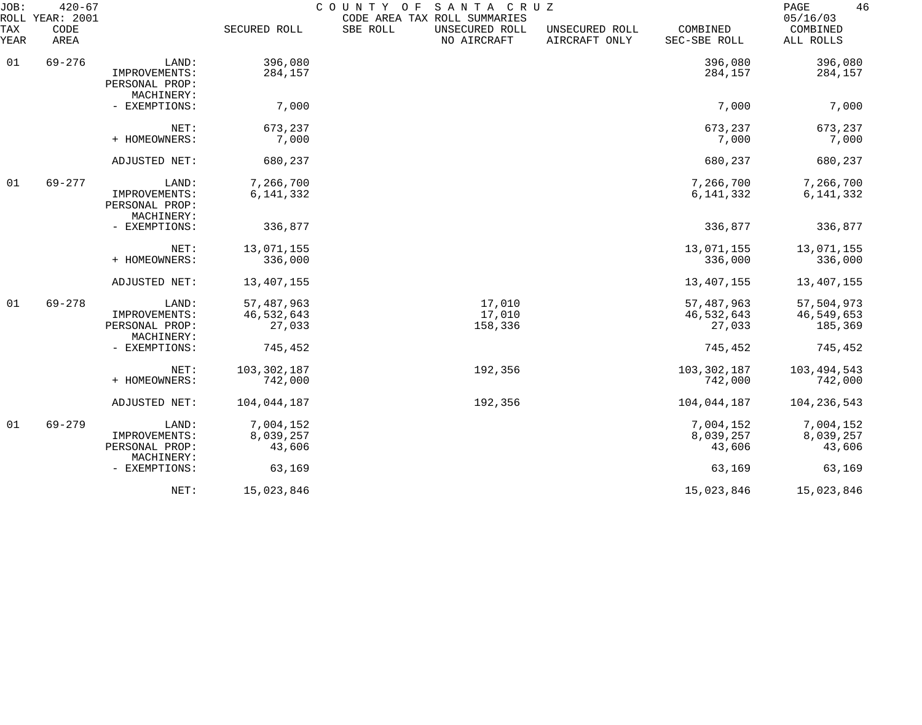| JOB:        | $420 - 67$<br>ROLL YEAR: 2001 |                                               |               | COUNTY<br>O F<br>SANTA CRUZ<br>CODE AREA TAX ROLL SUMMARIES |                                 |                          | 46<br>PAGE<br>05/16/03 |
|-------------|-------------------------------|-----------------------------------------------|---------------|-------------------------------------------------------------|---------------------------------|--------------------------|------------------------|
| TAX<br>YEAR | CODE<br>AREA                  |                                               | SECURED ROLL  | SBE ROLL<br>UNSECURED ROLL<br>NO AIRCRAFT                   | UNSECURED ROLL<br>AIRCRAFT ONLY | COMBINED<br>SEC-SBE ROLL | COMBINED<br>ALL ROLLS  |
| 01          | $69 - 276$                    | LAND:                                         | 396,080       |                                                             |                                 | 396,080                  | 396,080                |
|             |                               | IMPROVEMENTS:<br>PERSONAL PROP:<br>MACHINERY: | 284,157       |                                                             |                                 | 284,157                  | 284,157                |
|             |                               | - EXEMPTIONS:                                 | 7,000         |                                                             |                                 | 7,000                    | 7,000                  |
|             |                               | NET:                                          | 673,237       |                                                             |                                 | 673,237                  | 673,237                |
|             |                               | + HOMEOWNERS:                                 | 7,000         |                                                             |                                 | 7,000                    | 7,000                  |
|             |                               | ADJUSTED NET:                                 | 680,237       |                                                             |                                 | 680,237                  | 680,237                |
| 01          | $69 - 277$                    | LAND:                                         | 7,266,700     |                                                             |                                 | 7,266,700                | 7,266,700              |
|             |                               | IMPROVEMENTS:<br>PERSONAL PROP:<br>MACHINERY: | 6, 141, 332   |                                                             |                                 | 6, 141, 332              | 6, 141, 332            |
|             |                               | - EXEMPTIONS:                                 | 336,877       |                                                             |                                 | 336,877                  | 336,877                |
|             |                               | NET:                                          | 13,071,155    |                                                             |                                 | 13,071,155               | 13,071,155             |
|             |                               | + HOMEOWNERS:                                 | 336,000       |                                                             |                                 | 336,000                  | 336,000                |
|             |                               | ADJUSTED NET:                                 | 13,407,155    |                                                             |                                 | 13, 407, 155             | 13,407,155             |
| 01          | $69 - 278$                    | LAND:                                         | 57, 487, 963  | 17,010                                                      |                                 | 57, 487, 963             | 57,504,973             |
|             |                               | IMPROVEMENTS:                                 | 46,532,643    | 17,010                                                      |                                 | 46,532,643               | 46,549,653             |
|             |                               | PERSONAL PROP:<br>MACHINERY:                  | 27,033        | 158,336                                                     |                                 | 27,033                   | 185,369                |
|             |                               | - EXEMPTIONS:                                 | 745,452       |                                                             |                                 | 745,452                  | 745,452                |
|             |                               | NET:                                          | 103, 302, 187 | 192,356                                                     |                                 | 103, 302, 187            | 103, 494, 543          |
|             |                               | + HOMEOWNERS:                                 | 742,000       |                                                             |                                 | 742,000                  | 742,000                |
|             |                               | ADJUSTED NET:                                 | 104,044,187   | 192,356                                                     |                                 | 104,044,187              | 104, 236, 543          |
| 01          | $69 - 279$                    | LAND:                                         | 7,004,152     |                                                             |                                 | 7,004,152                | 7,004,152              |
|             |                               | IMPROVEMENTS:                                 | 8,039,257     |                                                             |                                 | 8,039,257                | 8,039,257              |
|             |                               | PERSONAL PROP:<br>MACHINERY:                  | 43,606        |                                                             |                                 | 43,606                   | 43,606                 |
|             |                               | - EXEMPTIONS:                                 | 63,169        |                                                             |                                 | 63,169                   | 63,169                 |
|             |                               | NET:                                          | 15,023,846    |                                                             |                                 | 15,023,846               | 15,023,846             |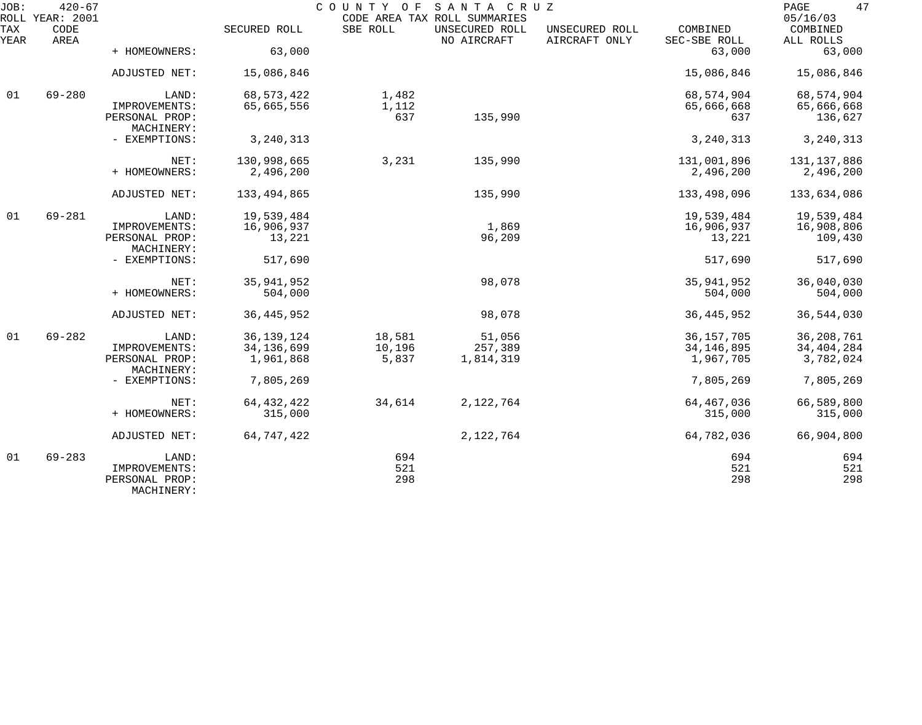| JOB:        | $420 - 67$<br>ROLL YEAR: 2001 |                                               |                      | COUNTY OF    | SANTA CRUZ<br>CODE AREA TAX ROLL SUMMARIES |                                 |                          | 47<br>PAGE<br>05/16/03 |
|-------------|-------------------------------|-----------------------------------------------|----------------------|--------------|--------------------------------------------|---------------------------------|--------------------------|------------------------|
| TAX<br>YEAR | CODE<br>AREA                  |                                               | SECURED ROLL         | SBE ROLL     | UNSECURED ROLL<br>NO AIRCRAFT              | UNSECURED ROLL<br>AIRCRAFT ONLY | COMBINED<br>SEC-SBE ROLL | COMBINED<br>ALL ROLLS  |
|             |                               | + HOMEOWNERS:                                 | 63,000               |              |                                            |                                 | 63,000                   | 63,000                 |
|             |                               | ADJUSTED NET:                                 | 15,086,846           |              |                                            |                                 | 15,086,846               | 15,086,846             |
| 01          | $69 - 280$                    | LAND:                                         | 68, 573, 422         | 1,482        |                                            |                                 | 68,574,904               | 68,574,904             |
|             |                               | IMPROVEMENTS:<br>PERSONAL PROP:<br>MACHINERY: | 65,665,556           | 1,112<br>637 | 135,990                                    |                                 | 65,666,668<br>637        | 65,666,668<br>136,627  |
|             |                               | - EXEMPTIONS:                                 | 3, 240, 313          |              |                                            |                                 | 3, 240, 313              | 3, 240, 313            |
|             |                               | NET:                                          | 130,998,665          | 3,231        | 135,990                                    |                                 | 131,001,896              | 131, 137, 886          |
|             |                               | + HOMEOWNERS:                                 | 2,496,200            |              |                                            |                                 | 2,496,200                | 2,496,200              |
|             |                               | ADJUSTED NET:                                 | 133,494,865          |              | 135,990                                    |                                 | 133,498,096              | 133,634,086            |
| 01          | $69 - 281$                    | LAND:                                         | 19,539,484           |              |                                            |                                 | 19,539,484               | 19,539,484             |
|             |                               | IMPROVEMENTS:<br>PERSONAL PROP:               | 16,906,937<br>13,221 |              | 1,869<br>96,209                            |                                 | 16,906,937<br>13,221     | 16,908,806<br>109,430  |
|             |                               | MACHINERY:                                    |                      |              |                                            |                                 |                          |                        |
|             |                               | - EXEMPTIONS:                                 | 517,690              |              |                                            |                                 | 517,690                  | 517,690                |
|             |                               | NET:                                          | 35, 941, 952         |              | 98,078                                     |                                 | 35, 941, 952             | 36,040,030             |
|             |                               | + HOMEOWNERS:                                 | 504,000              |              |                                            |                                 | 504,000                  | 504,000                |
|             |                               | ADJUSTED NET:                                 | 36, 445, 952         |              | 98,078                                     |                                 | 36, 445, 952             | 36,544,030             |
| 01          | $69 - 282$                    | LAND:                                         | 36, 139, 124         | 18,581       | 51,056                                     |                                 | 36, 157, 705             | 36, 208, 761           |
|             |                               | IMPROVEMENTS:                                 | 34, 136, 699         | 10,196       | 257,389                                    |                                 | 34, 146, 895             | 34, 404, 284           |
|             |                               | PERSONAL PROP:<br>MACHINERY:                  | 1,961,868            | 5,837        | 1,814,319                                  |                                 | 1,967,705                | 3,782,024              |
|             |                               | - EXEMPTIONS:                                 | 7,805,269            |              |                                            |                                 | 7,805,269                | 7,805,269              |
|             |                               | NET:                                          | 64, 432, 422         | 34,614       | 2,122,764                                  |                                 | 64, 467, 036             | 66,589,800             |
|             |                               | + HOMEOWNERS:                                 | 315,000              |              |                                            |                                 | 315,000                  | 315,000                |
|             |                               | ADJUSTED NET:                                 | 64,747,422           |              | 2,122,764                                  |                                 | 64,782,036               | 66,904,800             |
| 01          | $69 - 283$                    | LAND:                                         |                      | 694          |                                            |                                 | 694                      | 694                    |
|             |                               | IMPROVEMENTS:<br>PERSONAL PROP:<br>MACHINERY: |                      | 521<br>298   |                                            |                                 | 521<br>298               | 521<br>298             |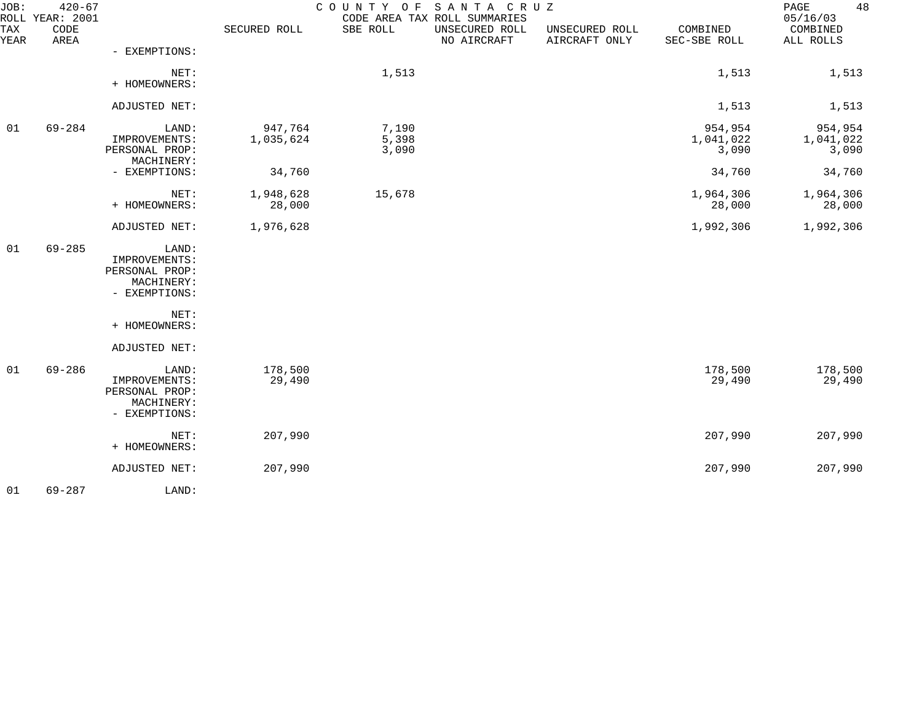| JOB:        | $420 - 67$<br>ROLL YEAR: 2001 |                                                                         |                      | COUNTY<br>O F           | SANTA CRUZ<br>CODE AREA TAX ROLL SUMMARIES |                                 |                               | 48<br>PAGE<br>05/16/03        |
|-------------|-------------------------------|-------------------------------------------------------------------------|----------------------|-------------------------|--------------------------------------------|---------------------------------|-------------------------------|-------------------------------|
| TAX<br>YEAR | CODE<br>AREA                  |                                                                         | SECURED ROLL         | SBE ROLL                | UNSECURED ROLL<br>NO AIRCRAFT              | UNSECURED ROLL<br>AIRCRAFT ONLY | COMBINED<br>SEC-SBE ROLL      | COMBINED<br>ALL ROLLS         |
|             |                               | - EXEMPTIONS:                                                           |                      |                         |                                            |                                 |                               |                               |
|             |                               | NET:<br>+ HOMEOWNERS:                                                   |                      | 1,513                   |                                            |                                 | 1,513                         | 1,513                         |
|             |                               | ADJUSTED NET:                                                           |                      |                         |                                            |                                 | 1,513                         | 1,513                         |
| 01          | $69 - 284$                    | LAND:<br>IMPROVEMENTS:<br>PERSONAL PROP:<br>MACHINERY:                  | 947,764<br>1,035,624 | 7,190<br>5,398<br>3,090 |                                            |                                 | 954,954<br>1,041,022<br>3,090 | 954,954<br>1,041,022<br>3,090 |
|             |                               | - EXEMPTIONS:                                                           | 34,760               |                         |                                            |                                 | 34,760                        | 34,760                        |
|             |                               | NET:<br>+ HOMEOWNERS:                                                   | 1,948,628<br>28,000  | 15,678                  |                                            |                                 | 1,964,306<br>28,000           | 1,964,306<br>28,000           |
|             |                               | ADJUSTED NET:                                                           | 1,976,628            |                         |                                            |                                 | 1,992,306                     | 1,992,306                     |
| 01          | $69 - 285$                    | LAND:<br>IMPROVEMENTS:<br>PERSONAL PROP:<br>MACHINERY:<br>- EXEMPTIONS: |                      |                         |                                            |                                 |                               |                               |
|             |                               | NET:<br>+ HOMEOWNERS:                                                   |                      |                         |                                            |                                 |                               |                               |
|             |                               | ADJUSTED NET:                                                           |                      |                         |                                            |                                 |                               |                               |
| 01          | $69 - 286$                    | LAND:<br>IMPROVEMENTS:<br>PERSONAL PROP:<br>MACHINERY:<br>- EXEMPTIONS: | 178,500<br>29,490    |                         |                                            |                                 | 178,500<br>29,490             | 178,500<br>29,490             |
|             |                               | NET:<br>+ HOMEOWNERS:                                                   | 207,990              |                         |                                            |                                 | 207,990                       | 207,990                       |
|             |                               | ADJUSTED NET:                                                           | 207,990              |                         |                                            |                                 | 207,990                       | 207,990                       |
| 01          | 69-287                        | LAND:                                                                   |                      |                         |                                            |                                 |                               |                               |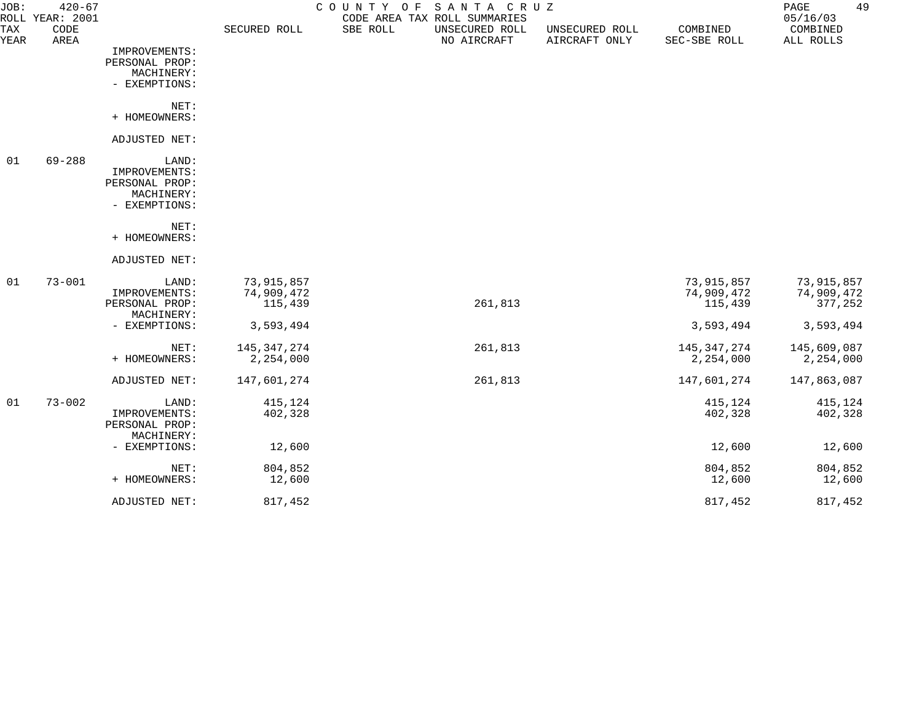| JOB:               | $420 - 67$<br>ROLL YEAR: 2001 |                             |               | COUNTY OF | SANTA CRUZ<br>CODE AREA TAX ROLL SUMMARIES |                                 |                          | 49<br>$\mathop{\mathtt{PAGE}}$<br>05/16/03 |
|--------------------|-------------------------------|-----------------------------|---------------|-----------|--------------------------------------------|---------------------------------|--------------------------|--------------------------------------------|
| TAX<br><b>YEAR</b> | CODE<br>AREA                  |                             | SECURED ROLL  | SBE ROLL  | UNSECURED ROLL<br>NO AIRCRAFT              | UNSECURED ROLL<br>AIRCRAFT ONLY | COMBINED<br>SEC-SBE ROLL | COMBINED<br>ALL ROLLS                      |
|                    |                               | IMPROVEMENTS:               |               |           |                                            |                                 |                          |                                            |
|                    |                               | PERSONAL PROP:              |               |           |                                            |                                 |                          |                                            |
|                    |                               | MACHINERY:                  |               |           |                                            |                                 |                          |                                            |
|                    |                               | - EXEMPTIONS:               |               |           |                                            |                                 |                          |                                            |
|                    |                               | NET:                        |               |           |                                            |                                 |                          |                                            |
|                    |                               | + HOMEOWNERS:               |               |           |                                            |                                 |                          |                                            |
|                    |                               | ADJUSTED NET:               |               |           |                                            |                                 |                          |                                            |
| 01                 | $69 - 288$                    | LAND:                       |               |           |                                            |                                 |                          |                                            |
|                    |                               | IMPROVEMENTS:               |               |           |                                            |                                 |                          |                                            |
|                    |                               | PERSONAL PROP:              |               |           |                                            |                                 |                          |                                            |
|                    |                               | MACHINERY:<br>- EXEMPTIONS: |               |           |                                            |                                 |                          |                                            |
|                    |                               |                             |               |           |                                            |                                 |                          |                                            |
|                    |                               | NET:                        |               |           |                                            |                                 |                          |                                            |
|                    |                               | + HOMEOWNERS:               |               |           |                                            |                                 |                          |                                            |
|                    |                               | ADJUSTED NET:               |               |           |                                            |                                 |                          |                                            |
| 01                 | $73 - 001$                    | LAND:                       | 73,915,857    |           |                                            |                                 | 73,915,857               | 73,915,857                                 |
|                    |                               | IMPROVEMENTS:               | 74,909,472    |           |                                            |                                 | 74,909,472               | 74,909,472                                 |
|                    |                               | PERSONAL PROP:              | 115,439       |           | 261,813                                    |                                 | 115,439                  | 377,252                                    |
|                    |                               | MACHINERY:                  |               |           |                                            |                                 |                          |                                            |
|                    |                               | - EXEMPTIONS:               | 3,593,494     |           |                                            |                                 | 3,593,494                | 3,593,494                                  |
|                    |                               | NET:                        | 145, 347, 274 |           | 261,813                                    |                                 | 145,347,274              | 145,609,087                                |
|                    |                               | + HOMEOWNERS:               | 2,254,000     |           |                                            |                                 | 2,254,000                | 2,254,000                                  |
|                    |                               | ADJUSTED NET:               | 147,601,274   |           | 261,813                                    |                                 | 147,601,274              | 147,863,087                                |
| 01                 | $73 - 002$                    | LAND:                       | 415,124       |           |                                            |                                 | 415,124                  | 415,124                                    |
|                    |                               | IMPROVEMENTS:               | 402,328       |           |                                            |                                 | 402,328                  | 402,328                                    |
|                    |                               | PERSONAL PROP:              |               |           |                                            |                                 |                          |                                            |
|                    |                               | MACHINERY:                  |               |           |                                            |                                 |                          |                                            |
|                    |                               | - EXEMPTIONS:               | 12,600        |           |                                            |                                 | 12,600                   | 12,600                                     |
|                    |                               | NET:                        | 804,852       |           |                                            |                                 | 804,852                  | 804,852                                    |
|                    |                               | + HOMEOWNERS:               | 12,600        |           |                                            |                                 | 12,600                   | 12,600                                     |
|                    |                               | ADJUSTED NET:               | 817,452       |           |                                            |                                 | 817,452                  | 817,452                                    |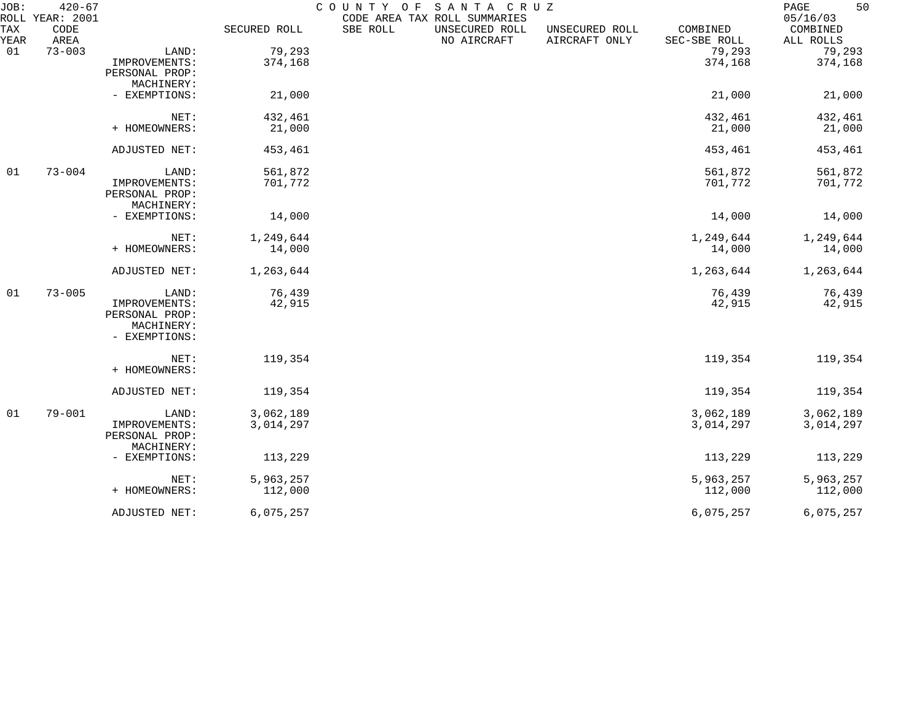| JOB:        | $420 - 67$<br>ROLL YEAR: 2001 |                |              | COUNTY OF<br>CODE AREA TAX ROLL SUMMARIES | SANTA CRUZ                    |                                 |                          | 50<br>$\mathop{\mathrm{PAGE}}$<br>05/16/03 |
|-------------|-------------------------------|----------------|--------------|-------------------------------------------|-------------------------------|---------------------------------|--------------------------|--------------------------------------------|
| TAX<br>YEAR | CODE<br>AREA                  |                | SECURED ROLL | SBE ROLL                                  | UNSECURED ROLL<br>NO AIRCRAFT | UNSECURED ROLL<br>AIRCRAFT ONLY | COMBINED<br>SEC-SBE ROLL | COMBINED<br>ALL ROLLS                      |
| 01          | $73 - 003$                    | LAND:          | 79,293       |                                           |                               |                                 | 79,293                   | 79,293                                     |
|             |                               | IMPROVEMENTS:  | 374,168      |                                           |                               |                                 | 374,168                  | 374,168                                    |
|             |                               | PERSONAL PROP: |              |                                           |                               |                                 |                          |                                            |
|             |                               | MACHINERY:     |              |                                           |                               |                                 |                          |                                            |
|             |                               | - EXEMPTIONS:  | 21,000       |                                           |                               |                                 | 21,000                   | 21,000                                     |
|             |                               | NET:           | 432,461      |                                           |                               |                                 | 432,461                  | 432,461                                    |
|             |                               | + HOMEOWNERS:  | 21,000       |                                           |                               |                                 | 21,000                   | 21,000                                     |
|             |                               | ADJUSTED NET:  | 453,461      |                                           |                               |                                 | 453,461                  | 453,461                                    |
| 01          | $73 - 004$                    | LAND:          | 561,872      |                                           |                               |                                 | 561,872                  | 561,872                                    |
|             |                               | IMPROVEMENTS:  | 701,772      |                                           |                               |                                 | 701,772                  | 701,772                                    |
|             |                               | PERSONAL PROP: |              |                                           |                               |                                 |                          |                                            |
|             |                               | MACHINERY:     |              |                                           |                               |                                 |                          |                                            |
|             |                               | - EXEMPTIONS:  | 14,000       |                                           |                               |                                 | 14,000                   | 14,000                                     |
|             |                               | NET:           | 1,249,644    |                                           |                               |                                 | 1,249,644                | 1,249,644                                  |
|             |                               | + HOMEOWNERS:  | 14,000       |                                           |                               |                                 | 14,000                   | 14,000                                     |
|             |                               | ADJUSTED NET:  | 1,263,644    |                                           |                               |                                 | 1,263,644                | 1,263,644                                  |
| 01          | $73 - 005$                    | LAND:          | 76,439       |                                           |                               |                                 | 76,439                   | 76,439                                     |
|             |                               | IMPROVEMENTS:  | 42,915       |                                           |                               |                                 | 42,915                   | 42,915                                     |
|             |                               | PERSONAL PROP: |              |                                           |                               |                                 |                          |                                            |
|             |                               | MACHINERY:     |              |                                           |                               |                                 |                          |                                            |
|             |                               | - EXEMPTIONS:  |              |                                           |                               |                                 |                          |                                            |
|             |                               | NET:           | 119,354      |                                           |                               |                                 | 119,354                  | 119,354                                    |
|             |                               | + HOMEOWNERS:  |              |                                           |                               |                                 |                          |                                            |
|             |                               | ADJUSTED NET:  | 119,354      |                                           |                               |                                 | 119,354                  | 119,354                                    |
| 01          | $79 - 001$                    | LAND:          | 3,062,189    |                                           |                               |                                 | 3,062,189                | 3,062,189                                  |
|             |                               | IMPROVEMENTS:  | 3,014,297    |                                           |                               |                                 | 3,014,297                | 3,014,297                                  |
|             |                               | PERSONAL PROP: |              |                                           |                               |                                 |                          |                                            |
|             |                               | MACHINERY:     |              |                                           |                               |                                 |                          |                                            |
|             |                               | - EXEMPTIONS:  | 113,229      |                                           |                               |                                 | 113,229                  | 113,229                                    |
|             |                               | NET:           | 5,963,257    |                                           |                               |                                 | 5,963,257                | 5,963,257                                  |
|             |                               | + HOMEOWNERS:  | 112,000      |                                           |                               |                                 | 112,000                  | 112,000                                    |
|             |                               | ADJUSTED NET:  | 6,075,257    |                                           |                               |                                 | 6,075,257                | 6,075,257                                  |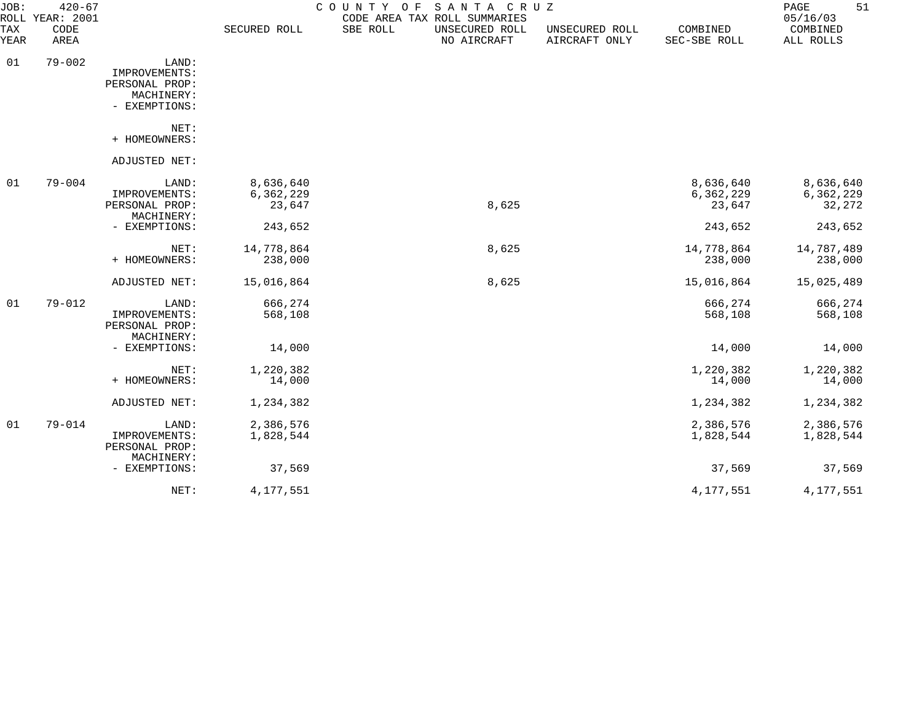| JOB:<br>ROLL              | $420 - 67$<br>YEAR: 2001 |                                                                         |                                  | SANTA CRUZ<br>COUNTY OF<br>CODE AREA TAX ROLL SUMMARIES |                                 |                                  | 51<br>$\mathop{\mathrm{PAGE}}$<br>05/16/03 |
|---------------------------|--------------------------|-------------------------------------------------------------------------|----------------------------------|---------------------------------------------------------|---------------------------------|----------------------------------|--------------------------------------------|
| <b>TAX</b><br><b>YEAR</b> | CODE<br>AREA             |                                                                         | SECURED ROLL                     | SBE ROLL<br>UNSECURED ROLL<br>NO AIRCRAFT               | UNSECURED ROLL<br>AIRCRAFT ONLY | COMBINED<br>SEC-SBE ROLL         | COMBINED<br>ALL ROLLS                      |
| 01                        | $79 - 002$               | LAND:<br>IMPROVEMENTS:<br>PERSONAL PROP:<br>MACHINERY:<br>- EXEMPTIONS: |                                  |                                                         |                                 |                                  |                                            |
|                           |                          | NET:<br>+ HOMEOWNERS:                                                   |                                  |                                                         |                                 |                                  |                                            |
|                           |                          | ADJUSTED NET:                                                           |                                  |                                                         |                                 |                                  |                                            |
| 01                        | $79 - 004$               | LAND:<br>IMPROVEMENTS:<br>PERSONAL PROP:<br>MACHINERY:                  | 8,636,640<br>6,362,229<br>23,647 | 8,625                                                   |                                 | 8,636,640<br>6,362,229<br>23,647 | 8,636,640<br>6,362,229<br>32,272           |
|                           |                          | - EXEMPTIONS:                                                           | 243,652                          |                                                         |                                 | 243,652                          | 243,652                                    |
|                           |                          | NET:<br>+ HOMEOWNERS:                                                   | 14,778,864<br>238,000            | 8,625                                                   |                                 | 14,778,864<br>238,000            | 14,787,489<br>238,000                      |
|                           |                          | ADJUSTED NET:                                                           | 15,016,864                       | 8,625                                                   |                                 | 15,016,864                       | 15,025,489                                 |
| 01                        | $79 - 012$               | LAND:<br>IMPROVEMENTS:<br>PERSONAL PROP:<br>MACHINERY:                  | 666,274<br>568,108               |                                                         |                                 | 666,274<br>568,108               | 666,274<br>568,108                         |
|                           |                          | - EXEMPTIONS:                                                           | 14,000                           |                                                         |                                 | 14,000                           | 14,000                                     |
|                           |                          | NET:<br>+ HOMEOWNERS:                                                   | 1,220,382<br>14,000              |                                                         |                                 | 1,220,382<br>14,000              | 1,220,382<br>14,000                        |
|                           |                          | ADJUSTED NET:                                                           | 1,234,382                        |                                                         |                                 | 1,234,382                        | 1,234,382                                  |
| 01                        | $79 - 014$               | LAND:<br>IMPROVEMENTS:<br>PERSONAL PROP:<br>MACHINERY:                  | 2,386,576<br>1,828,544           |                                                         |                                 | 2,386,576<br>1,828,544           | 2,386,576<br>1,828,544                     |
|                           |                          | - EXEMPTIONS:                                                           | 37,569                           |                                                         |                                 | 37,569                           | 37,569                                     |
|                           |                          | NET:                                                                    | 4,177,551                        |                                                         |                                 | 4,177,551                        | 4,177,551                                  |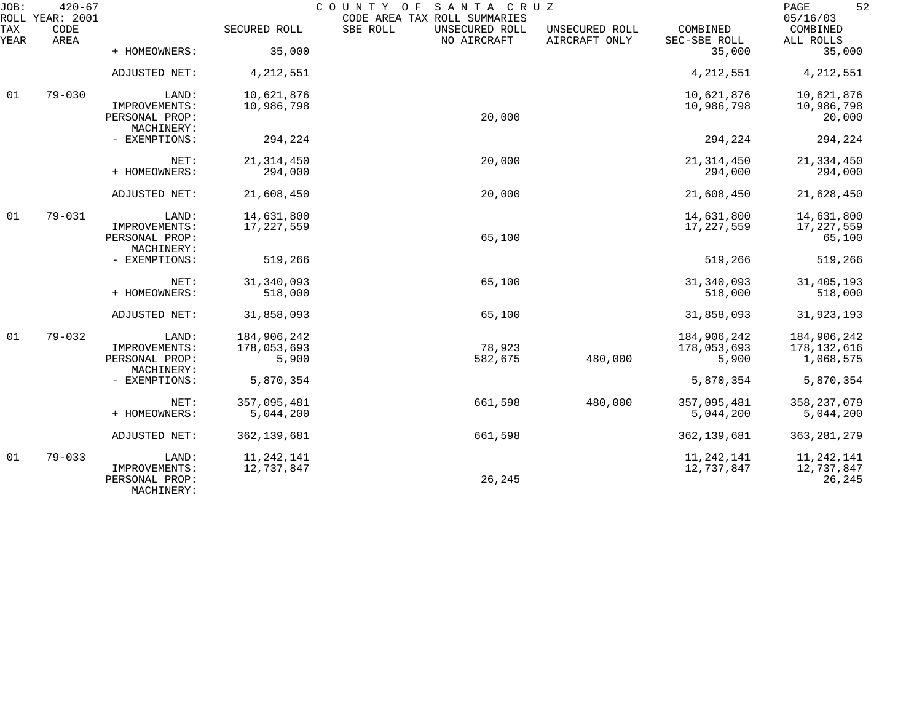| JOB:        | $420 - 67$<br>ROLL YEAR: 2001 |                                               |                      | COUNTY OF<br>SANTA CRUZ<br>CODE AREA TAX ROLL SUMMARIES |                                 |                          | 52<br>PAGE<br>05/16/03   |
|-------------|-------------------------------|-----------------------------------------------|----------------------|---------------------------------------------------------|---------------------------------|--------------------------|--------------------------|
| TAX<br>YEAR | CODE<br>AREA                  |                                               | SECURED ROLL         | SBE ROLL<br>UNSECURED ROLL<br>NO AIRCRAFT               | UNSECURED ROLL<br>AIRCRAFT ONLY | COMBINED<br>SEC-SBE ROLL | COMBINED<br>ALL ROLLS    |
|             |                               | + HOMEOWNERS:                                 | 35,000               |                                                         |                                 | 35,000                   | 35,000                   |
|             |                               | ADJUSTED NET:                                 | 4, 212, 551          |                                                         |                                 | 4, 212, 551              | 4, 212, 551              |
| 01          | $79 - 030$                    | LAND:                                         | 10,621,876           |                                                         |                                 | 10,621,876               | 10,621,876               |
|             |                               | IMPROVEMENTS:<br>PERSONAL PROP:<br>MACHINERY: | 10,986,798           | 20,000                                                  |                                 | 10,986,798               | 10,986,798<br>20,000     |
|             |                               | - EXEMPTIONS:                                 | 294,224              |                                                         |                                 | 294,224                  | 294,224                  |
|             |                               | NET:                                          | 21, 314, 450         | 20,000                                                  |                                 | 21, 314, 450             | 21, 334, 450             |
|             |                               | + HOMEOWNERS:                                 | 294,000              |                                                         |                                 | 294,000                  | 294,000                  |
|             |                               | ADJUSTED NET:                                 | 21,608,450           | 20,000                                                  |                                 | 21,608,450               | 21,628,450               |
| 01          | $79 - 031$                    | LAND:                                         | 14,631,800           |                                                         |                                 | 14,631,800               | 14,631,800               |
|             |                               | IMPROVEMENTS:<br>PERSONAL PROP:<br>MACHINERY: | 17, 227, 559         | 65,100                                                  |                                 | 17,227,559               | 17,227,559<br>65,100     |
|             |                               | - EXEMPTIONS:                                 | 519,266              |                                                         |                                 | 519,266                  | 519,266                  |
|             |                               | NET:                                          | 31, 340, 093         | 65,100                                                  |                                 | 31,340,093               | 31,405,193               |
|             |                               | + HOMEOWNERS:                                 | 518,000              |                                                         |                                 | 518,000                  | 518,000                  |
|             |                               | ADJUSTED NET:                                 | 31,858,093           | 65,100                                                  |                                 | 31,858,093               | 31,923,193               |
| 01          | $79 - 032$                    | LAND:                                         | 184,906,242          |                                                         |                                 | 184,906,242              | 184,906,242              |
|             |                               | IMPROVEMENTS:<br>PERSONAL PROP:               | 178,053,693<br>5,900 | 78,923<br>582,675                                       | 480,000                         | 178,053,693<br>5,900     | 178,132,616<br>1,068,575 |
|             |                               | MACHINERY:                                    |                      |                                                         |                                 |                          |                          |
|             |                               | - EXEMPTIONS:                                 | 5,870,354            |                                                         |                                 | 5,870,354                | 5,870,354                |
|             |                               | NET:                                          | 357,095,481          | 661,598                                                 | 480,000                         | 357,095,481              | 358, 237, 079            |
|             |                               | + HOMEOWNERS:                                 | 5,044,200            |                                                         |                                 | 5,044,200                | 5,044,200                |
|             |                               | ADJUSTED NET:                                 | 362, 139, 681        | 661,598                                                 |                                 | 362, 139, 681            | 363, 281, 279            |
| 01          | $79 - 033$                    | LAND:                                         | 11, 242, 141         |                                                         |                                 | 11, 242, 141             | 11, 242, 141             |
|             |                               | IMPROVEMENTS:<br>PERSONAL PROP:<br>MACHINERY: | 12,737,847           | 26,245                                                  |                                 | 12,737,847               | 12,737,847<br>26,245     |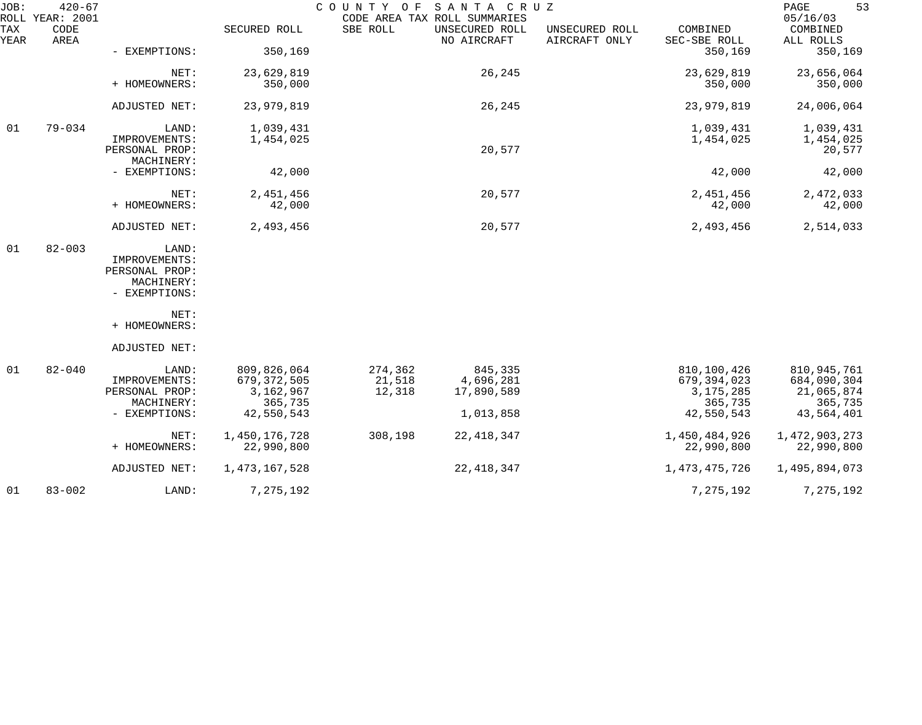| JOB:        | $420 - 67$<br>ROLL YEAR: 2001 |                                                                         |                                                                    | COUNTY OF                   | SANTA CRUZ<br>CODE AREA TAX ROLL SUMMARIES      |                                 |                                                                      | 53<br>PAGE<br>05/16/03                                            |
|-------------|-------------------------------|-------------------------------------------------------------------------|--------------------------------------------------------------------|-----------------------------|-------------------------------------------------|---------------------------------|----------------------------------------------------------------------|-------------------------------------------------------------------|
| TAX<br>YEAR | CODE<br>AREA                  |                                                                         | SECURED ROLL                                                       | SBE ROLL                    | UNSECURED ROLL<br>NO AIRCRAFT                   | UNSECURED ROLL<br>AIRCRAFT ONLY | COMBINED<br>SEC-SBE ROLL                                             | COMBINED<br>ALL ROLLS                                             |
|             |                               | - EXEMPTIONS:                                                           | 350,169                                                            |                             |                                                 |                                 | 350,169                                                              | 350,169                                                           |
|             |                               | NET:<br>+ HOMEOWNERS:                                                   | 23,629,819<br>350,000                                              |                             | 26,245                                          |                                 | 23,629,819<br>350,000                                                | 23,656,064<br>350,000                                             |
|             |                               | ADJUSTED NET:                                                           | 23,979,819                                                         |                             | 26,245                                          |                                 | 23,979,819                                                           | 24,006,064                                                        |
| 01          | $79 - 034$                    | LAND:<br>IMPROVEMENTS:<br>PERSONAL PROP:                                | 1,039,431<br>1,454,025                                             |                             | 20,577                                          |                                 | 1,039,431<br>1,454,025                                               | 1,039,431<br>1,454,025<br>20,577                                  |
|             |                               | MACHINERY:<br>- EXEMPTIONS:                                             | 42,000                                                             |                             |                                                 |                                 | 42,000                                                               | 42,000                                                            |
|             |                               | NET:<br>+ HOMEOWNERS:                                                   | 2,451,456<br>42,000                                                |                             | 20,577                                          |                                 | 2,451,456<br>42,000                                                  | 2,472,033<br>42,000                                               |
|             |                               | ADJUSTED NET:                                                           | 2,493,456                                                          |                             | 20,577                                          |                                 | 2,493,456                                                            | 2,514,033                                                         |
| 01          | $82 - 003$                    | LAND:<br>IMPROVEMENTS:<br>PERSONAL PROP:<br>MACHINERY:<br>- EXEMPTIONS: |                                                                    |                             |                                                 |                                 |                                                                      |                                                                   |
|             |                               | NET:<br>+ HOMEOWNERS:                                                   |                                                                    |                             |                                                 |                                 |                                                                      |                                                                   |
|             |                               | ADJUSTED NET:                                                           |                                                                    |                             |                                                 |                                 |                                                                      |                                                                   |
| 01          | $82 - 040$                    | LAND:<br>IMPROVEMENTS:<br>PERSONAL PROP:<br>MACHINERY:<br>- EXEMPTIONS: | 809,826,064<br>679, 372, 505<br>3,162,967<br>365,735<br>42,550,543 | 274,362<br>21,518<br>12,318 | 845,335<br>4,696,281<br>17,890,589<br>1,013,858 |                                 | 810,100,426<br>679, 394, 023<br>3, 175, 285<br>365,735<br>42,550,543 | 810,945,761<br>684,090,304<br>21,065,874<br>365,735<br>43,564,401 |
|             |                               | NET:<br>+ HOMEOWNERS:                                                   | 1,450,176,728<br>22,990,800                                        | 308,198                     | 22, 418, 347                                    |                                 | 1,450,484,926<br>22,990,800                                          | 1,472,903,273<br>22,990,800                                       |
|             |                               | ADJUSTED NET:                                                           | 1, 473, 167, 528                                                   |                             | 22, 418, 347                                    |                                 | 1,473,475,726                                                        | 1,495,894,073                                                     |
| 01          | $83 - 002$                    | LAND:                                                                   | 7,275,192                                                          |                             |                                                 |                                 | 7,275,192                                                            | 7,275,192                                                         |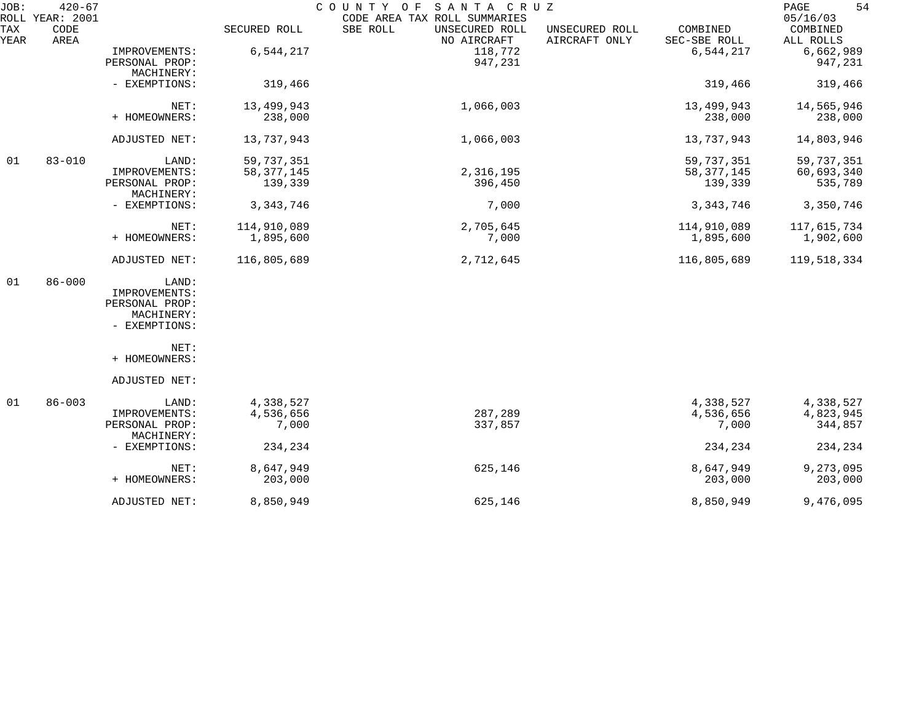| JOB:        | $420 - 67$<br>ROLL YEAR: 2001 |                                                                         |                                       | SANTA CRUZ<br>COUNTY OF<br>CODE AREA TAX ROLL SUMMARIES |                                 |                                       | 54<br>PAGE<br>05/16/03              |
|-------------|-------------------------------|-------------------------------------------------------------------------|---------------------------------------|---------------------------------------------------------|---------------------------------|---------------------------------------|-------------------------------------|
| TAX<br>YEAR | CODE<br>AREA                  |                                                                         | SECURED ROLL                          | SBE ROLL<br>UNSECURED ROLL<br>NO AIRCRAFT               | UNSECURED ROLL<br>AIRCRAFT ONLY | COMBINED<br>SEC-SBE ROLL              | COMBINED<br>ALL ROLLS               |
|             |                               | IMPROVEMENTS:<br>PERSONAL PROP:<br>MACHINERY:                           | 6,544,217                             | 118,772<br>947,231                                      |                                 | 6,544,217                             | 6,662,989<br>947,231                |
|             |                               | - EXEMPTIONS:                                                           | 319,466                               |                                                         |                                 | 319,466                               | 319,466                             |
|             |                               | NET:<br>+ HOMEOWNERS:                                                   | 13,499,943<br>238,000                 | 1,066,003                                               |                                 | 13,499,943<br>238,000                 | 14,565,946<br>238,000               |
|             |                               | ADJUSTED NET:                                                           | 13,737,943                            | 1,066,003                                               |                                 | 13,737,943                            | 14,803,946                          |
| 01          | $83 - 010$                    | LAND:<br>IMPROVEMENTS:<br>PERSONAL PROP:                                | 59,737,351<br>58, 377, 145<br>139,339 | 2,316,195<br>396,450                                    |                                 | 59,737,351<br>58, 377, 145<br>139,339 | 59,737,351<br>60,693,340<br>535,789 |
|             |                               | MACHINERY:<br>- EXEMPTIONS:                                             | 3, 343, 746                           | 7,000                                                   |                                 | 3, 343, 746                           | 3,350,746                           |
|             |                               | NET:<br>+ HOMEOWNERS:                                                   | 114,910,089<br>1,895,600              | 2,705,645<br>7,000                                      |                                 | 114,910,089<br>1,895,600              | 117,615,734<br>1,902,600            |
|             |                               | ADJUSTED NET:                                                           | 116,805,689                           | 2,712,645                                               |                                 | 116,805,689                           | 119,518,334                         |
| 01          | $86 - 000$                    | LAND:<br>IMPROVEMENTS:<br>PERSONAL PROP:<br>MACHINERY:<br>- EXEMPTIONS: |                                       |                                                         |                                 |                                       |                                     |
|             |                               | NET:<br>+ HOMEOWNERS:                                                   |                                       |                                                         |                                 |                                       |                                     |
|             |                               | ADJUSTED NET:                                                           |                                       |                                                         |                                 |                                       |                                     |
| 01          | $86 - 003$                    | LAND:<br>IMPROVEMENTS:<br>PERSONAL PROP:<br>MACHINERY:                  | 4,338,527<br>4,536,656<br>7,000       | 287,289<br>337,857                                      |                                 | 4,338,527<br>4,536,656<br>7,000       | 4,338,527<br>4,823,945<br>344,857   |
|             |                               | - EXEMPTIONS:                                                           | 234,234                               |                                                         |                                 | 234,234                               | 234,234                             |
|             |                               | NET:<br>+ HOMEOWNERS:                                                   | 8,647,949<br>203,000                  | 625,146                                                 |                                 | 8,647,949<br>203,000                  | 9,273,095<br>203,000                |
|             |                               | ADJUSTED NET:                                                           | 8,850,949                             | 625,146                                                 |                                 | 8,850,949                             | 9,476,095                           |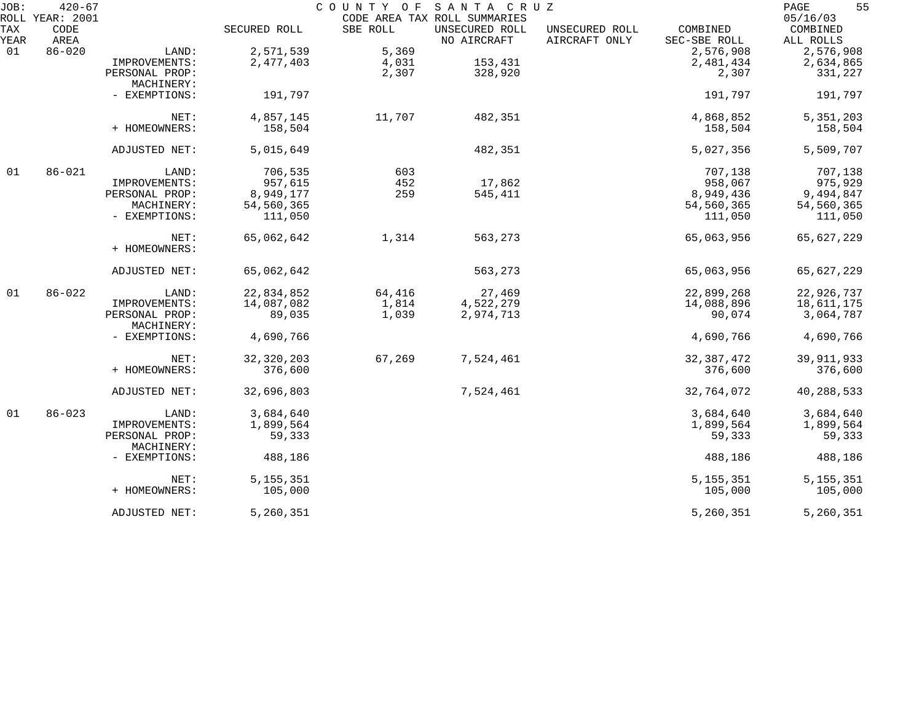| JOB:        | $420 - 67$                      |                              |              |          | COUNTY OF SANTA CRUZ                                          |                                 |                          | 55<br>PAGE                        |
|-------------|---------------------------------|------------------------------|--------------|----------|---------------------------------------------------------------|---------------------------------|--------------------------|-----------------------------------|
| TAX<br>YEAR | ROLL YEAR: 2001<br>CODE<br>AREA |                              | SECURED ROLL | SBE ROLL | CODE AREA TAX ROLL SUMMARIES<br>UNSECURED ROLL<br>NO AIRCRAFT | UNSECURED ROLL<br>AIRCRAFT ONLY | COMBINED<br>SEC-SBE ROLL | 05/16/03<br>COMBINED<br>ALL ROLLS |
| 01          | $86 - 020$                      | LAND:                        | 2,571,539    | 5,369    |                                                               |                                 | 2,576,908                | 2,576,908                         |
|             |                                 | IMPROVEMENTS:                | 2,477,403    | 4,031    | 153,431                                                       |                                 | 2,481,434                | 2,634,865                         |
|             |                                 | PERSONAL PROP:               |              | 2,307    | 328,920                                                       |                                 | 2,307                    | 331,227                           |
|             |                                 | MACHINERY:                   |              |          |                                                               |                                 |                          |                                   |
|             |                                 | - EXEMPTIONS:                | 191,797      |          |                                                               |                                 | 191,797                  | 191,797                           |
|             |                                 | NET:                         | 4,857,145    | 11,707   | 482,351                                                       |                                 | 4,868,852                | 5, 351, 203                       |
|             |                                 | + HOMEOWNERS:                | 158,504      |          |                                                               |                                 | 158,504                  | 158,504                           |
|             |                                 | ADJUSTED NET:                | 5,015,649    |          | 482,351                                                       |                                 | 5,027,356                | 5,509,707                         |
| 01          | $86 - 021$                      | LAND:                        | 706,535      | 603      |                                                               |                                 | 707,138                  | 707,138                           |
|             |                                 | IMPROVEMENTS:                | 957,615      | 452      | 17,862                                                        |                                 | 958,067                  | 975,929                           |
|             |                                 | PERSONAL PROP:               | 8,949,177    | 259      | 545,411                                                       |                                 | 8,949,436                | 9,494,847                         |
|             |                                 | MACHINERY:                   | 54,560,365   |          |                                                               |                                 | 54,560,365               | 54,560,365                        |
|             |                                 | - EXEMPTIONS:                | 111,050      |          |                                                               |                                 | 111,050                  | 111,050                           |
|             |                                 | NET:                         | 65,062,642   | 1,314    | 563,273                                                       |                                 | 65,063,956               | 65,627,229                        |
|             |                                 | + HOMEOWNERS:                |              |          |                                                               |                                 |                          |                                   |
|             |                                 | ADJUSTED NET:                | 65,062,642   |          | 563,273                                                       |                                 | 65,063,956               | 65,627,229                        |
| 01          | $86 - 022$                      | LAND:                        | 22,834,852   | 64,416   | 27,469                                                        |                                 | 22,899,268               | 22,926,737                        |
|             |                                 | IMPROVEMENTS:                | 14,087,082   | 1,814    | 4,522,279                                                     |                                 | 14,088,896               | 18,611,175                        |
|             |                                 | PERSONAL PROP:               | 89,035       | 1,039    | 2,974,713                                                     |                                 | 90,074                   | 3,064,787                         |
|             |                                 | MACHINERY:                   |              |          |                                                               |                                 |                          |                                   |
|             |                                 | - EXEMPTIONS:                | 4,690,766    |          |                                                               |                                 | 4,690,766                | 4,690,766                         |
|             |                                 | NET:                         | 32, 320, 203 | 67,269   | 7,524,461                                                     |                                 | 32, 387, 472             | 39, 911, 933                      |
|             |                                 | + HOMEOWNERS:                | 376,600      |          |                                                               |                                 | 376,600                  | 376,600                           |
|             |                                 | ADJUSTED NET:                | 32,696,803   |          | 7,524,461                                                     |                                 | 32,764,072               | 40,288,533                        |
| 01          | $86 - 023$                      | LAND:                        | 3,684,640    |          |                                                               |                                 | 3,684,640                | 3,684,640                         |
|             |                                 | IMPROVEMENTS:                | 1,899,564    |          |                                                               |                                 | 1,899,564                | 1,899,564                         |
|             |                                 | PERSONAL PROP:<br>MACHINERY: | 59,333       |          |                                                               |                                 | 59,333                   | 59,333                            |
|             |                                 | - EXEMPTIONS:                | 488,186      |          |                                                               |                                 | 488,186                  | 488,186                           |
|             |                                 | NET:                         | 5, 155, 351  |          |                                                               |                                 | 5, 155, 351              | 5, 155, 351                       |
|             |                                 | + HOMEOWNERS:                | 105,000      |          |                                                               |                                 | 105,000                  | 105,000                           |
|             |                                 | ADJUSTED NET:                | 5,260,351    |          |                                                               |                                 | 5,260,351                | 5,260,351                         |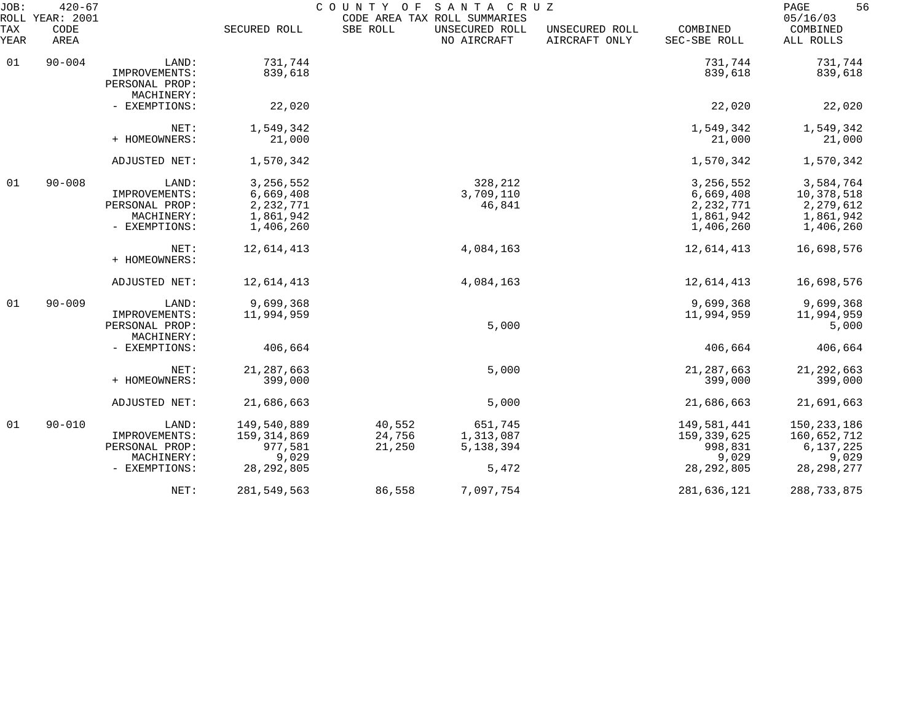| JOB:<br>ROLL       | $420 - 67$<br>YEAR: 2001 |                                               |               | COUNTY OF | SANTA CRUZ<br>CODE AREA TAX ROLL SUMMARIES |                                 |                          | 56<br>PAGE<br>05/16/03 |
|--------------------|--------------------------|-----------------------------------------------|---------------|-----------|--------------------------------------------|---------------------------------|--------------------------|------------------------|
| <b>TAX</b><br>YEAR | CODE<br>AREA             |                                               | SECURED ROLL  | SBE ROLL  | UNSECURED ROLL<br>NO AIRCRAFT              | UNSECURED ROLL<br>AIRCRAFT ONLY | COMBINED<br>SEC-SBE ROLL | COMBINED<br>ALL ROLLS  |
| 01                 | $90 - 004$               | LAND:                                         | 731,744       |           |                                            |                                 | 731,744                  | 731,744                |
|                    |                          | IMPROVEMENTS:<br>PERSONAL PROP:<br>MACHINERY: | 839,618       |           |                                            |                                 | 839,618                  | 839,618                |
|                    |                          | - EXEMPTIONS:                                 | 22,020        |           |                                            |                                 | 22,020                   | 22,020                 |
|                    |                          | NET:                                          | 1,549,342     |           |                                            |                                 | 1,549,342                | 1,549,342              |
|                    |                          | + HOMEOWNERS:                                 | 21,000        |           |                                            |                                 | 21,000                   | 21,000                 |
|                    |                          | ADJUSTED NET:                                 | 1,570,342     |           |                                            |                                 | 1,570,342                | 1,570,342              |
| 01                 | $90 - 008$               | LAND:                                         | 3, 256, 552   |           | 328,212                                    |                                 | 3, 256, 552              | 3,584,764              |
|                    |                          | IMPROVEMENTS:                                 | 6,669,408     |           | 3,709,110                                  |                                 | 6,669,408                | 10,378,518             |
|                    |                          | PERSONAL PROP:                                | 2, 232, 771   |           | 46,841                                     |                                 | 2, 232, 771              | 2,279,612              |
|                    |                          | MACHINERY:                                    | 1,861,942     |           |                                            |                                 | 1,861,942                | 1,861,942              |
|                    |                          | - EXEMPTIONS:                                 | 1,406,260     |           |                                            |                                 | 1,406,260                | 1,406,260              |
|                    |                          | NET:                                          | 12,614,413    |           | 4,084,163                                  |                                 | 12,614,413               | 16,698,576             |
|                    |                          | + HOMEOWNERS:                                 |               |           |                                            |                                 |                          |                        |
|                    |                          | ADJUSTED NET:                                 | 12,614,413    |           | 4,084,163                                  |                                 | 12,614,413               | 16,698,576             |
| 01                 | $90 - 009$               | LAND:                                         | 9,699,368     |           |                                            |                                 | 9,699,368                | 9,699,368              |
|                    |                          | IMPROVEMENTS:                                 | 11,994,959    |           |                                            |                                 | 11,994,959               | 11,994,959             |
|                    |                          | PERSONAL PROP:<br>MACHINERY:                  |               |           | 5,000                                      |                                 |                          | 5,000                  |
|                    |                          | - EXEMPTIONS:                                 | 406,664       |           |                                            |                                 | 406,664                  | 406,664                |
|                    |                          | NET:                                          | 21, 287, 663  |           | 5,000                                      |                                 | 21, 287, 663             | 21, 292, 663           |
|                    |                          | + HOMEOWNERS:                                 | 399,000       |           |                                            |                                 | 399,000                  | 399,000                |
|                    |                          | ADJUSTED NET:                                 | 21,686,663    |           | 5,000                                      |                                 | 21,686,663               | 21,691,663             |
| 01                 | $90 - 010$               | LAND:                                         | 149,540,889   | 40,552    | 651,745                                    |                                 | 149,581,441              | 150,233,186            |
|                    |                          | IMPROVEMENTS:                                 | 159, 314, 869 | 24,756    | 1,313,087                                  |                                 | 159,339,625              | 160,652,712            |
|                    |                          | PERSONAL PROP:                                | 977,581       | 21,250    | 5,138,394                                  |                                 | 998,831                  | 6,137,225              |
|                    |                          | MACHINERY:                                    | 9,029         |           |                                            |                                 | 9,029                    | 9,029                  |
|                    |                          | - EXEMPTIONS:                                 | 28, 292, 805  |           | 5,472                                      |                                 | 28, 292, 805             | 28, 298, 277           |
|                    |                          | NET:                                          | 281,549,563   | 86,558    | 7,097,754                                  |                                 | 281,636,121              | 288,733,875            |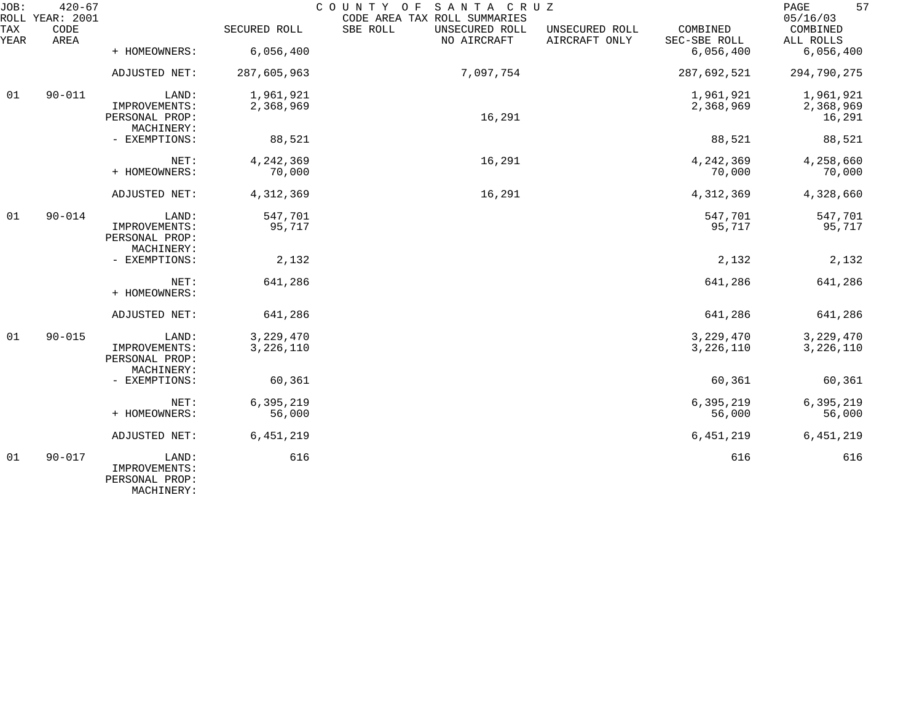| JOB:<br>ROLL | $420 - 67$<br>YEAR: 2001 |                                                        |                        | COUNTY OF<br>SANTA CRUZ<br>CODE AREA TAX ROLL SUMMARIES |                                 |                          | 57<br>PAGE<br>05/16/03   |
|--------------|--------------------------|--------------------------------------------------------|------------------------|---------------------------------------------------------|---------------------------------|--------------------------|--------------------------|
| TAX<br>YEAR  | CODE<br>AREA             |                                                        | SECURED ROLL           | SBE ROLL<br>UNSECURED ROLL<br>NO AIRCRAFT               | UNSECURED ROLL<br>AIRCRAFT ONLY | COMBINED<br>SEC-SBE ROLL | COMBINED<br>ALL ROLLS    |
|              |                          | + HOMEOWNERS:                                          | 6,056,400              |                                                         |                                 | 6,056,400                | 6,056,400                |
|              |                          | ADJUSTED NET:                                          | 287,605,963            | 7,097,754                                               |                                 | 287,692,521              | 294,790,275              |
| 01           | $90 - 011$               | LAND:                                                  | 1,961,921              |                                                         |                                 | 1,961,921                | 1,961,921                |
|              |                          | IMPROVEMENTS:<br>PERSONAL PROP:<br>MACHINERY:          | 2,368,969              | 16,291                                                  |                                 | 2,368,969                | 2,368,969<br>16,291      |
|              |                          | - EXEMPTIONS:                                          | 88,521                 |                                                         |                                 | 88,521                   | 88,521                   |
|              |                          | NET:<br>+ HOMEOWNERS:                                  | 4,242,369<br>70,000    | 16,291                                                  |                                 | 4,242,369<br>70,000      | 4,258,660                |
|              |                          |                                                        |                        |                                                         |                                 |                          | 70,000                   |
|              |                          | ADJUSTED NET:                                          | 4,312,369              | 16,291                                                  |                                 | 4,312,369                | 4,328,660                |
| 01           | $90 - 014$               | LAND:                                                  | 547,701                |                                                         |                                 | 547,701                  | 547,701                  |
|              |                          | IMPROVEMENTS:<br>PERSONAL PROP:<br>MACHINERY:          | 95,717                 |                                                         |                                 | 95,717                   | 95,717                   |
|              |                          | - EXEMPTIONS:                                          | 2,132                  |                                                         |                                 | 2,132                    | 2,132                    |
|              |                          | NET:<br>+ HOMEOWNERS:                                  | 641,286                |                                                         |                                 | 641,286                  | 641,286                  |
|              |                          | ADJUSTED NET:                                          | 641,286                |                                                         |                                 | 641,286                  | 641,286                  |
| 01           | $90 - 015$               | LAND:<br>IMPROVEMENTS:                                 | 3,229,470<br>3,226,110 |                                                         |                                 | 3, 229, 470<br>3,226,110 | 3, 229, 470<br>3,226,110 |
|              |                          | PERSONAL PROP:<br>MACHINERY:                           |                        |                                                         |                                 |                          |                          |
|              |                          | - EXEMPTIONS:                                          | 60,361                 |                                                         |                                 | 60,361                   | 60,361                   |
|              |                          | NET:                                                   | 6,395,219              |                                                         |                                 | 6,395,219                | 6,395,219                |
|              |                          | + HOMEOWNERS:                                          | 56,000                 |                                                         |                                 | 56,000                   | 56,000                   |
|              |                          | ADJUSTED NET:                                          | 6,451,219              |                                                         |                                 | 6, 451, 219              | 6, 451, 219              |
| 01           | $90 - 017$               | LAND:<br>IMPROVEMENTS:<br>PERSONAL PROP:<br>MACHINERY: | 616                    |                                                         |                                 | 616                      | 616                      |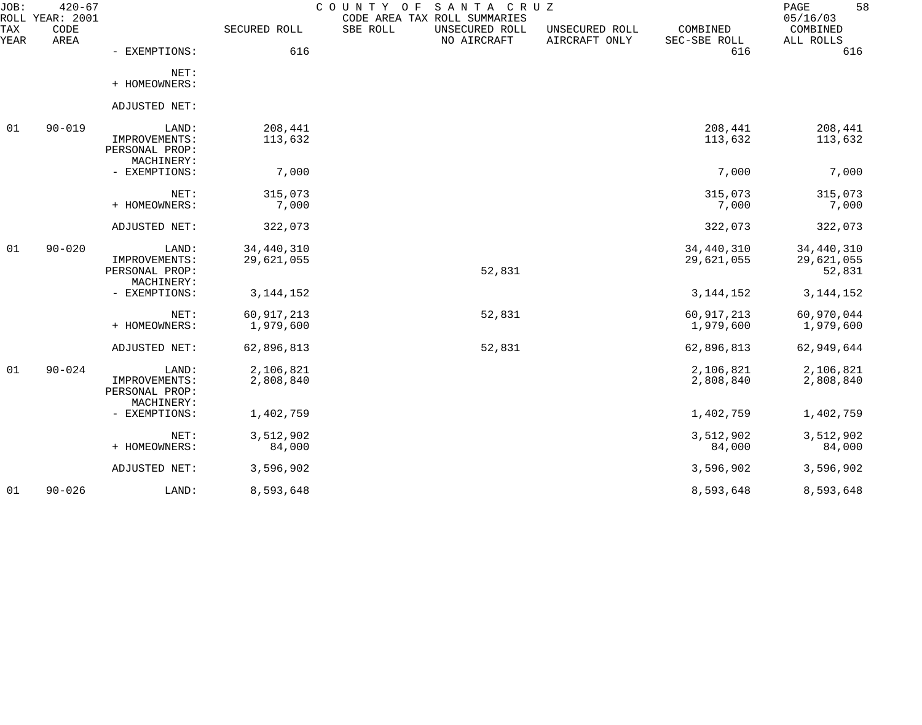| $420 - 67$   |                                          |                                        | O F<br>CODE AREA TAX ROLL SUMMARIES       |                                 |                            | 58<br>PAGE<br>05/16/03             |
|--------------|------------------------------------------|----------------------------------------|-------------------------------------------|---------------------------------|----------------------------|------------------------------------|
| CODE<br>AREA |                                          | SECURED ROLL                           | SBE ROLL<br>UNSECURED ROLL<br>NO AIRCRAFT | UNSECURED ROLL<br>AIRCRAFT ONLY | COMBINED<br>SEC-SBE ROLL   | COMBINED<br>ALL ROLLS              |
|              | - EXEMPTIONS:                            | 616                                    |                                           |                                 | 616                        | 616                                |
|              | NET:<br>+ HOMEOWNERS:                    |                                        |                                           |                                 |                            |                                    |
|              | ADJUSTED NET:                            |                                        |                                           |                                 |                            |                                    |
| $90 - 019$   | LAND:<br>IMPROVEMENTS:<br>PERSONAL PROP: | 208,441<br>113,632                     |                                           |                                 | 208,441<br>113,632         | 208,441<br>113,632                 |
|              | - EXEMPTIONS:                            | 7,000                                  |                                           |                                 | 7,000                      | 7,000                              |
|              | NET:<br>+ HOMEOWNERS:                    | 315,073<br>7,000                       |                                           |                                 | 315,073<br>7,000           | 315,073<br>7,000                   |
|              | ADJUSTED NET:                            | 322,073                                |                                           |                                 | 322,073                    | 322,073                            |
| $90 - 020$   | LAND:<br>IMPROVEMENTS:<br>PERSONAL PROP: | 34,440,310<br>29,621,055               | 52,831                                    |                                 | 34, 440, 310<br>29,621,055 | 34,440,310<br>29,621,055<br>52,831 |
|              | - EXEMPTIONS:                            | 3, 144, 152                            |                                           |                                 | 3, 144, 152                | 3, 144, 152                        |
|              | NET:<br>+ HOMEOWNERS:                    | 60, 917, 213<br>1,979,600              | 52,831                                    |                                 | 60, 917, 213<br>1,979,600  | 60,970,044<br>1,979,600            |
|              | ADJUSTED NET:                            | 62,896,813                             | 52,831                                    |                                 | 62,896,813                 | 62,949,644                         |
| $90 - 024$   | LAND:<br>IMPROVEMENTS:<br>PERSONAL PROP: | 2,106,821<br>2,808,840                 |                                           |                                 | 2,106,821<br>2,808,840     | 2,106,821<br>2,808,840             |
|              | - EXEMPTIONS:                            | 1,402,759                              |                                           |                                 | 1,402,759                  | 1,402,759                          |
|              | NET:<br>+ HOMEOWNERS:                    | 3,512,902<br>84,000                    |                                           |                                 | 3,512,902<br>84,000        | 3,512,902<br>84,000                |
|              | ADJUSTED NET:                            | 3,596,902                              |                                           |                                 | 3,596,902                  | 3,596,902                          |
| $90 - 026$   | LAND:                                    | 8,593,648                              |                                           |                                 | 8,593,648                  | 8,593,648                          |
|              | ROLL YEAR: 2001                          | MACHINERY:<br>MACHINERY:<br>MACHINERY: |                                           | COUNTY                          | SANTA CRUZ                 |                                    |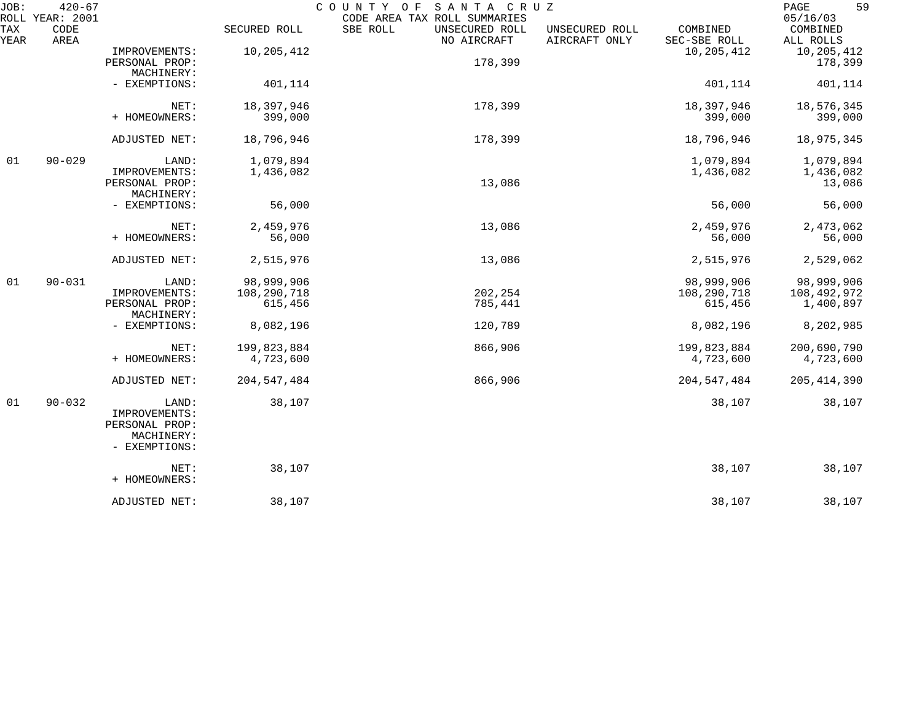| JOB:<br>ROLL | $420 - 67$<br>YEAR: 2001 |                                               |               | COUNTY OF<br>SANTA CRUZ<br>CODE AREA TAX ROLL SUMMARIES |                                 |                          | 59<br>PAGE<br>05/16/03 |
|--------------|--------------------------|-----------------------------------------------|---------------|---------------------------------------------------------|---------------------------------|--------------------------|------------------------|
| TAX<br>YEAR  | CODE<br>AREA             |                                               | SECURED ROLL  | SBE ROLL<br>UNSECURED ROLL<br>NO AIRCRAFT               | UNSECURED ROLL<br>AIRCRAFT ONLY | COMBINED<br>SEC-SBE ROLL | COMBINED<br>ALL ROLLS  |
|              |                          | IMPROVEMENTS:                                 | 10,205,412    |                                                         |                                 | 10,205,412               | 10,205,412             |
|              |                          | PERSONAL PROP:                                |               | 178,399                                                 |                                 |                          | 178,399                |
|              |                          | MACHINERY:                                    |               |                                                         |                                 |                          |                        |
|              |                          | - EXEMPTIONS:                                 | 401,114       |                                                         |                                 | 401,114                  | 401,114                |
|              |                          | NET:                                          | 18,397,946    | 178,399                                                 |                                 | 18,397,946               | 18,576,345             |
|              |                          | + HOMEOWNERS:                                 | 399,000       |                                                         |                                 | 399,000                  | 399,000                |
|              |                          | ADJUSTED NET:                                 | 18,796,946    | 178,399                                                 |                                 | 18,796,946               | 18,975,345             |
| 01           | $90 - 029$               | LAND:                                         | 1,079,894     |                                                         |                                 | 1,079,894                | 1,079,894              |
|              |                          | IMPROVEMENTS:                                 | 1,436,082     |                                                         |                                 | 1,436,082                | 1,436,082              |
|              |                          | PERSONAL PROP:                                |               | 13,086                                                  |                                 |                          | 13,086                 |
|              |                          | MACHINERY:                                    |               |                                                         |                                 |                          |                        |
|              |                          | - EXEMPTIONS:                                 | 56,000        |                                                         |                                 | 56,000                   | 56,000                 |
|              |                          | NET:                                          | 2,459,976     | 13,086                                                  |                                 | 2,459,976                | 2,473,062              |
|              |                          | + HOMEOWNERS:                                 | 56,000        |                                                         |                                 | 56,000                   | 56,000                 |
|              |                          | ADJUSTED NET:                                 | 2,515,976     | 13,086                                                  |                                 | 2,515,976                | 2,529,062              |
| 01           | $90 - 031$               | LAND:                                         | 98,999,906    |                                                         |                                 | 98,999,906               | 98,999,906             |
|              |                          | IMPROVEMENTS:                                 | 108,290,718   | 202,254                                                 |                                 | 108,290,718              | 108,492,972            |
|              |                          | PERSONAL PROP:<br>MACHINERY:                  | 615,456       | 785,441                                                 |                                 | 615,456                  | 1,400,897              |
|              |                          | - EXEMPTIONS:                                 | 8,082,196     | 120,789                                                 |                                 | 8,082,196                | 8,202,985              |
|              |                          | NET:                                          | 199,823,884   | 866,906                                                 |                                 | 199,823,884              | 200,690,790            |
|              |                          | + HOMEOWNERS:                                 | 4,723,600     |                                                         |                                 | 4,723,600                | 4,723,600              |
|              |                          | ADJUSTED NET:                                 | 204, 547, 484 | 866,906                                                 |                                 | 204,547,484              | 205, 414, 390          |
| 01           | $90 - 032$               | LAND:<br>IMPROVEMENTS:                        | 38,107        |                                                         |                                 | 38,107                   | 38,107                 |
|              |                          | PERSONAL PROP:<br>MACHINERY:<br>- EXEMPTIONS: |               |                                                         |                                 |                          |                        |
|              |                          | NET:<br>+ HOMEOWNERS:                         | 38,107        |                                                         |                                 | 38,107                   | 38,107                 |
|              |                          | ADJUSTED NET:                                 | 38,107        |                                                         |                                 | 38,107                   | 38,107                 |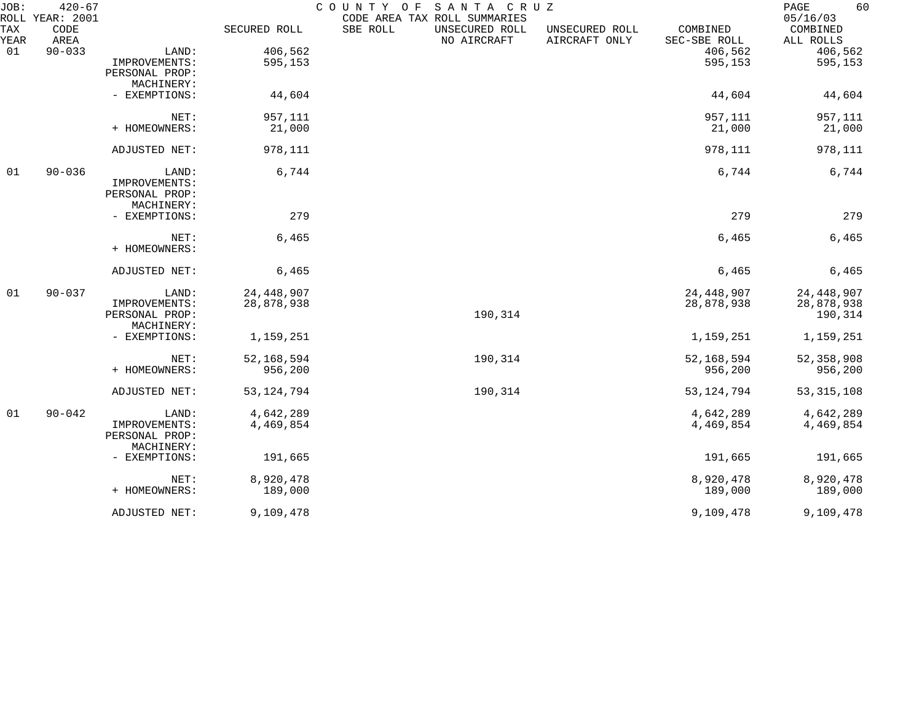| JOB:        | $420 - 67$<br>ROLL YEAR: 2001 |                              |              | COUNTY OF<br>SANTA CRUZ<br>CODE AREA TAX ROLL SUMMARIES                                                  | 60<br>PAGE<br>05/16/03 |
|-------------|-------------------------------|------------------------------|--------------|----------------------------------------------------------------------------------------------------------|------------------------|
| TAX<br>YEAR | CODE<br>AREA                  |                              | SECURED ROLL | SBE ROLL<br>COMBINED<br>UNSECURED ROLL<br>UNSECURED ROLL<br>NO AIRCRAFT<br>AIRCRAFT ONLY<br>SEC-SBE ROLL | COMBINED<br>ALL ROLLS  |
| 01          | $90 - 033$                    | LAND:                        | 406,562      | 406,562                                                                                                  | 406,562                |
|             |                               | IMPROVEMENTS:                | 595,153      | 595,153                                                                                                  | 595,153                |
|             |                               | PERSONAL PROP:               |              |                                                                                                          |                        |
|             |                               | MACHINERY:                   |              |                                                                                                          |                        |
|             |                               | - EXEMPTIONS:                | 44,604       | 44,604                                                                                                   | 44,604                 |
|             |                               | NET:                         | 957,111      | 957,111                                                                                                  | 957,111                |
|             |                               | + HOMEOWNERS:                | 21,000       | 21,000                                                                                                   | 21,000                 |
|             |                               | ADJUSTED NET:                | 978,111      | 978,111                                                                                                  | 978,111                |
| 01          | $90 - 036$                    | LAND:                        | 6,744        | 6,744                                                                                                    | 6,744                  |
|             |                               | IMPROVEMENTS:                |              |                                                                                                          |                        |
|             |                               | PERSONAL PROP:               |              |                                                                                                          |                        |
|             |                               | MACHINERY:                   |              |                                                                                                          |                        |
|             |                               | - EXEMPTIONS:                | 279          | 279                                                                                                      | 279                    |
|             |                               | NET:                         | 6,465        | 6,465                                                                                                    | 6,465                  |
|             |                               | + HOMEOWNERS:                |              |                                                                                                          |                        |
|             |                               | ADJUSTED NET:                | 6,465        | 6,465                                                                                                    | 6,465                  |
| 01          | $90 - 037$                    | LAND:                        | 24, 448, 907 | 24, 448, 907                                                                                             | 24, 448, 907           |
|             |                               | IMPROVEMENTS:                | 28,878,938   | 28,878,938                                                                                               | 28,878,938             |
|             |                               | PERSONAL PROP:               |              | 190,314                                                                                                  | 190,314                |
|             |                               | MACHINERY:                   |              |                                                                                                          |                        |
|             |                               | - EXEMPTIONS:                | 1,159,251    | 1,159,251                                                                                                | 1,159,251              |
|             |                               | NET:                         | 52, 168, 594 | 190,314<br>52, 168, 594                                                                                  | 52, 358, 908           |
|             |                               | + HOMEOWNERS:                | 956,200      | 956,200                                                                                                  | 956,200                |
|             |                               | ADJUSTED NET:                | 53, 124, 794 | 190,314<br>53, 124, 794                                                                                  | 53, 315, 108           |
| 01          | $90 - 042$                    | LAND:                        | 4,642,289    | 4,642,289                                                                                                | 4,642,289              |
|             |                               | IMPROVEMENTS:                | 4,469,854    | 4,469,854                                                                                                | 4,469,854              |
|             |                               | PERSONAL PROP:<br>MACHINERY: |              |                                                                                                          |                        |
|             |                               | - EXEMPTIONS:                | 191,665      | 191,665                                                                                                  | 191,665                |
|             |                               |                              |              |                                                                                                          |                        |
|             |                               | NET:                         | 8,920,478    | 8,920,478                                                                                                | 8,920,478              |
|             |                               | + HOMEOWNERS:                | 189,000      | 189,000                                                                                                  | 189,000                |
|             |                               | ADJUSTED NET:                | 9,109,478    | 9,109,478                                                                                                | 9,109,478              |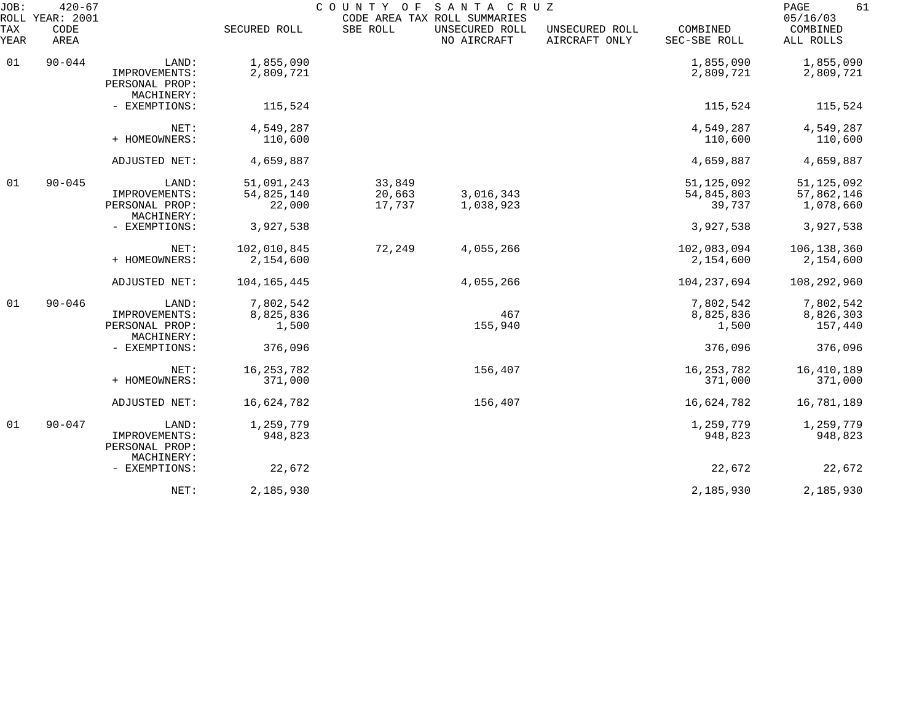| JOB:<br>ROLL | $420 - 67$<br>YEAR: 2001 |                                               |                        | COUNTY OF SANTA CRUZ | CODE AREA TAX ROLL SUMMARIES  |                                 |                          | 61<br>PAGE<br>05/16/03  |
|--------------|--------------------------|-----------------------------------------------|------------------------|----------------------|-------------------------------|---------------------------------|--------------------------|-------------------------|
| TAX<br>YEAR  | CODE<br>AREA             |                                               | SECURED ROLL           | SBE ROLL             | UNSECURED ROLL<br>NO AIRCRAFT | UNSECURED ROLL<br>AIRCRAFT ONLY | COMBINED<br>SEC-SBE ROLL | COMBINED<br>ALL ROLLS   |
| 01           | $90 - 044$               | LAND:<br>IMPROVEMENTS:                        | 1,855,090<br>2,809,721 |                      |                               |                                 | 1,855,090<br>2,809,721   | 1,855,090<br>2,809,721  |
|              |                          | PERSONAL PROP:<br>MACHINERY:                  |                        |                      |                               |                                 |                          |                         |
|              |                          | - EXEMPTIONS:                                 | 115,524                |                      |                               |                                 | 115,524                  | 115,524                 |
|              |                          | NET:                                          | 4,549,287              |                      |                               |                                 | 4,549,287                | 4,549,287               |
|              |                          | + HOMEOWNERS:                                 | 110,600                |                      |                               |                                 | 110,600                  | 110,600                 |
|              |                          | ADJUSTED NET:                                 | 4,659,887              |                      |                               |                                 | 4,659,887                | 4,659,887               |
| 01           | $90 - 045$               | LAND:                                         | 51,091,243             | 33,849               |                               |                                 | 51, 125, 092             | 51, 125, 092            |
|              |                          | IMPROVEMENTS:<br>PERSONAL PROP:<br>MACHINERY: | 54,825,140<br>22,000   | 20,663<br>17,737     | 3,016,343<br>1,038,923        |                                 | 54,845,803<br>39,737     | 57,862,146<br>1,078,660 |
|              |                          | - EXEMPTIONS:                                 | 3,927,538              |                      |                               |                                 | 3,927,538                | 3,927,538               |
|              |                          | NET:                                          | 102,010,845            | 72,249               | 4,055,266                     |                                 | 102,083,094              | 106,138,360             |
|              |                          | + HOMEOWNERS:                                 | 2,154,600              |                      |                               |                                 | 2,154,600                | 2,154,600               |
|              |                          | ADJUSTED NET:                                 | 104, 165, 445          |                      | 4,055,266                     |                                 | 104, 237, 694            | 108,292,960             |
| 01           | $90 - 046$               | LAND:                                         | 7,802,542              |                      |                               |                                 | 7,802,542                | 7,802,542               |
|              |                          | IMPROVEMENTS:<br>PERSONAL PROP:<br>MACHINERY: | 8,825,836<br>1,500     |                      | 467<br>155,940                |                                 | 8,825,836<br>1,500       | 8,826,303<br>157,440    |
|              |                          | - EXEMPTIONS:                                 | 376,096                |                      |                               |                                 | 376,096                  | 376,096                 |
|              |                          | NET:                                          | 16, 253, 782           |                      | 156,407                       |                                 | 16, 253, 782             | 16,410,189              |
|              |                          | + HOMEOWNERS:                                 | 371,000                |                      |                               |                                 | 371,000                  | 371,000                 |
|              |                          | ADJUSTED NET:                                 | 16,624,782             |                      | 156,407                       |                                 | 16,624,782               | 16,781,189              |
| 01           | $90 - 047$               | LAND:                                         | 1,259,779              |                      |                               |                                 | 1,259,779                | 1,259,779               |
|              |                          | IMPROVEMENTS:<br>PERSONAL PROP:<br>MACHINERY: | 948,823                |                      |                               |                                 | 948,823                  | 948,823                 |
|              |                          | - EXEMPTIONS:                                 | 22,672                 |                      |                               |                                 | 22,672                   | 22,672                  |
|              |                          | NET:                                          | 2,185,930              |                      |                               |                                 | 2,185,930                | 2,185,930               |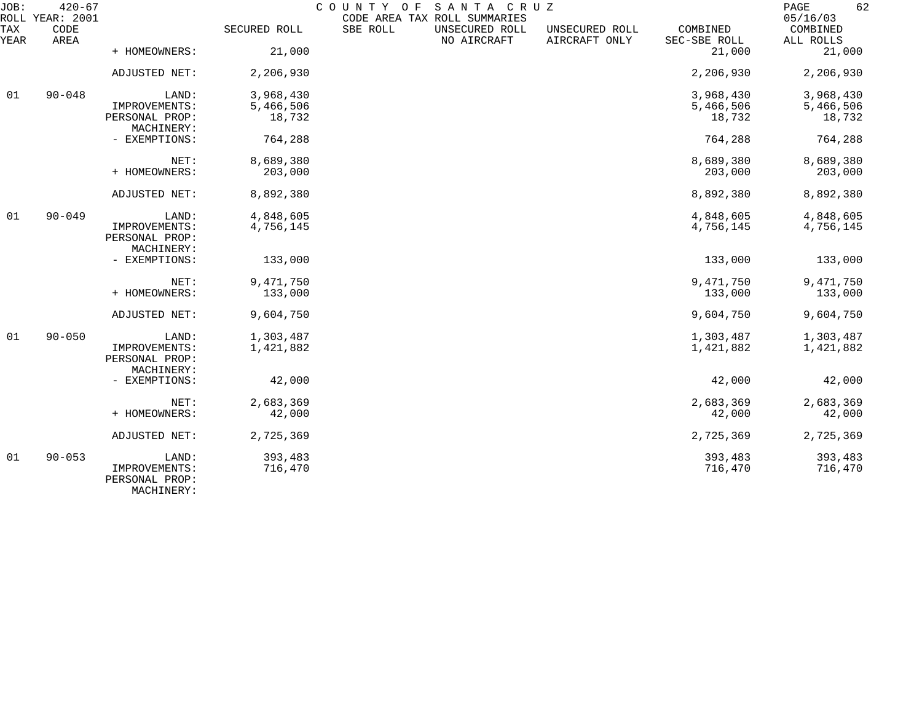| JOB:<br>ROLL | $420 - 67$<br>YEAR: 2001 |                                               |              | COUNTY OF | SANTA CRUZ<br>CODE AREA TAX ROLL SUMMARIES |                                 |                          | 62<br>PAGE<br>05/16/03 |
|--------------|--------------------------|-----------------------------------------------|--------------|-----------|--------------------------------------------|---------------------------------|--------------------------|------------------------|
| TAX<br>YEAR  | CODE<br>AREA             |                                               | SECURED ROLL | SBE ROLL  | UNSECURED ROLL<br>NO AIRCRAFT              | UNSECURED ROLL<br>AIRCRAFT ONLY | COMBINED<br>SEC-SBE ROLL | COMBINED<br>ALL ROLLS  |
|              |                          | + HOMEOWNERS:                                 | 21,000       |           |                                            |                                 | 21,000                   | 21,000                 |
|              |                          | ADJUSTED NET:                                 | 2,206,930    |           |                                            |                                 | 2,206,930                | 2,206,930              |
| 01           | $90 - 048$               | LAND:                                         | 3,968,430    |           |                                            |                                 | 3,968,430                | 3,968,430              |
|              |                          | IMPROVEMENTS:                                 | 5,466,506    |           |                                            |                                 | 5,466,506                | 5,466,506              |
|              |                          | PERSONAL PROP:<br>MACHINERY:                  | 18,732       |           |                                            |                                 | 18,732                   | 18,732                 |
|              |                          | - EXEMPTIONS:                                 | 764,288      |           |                                            |                                 | 764,288                  | 764,288                |
|              |                          | NET:                                          | 8,689,380    |           |                                            |                                 | 8,689,380                | 8,689,380              |
|              |                          | + HOMEOWNERS:                                 | 203,000      |           |                                            |                                 | 203,000                  | 203,000                |
|              |                          | ADJUSTED NET:                                 | 8,892,380    |           |                                            |                                 | 8,892,380                | 8,892,380              |
| 01           | $90 - 049$               | LAND:                                         | 4,848,605    |           |                                            |                                 | 4,848,605                | 4,848,605              |
|              |                          | IMPROVEMENTS:<br>PERSONAL PROP:               | 4,756,145    |           |                                            |                                 | 4,756,145                | 4,756,145              |
|              |                          | MACHINERY:                                    |              |           |                                            |                                 |                          |                        |
|              |                          | - EXEMPTIONS:                                 | 133,000      |           |                                            |                                 | 133,000                  | 133,000                |
|              |                          | NET:                                          | 9,471,750    |           |                                            |                                 | 9,471,750                | 9,471,750              |
|              |                          | + HOMEOWNERS:                                 | 133,000      |           |                                            |                                 | 133,000                  | 133,000                |
|              |                          | ADJUSTED NET:                                 | 9,604,750    |           |                                            |                                 | 9,604,750                | 9,604,750              |
| 01           | $90 - 050$               | LAND:                                         | 1,303,487    |           |                                            |                                 | 1,303,487                | 1,303,487              |
|              |                          | IMPROVEMENTS:<br>PERSONAL PROP:               | 1,421,882    |           |                                            |                                 | 1,421,882                | 1,421,882              |
|              |                          | MACHINERY:                                    |              |           |                                            |                                 |                          |                        |
|              |                          | - EXEMPTIONS:                                 | 42,000       |           |                                            |                                 | 42,000                   | 42,000                 |
|              |                          | NET:                                          | 2,683,369    |           |                                            |                                 | 2,683,369                | 2,683,369              |
|              |                          | + HOMEOWNERS:                                 | 42,000       |           |                                            |                                 | 42,000                   | 42,000                 |
|              |                          | ADJUSTED NET:                                 | 2,725,369    |           |                                            |                                 | 2,725,369                | 2,725,369              |
| 01           | $90 - 053$               | LAND:                                         | 393,483      |           |                                            |                                 | 393,483                  | 393,483                |
|              |                          | IMPROVEMENTS:<br>PERSONAL PROP:<br>MACHINERY: | 716,470      |           |                                            |                                 | 716,470                  | 716,470                |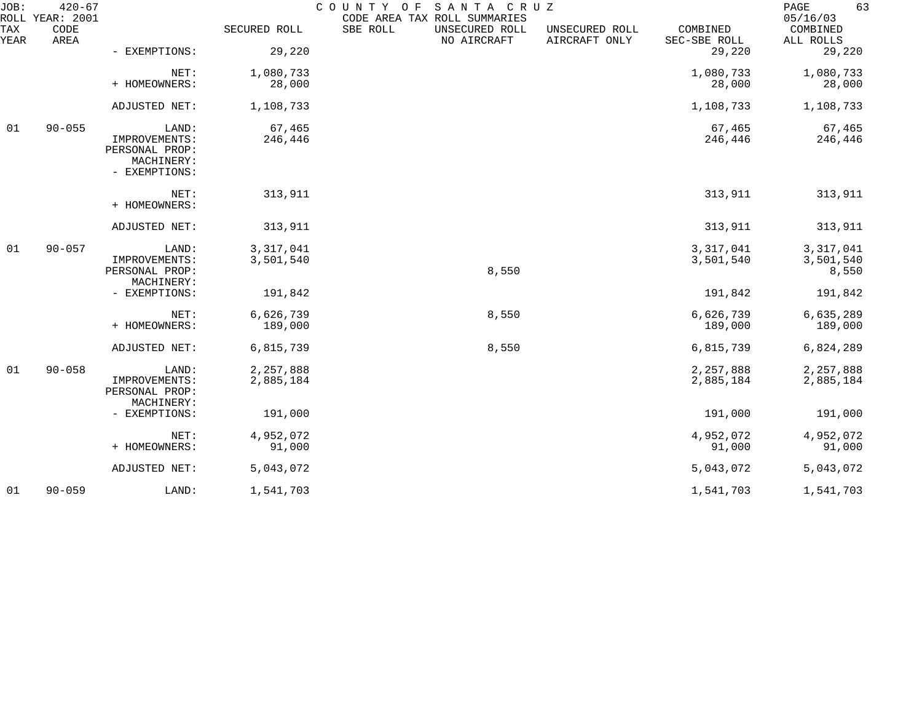| JOB:             | $420 - 67$<br>ROLL YEAR: 2001 |                                                                         |                        | SANTA CRUZ<br>COUNTY OF<br>CODE AREA TAX ROLL SUMMARIES |                                 |                          | 63<br>PAGE<br>05/16/03          |
|------------------|-------------------------------|-------------------------------------------------------------------------|------------------------|---------------------------------------------------------|---------------------------------|--------------------------|---------------------------------|
| TAX<br>YEAR      | CODE<br>AREA                  |                                                                         | SECURED ROLL           | SBE ROLL<br>UNSECURED ROLL<br>NO AIRCRAFT               | UNSECURED ROLL<br>AIRCRAFT ONLY | COMBINED<br>SEC-SBE ROLL | COMBINED<br>ALL ROLLS           |
|                  |                               | - EXEMPTIONS:                                                           | 29,220                 |                                                         |                                 | 29,220                   | 29,220                          |
|                  |                               | NET:<br>+ HOMEOWNERS:                                                   | 1,080,733<br>28,000    |                                                         |                                 | 1,080,733<br>28,000      | 1,080,733<br>28,000             |
|                  |                               | ADJUSTED NET:                                                           | 1,108,733              |                                                         |                                 | 1,108,733                | 1,108,733                       |
| 01               | $90 - 055$                    | LAND:<br>IMPROVEMENTS:<br>PERSONAL PROP:<br>MACHINERY:<br>- EXEMPTIONS: | 67,465<br>246,446      |                                                         |                                 | 67,465<br>246,446        | 67,465<br>246,446               |
|                  |                               | NET:<br>+ HOMEOWNERS:                                                   | 313,911                |                                                         |                                 | 313,911                  | 313,911                         |
|                  |                               | ADJUSTED NET:                                                           | 313,911                |                                                         |                                 | 313,911                  | 313,911                         |
| $90 - 057$<br>01 |                               | LAND:<br>IMPROVEMENTS:<br>PERSONAL PROP:<br>MACHINERY:                  | 3,317,041<br>3,501,540 | 8,550                                                   |                                 | 3,317,041<br>3,501,540   | 3,317,041<br>3,501,540<br>8,550 |
|                  |                               | - EXEMPTIONS:                                                           | 191,842                |                                                         |                                 | 191,842                  | 191,842                         |
|                  |                               | NET:<br>+ HOMEOWNERS:                                                   | 6,626,739<br>189,000   | 8,550                                                   |                                 | 6,626,739<br>189,000     | 6,635,289<br>189,000            |
|                  |                               | ADJUSTED NET:                                                           | 6,815,739              | 8,550                                                   |                                 | 6,815,739                | 6,824,289                       |
| 01               | $90 - 058$                    | LAND:<br>IMPROVEMENTS:<br>PERSONAL PROP:                                | 2,257,888<br>2,885,184 |                                                         |                                 | 2,257,888<br>2,885,184   | 2,257,888<br>2,885,184          |
|                  |                               | MACHINERY:<br>- EXEMPTIONS:                                             | 191,000                |                                                         |                                 | 191,000                  | 191,000                         |
|                  |                               | NET:<br>+ HOMEOWNERS:                                                   | 4,952,072<br>91,000    |                                                         |                                 | 4,952,072<br>91,000      | 4,952,072<br>91,000             |
|                  |                               | ADJUSTED NET:                                                           | 5,043,072              |                                                         |                                 | 5,043,072                | 5,043,072                       |
| 01               | $90 - 059$                    | LAND:                                                                   | 1,541,703              |                                                         |                                 | 1,541,703                | 1,541,703                       |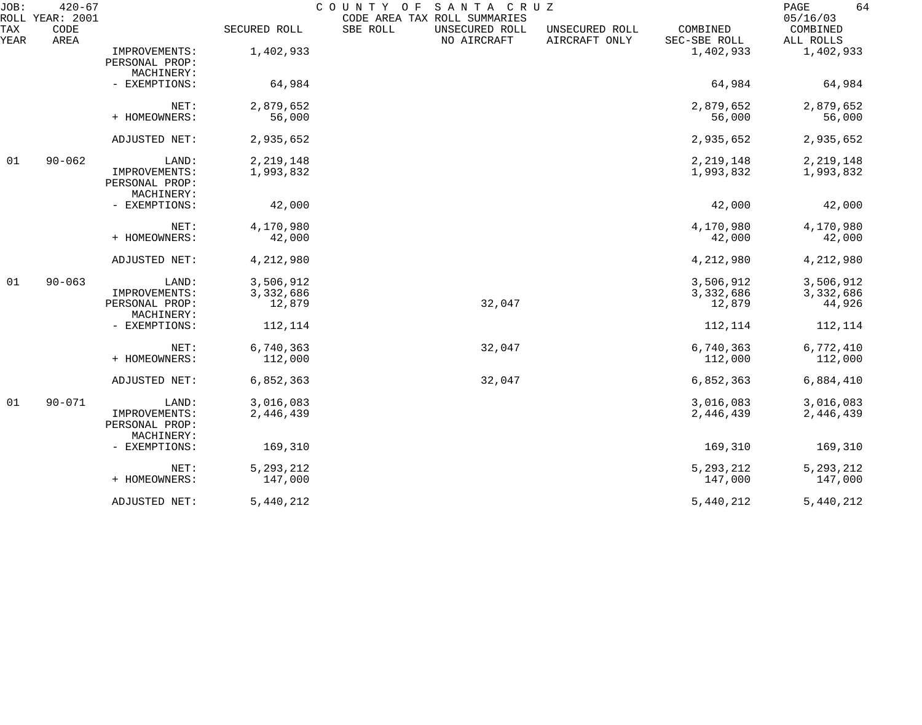| JOB:        | $420 - 67$<br>ROLL YEAR: 2001 |                                               |              | COUNTY OF | SANTA CRUZ<br>CODE AREA TAX ROLL SUMMARIES |                                 |                          | 64<br>PAGE<br>05/16/03 |
|-------------|-------------------------------|-----------------------------------------------|--------------|-----------|--------------------------------------------|---------------------------------|--------------------------|------------------------|
| TAX<br>YEAR | CODE<br>AREA                  |                                               | SECURED ROLL | SBE ROLL  | UNSECURED ROLL<br>NO AIRCRAFT              | UNSECURED ROLL<br>AIRCRAFT ONLY | COMBINED<br>SEC-SBE ROLL | COMBINED<br>ALL ROLLS  |
|             |                               | IMPROVEMENTS:<br>PERSONAL PROP:<br>MACHINERY: | 1,402,933    |           |                                            |                                 | 1,402,933                | 1,402,933              |
|             |                               | - EXEMPTIONS:                                 | 64,984       |           |                                            |                                 | 64,984                   | 64,984                 |
|             |                               | NET:                                          | 2,879,652    |           |                                            |                                 | 2,879,652                | 2,879,652              |
|             |                               | + HOMEOWNERS:                                 | 56,000       |           |                                            |                                 | 56,000                   | 56,000                 |
|             |                               | ADJUSTED NET:                                 | 2,935,652    |           |                                            |                                 | 2,935,652                | 2,935,652              |
| 01          | $90 - 062$                    | LAND:                                         | 2, 219, 148  |           |                                            |                                 | 2, 219, 148              | 2, 219, 148            |
|             |                               | IMPROVEMENTS:<br>PERSONAL PROP:<br>MACHINERY: | 1,993,832    |           |                                            |                                 | 1,993,832                | 1,993,832              |
|             |                               | - EXEMPTIONS:                                 | 42,000       |           |                                            |                                 | 42,000                   | 42,000                 |
|             |                               | NET:                                          | 4,170,980    |           |                                            |                                 | 4,170,980                | 4,170,980              |
|             |                               | + HOMEOWNERS:                                 | 42,000       |           |                                            |                                 | 42,000                   | 42,000                 |
|             |                               | ADJUSTED NET:                                 | 4,212,980    |           |                                            |                                 | 4,212,980                | 4,212,980              |
| 01          | $90 - 063$                    | LAND:                                         | 3,506,912    |           |                                            |                                 | 3,506,912                | 3,506,912              |
|             |                               | IMPROVEMENTS:                                 | 3,332,686    |           |                                            |                                 | 3,332,686                | 3,332,686              |
|             |                               | PERSONAL PROP:<br>MACHINERY:                  | 12,879       |           | 32,047                                     |                                 | 12,879                   | 44,926                 |
|             |                               | - EXEMPTIONS:                                 | 112,114      |           |                                            |                                 | 112,114                  | 112,114                |
|             |                               | NET:                                          | 6,740,363    |           | 32,047                                     |                                 | 6,740,363                | 6,772,410              |
|             |                               | + HOMEOWNERS:                                 | 112,000      |           |                                            |                                 | 112,000                  | 112,000                |
|             |                               | ADJUSTED NET:                                 | 6,852,363    |           | 32,047                                     |                                 | 6,852,363                | 6,884,410              |
| 01          | $90 - 071$                    | LAND:                                         | 3,016,083    |           |                                            |                                 | 3,016,083                | 3,016,083              |
|             |                               | IMPROVEMENTS:<br>PERSONAL PROP:<br>MACHINERY: | 2,446,439    |           |                                            |                                 | 2,446,439                | 2,446,439              |
|             |                               | - EXEMPTIONS:                                 | 169,310      |           |                                            |                                 | 169,310                  | 169,310                |
|             |                               | NET:                                          | 5, 293, 212  |           |                                            |                                 | 5, 293, 212              | 5, 293, 212            |
|             |                               | + HOMEOWNERS:                                 | 147,000      |           |                                            |                                 | 147,000                  | 147,000                |
|             |                               | ADJUSTED NET:                                 | 5,440,212    |           |                                            |                                 | 5,440,212                | 5,440,212              |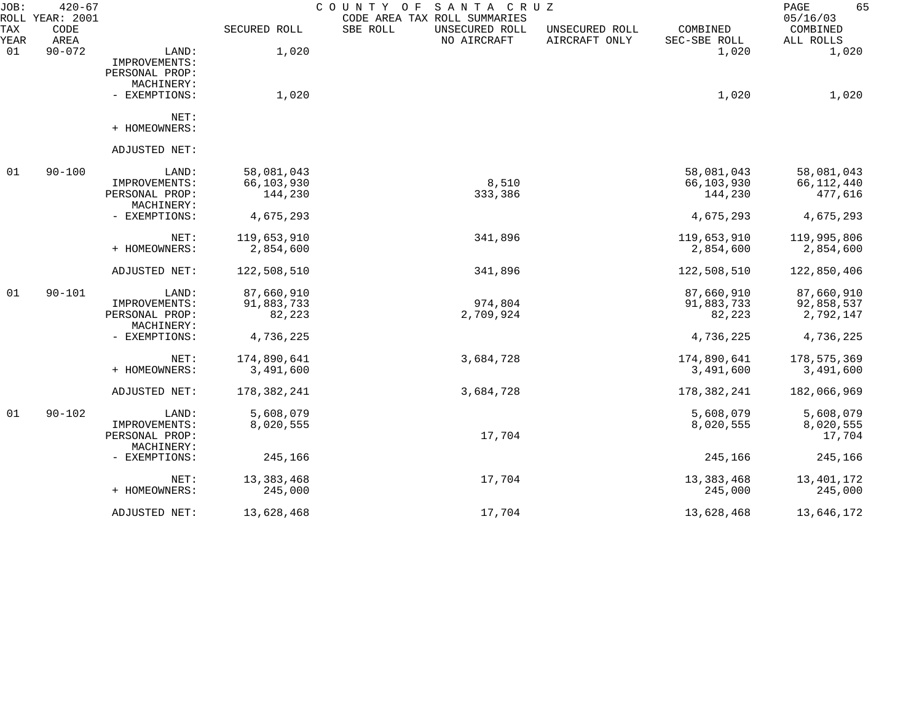| JOB:<br>ROLL | $420 - 67$<br>YEAR: 2001 |                |              | COUNTY OF<br>SANTA CRUZ<br>CODE AREA TAX ROLL SUMMARIES |                                 |                          | 65<br>PAGE<br>05/16/03 |
|--------------|--------------------------|----------------|--------------|---------------------------------------------------------|---------------------------------|--------------------------|------------------------|
| TAX<br>YEAR  | CODE<br>AREA             |                | SECURED ROLL | SBE ROLL<br>UNSECURED ROLL<br>NO AIRCRAFT               | UNSECURED ROLL<br>AIRCRAFT ONLY | COMBINED<br>SEC-SBE ROLL | COMBINED<br>ALL ROLLS  |
| 01           | $90 - 072$               | LAND:          | 1,020        |                                                         |                                 | 1,020                    | 1,020                  |
|              |                          | IMPROVEMENTS:  |              |                                                         |                                 |                          |                        |
|              |                          | PERSONAL PROP: |              |                                                         |                                 |                          |                        |
|              |                          | MACHINERY:     |              |                                                         |                                 |                          |                        |
|              |                          | - EXEMPTIONS:  | 1,020        |                                                         |                                 | 1,020                    | 1,020                  |
|              |                          | NET:           |              |                                                         |                                 |                          |                        |
|              |                          | + HOMEOWNERS:  |              |                                                         |                                 |                          |                        |
|              |                          | ADJUSTED NET:  |              |                                                         |                                 |                          |                        |
| 01           | $90 - 100$               | LAND:          | 58,081,043   |                                                         |                                 | 58,081,043               | 58,081,043             |
|              |                          | IMPROVEMENTS:  | 66,103,930   | 8,510                                                   |                                 | 66,103,930               | 66, 112, 440           |
|              |                          | PERSONAL PROP: | 144,230      | 333,386                                                 |                                 | 144,230                  | 477,616                |
|              |                          | MACHINERY:     |              |                                                         |                                 |                          |                        |
|              |                          | - EXEMPTIONS:  | 4,675,293    |                                                         |                                 | 4,675,293                | 4,675,293              |
|              |                          | NET:           | 119,653,910  | 341,896                                                 |                                 | 119,653,910              | 119,995,806            |
|              |                          | + HOMEOWNERS:  | 2,854,600    |                                                         |                                 | 2,854,600                | 2,854,600              |
|              |                          | ADJUSTED NET:  | 122,508,510  | 341,896                                                 |                                 | 122,508,510              | 122,850,406            |
| 01           | $90 - 101$               | LAND:          | 87,660,910   |                                                         |                                 | 87,660,910               | 87,660,910             |
|              |                          | IMPROVEMENTS:  | 91,883,733   | 974,804                                                 |                                 | 91,883,733               | 92,858,537             |
|              |                          | PERSONAL PROP: | 82,223       | 2,709,924                                               |                                 | 82,223                   | 2,792,147              |
|              |                          | MACHINERY:     |              |                                                         |                                 |                          |                        |
|              |                          | - EXEMPTIONS:  | 4,736,225    |                                                         |                                 | 4,736,225                | 4,736,225              |
|              |                          | NET:           | 174,890,641  | 3,684,728                                               |                                 | 174,890,641              | 178,575,369            |
|              |                          | + HOMEOWNERS:  | 3,491,600    |                                                         |                                 | 3,491,600                | 3,491,600              |
|              |                          | ADJUSTED NET:  | 178,382,241  | 3,684,728                                               |                                 | 178, 382, 241            | 182,066,969            |
| 01           | $90 - 102$               | LAND:          | 5,608,079    |                                                         |                                 | 5,608,079                | 5,608,079              |
|              |                          | IMPROVEMENTS:  | 8,020,555    |                                                         |                                 | 8,020,555                | 8,020,555              |
|              |                          | PERSONAL PROP: |              | 17,704                                                  |                                 |                          | 17,704                 |
|              |                          | MACHINERY:     |              |                                                         |                                 |                          |                        |
|              |                          | - EXEMPTIONS:  | 245,166      |                                                         |                                 | 245,166                  | 245,166                |
|              |                          | NET:           | 13, 383, 468 | 17,704                                                  |                                 | 13,383,468               | 13, 401, 172           |
|              |                          | + HOMEOWNERS:  | 245,000      |                                                         |                                 | 245,000                  | 245,000                |
|              |                          | ADJUSTED NET:  | 13,628,468   | 17,704                                                  |                                 | 13,628,468               | 13,646,172             |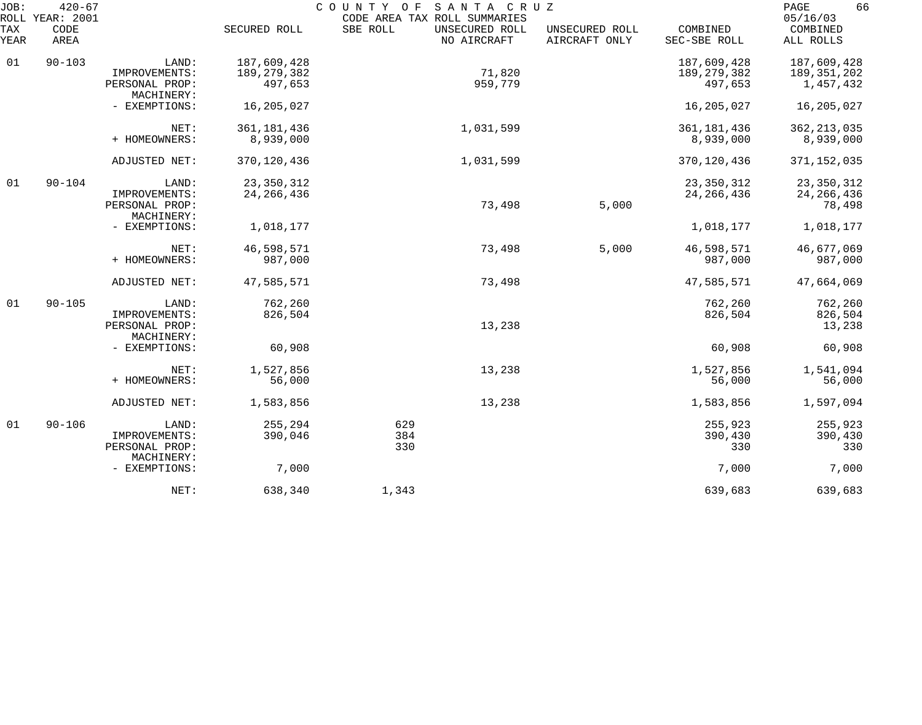| JOB:<br><b>ROLL</b> | $420 - 67$<br>YEAR: 2001 |                              |               | COUNTY<br>O F | SANTA CRUZ<br>CODE AREA TAX ROLL SUMMARIES |                                 |                          | 66<br>PAGE<br>05/16/03 |
|---------------------|--------------------------|------------------------------|---------------|---------------|--------------------------------------------|---------------------------------|--------------------------|------------------------|
| TAX<br>YEAR         | CODE<br>AREA             |                              | SECURED ROLL  | SBE ROLL      | UNSECURED ROLL<br>NO AIRCRAFT              | UNSECURED ROLL<br>AIRCRAFT ONLY | COMBINED<br>SEC-SBE ROLL | COMBINED<br>ALL ROLLS  |
| 01                  | $90 - 103$               | LAND:                        | 187,609,428   |               |                                            |                                 | 187,609,428              | 187,609,428            |
|                     |                          | IMPROVEMENTS:                | 189, 279, 382 |               | 71,820                                     |                                 | 189, 279, 382            | 189,351,202            |
|                     |                          | PERSONAL PROP:<br>MACHINERY: | 497,653       |               | 959,779                                    |                                 | 497,653                  | 1,457,432              |
|                     |                          | - EXEMPTIONS:                | 16,205,027    |               |                                            |                                 | 16,205,027               | 16,205,027             |
|                     |                          | NET:                         | 361, 181, 436 |               | 1,031,599                                  |                                 | 361, 181, 436            | 362, 213, 035          |
|                     |                          | + HOMEOWNERS:                | 8,939,000     |               |                                            |                                 | 8,939,000                | 8,939,000              |
|                     |                          | ADJUSTED NET:                | 370, 120, 436 |               | 1,031,599                                  |                                 | 370, 120, 436            | 371, 152, 035          |
| 01                  | $90 - 104$               | LAND:                        | 23, 350, 312  |               |                                            |                                 | 23, 350, 312             | 23, 350, 312           |
|                     |                          | IMPROVEMENTS:                | 24, 266, 436  |               |                                            |                                 | 24, 266, 436             | 24, 266, 436           |
|                     |                          | PERSONAL PROP:<br>MACHINERY: |               |               | 73,498                                     | 5,000                           |                          | 78,498                 |
|                     |                          | - EXEMPTIONS:                | 1,018,177     |               |                                            |                                 | 1,018,177                | 1,018,177              |
|                     |                          | NET:                         | 46,598,571    |               | 73,498                                     | 5,000                           | 46,598,571               | 46,677,069             |
|                     |                          | + HOMEOWNERS:                | 987,000       |               |                                            |                                 | 987,000                  | 987,000                |
|                     |                          | ADJUSTED NET:                | 47,585,571    |               | 73,498                                     |                                 | 47,585,571               | 47,664,069             |
| 01                  | $90 - 105$               | LAND:                        | 762,260       |               |                                            |                                 | 762,260                  | 762,260                |
|                     |                          | IMPROVEMENTS:                | 826,504       |               |                                            |                                 | 826,504                  | 826,504                |
|                     |                          | PERSONAL PROP:<br>MACHINERY: |               |               | 13,238                                     |                                 |                          | 13,238                 |
|                     |                          | - EXEMPTIONS:                | 60,908        |               |                                            |                                 | 60,908                   | 60,908                 |
|                     |                          | NET:                         | 1,527,856     |               | 13,238                                     |                                 | 1,527,856                | 1,541,094              |
|                     |                          | + HOMEOWNERS:                | 56,000        |               |                                            |                                 | 56,000                   | 56,000                 |
|                     |                          | ADJUSTED NET:                | 1,583,856     |               | 13,238                                     |                                 | 1,583,856                | 1,597,094              |
| 01                  | $90 - 106$               | LAND:                        | 255,294       | 629           |                                            |                                 | 255,923                  | 255,923                |
|                     |                          | IMPROVEMENTS:                | 390,046       | 384           |                                            |                                 | 390,430                  | 390,430                |
|                     |                          | PERSONAL PROP:<br>MACHINERY: |               | 330           |                                            |                                 | 330                      | 330                    |
|                     |                          | - EXEMPTIONS:                | 7,000         |               |                                            |                                 | 7,000                    | 7,000                  |
|                     |                          | NET:                         | 638,340       | 1,343         |                                            |                                 | 639,683                  | 639,683                |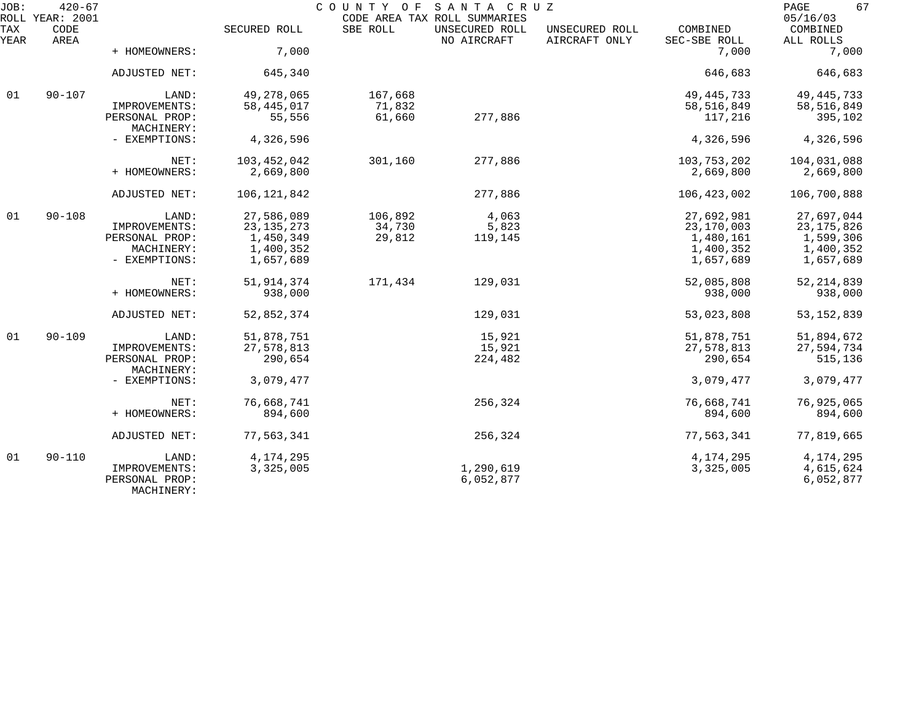| JOB:        | $420 - 67$<br>ROLL YEAR: 2001 |                                               |              |          | COUNTY OF SANTA CRUZ<br>CODE AREA TAX ROLL SUMMARIES |                                 |                          | 67<br>PAGE<br>05/16/03 |
|-------------|-------------------------------|-----------------------------------------------|--------------|----------|------------------------------------------------------|---------------------------------|--------------------------|------------------------|
| TAX<br>YEAR | CODE<br>AREA                  |                                               | SECURED ROLL | SBE ROLL | UNSECURED ROLL<br>NO AIRCRAFT                        | UNSECURED ROLL<br>AIRCRAFT ONLY | COMBINED<br>SEC-SBE ROLL | COMBINED<br>ALL ROLLS  |
|             |                               | + HOMEOWNERS:                                 | 7,000        |          |                                                      |                                 | 7,000                    | 7,000                  |
|             |                               | ADJUSTED NET:                                 | 645,340      |          |                                                      |                                 | 646,683                  | 646,683                |
| 01          | $90 - 107$                    | LAND:                                         | 49,278,065   | 167,668  |                                                      |                                 | 49, 445, 733             | 49, 445, 733           |
|             |                               | IMPROVEMENTS:                                 | 58, 445, 017 | 71,832   |                                                      |                                 | 58, 516, 849             | 58,516,849             |
|             |                               | PERSONAL PROP:<br>MACHINERY:                  | 55,556       | 61,660   | 277,886                                              |                                 | 117,216                  | 395,102                |
|             |                               | - EXEMPTIONS:                                 | 4,326,596    |          |                                                      |                                 | 4,326,596                | 4,326,596              |
|             |                               | NET:                                          | 103,452,042  | 301,160  | 277,886                                              |                                 | 103,753,202              | 104,031,088            |
|             |                               | + HOMEOWNERS:                                 | 2,669,800    |          |                                                      |                                 | 2,669,800                | 2,669,800              |
|             |                               | ADJUSTED NET:                                 | 106,121,842  |          | 277,886                                              |                                 | 106, 423, 002            | 106,700,888            |
| 01          | $90 - 108$                    | LAND:                                         | 27,586,089   | 106,892  | 4,063                                                |                                 | 27,692,981               | 27,697,044             |
|             |                               | IMPROVEMENTS:                                 | 23, 135, 273 | 34,730   | 5,823                                                |                                 | 23,170,003               | 23, 175, 826           |
|             |                               | PERSONAL PROP:                                | 1,450,349    | 29,812   | 119,145                                              |                                 | 1,480,161                | 1,599,306              |
|             |                               | MACHINERY:                                    | 1,400,352    |          |                                                      |                                 | 1,400,352                | 1,400,352              |
|             |                               | - EXEMPTIONS:                                 | 1,657,689    |          |                                                      |                                 | 1,657,689                | 1,657,689              |
|             |                               | NET:                                          | 51, 914, 374 | 171,434  | 129,031                                              |                                 | 52,085,808               | 52, 214, 839           |
|             |                               | + HOMEOWNERS:                                 | 938,000      |          |                                                      |                                 | 938,000                  | 938,000                |
|             |                               | ADJUSTED NET:                                 | 52,852,374   |          | 129,031                                              |                                 | 53,023,808               | 53, 152, 839           |
| 01          | $90 - 109$                    | LAND:                                         | 51,878,751   |          | 15,921                                               |                                 | 51,878,751               | 51,894,672             |
|             |                               | IMPROVEMENTS:                                 | 27,578,813   |          | 15,921                                               |                                 | 27,578,813               | 27,594,734             |
|             |                               | PERSONAL PROP:<br>MACHINERY:                  | 290,654      |          | 224,482                                              |                                 | 290,654                  | 515,136                |
|             |                               | - EXEMPTIONS:                                 | 3,079,477    |          |                                                      |                                 | 3,079,477                | 3,079,477              |
|             |                               | NET:                                          | 76,668,741   |          | 256,324                                              |                                 | 76,668,741               | 76,925,065             |
|             |                               | + HOMEOWNERS:                                 | 894,600      |          |                                                      |                                 | 894,600                  | 894,600                |
|             |                               | ADJUSTED NET:                                 | 77,563,341   |          | 256,324                                              |                                 | 77,563,341               | 77,819,665             |
| 01          | $90 - 110$                    | LAND:                                         | 4, 174, 295  |          |                                                      |                                 | 4,174,295                | 4, 174, 295            |
|             |                               | IMPROVEMENTS:<br>PERSONAL PROP:<br>MACHINERY: | 3,325,005    |          | 1,290,619<br>6,052,877                               |                                 | 3,325,005                | 4,615,624<br>6,052,877 |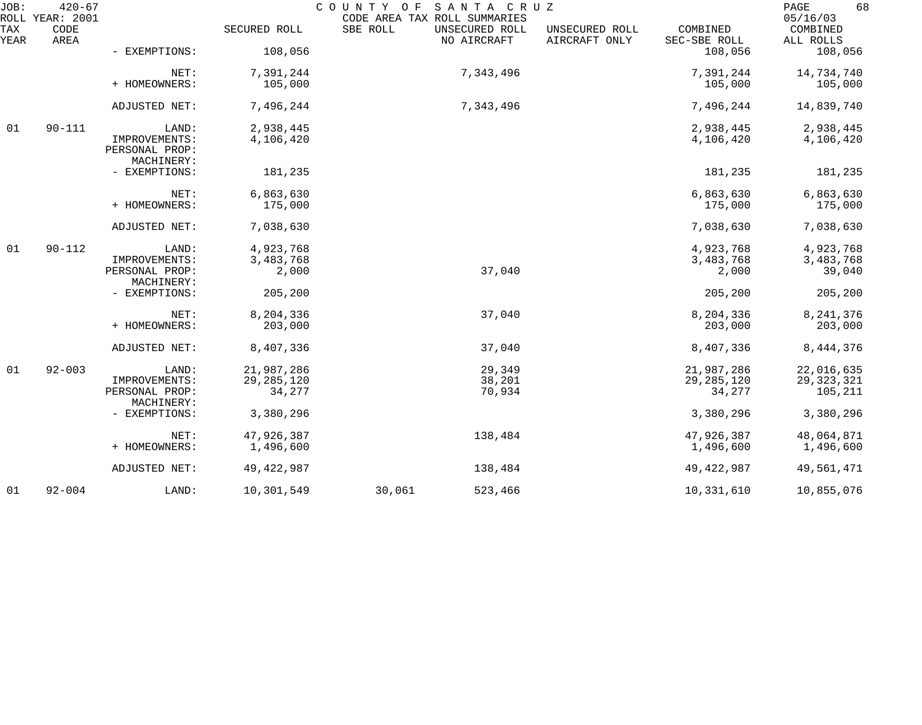| JOB:        | $420 - 67$<br>ROLL YEAR: 2001 |                                               |                    | COUNTY OF<br>CODE AREA TAX ROLL SUMMARIES | SANTA CRUZ                    |                                 |                          | 68<br>PAGE<br>05/16/03 |
|-------------|-------------------------------|-----------------------------------------------|--------------------|-------------------------------------------|-------------------------------|---------------------------------|--------------------------|------------------------|
| TAX<br>YEAR | CODE<br>AREA                  |                                               | SECURED ROLL       | SBE ROLL                                  | UNSECURED ROLL<br>NO AIRCRAFT | UNSECURED ROLL<br>AIRCRAFT ONLY | COMBINED<br>SEC-SBE ROLL | COMBINED<br>ALL ROLLS  |
|             |                               | - EXEMPTIONS:                                 | 108,056            |                                           |                               |                                 | 108,056                  | 108,056                |
|             |                               | NET:                                          | 7,391,244          |                                           | 7,343,496                     |                                 | 7,391,244                | 14,734,740             |
|             |                               | + HOMEOWNERS:                                 | 105,000            |                                           |                               |                                 | 105,000                  | 105,000                |
|             |                               | ADJUSTED NET:                                 | 7,496,244          |                                           | 7,343,496                     |                                 | 7,496,244                | 14,839,740             |
| 01          | $90 - 111$                    | LAND:                                         | 2,938,445          |                                           |                               |                                 | 2,938,445                | 2,938,445              |
|             |                               | IMPROVEMENTS:<br>PERSONAL PROP:<br>MACHINERY: | 4,106,420          |                                           |                               |                                 | 4,106,420                | 4,106,420              |
|             |                               | - EXEMPTIONS:                                 | 181,235            |                                           |                               |                                 | 181,235                  | 181,235                |
|             |                               | NET:                                          | 6,863,630          |                                           |                               |                                 | 6,863,630                | 6,863,630              |
|             |                               | + HOMEOWNERS:                                 | 175,000            |                                           |                               |                                 | 175,000                  | 175,000                |
|             |                               | ADJUSTED NET:                                 | 7,038,630          |                                           |                               |                                 | 7,038,630                | 7,038,630              |
| 01          | $90 - 112$                    | LAND:                                         | 4,923,768          |                                           |                               |                                 | 4,923,768                | 4,923,768              |
|             |                               | IMPROVEMENTS:<br>PERSONAL PROP:               | 3,483,768<br>2,000 |                                           | 37,040                        |                                 | 3,483,768<br>2,000       | 3,483,768<br>39,040    |
|             |                               | MACHINERY:                                    |                    |                                           |                               |                                 |                          |                        |
|             |                               | - EXEMPTIONS:                                 | 205,200            |                                           |                               |                                 | 205,200                  | 205,200                |
|             |                               | NET:                                          | 8,204,336          |                                           | 37,040                        |                                 | 8,204,336                | 8, 241, 376            |
|             |                               | + HOMEOWNERS:                                 | 203,000            |                                           |                               |                                 | 203,000                  | 203,000                |
|             |                               | ADJUSTED NET:                                 | 8,407,336          |                                           | 37,040                        |                                 | 8,407,336                | 8, 444, 376            |
| 01          | $92 - 003$                    | LAND:                                         | 21,987,286         |                                           | 29,349                        |                                 | 21,987,286               | 22,016,635             |
|             |                               | IMPROVEMENTS:                                 | 29, 285, 120       |                                           | 38,201                        |                                 | 29, 285, 120             | 29, 323, 321           |
|             |                               | PERSONAL PROP:                                | 34,277             |                                           | 70,934                        |                                 | 34,277                   | 105,211                |
|             |                               | MACHINERY:<br>- EXEMPTIONS:                   | 3,380,296          |                                           |                               |                                 | 3,380,296                | 3,380,296              |
|             |                               | NET:                                          | 47,926,387         |                                           | 138,484                       |                                 | 47,926,387               | 48,064,871             |
|             |                               | + HOMEOWNERS:                                 | 1,496,600          |                                           |                               |                                 | 1,496,600                | 1,496,600              |
|             |                               | ADJUSTED NET:                                 | 49, 422, 987       |                                           | 138,484                       |                                 | 49, 422, 987             | 49,561,471             |
| 01          | $92 - 004$                    | LAND:                                         | 10,301,549         | 30,061                                    | 523,466                       |                                 | 10,331,610               | 10,855,076             |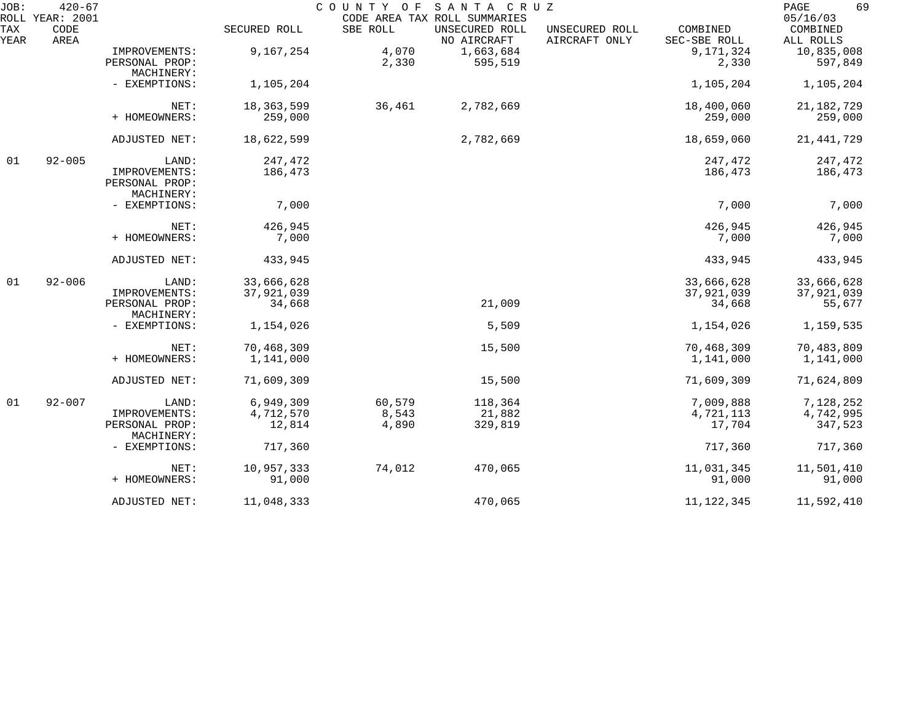| JOB:        | $420 - 67$<br>ROLL YEAR: 2001 |                                                        |                                    | COUNTY OF                | SANTA CRUZ<br>CODE AREA TAX ROLL SUMMARIES |                                 |                                    | 69<br>PAGE<br>05/16/03             |
|-------------|-------------------------------|--------------------------------------------------------|------------------------------------|--------------------------|--------------------------------------------|---------------------------------|------------------------------------|------------------------------------|
| TAX<br>YEAR | CODE<br>AREA                  |                                                        | SECURED ROLL                       | SBE ROLL                 | UNSECURED ROLL<br>NO AIRCRAFT              | UNSECURED ROLL<br>AIRCRAFT ONLY | COMBINED<br>SEC-SBE ROLL           | COMBINED<br>ALL ROLLS              |
|             |                               | IMPROVEMENTS:<br>PERSONAL PROP:<br>MACHINERY:          | 9,167,254                          | 4,070<br>2,330           | 1,663,684<br>595,519                       |                                 | 9,171,324<br>2,330                 | 10,835,008<br>597,849              |
|             |                               | - EXEMPTIONS:                                          | 1,105,204                          |                          |                                            |                                 | 1,105,204                          | 1,105,204                          |
|             |                               | NET:<br>+ HOMEOWNERS:                                  | 18, 363, 599<br>259,000            | 36,461                   | 2,782,669                                  |                                 | 18,400,060<br>259,000              | 21, 182, 729<br>259,000            |
|             |                               | ADJUSTED NET:                                          | 18,622,599                         |                          | 2,782,669                                  |                                 | 18,659,060                         | 21, 441, 729                       |
| 01          | $92 - 005$                    | LAND:<br>IMPROVEMENTS:<br>PERSONAL PROP:<br>MACHINERY: | 247,472<br>186,473                 |                          |                                            |                                 | 247,472<br>186,473                 | 247,472<br>186,473                 |
|             |                               | - EXEMPTIONS:                                          | 7,000                              |                          |                                            |                                 | 7,000                              | 7,000                              |
|             |                               | NET:<br>+ HOMEOWNERS:                                  | 426,945<br>7,000                   |                          |                                            |                                 | 426,945<br>7,000                   | 426,945<br>7,000                   |
|             |                               | ADJUSTED NET:                                          | 433,945                            |                          |                                            |                                 | 433,945                            | 433,945                            |
| 01          | $92 - 006$                    | LAND:<br>IMPROVEMENTS:<br>PERSONAL PROP:               | 33,666,628<br>37,921,039<br>34,668 |                          | 21,009                                     |                                 | 33,666,628<br>37,921,039<br>34,668 | 33,666,628<br>37,921,039<br>55,677 |
|             |                               | MACHINERY:<br>- EXEMPTIONS:                            | 1,154,026                          |                          | 5,509                                      |                                 | 1,154,026                          | 1,159,535                          |
|             |                               | NET:<br>+ HOMEOWNERS:                                  | 70,468,309<br>1,141,000            |                          | 15,500                                     |                                 | 70,468,309<br>1,141,000            | 70,483,809<br>1,141,000            |
|             |                               | ADJUSTED NET:                                          | 71,609,309                         |                          | 15,500                                     |                                 | 71,609,309                         | 71,624,809                         |
| 01          | $92 - 007$                    | LAND:<br>IMPROVEMENTS:<br>PERSONAL PROP:<br>MACHINERY: | 6,949,309<br>4,712,570<br>12,814   | 60,579<br>8,543<br>4,890 | 118,364<br>21,882<br>329,819               |                                 | 7,009,888<br>4,721,113<br>17,704   | 7,128,252<br>4,742,995<br>347,523  |
|             |                               | - EXEMPTIONS:                                          | 717,360                            |                          |                                            |                                 | 717,360                            | 717,360                            |
|             |                               | NET:<br>+ HOMEOWNERS:                                  | 10,957,333<br>91,000               | 74,012                   | 470,065                                    |                                 | 11,031,345<br>91,000               | 11,501,410<br>91,000               |
|             |                               | ADJUSTED NET:                                          | 11,048,333                         |                          | 470,065                                    |                                 | 11, 122, 345                       | 11,592,410                         |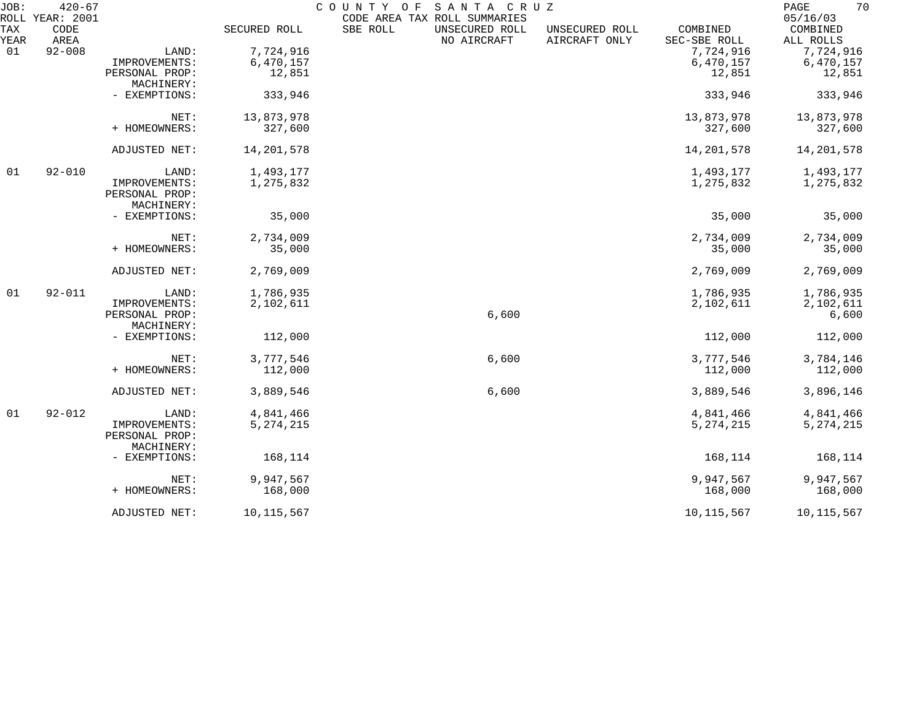| JOB:        | $420 - 67$<br>ROLL YEAR: 2001 |                              |              | COUNTY OF<br>CODE AREA TAX ROLL SUMMARIES | SANTA CRUZ                    |                                 |                          | 70<br>PAGE<br>05/16/03 |
|-------------|-------------------------------|------------------------------|--------------|-------------------------------------------|-------------------------------|---------------------------------|--------------------------|------------------------|
| TAX<br>YEAR | CODE<br>AREA                  |                              | SECURED ROLL | SBE ROLL                                  | UNSECURED ROLL<br>NO AIRCRAFT | UNSECURED ROLL<br>AIRCRAFT ONLY | COMBINED<br>SEC-SBE ROLL | COMBINED<br>ALL ROLLS  |
| 01          | $92 - 008$                    | LAND:                        | 7,724,916    |                                           |                               |                                 | 7,724,916                | 7,724,916              |
|             |                               | IMPROVEMENTS:                | 6,470,157    |                                           |                               |                                 | 6,470,157                | 6,470,157              |
|             |                               | PERSONAL PROP:               | 12,851       |                                           |                               |                                 | 12,851                   | 12,851                 |
|             |                               | MACHINERY:                   |              |                                           |                               |                                 |                          |                        |
|             |                               | - EXEMPTIONS:                | 333,946      |                                           |                               |                                 | 333,946                  | 333,946                |
|             |                               | NET:                         | 13,873,978   |                                           |                               |                                 | 13,873,978               | 13,873,978             |
|             |                               | + HOMEOWNERS:                | 327,600      |                                           |                               |                                 | 327,600                  | 327,600                |
|             |                               | ADJUSTED NET:                | 14,201,578   |                                           |                               |                                 | 14,201,578               | 14, 201, 578           |
| 01          | $92 - 010$                    | LAND:                        | 1,493,177    |                                           |                               |                                 | 1,493,177                | 1,493,177              |
|             |                               | IMPROVEMENTS:                | 1,275,832    |                                           |                               |                                 | 1,275,832                | 1,275,832              |
|             |                               | PERSONAL PROP:               |              |                                           |                               |                                 |                          |                        |
|             |                               | MACHINERY:                   |              |                                           |                               |                                 |                          |                        |
|             |                               | - EXEMPTIONS:                | 35,000       |                                           |                               |                                 | 35,000                   | 35,000                 |
|             |                               | NET:                         | 2,734,009    |                                           |                               |                                 | 2,734,009                | 2,734,009              |
|             |                               | + HOMEOWNERS:                | 35,000       |                                           |                               |                                 | 35,000                   | 35,000                 |
|             |                               | ADJUSTED NET:                | 2,769,009    |                                           |                               |                                 | 2,769,009                | 2,769,009              |
| 01          | $92 - 011$                    | LAND:                        | 1,786,935    |                                           |                               |                                 | 1,786,935                | 1,786,935              |
|             |                               | IMPROVEMENTS:                | 2,102,611    |                                           |                               |                                 | 2,102,611                | 2,102,611              |
|             |                               | PERSONAL PROP:               |              |                                           | 6,600                         |                                 |                          | 6,600                  |
|             |                               | MACHINERY:                   |              |                                           |                               |                                 |                          |                        |
|             |                               | - EXEMPTIONS:                | 112,000      |                                           |                               |                                 | 112,000                  | 112,000                |
|             |                               | NET:                         | 3,777,546    |                                           | 6,600                         |                                 | 3,777,546                | 3,784,146              |
|             |                               | + HOMEOWNERS:                | 112,000      |                                           |                               |                                 | 112,000                  | 112,000                |
|             |                               | ADJUSTED NET:                | 3,889,546    |                                           | 6,600                         |                                 | 3,889,546                | 3,896,146              |
| 01          | $92 - 012$                    | LAND:                        | 4,841,466    |                                           |                               |                                 | 4,841,466                | 4,841,466              |
|             |                               | IMPROVEMENTS:                | 5, 274, 215  |                                           |                               |                                 | 5, 274, 215              | 5, 274, 215            |
|             |                               | PERSONAL PROP:<br>MACHINERY: |              |                                           |                               |                                 |                          |                        |
|             |                               | - EXEMPTIONS:                | 168,114      |                                           |                               |                                 | 168,114                  | 168,114                |
|             |                               | NET:                         | 9,947,567    |                                           |                               |                                 | 9,947,567                | 9,947,567              |
|             |                               | + HOMEOWNERS:                | 168,000      |                                           |                               |                                 | 168,000                  | 168,000                |
|             |                               | ADJUSTED NET:                | 10, 115, 567 |                                           |                               |                                 | 10, 115, 567             | 10, 115, 567           |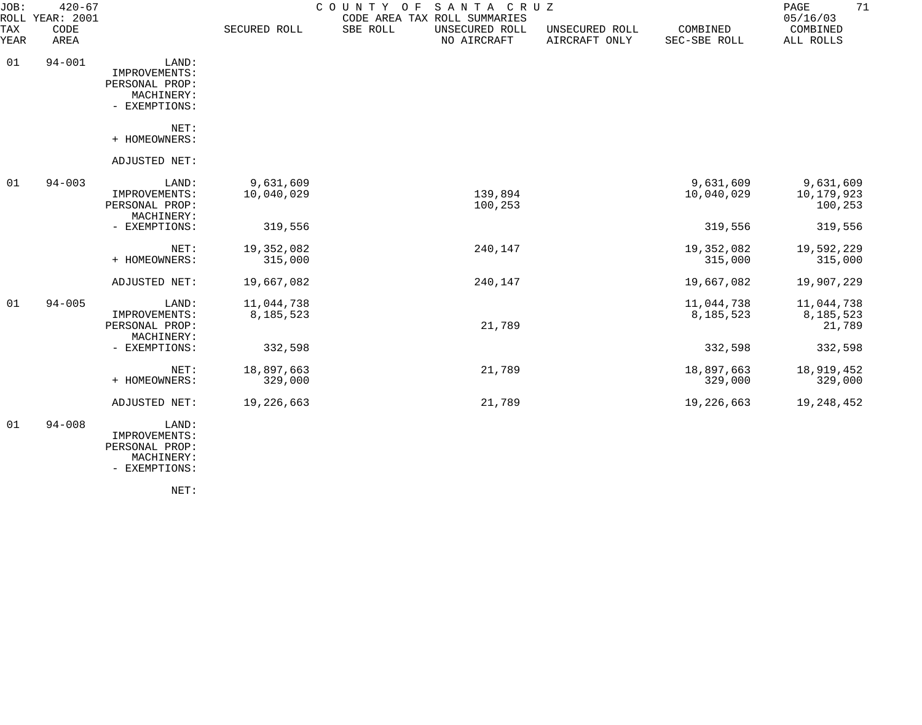| JOB:                      | $420 - 67$<br>ROLL YEAR: 2001 |                                                                         |                         | COUNTY OF<br>SANTA CRUZ<br>CODE AREA TAX ROLL SUMMARIES |                                 |                          | 71<br>PAGE<br>05/16/03             |
|---------------------------|-------------------------------|-------------------------------------------------------------------------|-------------------------|---------------------------------------------------------|---------------------------------|--------------------------|------------------------------------|
| <b>TAX</b><br><b>YEAR</b> | CODE<br>AREA                  |                                                                         | SECURED ROLL            | SBE ROLL<br>UNSECURED ROLL<br>NO AIRCRAFT               | UNSECURED ROLL<br>AIRCRAFT ONLY | COMBINED<br>SEC-SBE ROLL | COMBINED<br>ALL ROLLS              |
| 01                        | $94 - 001$                    | LAND:<br>IMPROVEMENTS:<br>PERSONAL PROP:<br>MACHINERY:<br>- EXEMPTIONS: |                         |                                                         |                                 |                          |                                    |
|                           |                               | NET:<br>+ HOMEOWNERS:                                                   |                         |                                                         |                                 |                          |                                    |
|                           |                               | ADJUSTED NET:                                                           |                         |                                                         |                                 |                          |                                    |
| 01                        | $94 - 003$                    | LAND:<br>IMPROVEMENTS:<br>PERSONAL PROP:<br>MACHINERY:                  | 9,631,609<br>10,040,029 | 139,894<br>100,253                                      |                                 | 9,631,609<br>10,040,029  | 9,631,609<br>10,179,923<br>100,253 |
|                           |                               | - EXEMPTIONS:                                                           | 319,556                 |                                                         |                                 | 319,556                  | 319,556                            |
|                           |                               | NET:<br>+ HOMEOWNERS:                                                   | 19,352,082<br>315,000   | 240,147                                                 |                                 | 19,352,082<br>315,000    | 19,592,229<br>315,000              |
|                           |                               | ADJUSTED NET:                                                           | 19,667,082              | 240,147                                                 |                                 | 19,667,082               | 19,907,229                         |
| 01                        | $94 - 005$                    | LAND:<br>IMPROVEMENTS:<br>PERSONAL PROP:<br>MACHINERY:                  | 11,044,738<br>8,185,523 | 21,789                                                  |                                 | 11,044,738<br>8,185,523  | 11,044,738<br>8,185,523<br>21,789  |
|                           |                               | - EXEMPTIONS:                                                           | 332,598                 |                                                         |                                 | 332,598                  | 332,598                            |
|                           |                               | NET:<br>+ HOMEOWNERS:                                                   | 18,897,663<br>329,000   | 21,789                                                  |                                 | 18,897,663<br>329,000    | 18,919,452<br>329,000              |
|                           |                               | ADJUSTED NET:                                                           | 19,226,663              | 21,789                                                  |                                 | 19,226,663               | 19,248,452                         |
| 01                        | $94 - 008$                    | LAND:<br>IMPROVEMENTS:<br>PERSONAL PROP:<br>MACHINERY:                  |                         |                                                         |                                 |                          |                                    |

NET:

- EXEMPTIONS: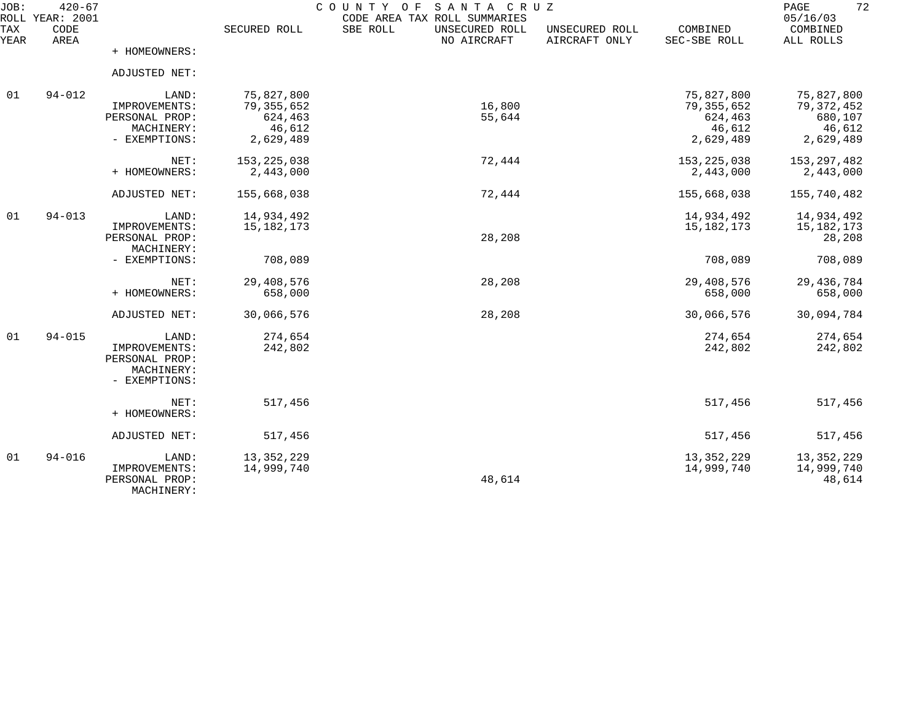| JOB:        | $420 - 67$<br>ROLL YEAR: 2001 |                              |               | COUNTY<br>O F<br>SANTA CRUZ<br>CODE AREA TAX ROLL SUMMARIES |                                 |                          | 72<br>PAGE<br>05/16/03 |
|-------------|-------------------------------|------------------------------|---------------|-------------------------------------------------------------|---------------------------------|--------------------------|------------------------|
| TAX<br>YEAR | CODE<br>AREA                  |                              | SECURED ROLL  | SBE ROLL<br>UNSECURED ROLL<br>NO AIRCRAFT                   | UNSECURED ROLL<br>AIRCRAFT ONLY | COMBINED<br>SEC-SBE ROLL | COMBINED<br>ALL ROLLS  |
|             |                               | + HOMEOWNERS:                |               |                                                             |                                 |                          |                        |
|             |                               | ADJUSTED NET:                |               |                                                             |                                 |                          |                        |
| 01          | $94 - 012$                    | LAND:                        | 75,827,800    |                                                             |                                 | 75,827,800               | 75,827,800             |
|             |                               | IMPROVEMENTS:                | 79, 355, 652  | 16,800                                                      |                                 | 79, 355, 652             | 79, 372, 452           |
|             |                               | PERSONAL PROP:               | 624,463       | 55,644                                                      |                                 | 624,463                  | 680,107                |
|             |                               | MACHINERY:<br>- EXEMPTIONS:  | 46,612        |                                                             |                                 | 46,612                   | 46,612                 |
|             |                               |                              | 2,629,489     |                                                             |                                 | 2,629,489                | 2,629,489              |
|             |                               | NET:                         | 153, 225, 038 | 72,444                                                      |                                 | 153, 225, 038            | 153, 297, 482          |
|             |                               | + HOMEOWNERS:                | 2,443,000     |                                                             |                                 | 2,443,000                | 2,443,000              |
|             |                               | ADJUSTED NET:                | 155,668,038   | 72,444                                                      |                                 | 155,668,038              | 155,740,482            |
| 01          | $94 - 013$                    | LAND:                        | 14,934,492    |                                                             |                                 | 14,934,492               | 14,934,492             |
|             |                               | IMPROVEMENTS:                | 15, 182, 173  |                                                             |                                 | 15, 182, 173             | 15, 182, 173           |
|             |                               | PERSONAL PROP:               |               | 28,208                                                      |                                 |                          | 28,208                 |
|             |                               | MACHINERY:                   |               |                                                             |                                 |                          |                        |
|             |                               | - EXEMPTIONS:                | 708,089       |                                                             |                                 | 708,089                  | 708,089                |
|             |                               | NET:                         | 29,408,576    | 28,208                                                      |                                 | 29,408,576               | 29, 436, 784           |
|             |                               | + HOMEOWNERS:                | 658,000       |                                                             |                                 | 658,000                  | 658,000                |
|             |                               | ADJUSTED NET:                | 30,066,576    | 28,208                                                      |                                 | 30,066,576               | 30,094,784             |
| 01          | $94 - 015$                    | LAND:                        | 274,654       |                                                             |                                 | 274,654                  | 274,654                |
|             |                               | IMPROVEMENTS:                | 242,802       |                                                             |                                 | 242,802                  | 242,802                |
|             |                               | PERSONAL PROP:               |               |                                                             |                                 |                          |                        |
|             |                               | MACHINERY:                   |               |                                                             |                                 |                          |                        |
|             |                               | - EXEMPTIONS:                |               |                                                             |                                 |                          |                        |
|             |                               | NET:                         | 517,456       |                                                             |                                 | 517,456                  | 517,456                |
|             |                               | + HOMEOWNERS:                |               |                                                             |                                 |                          |                        |
|             |                               | ADJUSTED NET:                | 517,456       |                                                             |                                 | 517,456                  | 517,456                |
| 01          | $94 - 016$                    | LAND:                        | 13, 352, 229  |                                                             |                                 | 13, 352, 229             | 13, 352, 229           |
|             |                               | IMPROVEMENTS:                | 14,999,740    |                                                             |                                 | 14,999,740               | 14,999,740             |
|             |                               | PERSONAL PROP:<br>MACHINERY: |               | 48,614                                                      |                                 |                          | 48,614                 |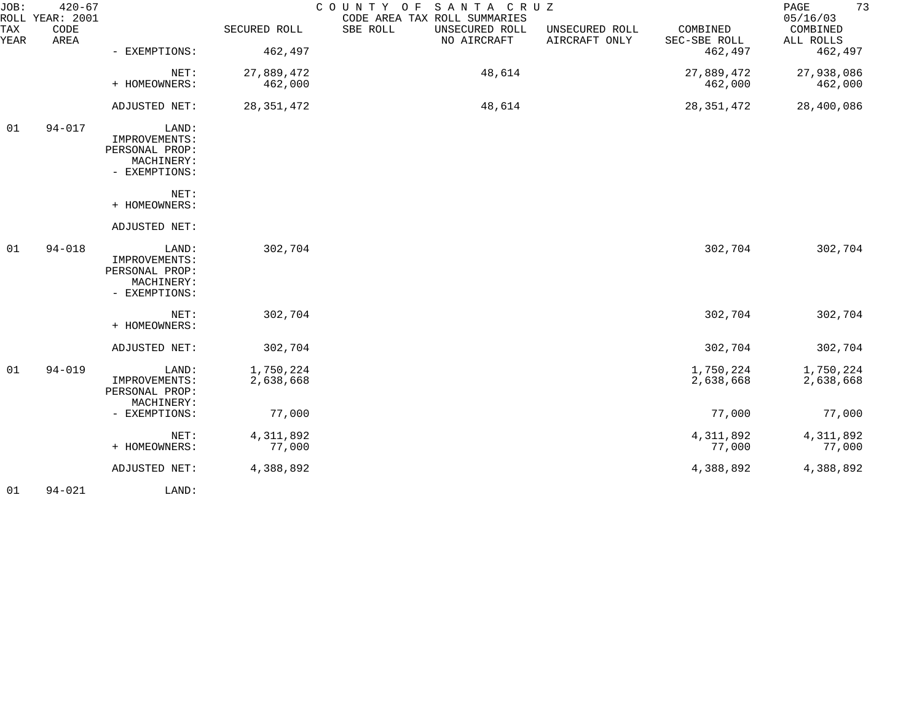| JOB:        | $420 - 67$<br>ROLL YEAR: 2001 |                                                                         |                        | COUNTY OF SANTA CRUZ<br>CODE AREA TAX ROLL SUMMARIES |                                 |                          | 73<br>PAGE<br>05/16/03 |
|-------------|-------------------------------|-------------------------------------------------------------------------|------------------------|------------------------------------------------------|---------------------------------|--------------------------|------------------------|
| TAX<br>YEAR | CODE<br>AREA                  |                                                                         | SECURED ROLL           | SBE ROLL<br>UNSECURED ROLL<br>NO AIRCRAFT            | UNSECURED ROLL<br>AIRCRAFT ONLY | COMBINED<br>SEC-SBE ROLL | COMBINED<br>ALL ROLLS  |
|             |                               | - EXEMPTIONS:                                                           | 462,497                |                                                      |                                 | 462,497                  | 462,497                |
|             |                               | NET:                                                                    | 27,889,472             | 48,614                                               |                                 | 27,889,472               | 27,938,086             |
|             |                               | + HOMEOWNERS:                                                           | 462,000                |                                                      |                                 | 462,000                  | 462,000                |
|             |                               | ADJUSTED NET:                                                           | 28, 351, 472           | 48,614                                               |                                 | 28, 351, 472             | 28,400,086             |
| 01          | $94 - 017$                    | LAND:<br>IMPROVEMENTS:<br>PERSONAL PROP:                                |                        |                                                      |                                 |                          |                        |
|             |                               | MACHINERY:<br>- EXEMPTIONS:                                             |                        |                                                      |                                 |                          |                        |
|             |                               | NET:<br>+ HOMEOWNERS:                                                   |                        |                                                      |                                 |                          |                        |
|             |                               | ADJUSTED NET:                                                           |                        |                                                      |                                 |                          |                        |
| 01          | $94 - 018$                    | LAND:<br>IMPROVEMENTS:<br>PERSONAL PROP:<br>MACHINERY:<br>- EXEMPTIONS: | 302,704                |                                                      |                                 | 302,704                  | 302,704                |
|             |                               | NET:<br>+ HOMEOWNERS:                                                   | 302,704                |                                                      |                                 | 302,704                  | 302,704                |
|             |                               | ADJUSTED NET:                                                           | 302,704                |                                                      |                                 | 302,704                  | 302,704                |
| 01          | $94 - 019$                    | LAND:<br>IMPROVEMENTS:<br>PERSONAL PROP:<br>MACHINERY:                  | 1,750,224<br>2,638,668 |                                                      |                                 | 1,750,224<br>2,638,668   | 1,750,224<br>2,638,668 |
|             |                               | - EXEMPTIONS:                                                           | 77,000                 |                                                      |                                 | 77,000                   | 77,000                 |
|             |                               | NET:<br>+ HOMEOWNERS:                                                   | 4,311,892<br>77,000    |                                                      |                                 | 4,311,892<br>77,000      | 4,311,892<br>77,000    |
|             |                               | ADJUSTED NET:                                                           | 4,388,892              |                                                      |                                 | 4,388,892                | 4,388,892              |
| 01          | $94 - 021$                    | LAND:                                                                   |                        |                                                      |                                 |                          |                        |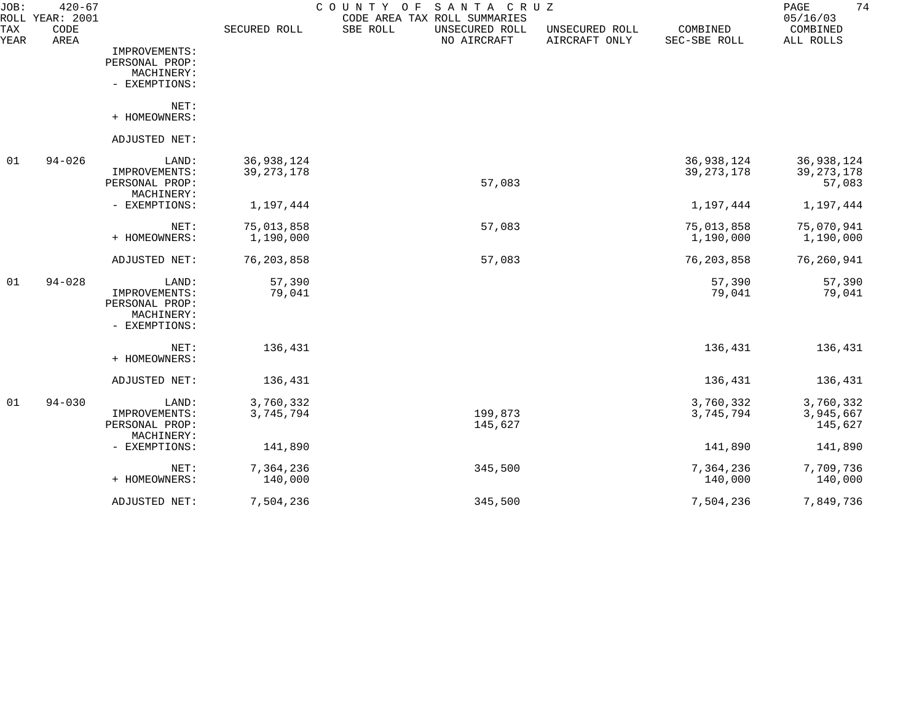| JOB:<br><b>ROLL</b> | $420 - 67$<br><b>YEAR: 2001</b> |                                                                         |                            | SANTA CRUZ<br>COUNTY<br>O F<br>CODE AREA TAX ROLL SUMMARIES |                                 |                            | 74<br>PAGE<br>05/16/03               |
|---------------------|---------------------------------|-------------------------------------------------------------------------|----------------------------|-------------------------------------------------------------|---------------------------------|----------------------------|--------------------------------------|
| TAX<br>YEAR         | CODE<br>AREA                    |                                                                         | SECURED ROLL               | SBE ROLL<br>UNSECURED ROLL<br>NO AIRCRAFT                   | UNSECURED ROLL<br>AIRCRAFT ONLY | COMBINED<br>SEC-SBE ROLL   | COMBINED<br>ALL ROLLS                |
|                     |                                 | IMPROVEMENTS:<br>PERSONAL PROP:<br>MACHINERY:<br>- EXEMPTIONS:          |                            |                                                             |                                 |                            |                                      |
|                     |                                 | NET:<br>+ HOMEOWNERS:                                                   |                            |                                                             |                                 |                            |                                      |
|                     |                                 | ADJUSTED NET:                                                           |                            |                                                             |                                 |                            |                                      |
| 01                  | $94 - 026$                      | LAND:<br>IMPROVEMENTS:<br>PERSONAL PROP:<br>MACHINERY:                  | 36,938,124<br>39, 273, 178 | 57,083                                                      |                                 | 36,938,124<br>39, 273, 178 | 36,938,124<br>39, 273, 178<br>57,083 |
|                     |                                 | - EXEMPTIONS:                                                           | 1,197,444                  |                                                             |                                 | 1,197,444                  | 1,197,444                            |
|                     |                                 | NET:<br>+ HOMEOWNERS:                                                   | 75,013,858<br>1,190,000    | 57,083                                                      |                                 | 75,013,858<br>1,190,000    | 75,070,941<br>1,190,000              |
|                     |                                 | ADJUSTED NET:                                                           | 76, 203, 858               | 57,083                                                      |                                 | 76, 203, 858               | 76,260,941                           |
| 01                  | $94 - 028$                      | LAND:<br>IMPROVEMENTS:<br>PERSONAL PROP:<br>MACHINERY:<br>- EXEMPTIONS: | 57,390<br>79,041           |                                                             |                                 | 57,390<br>79,041           | 57,390<br>79,041                     |
|                     |                                 | NET:<br>+ HOMEOWNERS:                                                   | 136,431                    |                                                             |                                 | 136,431                    | 136,431                              |
|                     |                                 | ADJUSTED NET:                                                           | 136,431                    |                                                             |                                 | 136,431                    | 136,431                              |
| 01                  | $94 - 030$                      | LAND:<br>IMPROVEMENTS:<br>PERSONAL PROP:<br>MACHINERY:                  | 3,760,332<br>3,745,794     | 199,873<br>145,627                                          |                                 | 3,760,332<br>3,745,794     | 3,760,332<br>3,945,667<br>145,627    |
|                     |                                 | - EXEMPTIONS:                                                           | 141,890                    |                                                             |                                 | 141,890                    | 141,890                              |
|                     |                                 | NET:<br>+ HOMEOWNERS:                                                   | 7,364,236<br>140,000       | 345,500                                                     |                                 | 7,364,236<br>140,000       | 7,709,736<br>140,000                 |
|                     |                                 | ADJUSTED NET:                                                           | 7,504,236                  | 345,500                                                     |                                 | 7,504,236                  | 7,849,736                            |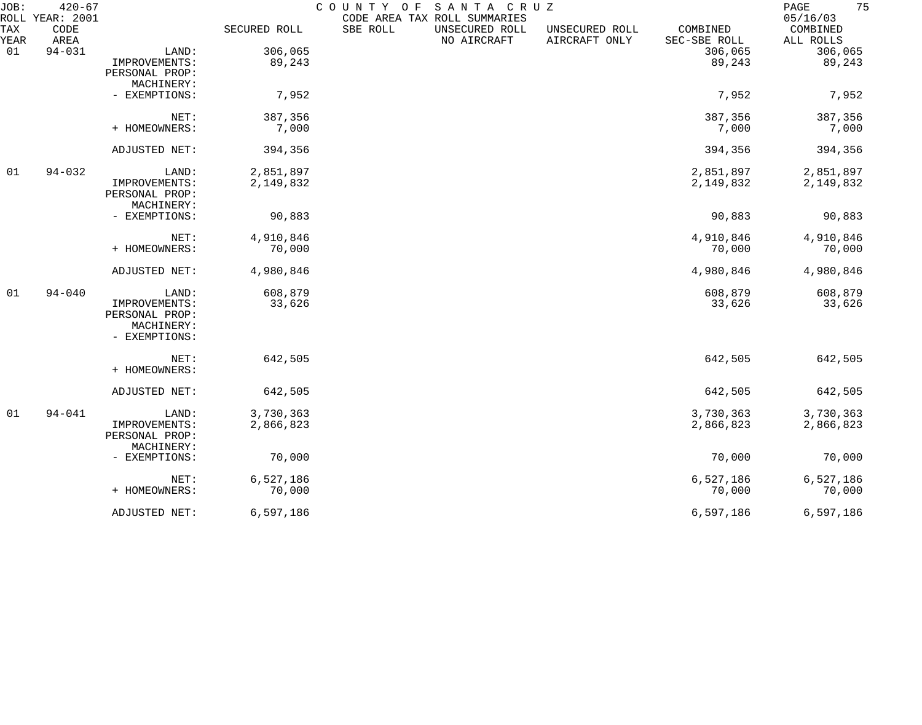| JOB:        | $420 - 67$<br>ROLL YEAR: 2001 |                |              | COUNTY OF<br>CODE AREA TAX ROLL SUMMARIES | SANTA CRUZ                    |                                 |                          | 75<br>PAGE<br>05/16/03 |
|-------------|-------------------------------|----------------|--------------|-------------------------------------------|-------------------------------|---------------------------------|--------------------------|------------------------|
| TAX<br>YEAR | CODE<br>AREA                  |                | SECURED ROLL | SBE ROLL                                  | UNSECURED ROLL<br>NO AIRCRAFT | UNSECURED ROLL<br>AIRCRAFT ONLY | COMBINED<br>SEC-SBE ROLL | COMBINED<br>ALL ROLLS  |
| 01          | $94 - 031$                    | LAND:          | 306,065      |                                           |                               |                                 | 306,065                  | 306,065                |
|             |                               | IMPROVEMENTS:  | 89,243       |                                           |                               |                                 | 89,243                   | 89,243                 |
|             |                               | PERSONAL PROP: |              |                                           |                               |                                 |                          |                        |
|             |                               | MACHINERY:     |              |                                           |                               |                                 |                          |                        |
|             |                               | - EXEMPTIONS:  | 7,952        |                                           |                               |                                 | 7,952                    | 7,952                  |
|             |                               | NET:           | 387,356      |                                           |                               |                                 | 387,356                  | 387,356                |
|             |                               | + HOMEOWNERS:  | 7,000        |                                           |                               |                                 | 7,000                    | 7,000                  |
|             |                               | ADJUSTED NET:  | 394,356      |                                           |                               |                                 | 394,356                  | 394,356                |
| 01          | $94 - 032$                    | LAND:          | 2,851,897    |                                           |                               |                                 | 2,851,897                | 2,851,897              |
|             |                               | IMPROVEMENTS:  | 2,149,832    |                                           |                               |                                 | 2,149,832                | 2,149,832              |
|             |                               | PERSONAL PROP: |              |                                           |                               |                                 |                          |                        |
|             |                               | MACHINERY:     |              |                                           |                               |                                 |                          |                        |
|             |                               | - EXEMPTIONS:  | 90,883       |                                           |                               |                                 | 90,883                   | 90,883                 |
|             |                               | NET:           | 4,910,846    |                                           |                               |                                 | 4,910,846                | 4,910,846              |
|             |                               | + HOMEOWNERS:  | 70,000       |                                           |                               |                                 | 70,000                   | 70,000                 |
|             |                               | ADJUSTED NET:  | 4,980,846    |                                           |                               |                                 | 4,980,846                | 4,980,846              |
| 01          | $94 - 040$                    | LAND:          | 608,879      |                                           |                               |                                 | 608,879                  | 608,879                |
|             |                               | IMPROVEMENTS:  | 33,626       |                                           |                               |                                 | 33,626                   | 33,626                 |
|             |                               | PERSONAL PROP: |              |                                           |                               |                                 |                          |                        |
|             |                               | MACHINERY:     |              |                                           |                               |                                 |                          |                        |
|             |                               | - EXEMPTIONS:  |              |                                           |                               |                                 |                          |                        |
|             |                               | NET:           | 642,505      |                                           |                               |                                 | 642,505                  | 642,505                |
|             |                               | + HOMEOWNERS:  |              |                                           |                               |                                 |                          |                        |
|             |                               | ADJUSTED NET:  | 642,505      |                                           |                               |                                 | 642,505                  | 642,505                |
| 01          | $94 - 041$                    | LAND:          | 3,730,363    |                                           |                               |                                 | 3,730,363                | 3,730,363              |
|             |                               | IMPROVEMENTS:  | 2,866,823    |                                           |                               |                                 | 2,866,823                | 2,866,823              |
|             |                               | PERSONAL PROP: |              |                                           |                               |                                 |                          |                        |
|             |                               | MACHINERY:     |              |                                           |                               |                                 |                          |                        |
|             |                               | - EXEMPTIONS:  | 70,000       |                                           |                               |                                 | 70,000                   | 70,000                 |
|             |                               | NET:           | 6,527,186    |                                           |                               |                                 | 6,527,186                | 6,527,186              |
|             |                               | + HOMEOWNERS:  | 70,000       |                                           |                               |                                 | 70,000                   | 70,000                 |
|             |                               | ADJUSTED NET:  | 6,597,186    |                                           |                               |                                 | 6,597,186                | 6,597,186              |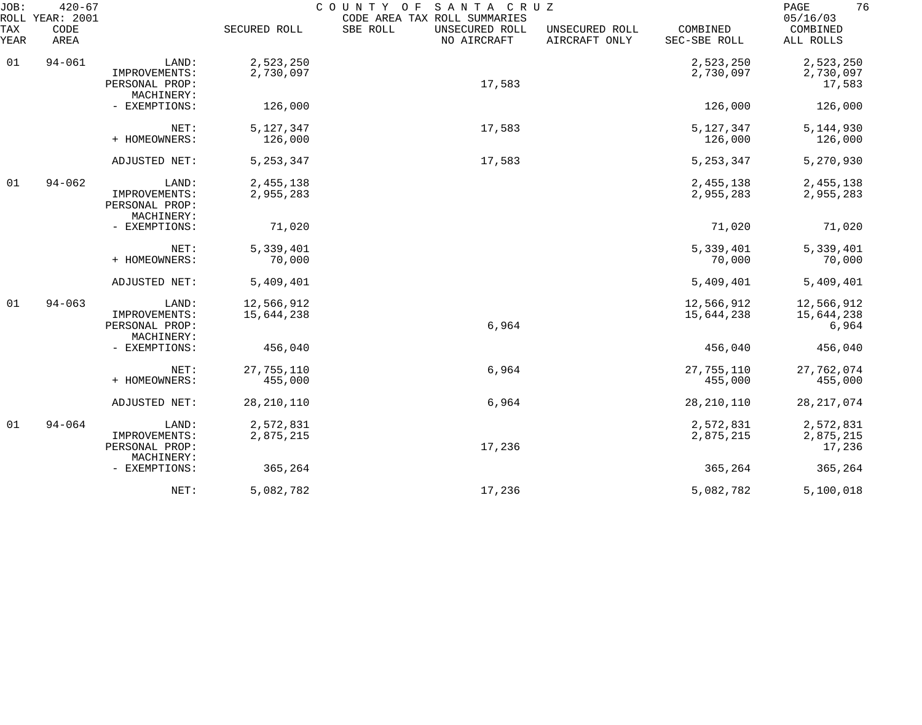| JOB:<br>ROLL | $420 - 67$<br><b>YEAR: 2001</b> |                                                        |                          | COUNTY<br>SANTA CRUZ<br>O F<br>CODE AREA TAX ROLL SUMMARIES |                                 |                          | 76<br>PAGE<br>05/16/03            |
|--------------|---------------------------------|--------------------------------------------------------|--------------------------|-------------------------------------------------------------|---------------------------------|--------------------------|-----------------------------------|
| TAX<br>YEAR  | CODE<br>AREA                    |                                                        | SECURED ROLL             | SBE ROLL<br>UNSECURED ROLL<br>NO AIRCRAFT                   | UNSECURED ROLL<br>AIRCRAFT ONLY | COMBINED<br>SEC-SBE ROLL | COMBINED<br>ALL ROLLS             |
| 01           | $94 - 061$                      | LAND:<br>IMPROVEMENTS:<br>PERSONAL PROP:               | 2,523,250<br>2,730,097   | 17,583                                                      |                                 | 2,523,250<br>2,730,097   | 2,523,250<br>2,730,097<br>17,583  |
|              |                                 | MACHINERY:<br>- EXEMPTIONS:                            | 126,000                  |                                                             |                                 | 126,000                  | 126,000                           |
|              |                                 | NET:<br>+ HOMEOWNERS:                                  | 5,127,347<br>126,000     | 17,583                                                      |                                 | 5, 127, 347<br>126,000   | 5, 144, 930<br>126,000            |
|              |                                 | ADJUSTED NET:                                          | 5, 253, 347              | 17,583                                                      |                                 | 5, 253, 347              | 5,270,930                         |
| 01           | $94 - 062$                      | LAND:<br>IMPROVEMENTS:<br>PERSONAL PROP:<br>MACHINERY: | 2,455,138<br>2,955,283   |                                                             |                                 | 2,455,138<br>2,955,283   | 2,455,138<br>2,955,283            |
|              |                                 | - EXEMPTIONS:                                          | 71,020                   |                                                             |                                 | 71,020                   | 71,020                            |
|              |                                 | NET:<br>+ HOMEOWNERS:                                  | 5,339,401<br>70,000      |                                                             |                                 | 5,339,401<br>70,000      | 5,339,401<br>70,000               |
|              |                                 | ADJUSTED NET:                                          | 5,409,401                |                                                             |                                 | 5,409,401                | 5,409,401                         |
| 01           | $94 - 063$                      | LAND:<br>IMPROVEMENTS:<br>PERSONAL PROP:<br>MACHINERY: | 12,566,912<br>15,644,238 | 6,964                                                       |                                 | 12,566,912<br>15,644,238 | 12,566,912<br>15,644,238<br>6,964 |
|              |                                 | - EXEMPTIONS:                                          | 456,040                  |                                                             |                                 | 456,040                  | 456,040                           |
|              |                                 | NET:<br>+ HOMEOWNERS:                                  | 27,755,110<br>455,000    | 6,964                                                       |                                 | 27,755,110<br>455,000    | 27,762,074<br>455,000             |
|              |                                 | ADJUSTED NET:                                          | 28, 210, 110             | 6,964                                                       |                                 | 28, 210, 110             | 28, 217, 074                      |
| 01           | $94 - 064$                      | LAND:<br>IMPROVEMENTS:<br>PERSONAL PROP:<br>MACHINERY: | 2,572,831<br>2,875,215   | 17,236                                                      |                                 | 2,572,831<br>2,875,215   | 2,572,831<br>2,875,215<br>17,236  |
|              |                                 | - EXEMPTIONS:                                          | 365,264                  |                                                             |                                 | 365,264                  | 365,264                           |
|              |                                 | NET:                                                   | 5,082,782                | 17,236                                                      |                                 | 5,082,782                | 5,100,018                         |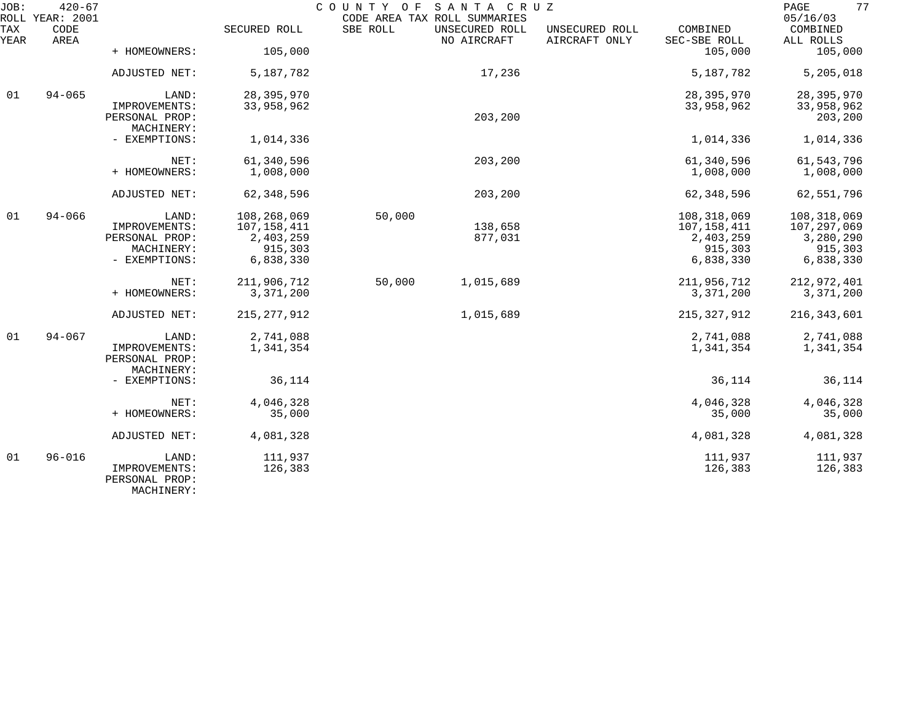| JOB:        | $420 - 67$<br>ROLL YEAR: 2001 |                                                        |                          | COUNTY OF | SANTA CRUZ<br>CODE AREA TAX ROLL SUMMARIES |                                 |                          | 77<br>PAGE<br>05/16/03   |
|-------------|-------------------------------|--------------------------------------------------------|--------------------------|-----------|--------------------------------------------|---------------------------------|--------------------------|--------------------------|
| TAX<br>YEAR | CODE<br>AREA                  |                                                        | SECURED ROLL             | SBE ROLL  | UNSECURED ROLL<br>NO AIRCRAFT              | UNSECURED ROLL<br>AIRCRAFT ONLY | COMBINED<br>SEC-SBE ROLL | COMBINED<br>ALL ROLLS    |
|             |                               | + HOMEOWNERS:                                          | 105,000                  |           |                                            |                                 | 105,000                  | 105,000                  |
|             |                               | ADJUSTED NET:                                          | 5,187,782                |           | 17,236                                     |                                 | 5, 187, 782              | 5,205,018                |
| 01          | $94 - 065$                    | LAND:                                                  | 28, 395, 970             |           |                                            |                                 | 28, 395, 970             | 28, 395, 970             |
|             |                               | IMPROVEMENTS:<br>PERSONAL PROP:<br>MACHINERY:          | 33,958,962               |           | 203,200                                    |                                 | 33,958,962               | 33,958,962<br>203,200    |
|             |                               | - EXEMPTIONS:                                          | 1,014,336                |           |                                            |                                 | 1,014,336                | 1,014,336                |
|             |                               | NET:                                                   | 61,340,596               |           | 203,200                                    |                                 | 61,340,596               | 61, 543, 796             |
|             |                               | + HOMEOWNERS:                                          | 1,008,000                |           |                                            |                                 | 1,008,000                | 1,008,000                |
|             |                               | ADJUSTED NET:                                          | 62, 348, 596             |           | 203,200                                    |                                 | 62,348,596               | 62,551,796               |
| 01          | $94 - 066$                    | LAND:                                                  | 108,268,069              | 50,000    |                                            |                                 | 108,318,069              | 108,318,069              |
|             |                               | IMPROVEMENTS:<br>PERSONAL PROP:                        | 107,158,411<br>2,403,259 |           | 138,658<br>877,031                         |                                 | 107,158,411<br>2,403,259 | 107,297,069<br>3,280,290 |
|             |                               | MACHINERY:                                             | 915,303                  |           |                                            |                                 | 915,303                  | 915,303                  |
|             |                               | - EXEMPTIONS:                                          | 6,838,330                |           |                                            |                                 | 6,838,330                | 6,838,330                |
|             |                               | NET:                                                   | 211,906,712              | 50,000    | 1,015,689                                  |                                 | 211,956,712              | 212,972,401              |
|             |                               | + HOMEOWNERS:                                          | 3,371,200                |           |                                            |                                 | 3,371,200                | 3,371,200                |
|             |                               | ADJUSTED NET:                                          | 215, 277, 912            |           | 1,015,689                                  |                                 | 215, 327, 912            | 216,343,601              |
| 01          | $94 - 067$                    | LAND:                                                  | 2,741,088                |           |                                            |                                 | 2,741,088                | 2,741,088                |
|             |                               | IMPROVEMENTS:<br>PERSONAL PROP:<br>MACHINERY:          | 1,341,354                |           |                                            |                                 | 1,341,354                | 1,341,354                |
|             |                               | - EXEMPTIONS:                                          | 36,114                   |           |                                            |                                 | 36,114                   | 36,114                   |
|             |                               | NET:                                                   | 4,046,328                |           |                                            |                                 | 4,046,328                | 4,046,328                |
|             |                               | + HOMEOWNERS:                                          | 35,000                   |           |                                            |                                 | 35,000                   | 35,000                   |
|             |                               | ADJUSTED NET:                                          | 4,081,328                |           |                                            |                                 | 4,081,328                | 4,081,328                |
| 01          | $96 - 016$                    | LAND:<br>IMPROVEMENTS:<br>PERSONAL PROP:<br>MACHINERY: | 111,937<br>126,383       |           |                                            |                                 | 111,937<br>126,383       | 111,937<br>126,383       |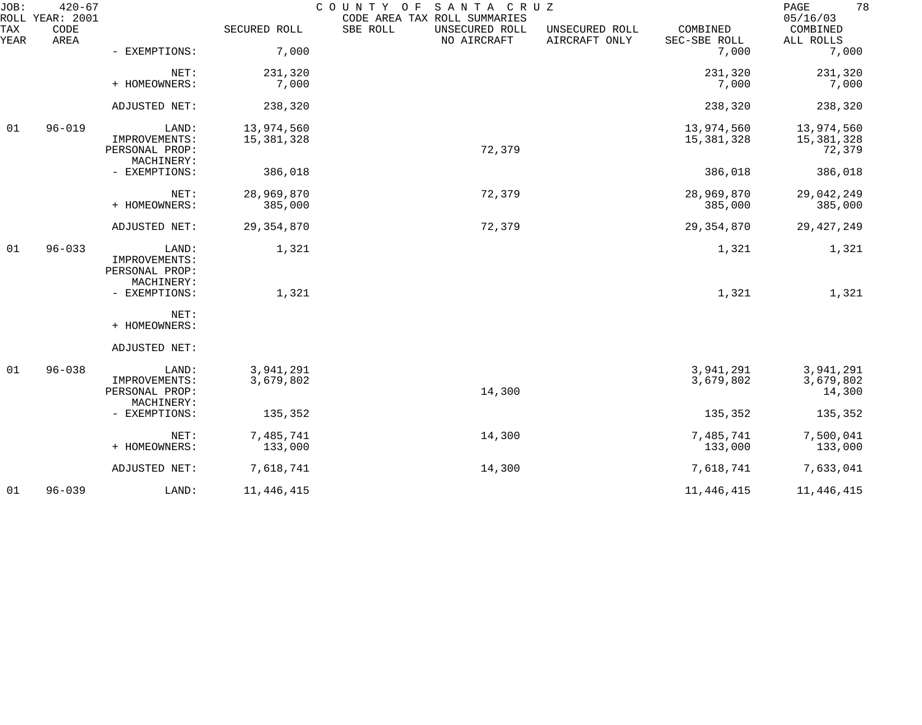| JOB:        | $420 - 67$<br>ROLL YEAR: 2001 |                                          |                          | COUNTY<br>O F<br>SANTA CRUZ<br>CODE AREA TAX ROLL SUMMARIES |                                 |                          | 78<br>PAGE<br>05/16/03             |
|-------------|-------------------------------|------------------------------------------|--------------------------|-------------------------------------------------------------|---------------------------------|--------------------------|------------------------------------|
| TAX<br>YEAR | CODE<br>AREA                  |                                          | SECURED ROLL             | SBE ROLL<br>UNSECURED ROLL<br>NO AIRCRAFT                   | UNSECURED ROLL<br>AIRCRAFT ONLY | COMBINED<br>SEC-SBE ROLL | COMBINED<br>ALL ROLLS              |
|             |                               | - EXEMPTIONS:                            | 7,000                    |                                                             |                                 | 7,000                    | 7,000                              |
|             |                               | NET:<br>+ HOMEOWNERS:                    | 231,320<br>7,000         |                                                             |                                 | 231,320<br>7,000         | 231,320<br>7,000                   |
|             |                               | ADJUSTED NET:                            | 238,320                  |                                                             |                                 | 238,320                  | 238,320                            |
| 01          | $96 - 019$                    | LAND:<br>IMPROVEMENTS:<br>PERSONAL PROP: | 13,974,560<br>15,381,328 | 72,379                                                      |                                 | 13,974,560<br>15,381,328 | 13,974,560<br>15,381,328<br>72,379 |
|             |                               | MACHINERY:<br>- EXEMPTIONS:              | 386,018                  |                                                             |                                 | 386,018                  | 386,018                            |
|             |                               | NET:<br>+ HOMEOWNERS:                    | 28,969,870<br>385,000    | 72,379                                                      |                                 | 28,969,870<br>385,000    | 29,042,249<br>385,000              |
|             |                               | ADJUSTED NET:                            | 29, 354, 870             | 72,379                                                      |                                 | 29, 354, 870             | 29, 427, 249                       |
| 01          | $96 - 033$                    | LAND:<br>IMPROVEMENTS:<br>PERSONAL PROP: | 1,321                    |                                                             |                                 | 1,321                    | 1,321                              |
|             |                               | MACHINERY:<br>- EXEMPTIONS:              | 1,321                    |                                                             |                                 | 1,321                    | 1,321                              |
|             |                               | NET:<br>+ HOMEOWNERS:                    |                          |                                                             |                                 |                          |                                    |
|             |                               | ADJUSTED NET:                            |                          |                                                             |                                 |                          |                                    |
| 01          | $96 - 038$                    | LAND:<br>IMPROVEMENTS:<br>PERSONAL PROP: | 3,941,291<br>3,679,802   | 14,300                                                      |                                 | 3,941,291<br>3,679,802   | 3,941,291<br>3,679,802<br>14,300   |
|             |                               | MACHINERY:<br>- EXEMPTIONS:              | 135,352                  |                                                             |                                 | 135,352                  | 135,352                            |
|             |                               | NET:<br>+ HOMEOWNERS:                    | 7,485,741<br>133,000     | 14,300                                                      |                                 | 7,485,741<br>133,000     | 7,500,041<br>133,000               |
|             |                               | ADJUSTED NET:                            | 7,618,741                | 14,300                                                      |                                 | 7,618,741                | 7,633,041                          |
| 01          | $96 - 039$                    | LAND:                                    | 11, 446, 415             |                                                             |                                 | 11, 446, 415             | 11, 446, 415                       |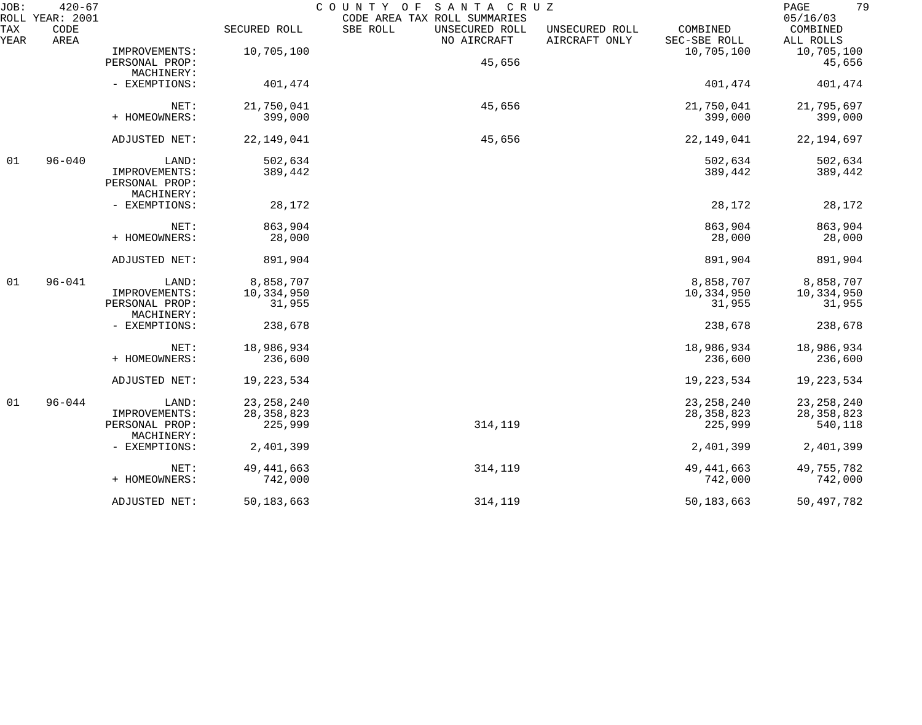| JOB:<br>ROLL | $420 - 67$<br>YEAR: 2001 |                              |              | COUNTY OF<br>SANTA CRUZ<br>CODE AREA TAX ROLL SUMMARIES |                                                             | 79<br>PAGE<br>05/16/03 |
|--------------|--------------------------|------------------------------|--------------|---------------------------------------------------------|-------------------------------------------------------------|------------------------|
| TAX<br>YEAR  | CODE<br>AREA             |                              | SECURED ROLL | SBE ROLL<br>UNSECURED ROLL<br>NO AIRCRAFT               | COMBINED<br>UNSECURED ROLL<br>AIRCRAFT ONLY<br>SEC-SBE ROLL | COMBINED<br>ALL ROLLS  |
|              |                          | IMPROVEMENTS:                | 10,705,100   |                                                         | 10,705,100                                                  | 10,705,100             |
|              |                          | PERSONAL PROP:               |              | 45,656                                                  |                                                             | 45,656                 |
|              |                          | MACHINERY:                   |              |                                                         |                                                             |                        |
|              |                          | - EXEMPTIONS:                | 401,474      |                                                         | 401,474                                                     | 401,474                |
|              |                          | NET:                         | 21,750,041   | 45,656                                                  | 21,750,041                                                  | 21,795,697             |
|              |                          | + HOMEOWNERS:                | 399,000      |                                                         | 399,000                                                     | 399,000                |
|              |                          | ADJUSTED NET:                | 22, 149, 041 | 45,656                                                  | 22, 149, 041                                                | 22, 194, 697           |
| 01           | $96 - 040$               | LAND:                        | 502,634      |                                                         | 502,634                                                     | 502,634                |
|              |                          | IMPROVEMENTS:                | 389,442      |                                                         | 389,442                                                     | 389,442                |
|              |                          | PERSONAL PROP:               |              |                                                         |                                                             |                        |
|              |                          | MACHINERY:                   |              |                                                         |                                                             |                        |
|              |                          | - EXEMPTIONS:                | 28,172       |                                                         | 28,172                                                      | 28,172                 |
|              |                          | NET:                         | 863,904      |                                                         | 863,904                                                     | 863,904                |
|              |                          | + HOMEOWNERS:                | 28,000       |                                                         | 28,000                                                      | 28,000                 |
|              |                          | ADJUSTED NET:                | 891,904      |                                                         | 891,904                                                     | 891,904                |
| 01           | $96 - 041$               | LAND:                        | 8,858,707    |                                                         | 8,858,707                                                   | 8,858,707              |
|              |                          | IMPROVEMENTS:                | 10,334,950   |                                                         | 10,334,950                                                  | 10,334,950             |
|              |                          | PERSONAL PROP:<br>MACHINERY: | 31,955       |                                                         | 31,955                                                      | 31,955                 |
|              |                          | - EXEMPTIONS:                | 238,678      |                                                         | 238,678                                                     | 238,678                |
|              |                          | NET:                         | 18,986,934   |                                                         | 18,986,934                                                  | 18,986,934             |
|              |                          | + HOMEOWNERS:                | 236,600      |                                                         | 236,600                                                     | 236,600                |
|              |                          | ADJUSTED NET:                | 19, 223, 534 |                                                         | 19, 223, 534                                                | 19,223,534             |
| 01           | $96 - 044$               | LAND:                        | 23, 258, 240 |                                                         | 23, 258, 240                                                | 23, 258, 240           |
|              |                          | IMPROVEMENTS:                | 28, 358, 823 |                                                         | 28, 358, 823                                                | 28, 358, 823           |
|              |                          | PERSONAL PROP:<br>MACHINERY: | 225,999      | 314,119                                                 | 225,999                                                     | 540,118                |
|              |                          | - EXEMPTIONS:                | 2,401,399    |                                                         | 2,401,399                                                   | 2,401,399              |
|              |                          | NET:                         | 49, 441, 663 | 314,119                                                 | 49, 441, 663                                                | 49,755,782             |
|              |                          | + HOMEOWNERS:                | 742,000      |                                                         | 742,000                                                     | 742,000                |
|              |                          | ADJUSTED NET:                | 50, 183, 663 | 314,119                                                 | 50, 183, 663                                                | 50,497,782             |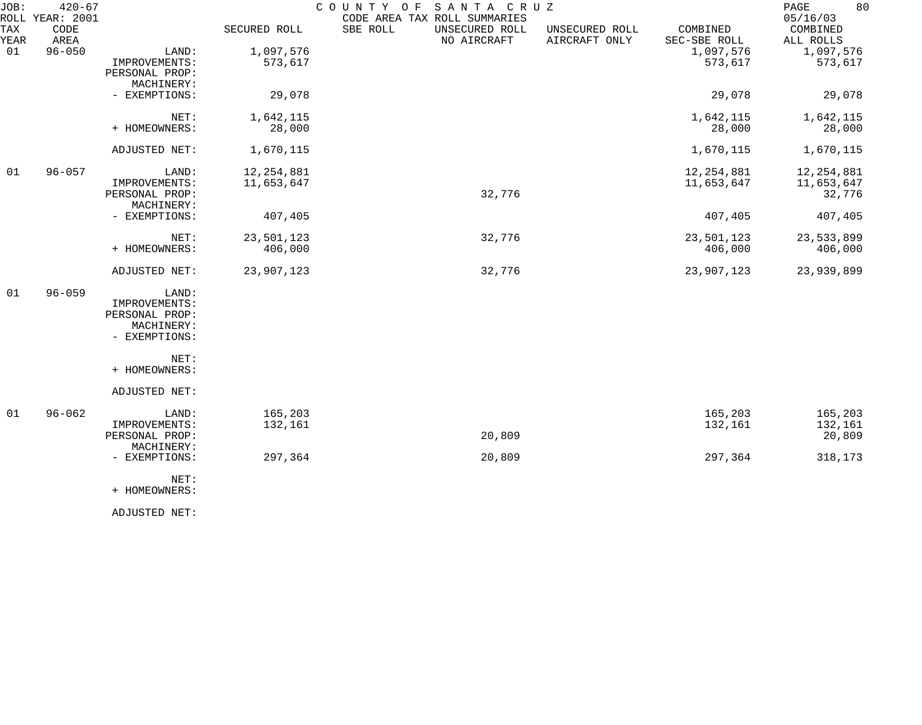| JOB:        | $420 - 67$<br>ROLL YEAR: 2001 |                                                                         |                            | COUNTY OF<br>SANTA CRUZ<br>CODE AREA TAX ROLL SUMMARIES |                                 |                            | 80<br>PAGE<br>05/16/03               |
|-------------|-------------------------------|-------------------------------------------------------------------------|----------------------------|---------------------------------------------------------|---------------------------------|----------------------------|--------------------------------------|
| TAX<br>YEAR | CODE<br>AREA                  |                                                                         | SECURED ROLL               | SBE ROLL<br>UNSECURED ROLL<br>NO AIRCRAFT               | UNSECURED ROLL<br>AIRCRAFT ONLY | COMBINED<br>SEC-SBE ROLL   | COMBINED<br>ALL ROLLS                |
| 01          | $96 - 050$                    | LAND:<br>IMPROVEMENTS:<br>PERSONAL PROP:<br>MACHINERY:                  | 1,097,576<br>573,617       |                                                         |                                 | 1,097,576<br>573,617       | 1,097,576<br>573,617                 |
|             |                               | - EXEMPTIONS:                                                           | 29,078                     |                                                         |                                 | 29,078                     | 29,078                               |
|             |                               | NET:<br>+ HOMEOWNERS:                                                   | 1,642,115<br>28,000        |                                                         |                                 | 1,642,115<br>28,000        | 1,642,115<br>28,000                  |
|             |                               | ADJUSTED NET:                                                           | 1,670,115                  |                                                         |                                 | 1,670,115                  | 1,670,115                            |
| 01          | $96 - 057$                    | LAND:<br>IMPROVEMENTS:<br>PERSONAL PROP:<br>MACHINERY:                  | 12, 254, 881<br>11,653,647 | 32,776                                                  |                                 | 12, 254, 881<br>11,653,647 | 12, 254, 881<br>11,653,647<br>32,776 |
|             |                               | - EXEMPTIONS:                                                           | 407,405                    |                                                         |                                 | 407,405                    | 407,405                              |
|             |                               | NET:<br>+ HOMEOWNERS:                                                   | 23,501,123<br>406,000      | 32,776                                                  |                                 | 23,501,123<br>406,000      | 23,533,899<br>406,000                |
|             |                               | ADJUSTED NET:                                                           | 23,907,123                 | 32,776                                                  |                                 | 23,907,123                 | 23,939,899                           |
| 01          | $96 - 059$                    | LAND:<br>IMPROVEMENTS:<br>PERSONAL PROP:<br>MACHINERY:<br>- EXEMPTIONS: |                            |                                                         |                                 |                            |                                      |
|             |                               | NET:<br>+ HOMEOWNERS:                                                   |                            |                                                         |                                 |                            |                                      |
|             |                               | ADJUSTED NET:                                                           |                            |                                                         |                                 |                            |                                      |
| 01          | $96 - 062$                    | LAND:<br>IMPROVEMENTS:<br>PERSONAL PROP:<br>MACHINERY:                  | 165,203<br>132,161         | 20,809                                                  |                                 | 165,203<br>132,161         | 165,203<br>132,161<br>20,809         |
|             |                               | - EXEMPTIONS:                                                           | 297,364                    | 20,809                                                  |                                 | 297,364                    | 318,173                              |
|             |                               | NET:<br>+ HOMEOWNERS:                                                   |                            |                                                         |                                 |                            |                                      |

ADJUSTED NET: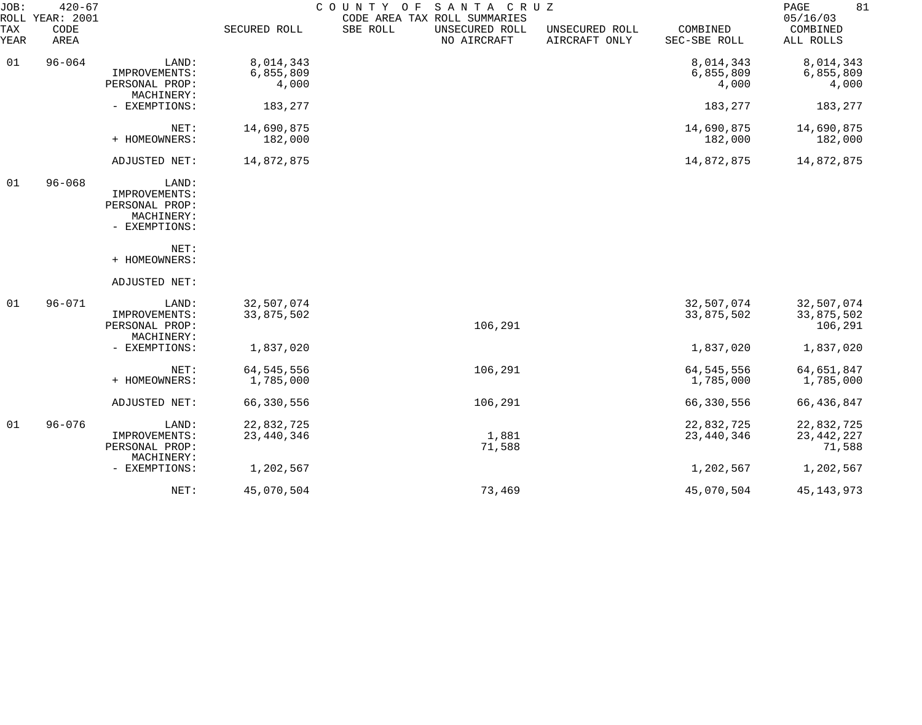| JOB:        | $420 - 67$<br>ROLL YEAR: 2001 |                                                                         |                                 | COUNTY OF<br>SANTA CRUZ<br>CODE AREA TAX ROLL SUMMARIES |                                 |                                 | 81<br>PAGE<br>05/16/03               |
|-------------|-------------------------------|-------------------------------------------------------------------------|---------------------------------|---------------------------------------------------------|---------------------------------|---------------------------------|--------------------------------------|
| TAX<br>YEAR | CODE<br>AREA                  |                                                                         | SECURED ROLL                    | SBE ROLL<br>UNSECURED ROLL<br>NO AIRCRAFT               | UNSECURED ROLL<br>AIRCRAFT ONLY | COMBINED<br>SEC-SBE ROLL        | COMBINED<br>ALL ROLLS                |
| 01          | $96 - 064$                    | LAND:<br>IMPROVEMENTS:<br>PERSONAL PROP:                                | 8,014,343<br>6,855,809<br>4,000 |                                                         |                                 | 8,014,343<br>6,855,809<br>4,000 | 8,014,343<br>6,855,809<br>4,000      |
|             |                               | MACHINERY:<br>- EXEMPTIONS:                                             | 183,277                         |                                                         |                                 | 183,277                         | 183,277                              |
|             |                               | NET:<br>+ HOMEOWNERS:                                                   | 14,690,875<br>182,000           |                                                         |                                 | 14,690,875<br>182,000           | 14,690,875<br>182,000                |
|             |                               | ADJUSTED NET:                                                           | 14,872,875                      |                                                         |                                 | 14,872,875                      | 14,872,875                           |
| 01          | $96 - 068$                    | LAND:<br>IMPROVEMENTS:<br>PERSONAL PROP:<br>MACHINERY:<br>- EXEMPTIONS: |                                 |                                                         |                                 |                                 |                                      |
|             |                               | NET:<br>+ HOMEOWNERS:                                                   |                                 |                                                         |                                 |                                 |                                      |
|             |                               | ADJUSTED NET:                                                           |                                 |                                                         |                                 |                                 |                                      |
| 01          | $96 - 071$                    | LAND:<br>IMPROVEMENTS:<br>PERSONAL PROP:<br>MACHINERY:                  | 32,507,074<br>33,875,502        | 106,291                                                 |                                 | 32,507,074<br>33,875,502        | 32,507,074<br>33,875,502<br>106,291  |
|             |                               | - EXEMPTIONS:                                                           | 1,837,020                       |                                                         |                                 | 1,837,020                       | 1,837,020                            |
|             |                               | NET:<br>+ HOMEOWNERS:                                                   | 64, 545, 556<br>1,785,000       | 106,291                                                 |                                 | 64, 545, 556<br>1,785,000       | 64,651,847<br>1,785,000              |
|             |                               | ADJUSTED NET:                                                           | 66,330,556                      | 106,291                                                 |                                 | 66,330,556                      | 66, 436, 847                         |
| 01          | $96 - 076$                    | LAND:<br>IMPROVEMENTS:<br>PERSONAL PROP:<br>MACHINERY:                  | 22,832,725<br>23, 440, 346      | 1,881<br>71,588                                         |                                 | 22,832,725<br>23,440,346        | 22,832,725<br>23, 442, 227<br>71,588 |
|             |                               | - EXEMPTIONS:                                                           | 1,202,567                       |                                                         |                                 | 1,202,567                       | 1,202,567                            |
|             |                               | NET:                                                                    | 45,070,504                      | 73,469                                                  |                                 | 45,070,504                      | 45, 143, 973                         |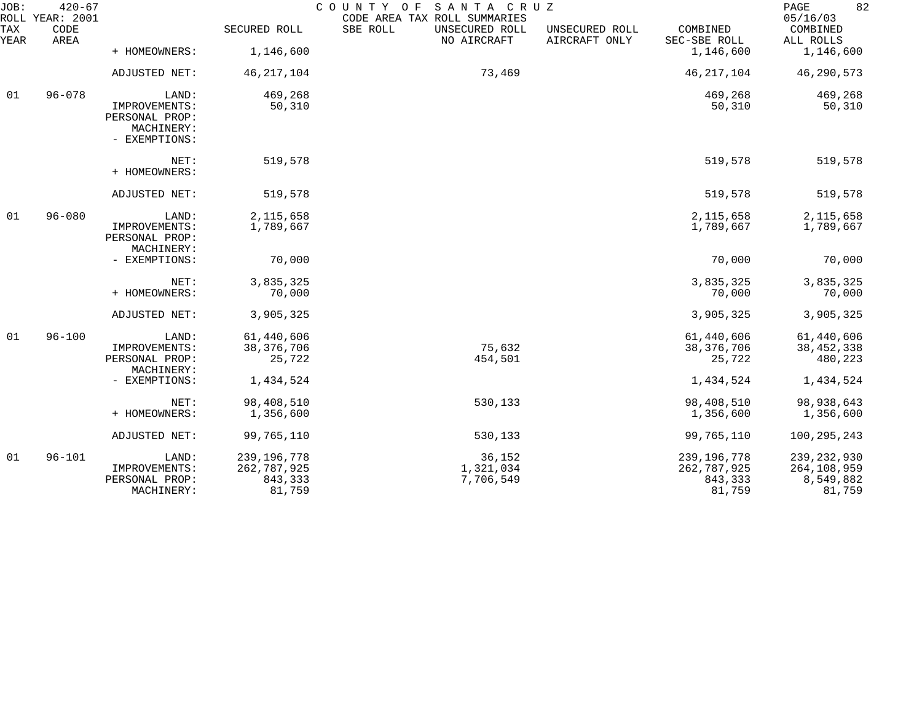| JOB:             | $420 - 67$<br>ROLL YEAR: 2001 |                                                                         |                                                   | COUNTY OF<br>SANTA CRUZ<br>CODE AREA TAX ROLL SUMMARIES |                                 |                                                   | 82<br>PAGE<br>05/16/03                              |
|------------------|-------------------------------|-------------------------------------------------------------------------|---------------------------------------------------|---------------------------------------------------------|---------------------------------|---------------------------------------------------|-----------------------------------------------------|
| TAX<br>YEAR      | CODE<br>AREA                  |                                                                         | SECURED ROLL                                      | SBE ROLL<br>UNSECURED ROLL<br>NO AIRCRAFT               | UNSECURED ROLL<br>AIRCRAFT ONLY | COMBINED<br>SEC-SBE ROLL                          | COMBINED<br>ALL ROLLS                               |
|                  |                               | + HOMEOWNERS:                                                           | 1,146,600                                         |                                                         |                                 | 1,146,600                                         | 1,146,600                                           |
|                  |                               | ADJUSTED NET:                                                           | 46, 217, 104                                      | 73,469                                                  |                                 | 46, 217, 104                                      | 46,290,573                                          |
| $96 - 078$<br>01 |                               | LAND:<br>IMPROVEMENTS:<br>PERSONAL PROP:<br>MACHINERY:<br>- EXEMPTIONS: | 469,268<br>50,310                                 |                                                         |                                 | 469,268<br>50,310                                 | 469,268<br>50,310                                   |
|                  |                               | NET:<br>+ HOMEOWNERS:                                                   | 519,578                                           |                                                         |                                 | 519,578                                           | 519,578                                             |
|                  |                               | ADJUSTED NET:                                                           | 519,578                                           |                                                         |                                 | 519,578                                           | 519,578                                             |
| 01               | $96 - 080$                    | LAND:<br>IMPROVEMENTS:<br>PERSONAL PROP:<br>MACHINERY:                  | 2, 115, 658<br>1,789,667                          |                                                         |                                 | 2, 115, 658<br>1,789,667                          | 2, 115, 658<br>1,789,667                            |
|                  |                               | - EXEMPTIONS:                                                           | 70,000                                            |                                                         |                                 | 70,000                                            | 70,000                                              |
|                  |                               | NET:<br>+ HOMEOWNERS:                                                   | 3,835,325<br>70,000                               |                                                         |                                 | 3,835,325<br>70,000                               | 3,835,325<br>70,000                                 |
|                  |                               | ADJUSTED NET:                                                           | 3,905,325                                         |                                                         |                                 | 3,905,325                                         | 3,905,325                                           |
| 01               | $96 - 100$                    | LAND:<br>IMPROVEMENTS:<br>PERSONAL PROP:<br>MACHINERY:                  | 61,440,606<br>38, 376, 706<br>25,722              | 75,632<br>454,501                                       |                                 | 61,440,606<br>38, 376, 706<br>25,722              | 61,440,606<br>38, 452, 338<br>480,223               |
|                  |                               | - EXEMPTIONS:                                                           | 1,434,524                                         |                                                         |                                 | 1,434,524                                         | 1,434,524                                           |
|                  |                               | NET:<br>+ HOMEOWNERS:                                                   | 98,408,510<br>1,356,600                           | 530,133                                                 |                                 | 98,408,510<br>1,356,600                           | 98,938,643<br>1,356,600                             |
|                  |                               | ADJUSTED NET:                                                           | 99,765,110                                        | 530,133                                                 |                                 | 99,765,110                                        | 100, 295, 243                                       |
| 01               | $96 - 101$                    | LAND:<br>IMPROVEMENTS:<br>PERSONAL PROP:<br>MACHINERY:                  | 239, 196, 778<br>262,787,925<br>843,333<br>81,759 | 36,152<br>1,321,034<br>7,706,549                        |                                 | 239, 196, 778<br>262,787,925<br>843,333<br>81,759 | 239, 232, 930<br>264,108,959<br>8,549,882<br>81,759 |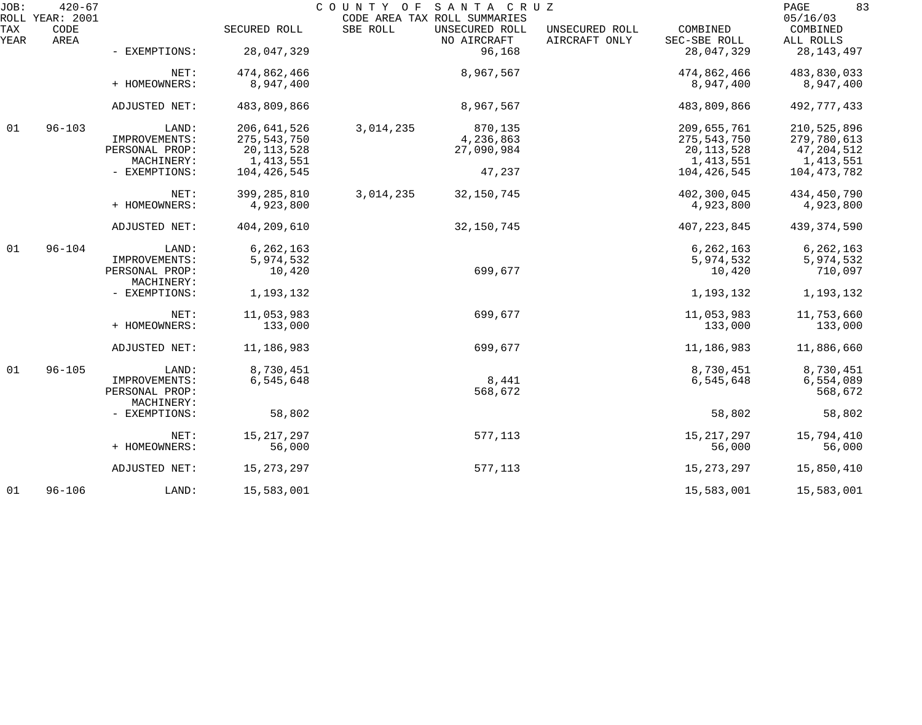| JOB:        | $420 - 67$<br>ROLL YEAR: 2001 |                |               | COUNTY OF | SANTA CRUZ<br>CODE AREA TAX ROLL SUMMARIES |                                 |                          | 83<br>PAGE<br>05/16/03 |
|-------------|-------------------------------|----------------|---------------|-----------|--------------------------------------------|---------------------------------|--------------------------|------------------------|
| TAX<br>YEAR | CODE<br>AREA                  |                | SECURED ROLL  | SBE ROLL  | UNSECURED ROLL<br>NO AIRCRAFT              | UNSECURED ROLL<br>AIRCRAFT ONLY | COMBINED<br>SEC-SBE ROLL | COMBINED<br>ALL ROLLS  |
|             |                               | - EXEMPTIONS:  | 28,047,329    |           | 96,168                                     |                                 | 28,047,329               | 28, 143, 497           |
|             |                               | NET:           | 474,862,466   |           | 8,967,567                                  |                                 | 474,862,466              | 483,830,033            |
|             |                               | + HOMEOWNERS:  | 8,947,400     |           |                                            |                                 | 8,947,400                | 8,947,400              |
|             |                               | ADJUSTED NET:  | 483,809,866   |           | 8,967,567                                  |                                 | 483,809,866              | 492,777,433            |
| 01          | $96 - 103$                    | LAND:          | 206,641,526   | 3,014,235 | 870,135                                    |                                 | 209,655,761              | 210,525,896            |
|             |                               | IMPROVEMENTS:  | 275,543,750   |           | 4,236,863                                  |                                 | 275,543,750              | 279,780,613            |
|             |                               | PERSONAL PROP: | 20, 113, 528  |           | 27,090,984                                 |                                 | 20, 113, 528             | 47,204,512             |
|             |                               | MACHINERY:     | 1, 413, 551   |           |                                            |                                 | 1, 413, 551              | 1,413,551              |
|             |                               | - EXEMPTIONS:  | 104,426,545   |           | 47,237                                     |                                 | 104,426,545              | 104, 473, 782          |
|             |                               | NET:           | 399, 285, 810 | 3,014,235 | 32,150,745                                 |                                 | 402,300,045              | 434,450,790            |
|             |                               | + HOMEOWNERS:  | 4,923,800     |           |                                            |                                 | 4,923,800                | 4,923,800              |
|             |                               |                |               |           |                                            |                                 |                          |                        |
|             |                               | ADJUSTED NET:  | 404,209,610   |           | 32, 150, 745                               |                                 | 407, 223, 845            | 439,374,590            |
| 01          | $96 - 104$                    | LAND:          | 6, 262, 163   |           |                                            |                                 | 6, 262, 163              | 6, 262, 163            |
|             |                               | IMPROVEMENTS:  | 5,974,532     |           |                                            |                                 | 5,974,532                | 5,974,532              |
|             |                               | PERSONAL PROP: | 10,420        |           | 699,677                                    |                                 | 10,420                   | 710,097                |
|             |                               | MACHINERY:     |               |           |                                            |                                 |                          |                        |
|             |                               | - EXEMPTIONS:  | 1,193,132     |           |                                            |                                 | 1,193,132                | 1,193,132              |
|             |                               | NET:           | 11,053,983    |           | 699,677                                    |                                 | 11,053,983               | 11,753,660             |
|             |                               | + HOMEOWNERS:  | 133,000       |           |                                            |                                 | 133,000                  | 133,000                |
|             |                               | ADJUSTED NET:  | 11,186,983    |           | 699,677                                    |                                 | 11,186,983               | 11,886,660             |
| 01          | $96 - 105$                    | LAND:          | 8,730,451     |           |                                            |                                 | 8,730,451                | 8,730,451              |
|             |                               | IMPROVEMENTS:  | 6,545,648     |           | 8,441                                      |                                 | 6,545,648                | 6,554,089              |
|             |                               | PERSONAL PROP: |               |           | 568,672                                    |                                 |                          | 568,672                |
|             |                               | MACHINERY:     |               |           |                                            |                                 |                          |                        |
|             |                               | - EXEMPTIONS:  | 58,802        |           |                                            |                                 | 58,802                   | 58,802                 |
|             |                               |                |               |           |                                            |                                 |                          |                        |
|             |                               | NET:           | 15, 217, 297  |           | 577,113                                    |                                 | 15, 217, 297             | 15,794,410             |
|             |                               | + HOMEOWNERS:  | 56,000        |           |                                            |                                 | 56,000                   | 56,000                 |
|             |                               | ADJUSTED NET:  | 15, 273, 297  |           | 577,113                                    |                                 | 15, 273, 297             | 15,850,410             |
| 01          | $96 - 106$                    | LAND:          | 15,583,001    |           |                                            |                                 | 15,583,001               | 15,583,001             |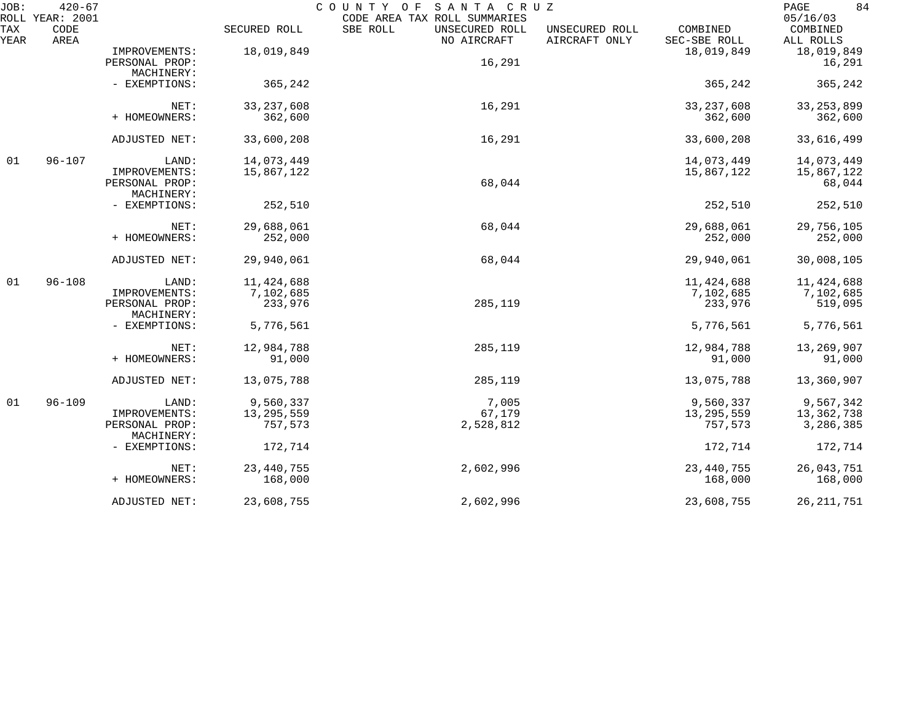| JOB:        | $420 - 67$<br>ROLL YEAR: 2001 |                              |              | COUNTY OF<br>SANTA CRUZ<br>CODE AREA TAX ROLL SUMMARIES |                                 |                          | 84<br>PAGE<br>05/16/03 |
|-------------|-------------------------------|------------------------------|--------------|---------------------------------------------------------|---------------------------------|--------------------------|------------------------|
| TAX<br>YEAR | CODE<br>AREA                  |                              | SECURED ROLL | SBE ROLL<br>UNSECURED ROLL<br>NO AIRCRAFT               | UNSECURED ROLL<br>AIRCRAFT ONLY | COMBINED<br>SEC-SBE ROLL | COMBINED<br>ALL ROLLS  |
|             |                               | IMPROVEMENTS:                | 18,019,849   |                                                         |                                 | 18,019,849               | 18,019,849             |
|             |                               | PERSONAL PROP:               |              | 16,291                                                  |                                 |                          | 16,291                 |
|             |                               | MACHINERY:                   |              |                                                         |                                 |                          |                        |
|             |                               | - EXEMPTIONS:                | 365,242      |                                                         |                                 | 365,242                  | 365,242                |
|             |                               | NET:                         | 33, 237, 608 | 16,291                                                  |                                 | 33, 237, 608             | 33, 253, 899           |
|             |                               | + HOMEOWNERS:                | 362,600      |                                                         |                                 | 362,600                  | 362,600                |
|             |                               | ADJUSTED NET:                | 33,600,208   | 16,291                                                  |                                 | 33,600,208               | 33,616,499             |
| 01          | $96 - 107$                    | LAND:                        | 14,073,449   |                                                         |                                 | 14,073,449               | 14,073,449             |
|             |                               | IMPROVEMENTS:                | 15,867,122   |                                                         |                                 | 15,867,122               | 15,867,122             |
|             |                               | PERSONAL PROP:               |              | 68,044                                                  |                                 |                          | 68,044                 |
|             |                               | MACHINERY:                   |              |                                                         |                                 |                          |                        |
|             |                               | - EXEMPTIONS:                | 252,510      |                                                         |                                 | 252,510                  | 252,510                |
|             |                               | NET:                         | 29,688,061   | 68,044                                                  |                                 | 29,688,061               | 29,756,105             |
|             |                               | + HOMEOWNERS:                | 252,000      |                                                         |                                 | 252,000                  | 252,000                |
|             |                               | ADJUSTED NET:                | 29,940,061   | 68,044                                                  |                                 | 29,940,061               | 30,008,105             |
| 01          | $96 - 108$                    | LAND:                        | 11,424,688   |                                                         |                                 | 11, 424, 688             | 11,424,688             |
|             |                               | IMPROVEMENTS:                | 7,102,685    |                                                         |                                 | 7,102,685                | 7,102,685              |
|             |                               | PERSONAL PROP:<br>MACHINERY: | 233,976      | 285,119                                                 |                                 | 233,976                  | 519,095                |
|             |                               | - EXEMPTIONS:                | 5,776,561    |                                                         |                                 | 5,776,561                | 5,776,561              |
|             |                               | NET:                         | 12,984,788   | 285,119                                                 |                                 | 12,984,788               | 13,269,907             |
|             |                               | + HOMEOWNERS:                | 91,000       |                                                         |                                 | 91,000                   | 91,000                 |
|             |                               | ADJUSTED NET:                | 13,075,788   | 285,119                                                 |                                 | 13,075,788               | 13,360,907             |
| 01          | $96 - 109$                    | LAND:                        | 9,560,337    | 7,005                                                   |                                 | 9,560,337                | 9,567,342              |
|             |                               | IMPROVEMENTS:                | 13, 295, 559 | 67,179                                                  |                                 | 13, 295, 559             | 13,362,738             |
|             |                               | PERSONAL PROP:<br>MACHINERY: | 757,573      | 2,528,812                                               |                                 | 757,573                  | 3,286,385              |
|             |                               | - EXEMPTIONS:                | 172,714      |                                                         |                                 | 172,714                  | 172,714                |
|             |                               | NET:                         | 23, 440, 755 | 2,602,996                                               |                                 | 23, 440, 755             | 26,043,751             |
|             |                               | + HOMEOWNERS:                | 168,000      |                                                         |                                 | 168,000                  | 168,000                |
|             |                               | ADJUSTED NET:                | 23,608,755   | 2,602,996                                               |                                 | 23,608,755               | 26, 211, 751           |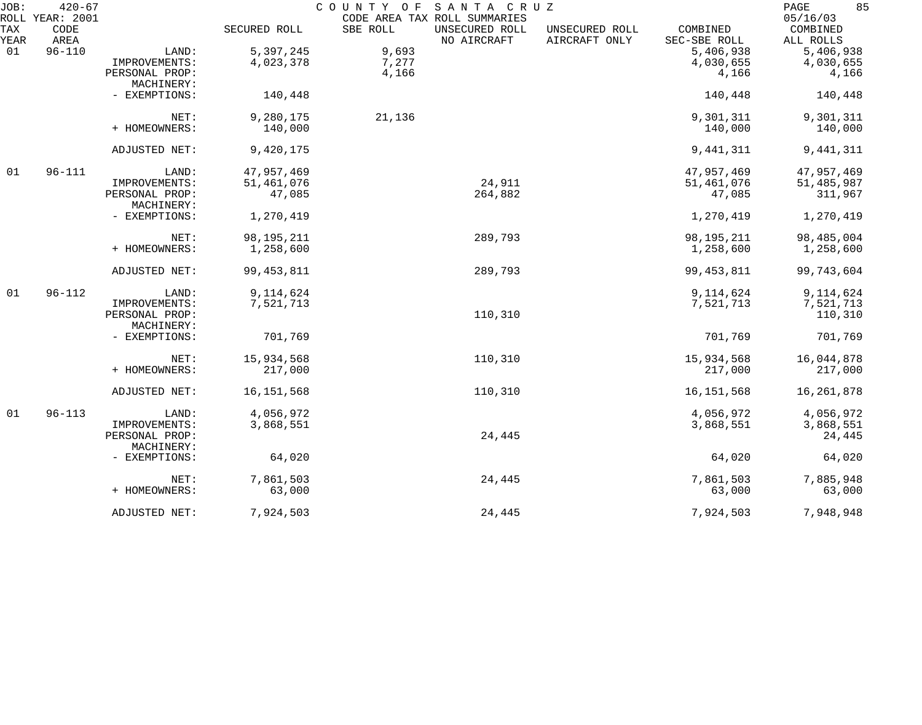| JOB:        | $420 - 67$<br>ROLL YEAR: 2001 | SANTA CRUZ<br>COUNTY OF<br>CODE AREA TAX ROLL SUMMARIES |              |          |                               |                                 |                          |                                   |
|-------------|-------------------------------|---------------------------------------------------------|--------------|----------|-------------------------------|---------------------------------|--------------------------|-----------------------------------|
| TAX<br>YEAR | CODE<br>AREA                  |                                                         | SECURED ROLL | SBE ROLL | UNSECURED ROLL<br>NO AIRCRAFT | UNSECURED ROLL<br>AIRCRAFT ONLY | COMBINED<br>SEC-SBE ROLL | 05/16/03<br>COMBINED<br>ALL ROLLS |
| 01          | $96 - 110$                    | LAND:                                                   | 5,397,245    | 9,693    |                               |                                 | 5,406,938                | 5,406,938                         |
|             |                               | IMPROVEMENTS:                                           | 4,023,378    | 7,277    |                               |                                 | 4,030,655                | 4,030,655                         |
|             |                               | PERSONAL PROP:                                          |              | 4,166    |                               |                                 | 4,166                    | 4,166                             |
|             |                               | MACHINERY:                                              |              |          |                               |                                 |                          |                                   |
|             |                               | - EXEMPTIONS:                                           | 140,448      |          |                               |                                 | 140,448                  | 140,448                           |
|             |                               | NET:                                                    | 9,280,175    | 21,136   |                               |                                 | 9,301,311                | 9,301,311                         |
|             |                               | + HOMEOWNERS:                                           | 140,000      |          |                               |                                 | 140,000                  | 140,000                           |
|             |                               | ADJUSTED NET:                                           | 9,420,175    |          |                               |                                 | 9, 441, 311              | 9, 441, 311                       |
| 01          | $96 - 111$                    | LAND:                                                   | 47,957,469   |          |                               |                                 | 47,957,469               | 47,957,469                        |
|             |                               | IMPROVEMENTS:                                           | 51,461,076   |          | 24,911                        |                                 | 51,461,076               | 51,485,987                        |
|             |                               | PERSONAL PROP:                                          | 47,085       |          | 264,882                       |                                 | 47,085                   | 311,967                           |
|             |                               | MACHINERY:                                              |              |          |                               |                                 |                          |                                   |
|             |                               | - EXEMPTIONS:                                           | 1,270,419    |          |                               |                                 | 1,270,419                | 1,270,419                         |
|             |                               | NET:                                                    | 98, 195, 211 |          | 289,793                       |                                 | 98, 195, 211             | 98,485,004                        |
|             |                               | + HOMEOWNERS:                                           | 1,258,600    |          |                               |                                 | 1,258,600                | 1,258,600                         |
|             |                               | ADJUSTED NET:                                           | 99, 453, 811 |          | 289,793                       |                                 | 99, 453, 811             | 99,743,604                        |
| 01          | $96 - 112$                    | LAND:                                                   | 9,114,624    |          |                               |                                 | 9,114,624                | 9,114,624                         |
|             |                               | IMPROVEMENTS:                                           | 7,521,713    |          |                               |                                 | 7,521,713                | 7,521,713                         |
|             |                               | PERSONAL PROP:                                          |              |          | 110,310                       |                                 |                          | 110,310                           |
|             |                               | MACHINERY:                                              |              |          |                               |                                 |                          |                                   |
|             |                               | - EXEMPTIONS:                                           | 701,769      |          |                               |                                 | 701,769                  | 701,769                           |
|             |                               | NET:                                                    | 15,934,568   |          | 110,310                       |                                 | 15,934,568               | 16,044,878                        |
|             |                               | + HOMEOWNERS:                                           | 217,000      |          |                               |                                 | 217,000                  | 217,000                           |
|             |                               | ADJUSTED NET:                                           | 16, 151, 568 |          | 110,310                       |                                 | 16, 151, 568             | 16, 261, 878                      |
| 01          | $96 - 113$                    | LAND:                                                   | 4,056,972    |          |                               |                                 | 4,056,972                | 4,056,972                         |
|             |                               | IMPROVEMENTS:                                           | 3,868,551    |          |                               |                                 | 3,868,551                | 3,868,551                         |
|             |                               | PERSONAL PROP:                                          |              |          | 24,445                        |                                 |                          | 24,445                            |
|             |                               | MACHINERY:                                              |              |          |                               |                                 |                          |                                   |
|             |                               | - EXEMPTIONS:                                           | 64,020       |          |                               |                                 | 64,020                   | 64,020                            |
|             |                               | NET:                                                    | 7,861,503    |          | 24,445                        |                                 | 7,861,503                | 7,885,948                         |
|             |                               | + HOMEOWNERS:                                           | 63,000       |          |                               |                                 | 63,000                   | 63,000                            |
|             |                               | ADJUSTED NET:                                           | 7,924,503    |          | 24,445                        |                                 | 7,924,503                | 7,948,948                         |